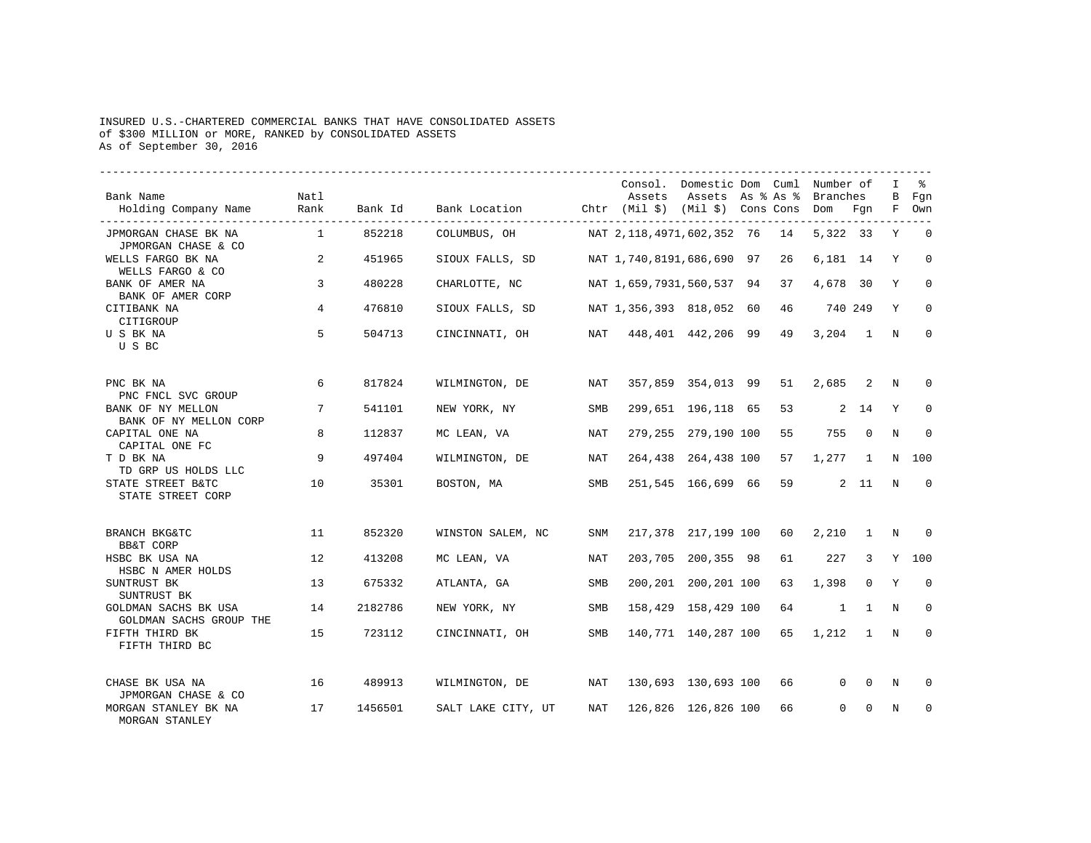## INSURED U.S.-CHARTERED COMMERCIAL BANKS THAT HAVE CONSOLIDATED ASSETS of \$300 MILLION or MORE, RANKED by CONSOLIDATED ASSETS As of September 30, 2016

| Bank Name<br>Holding Company Name                        | Natl<br>Rank   | Bank Id | Bank Location      |            | Assets<br>Chtr (Mil \$) (Mil \$) Cons Cons | Consol. Domestic Dom Cuml Number of<br>Assets As % As % |    | Branches<br>Dom | Fqn            | I<br>В<br>F | ႜႜ<br>Fgn<br>Own |
|----------------------------------------------------------|----------------|---------|--------------------|------------|--------------------------------------------|---------------------------------------------------------|----|-----------------|----------------|-------------|------------------|
| JPMORGAN CHASE BK NA                                     | $\overline{1}$ | 852218  | COLUMBUS, OH       |            | NAT 2,118,4971,602,352 76                  |                                                         | 14 | 5,322 33        |                | Υ           | $\mathbf 0$      |
| JPMORGAN CHASE & CO<br>WELLS FARGO BK NA                 | 2              | 451965  | SIOUX FALLS, SD    |            | NAT 1,740,8191,686,690 97                  |                                                         | 26 | 6,181 14        |                | Y           | $\Omega$         |
| WELLS FARGO & CO<br>BANK OF AMER NA<br>BANK OF AMER CORP | 3              | 480228  | CHARLOTTE, NC      |            | NAT 1,659,7931,560,537 94                  |                                                         | 37 | 4,678 30        |                | Y           | $\Omega$         |
| CITIBANK NA<br>CITIGROUP                                 | 4              | 476810  | SIOUX FALLS, SD    |            | NAT 1,356,393 818,052 60                   |                                                         | 46 | 740 249         |                | Y           | $\mathbf 0$      |
| U S BK NA<br>U S BC                                      | 5              | 504713  | CINCINNATI, OH     | NAT        |                                            | 448,401 442,206 99                                      | 49 | 3,204           | $\sim$ 1       | N           | $\Omega$         |
| PNC BK NA<br>PNC FNCL SVC GROUP                          | 6              | 817824  | WILMINGTON, DE     | NAT        |                                            | 357,859 354,013 99                                      | 51 | 2,685           | 2              | N           | $\Omega$         |
| BANK OF NY MELLON<br>BANK OF NY MELLON CORP              | 7              | 541101  | NEW YORK, NY       | SMB        |                                            | 299,651 196,118 65                                      | 53 |                 | 2 14           | Y           | $\mathbf 0$      |
| CAPITAL ONE NA<br>CAPITAL ONE FC                         | 8              | 112837  | MC LEAN, VA        | NAT        |                                            | 279,255 279,190 100                                     | 55 | 755             | $\mathbf 0$    | N           | $\Omega$         |
| T D BK NA<br>TD GRP US HOLDS LLC                         | 9              | 497404  | WILMINGTON, DE     | NAT        |                                            | 264,438 264,438 100                                     | 57 | 1,277           | $\overline{1}$ | N           | 100              |
| STATE STREET B&TC<br>STATE STREET CORP                   | 10             | 35301   | BOSTON, MA         | SMB        |                                            | 251,545 166,699 66                                      | 59 |                 | $2 \quad 11$   | N           | $\Omega$         |
| BRANCH BKG&TC<br><b>BB&amp;T CORP</b>                    | 11             | 852320  | WINSTON SALEM, NC  | SNM        |                                            | 217,378 217,199 100                                     | 60 | 2,210           | $\overline{1}$ | N           | $\Omega$         |
| HSBC BK USA NA<br>HSBC N AMER HOLDS                      | 12             | 413208  | MC LEAN, VA        | <b>NAT</b> |                                            | 203,705 200,355 98                                      | 61 | 227             | 3              | Y           | 100              |
| SUNTRUST BK<br>SUNTRUST BK                               | 13             | 675332  | ATLANTA, GA        | SMB        |                                            | 200, 201 200, 201 100                                   | 63 | 1,398           | $\Omega$       | Y           | $\Omega$         |
| GOLDMAN SACHS BK USA<br>GOLDMAN SACHS GROUP THE          | 14             | 2182786 | NEW YORK, NY       | SMB        |                                            | 158,429 158,429 100                                     | 64 | $\mathbf{1}$    | $\mathbf{1}$   | N           | 0                |
| FIFTH THIRD BK<br>FIFTH THIRD BC                         | 15             | 723112  | CINCINNATI, OH     | SMB        |                                            | 140,771 140,287 100                                     | 65 | 1,212           | $\mathbf{1}$   | N           | $\Omega$         |
| CHASE BK USA NA<br>JPMORGAN CHASE & CO                   | 16             | 489913  | WILMINGTON, DE     | NAT        |                                            | 130,693 130,693 100                                     | 66 | $\Omega$        | $\Omega$       | N           | $\Omega$         |
| MORGAN STANLEY BK NA<br>MORGAN STANLEY                   | 17             | 1456501 | SALT LAKE CITY, UT | NAT        |                                            | 126,826 126,826 100                                     | 66 | $\Omega$        | $\Omega$       | N           | $\mathbf 0$      |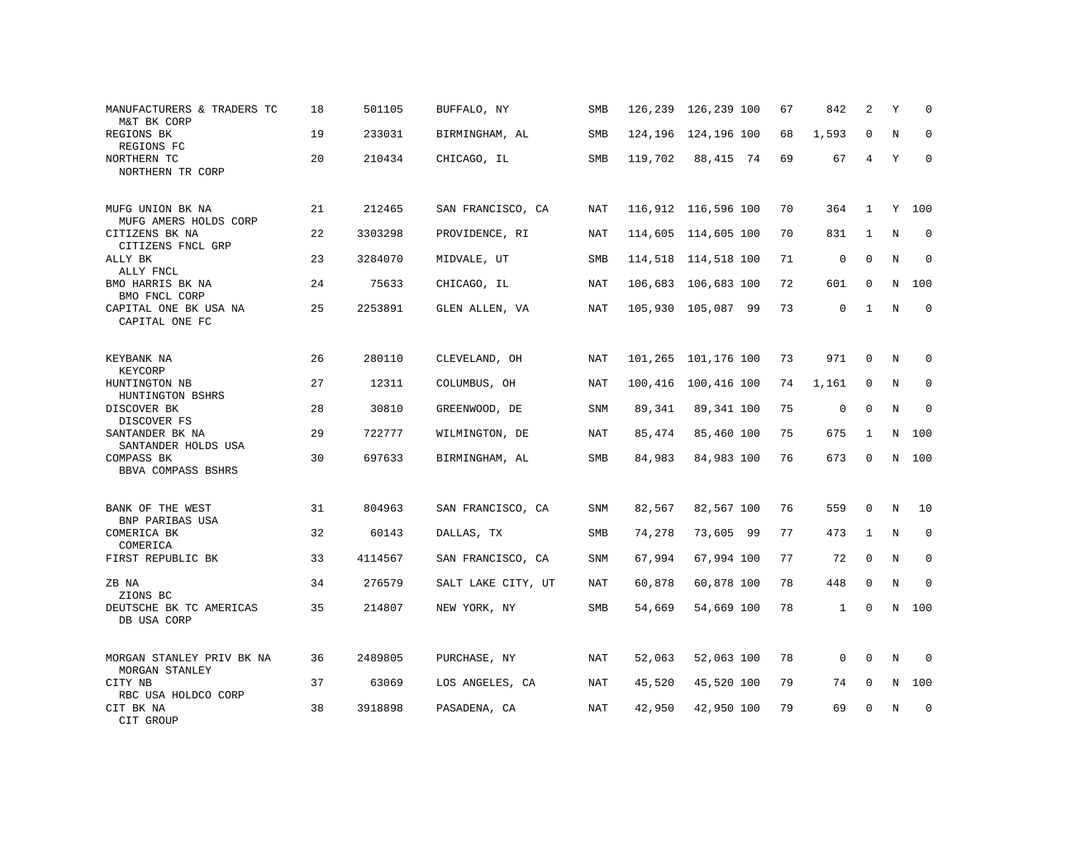| MANUFACTURERS & TRADERS TC<br>M&T BK CORP   | 18 | 501105  | BUFFALO, NY        | SMB        |         | 126,239 126,239 100   | 67 | 842          | 2            | Υ           | $\Omega$    |
|---------------------------------------------|----|---------|--------------------|------------|---------|-----------------------|----|--------------|--------------|-------------|-------------|
| REGIONS BK<br>REGIONS FC                    | 19 | 233031  | BIRMINGHAM, AL     | SMB        |         | 124, 196 124, 196 100 | 68 | 1,593        | $\mathbf 0$  | N           | $\mathbf 0$ |
| NORTHERN TC<br>NORTHERN TR CORP             | 20 | 210434  | CHICAGO, IL        | <b>SMB</b> | 119,702 | 88,415 74             | 69 | 67           | 4            | Y           | $\Omega$    |
| MUFG UNION BK NA<br>MUFG AMERS HOLDS CORP   | 21 | 212465  | SAN FRANCISCO, CA  | NAT        |         | 116,912 116,596 100   | 70 | 364          | $\mathbf{1}$ | Y           | 100         |
| CITIZENS BK NA<br>CITIZENS FNCL GRP         | 22 | 3303298 | PROVIDENCE, RI     | NAT        |         | 114,605 114,605 100   | 70 | 831          | 1            | $\mathbf N$ | $\mathbf 0$ |
| ALLY BK<br>ALLY FNCL                        | 23 | 3284070 | MIDVALE, UT        | <b>SMB</b> |         | 114,518 114,518 100   | 71 | $\mathbf 0$  | $\Omega$     | N           | $\mathbf 0$ |
| BMO HARRIS BK NA<br>BMO FNCL CORP           | 24 | 75633   | CHICAGO, IL        | NAT        |         | 106,683 106,683 100   | 72 | 601          | $\mathbf 0$  | N           | 100         |
| CAPITAL ONE BK USA NA<br>CAPITAL ONE FC     | 25 | 2253891 | GLEN ALLEN, VA     | NAT        |         | 105,930 105,087 99    | 73 | 0            | $\mathbf{1}$ | N           | $\mathbf 0$ |
| KEYBANK NA<br>KEYCORP                       | 26 | 280110  | CLEVELAND, OH      | NAT        |         | 101,265 101,176 100   | 73 | 971          | $\Omega$     | N           | $\Omega$    |
| HUNTINGTON NB<br>HUNTINGTON BSHRS           | 27 | 12311   | COLUMBUS, OH       | NAT        |         | 100,416 100,416 100   | 74 | 1,161        | 0            | N           | 0           |
| DISCOVER BK<br>DISCOVER FS                  | 28 | 30810   | GREENWOOD, DE      | <b>SNM</b> | 89,341  | 89,341 100            | 75 | $\mathbf 0$  | 0            | N           | $\mathbf 0$ |
| SANTANDER BK NA<br>SANTANDER HOLDS USA      | 29 | 722777  | WILMINGTON, DE     | NAT        | 85,474  | 85,460 100            | 75 | 675          | 1            |             | N 100       |
| COMPASS BK<br>BBVA COMPASS BSHRS            | 30 | 697633  | BIRMINGHAM, AL     | SMB        | 84,983  | 84,983 100            | 76 | 673          | $\mathbf 0$  |             | N 100       |
| BANK OF THE WEST<br>BNP PARIBAS USA         | 31 | 804963  | SAN FRANCISCO, CA  | SNM        | 82,567  | 82,567 100            | 76 | 559          | 0            | N           | 10          |
| COMERICA BK<br>COMERICA                     | 32 | 60143   | DALLAS, TX         | SMB        | 74,278  | 73,605 99             | 77 | 473          | $\mathbf{1}$ | N           | $\mathbf 0$ |
| FIRST REPUBLIC BK                           | 33 | 4114567 | SAN FRANCISCO, CA  | <b>SNM</b> | 67,994  | 67,994 100            | 77 | 72           | $\Omega$     | N           | $\Omega$    |
| ZB NA<br>ZIONS BC                           | 34 | 276579  | SALT LAKE CITY, UT | <b>NAT</b> | 60,878  | 60,878 100            | 78 | 448          | $\mathbf 0$  | N           | $\Omega$    |
| DEUTSCHE BK TC AMERICAS<br>DB USA CORP      | 35 | 214807  | NEW YORK, NY       | SMB        | 54,669  | 54,669 100            | 78 | $\mathbf{1}$ | $\mathbf 0$  |             | N 100       |
| MORGAN STANLEY PRIV BK NA<br>MORGAN STANLEY | 36 | 2489805 | PURCHASE, NY       | NAT        | 52,063  | 52,063 100            | 78 | $\mathbf 0$  | $\mathbf 0$  | N           | $\Omega$    |
| CITY NB<br>RBC USA HOLDCO CORP              | 37 | 63069   | LOS ANGELES, CA    | NAT        | 45,520  | 45,520 100            | 79 | 74           | $\mathbf 0$  | N           | 100         |
| CIT BK NA<br>CIT GROUP                      | 38 | 3918898 | PASADENA, CA       | NAT        | 42,950  | 42,950 100            | 79 | 69           | $\Omega$     | N           | $\mathbf 0$ |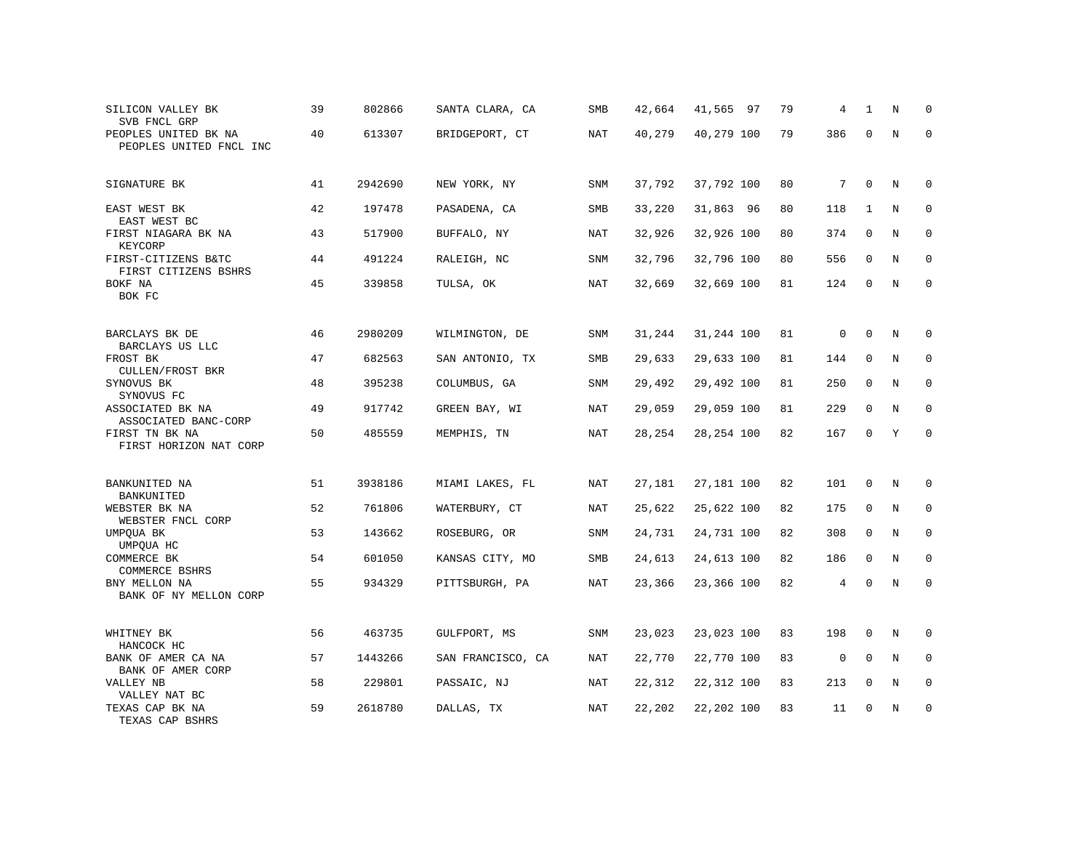| SILICON VALLEY BK<br>SVB FNCL GRP               | 39 | 802866  | SANTA CLARA, CA   | SMB        | 42,664 | 41,565 97  | 79 | 4           | 1            | N | $\Omega$     |
|-------------------------------------------------|----|---------|-------------------|------------|--------|------------|----|-------------|--------------|---|--------------|
| PEOPLES UNITED BK NA<br>PEOPLES UNITED FNCL INC | 40 | 613307  | BRIDGEPORT, CT    | NAT        | 40,279 | 40,279 100 | 79 | 386         | $\mathbf 0$  | N | $\Omega$     |
| SIGNATURE BK                                    | 41 | 2942690 | NEW YORK, NY      | SNM        | 37,792 | 37,792 100 | 80 | 7           | $\mathbf 0$  | N | $\Omega$     |
| EAST WEST BK<br>EAST WEST BC                    | 42 | 197478  | PASADENA, CA      | SMB        | 33,220 | 31,863 96  | 80 | 118         | 1            | N | $\mathbf 0$  |
| FIRST NIAGARA BK NA<br>KEYCORP                  | 43 | 517900  | BUFFALO, NY       | NAT        | 32,926 | 32,926 100 | 80 | 374         | $\mathbf 0$  | N | $\mathbf 0$  |
| FIRST-CITIZENS B&TC<br>FIRST CITIZENS BSHRS     | 44 | 491224  | RALEIGH, NC       | <b>SNM</b> | 32,796 | 32,796 100 | 80 | 556         | $\mathbf 0$  | N | $\mathbf{0}$ |
| BOKF NA<br>BOK FC                               | 45 | 339858  | TULSA, OK         | NAT        | 32,669 | 32,669 100 | 81 | 124         | $\Omega$     | N | $\mathbf 0$  |
| BARCLAYS BK DE<br>BARCLAYS US LLC               | 46 | 2980209 | WILMINGTON, DE    | <b>SNM</b> | 31,244 | 31,244 100 | 81 | $\mathsf 0$ | $\mathbf{0}$ | N | 0            |
| FROST BK<br>CULLEN/FROST BKR                    | 47 | 682563  | SAN ANTONIO, TX   | SMB        | 29,633 | 29,633 100 | 81 | 144         | $\Omega$     | N | 0            |
| SYNOVUS BK<br>SYNOVUS FC                        | 48 | 395238  | COLUMBUS, GA      | SNM        | 29,492 | 29,492 100 | 81 | 250         | 0            | N | 0            |
| ASSOCIATED BK NA<br>ASSOCIATED BANC-CORP        | 49 | 917742  | GREEN BAY, WI     | NAT        | 29,059 | 29,059 100 | 81 | 229         | $\mathbf 0$  | N | $\mathbf 0$  |
| FIRST TN BK NA<br>FIRST HORIZON NAT CORP        | 50 | 485559  | MEMPHIS, TN       | NAT        | 28,254 | 28,254 100 | 82 | 167         | $\mathbf 0$  | Y | $\mathbf 0$  |
| BANKUNITED NA<br>BANKUNITED                     | 51 | 3938186 | MIAMI LAKES, FL   | NAT        | 27,181 | 27,181 100 | 82 | 101         | 0            | N | $\mathbf 0$  |
| WEBSTER BK NA<br>WEBSTER FNCL CORP              | 52 | 761806  | WATERBURY, CT     | NAT        | 25,622 | 25,622 100 | 82 | 175         | 0            | N | 0            |
| UMPQUA BK<br>UMPQUA HC                          | 53 | 143662  | ROSEBURG, OR      | <b>SNM</b> | 24,731 | 24,731 100 | 82 | 308         | $\mathbf{0}$ | N | $\mathbf 0$  |
| COMMERCE BK<br>COMMERCE BSHRS                   | 54 | 601050  | KANSAS CITY, MO   | SMB        | 24,613 | 24,613 100 | 82 | 186         | $\mathbf 0$  | N | $\Omega$     |
| BNY MELLON NA<br>BANK OF NY MELLON CORP         | 55 | 934329  | PITTSBURGH, PA    | <b>NAT</b> | 23,366 | 23,366 100 | 82 | 4           | $\Omega$     | N | $\mathbf 0$  |
| WHITNEY BK<br>HANCOCK HC                        | 56 | 463735  | GULFPORT, MS      | <b>SNM</b> | 23,023 | 23,023 100 | 83 | 198         | $\mathbf{0}$ | N | $\mathbf 0$  |
| BANK OF AMER CA NA<br>BANK OF AMER CORP         | 57 | 1443266 | SAN FRANCISCO, CA | NAT        | 22,770 | 22,770 100 | 83 | $\mathsf 0$ | $\Omega$     | N | $\mathbf 0$  |
| VALLEY NB<br>VALLEY NAT BC                      | 58 | 229801  | PASSAIC, NJ       | NAT        | 22,312 | 22,312 100 | 83 | 213         | $\mathbf 0$  | N | $\mathbf 0$  |
| TEXAS CAP BK NA<br>TEXAS CAP BSHRS              | 59 | 2618780 | DALLAS, TX        | <b>NAT</b> | 22,202 | 22,202 100 | 83 | 11          | $\mathbf 0$  | N | $\mathbf 0$  |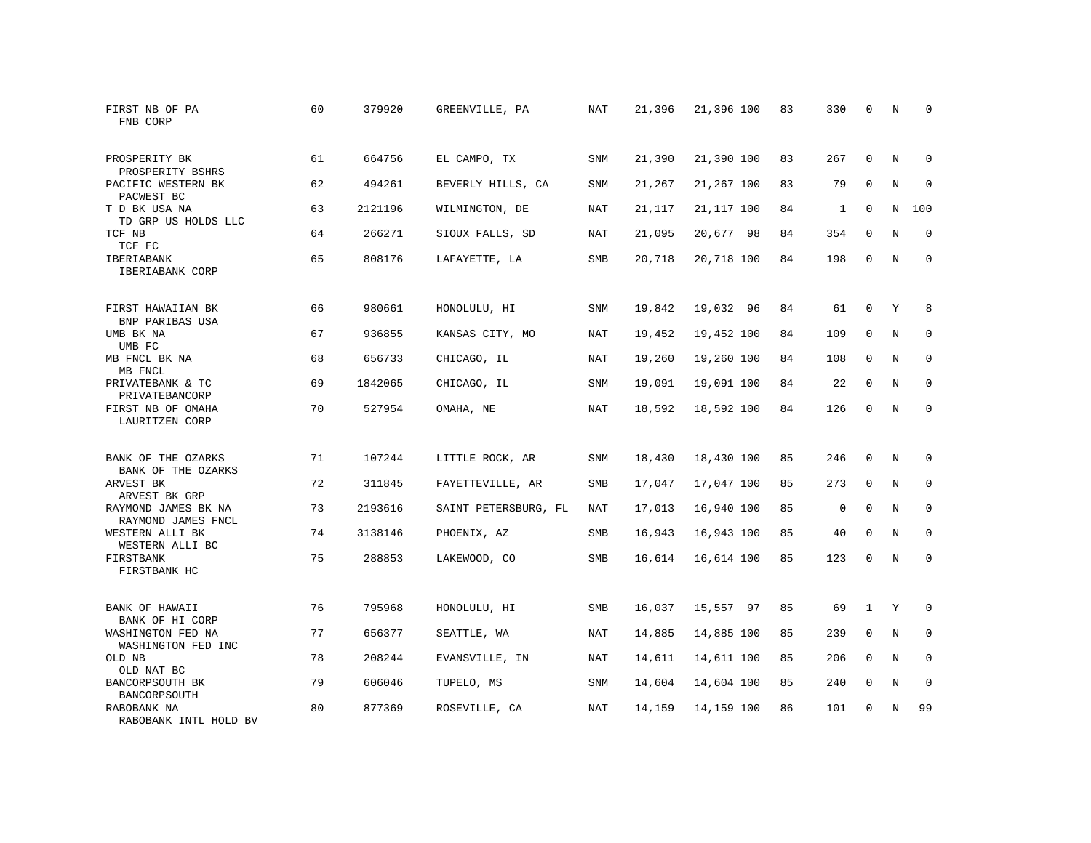| FIRST NB OF PA<br>FNB CORP                | 60 | 379920  | GREENVILLE, PA       | NAT        | 21,396 | 21,396 100 | 83 | 330         | $\mathbf 0$  | N | $\Omega$    |
|-------------------------------------------|----|---------|----------------------|------------|--------|------------|----|-------------|--------------|---|-------------|
| PROSPERITY BK<br>PROSPERITY BSHRS         | 61 | 664756  | EL CAMPO, TX         | <b>SNM</b> | 21,390 | 21,390 100 | 83 | 267         | $\Omega$     | N | $\Omega$    |
| PACIFIC WESTERN BK<br>PACWEST BC          | 62 | 494261  | BEVERLY HILLS, CA    | SNM        | 21,267 | 21,267 100 | 83 | 79          | $\mathbf 0$  | N | $\mathbf 0$ |
| T D BK USA NA<br>TD GRP US HOLDS LLC      | 63 | 2121196 | WILMINGTON, DE       | NAT        | 21,117 | 21,117 100 | 84 | 1           | $\Omega$     | N | 100         |
| TCF NB<br>TCF FC                          | 64 | 266271  | SIOUX FALLS, SD      | NAT        | 21,095 | 20,677 98  | 84 | 354         | $\mathbf 0$  | N | $\mathbf 0$ |
| IBERIABANK<br>IBERIABANK CORP             | 65 | 808176  | LAFAYETTE, LA        | <b>SMB</b> | 20,718 | 20,718 100 | 84 | 198         | $\mathbf 0$  | N | $\mathbf 0$ |
| FIRST HAWAIIAN BK<br>BNP PARIBAS USA      | 66 | 980661  | HONOLULU, HI         | SNM        | 19,842 | 19,032 96  | 84 | 61          | $\mathbf 0$  | Y | 8           |
| UMB BK NA<br>UMB FC                       | 67 | 936855  | KANSAS CITY, MO      | NAT        | 19,452 | 19,452 100 | 84 | 109         | $\Omega$     | N | $\mathbf 0$ |
| MB FNCL BK NA<br>MB FNCL                  | 68 | 656733  | CHICAGO, IL          | NAT        | 19,260 | 19,260 100 | 84 | 108         | 0            | N | $\mathbf 0$ |
| PRIVATEBANK & TC<br>PRIVATEBANCORP        | 69 | 1842065 | CHICAGO, IL          | <b>SNM</b> | 19,091 | 19,091 100 | 84 | 22          | $\mathbf{0}$ | N | $\mathbf 0$ |
| FIRST NB OF OMAHA<br>LAURITZEN CORP       | 70 | 527954  | OMAHA, NE            | NAT        | 18,592 | 18,592 100 | 84 | 126         | $\Omega$     | N | $\Omega$    |
| BANK OF THE OZARKS<br>BANK OF THE OZARKS  | 71 | 107244  | LITTLE ROCK, AR      | <b>SNM</b> | 18,430 | 18,430 100 | 85 | 246         | $\mathbf{0}$ | N | $\mathbf 0$ |
| ARVEST BK<br>ARVEST BK GRP                | 72 | 311845  | FAYETTEVILLE, AR     | SMB        | 17,047 | 17,047 100 | 85 | 273         | $\mathbf 0$  | N | 0           |
| RAYMOND JAMES BK NA<br>RAYMOND JAMES FNCL | 73 | 2193616 | SAINT PETERSBURG, FL | NAT        | 17,013 | 16,940 100 | 85 | $\mathbf 0$ | $\Omega$     | N | $\mathbf 0$ |
| WESTERN ALLI BK<br>WESTERN ALLI BC        | 74 | 3138146 | PHOENIX, AZ          | <b>SMB</b> | 16,943 | 16,943 100 | 85 | 40          | $\Omega$     | N | $\mathbf 0$ |
| FIRSTBANK<br>FIRSTBANK HC                 | 75 | 288853  | LAKEWOOD, CO         | SMB        | 16,614 | 16,614 100 | 85 | 123         | $\mathbf 0$  | N | $\mathbf 0$ |
| BANK OF HAWAII<br>BANK OF HI CORP         | 76 | 795968  | HONOLULU, HI         | SMB        | 16,037 | 15,557 97  | 85 | 69          | $\mathbf{1}$ | Y | 0           |
| WASHINGTON FED NA<br>WASHINGTON FED INC   | 77 | 656377  | SEATTLE, WA          | NAT        | 14,885 | 14,885 100 | 85 | 239         | $\mathbf{0}$ | N | $\mathbf 0$ |
| OLD NB<br>OLD NAT BC                      | 78 | 208244  | EVANSVILLE, IN       | NAT        | 14,611 | 14,611 100 | 85 | 206         | $\Omega$     | N | $\mathbf 0$ |
| BANCORPSOUTH BK<br>BANCORPSOUTH           | 79 | 606046  | TUPELO, MS           | <b>SNM</b> | 14,604 | 14,604 100 | 85 | 240         | $\mathbf 0$  | N | 0           |
| RABOBANK NA<br>RABOBANK INTL HOLD BV      | 80 | 877369  | ROSEVILLE, CA        | NAT        | 14,159 | 14,159 100 | 86 | 101         | $\Omega$     | N | 99          |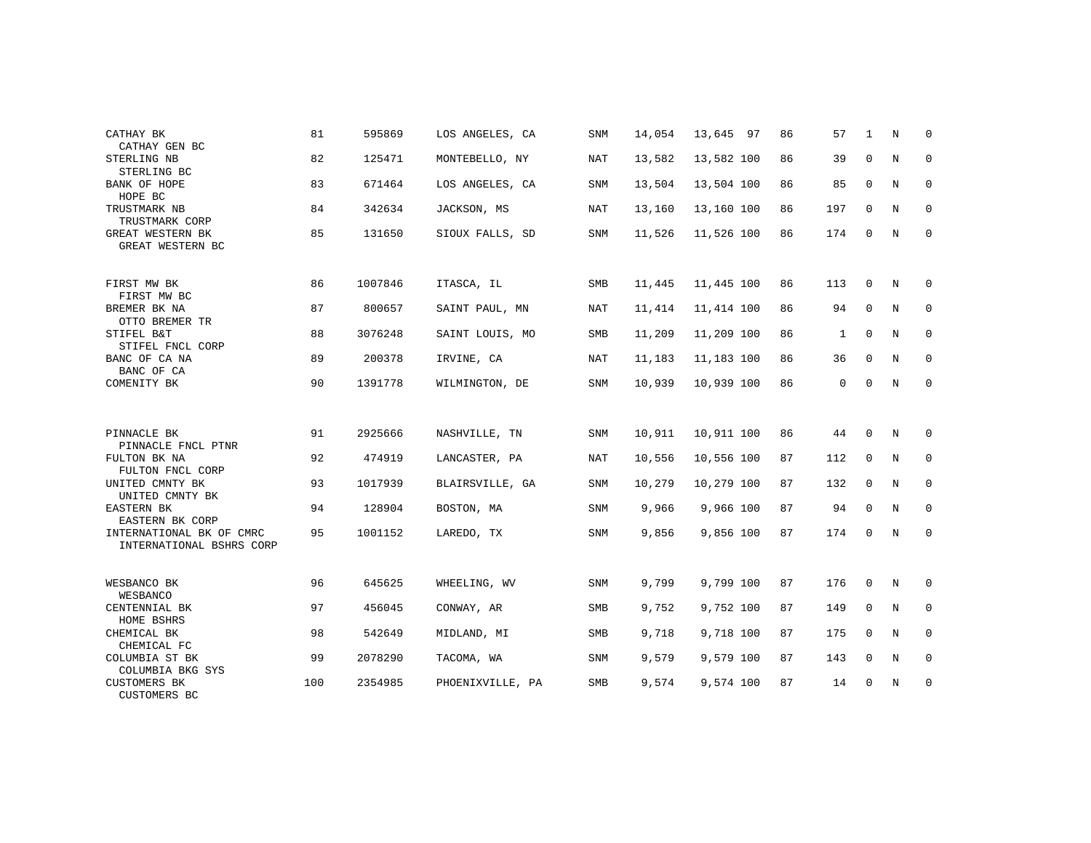| CATHAY BK<br>CATHAY GEN BC                             | 81  | 595869  | LOS ANGELES, CA  | <b>SNM</b> | 14,054 | 13,645 97  | 86 | 57           | 1            | N | $\mathbf 0$  |
|--------------------------------------------------------|-----|---------|------------------|------------|--------|------------|----|--------------|--------------|---|--------------|
| STERLING NB<br>STERLING BC                             | 82  | 125471  | MONTEBELLO, NY   | NAT        | 13,582 | 13,582 100 | 86 | 39           | $\mathbf{0}$ | N | 0            |
| BANK OF HOPE<br>HOPE BC                                | 83  | 671464  | LOS ANGELES, CA  | <b>SNM</b> | 13,504 | 13,504 100 | 86 | 85           | $\mathbf 0$  | N | $\mathbf 0$  |
| TRUSTMARK NB<br>TRUSTMARK CORP                         | 84  | 342634  | JACKSON, MS      | NAT        | 13,160 | 13,160 100 | 86 | 197          | $\mathbf 0$  | N | $\mathbf 0$  |
| GREAT WESTERN BK<br>GREAT WESTERN BC                   | 85  | 131650  | SIOUX FALLS, SD  | <b>SNM</b> | 11,526 | 11,526 100 | 86 | 174          | $\Omega$     | N | $\mathbf 0$  |
| FIRST MW BK<br>FIRST MW BC                             | 86  | 1007846 | ITASCA, IL       | SMB        | 11,445 | 11,445 100 | 86 | 113          | 0            | N | $\mathbf 0$  |
| BREMER BK NA<br>OTTO BREMER TR                         | 87  | 800657  | SAINT PAUL, MN   | NAT        | 11,414 | 11,414 100 | 86 | 94           | $\mathbf 0$  | N | 0            |
| STIFEL B&T<br>STIFEL FNCL CORP                         | 88  | 3076248 | SAINT LOUIS, MO  | SMB        | 11,209 | 11,209 100 | 86 | $\mathbf{1}$ | $\mathbf 0$  | N | $\mathbf 0$  |
| BANC OF CA NA<br>BANC OF CA                            | 89  | 200378  | IRVINE, CA       | NAT        | 11,183 | 11,183 100 | 86 | 36           | 0            | N | $\mathbf 0$  |
| COMENITY BK                                            | 90  | 1391778 | WILMINGTON, DE   | SNM        | 10,939 | 10,939 100 | 86 | 0            | $\mathbf 0$  | N | $\mathbf{0}$ |
| PINNACLE BK                                            | 91  | 2925666 | NASHVILLE, TN    | SNM        | 10,911 | 10,911 100 | 86 | 44           | 0            | N | 0            |
| PINNACLE FNCL PTNR<br>FULTON BK NA                     | 92  | 474919  | LANCASTER, PA    | NAT        | 10,556 | 10,556 100 | 87 | 112          | $\mathbf{0}$ | N | $\mathbf 0$  |
| FULTON FNCL CORP<br>UNITED CMNTY BK<br>UNITED CMNTY BK | 93  | 1017939 | BLAIRSVILLE, GA  | SNM        | 10,279 | 10,279 100 | 87 | 132          | 0            | N | 0            |
| EASTERN BK<br>EASTERN BK CORP                          | 94  | 128904  | BOSTON, MA       | <b>SNM</b> | 9,966  | 9,966 100  | 87 | 94           | $\Omega$     | N | $\mathbf 0$  |
| INTERNATIONAL BK OF CMRC<br>INTERNATIONAL BSHRS CORP   | 95  | 1001152 | LAREDO, TX       | SNM        | 9,856  | 9,856 100  | 87 | 174          | 0            | N | 0            |
| WESBANCO BK                                            | 96  | 645625  | WHEELING, WV     | SNM        | 9,799  | 9,799 100  | 87 | 176          | 0            | Ν | 0            |
| WESBANCO<br>CENTENNIAL BK                              | 97  | 456045  | CONWAY, AR       | SMB        | 9,752  | 9,752 100  | 87 | 149          | $\mathbf 0$  | N | $\mathbf 0$  |
| HOME BSHRS<br>CHEMICAL BK                              | 98  | 542649  | MIDLAND, MI      | SMB        | 9,718  | 9,718 100  | 87 | 175          | $\mathbf 0$  | N | 0            |
| CHEMICAL FC                                            |     |         |                  |            |        |            |    |              |              |   |              |
| COLUMBIA ST BK<br>COLUMBIA BKG SYS                     | 99  | 2078290 | TACOMA, WA       | <b>SNM</b> | 9,579  | 9,579 100  | 87 | 143          | $\mathbf{0}$ | N | $\mathbf 0$  |
| <b>CUSTOMERS BK</b><br>CUSTOMERS BC                    | 100 | 2354985 | PHOENIXVILLE, PA | SMB        | 9,574  | 9,574 100  | 87 | 14           | $\mathbf 0$  | N | $\mathbf 0$  |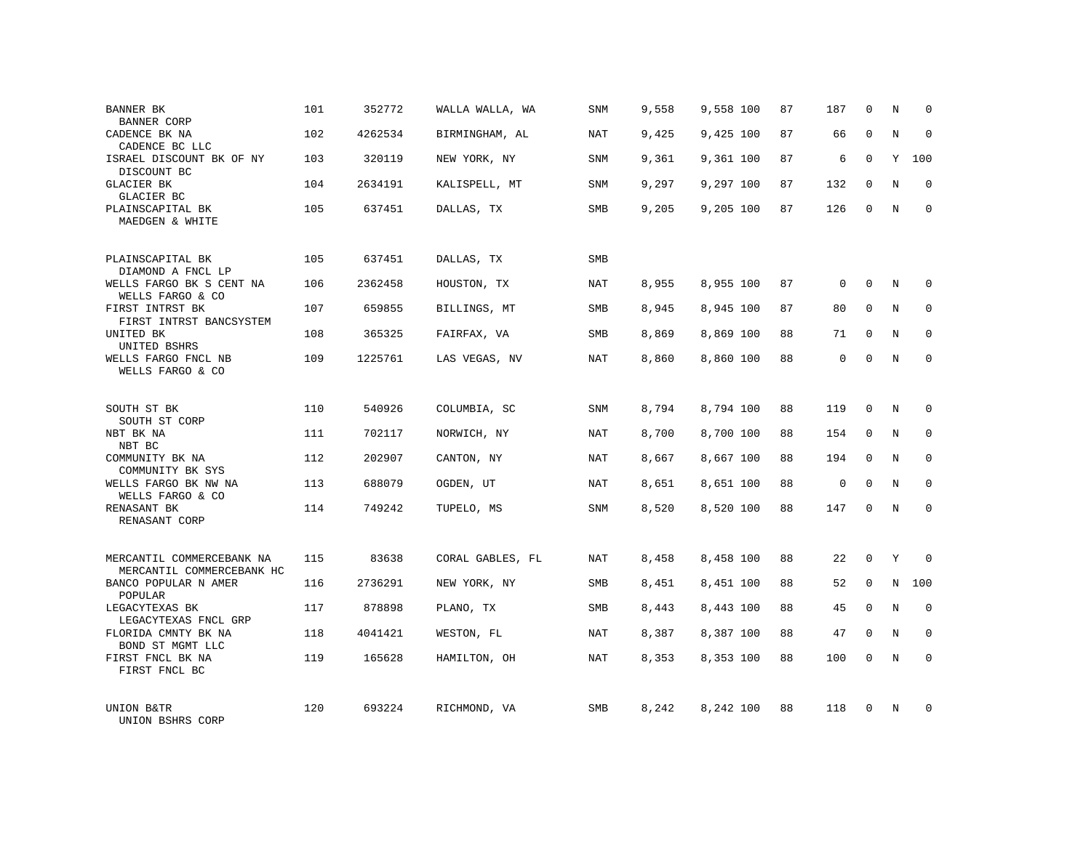| BANNER BK                                              | 101 | 352772  | WALLA WALLA, WA  | SNM        | 9,558 | 9,558 100 | 87 | 187         | 0            | N | 0           |
|--------------------------------------------------------|-----|---------|------------------|------------|-------|-----------|----|-------------|--------------|---|-------------|
| <b>BANNER CORP</b><br>CADENCE BK NA<br>CADENCE BC LLC  | 102 | 4262534 | BIRMINGHAM, AL   | NAT        | 9,425 | 9,425 100 | 87 | 66          | $\Omega$     | N | $\Omega$    |
| ISRAEL DISCOUNT BK OF NY<br>DISCOUNT BC                | 103 | 320119  | NEW YORK, NY     | SNM        | 9,361 | 9,361 100 | 87 | 6           | $\mathbf 0$  | Y | 100         |
| <b>GLACIER BK</b><br>GLACIER BC                        | 104 | 2634191 | KALISPELL, MT    | <b>SNM</b> | 9,297 | 9,297 100 | 87 | 132         | $\Omega$     | N | $\Omega$    |
| PLAINSCAPITAL BK<br>MAEDGEN & WHITE                    | 105 | 637451  | DALLAS, TX       | SMB        | 9,205 | 9,205 100 | 87 | 126         | $\Omega$     | N | $\Omega$    |
| PLAINSCAPITAL BK<br>DIAMOND A FNCL LP                  | 105 | 637451  | DALLAS, TX       | <b>SMB</b> |       |           |    |             |              |   |             |
| WELLS FARGO BK S CENT NA<br>WELLS FARGO & CO           | 106 | 2362458 | HOUSTON, TX      | NAT        | 8,955 | 8,955 100 | 87 | $\mathbf 0$ | $\Omega$     | N | $\Omega$    |
| FIRST INTRST BK<br>FIRST INTRST BANCSYSTEM             | 107 | 659855  | BILLINGS, MT     | SMB        | 8,945 | 8,945 100 | 87 | 80          | $\mathbf{0}$ | N | $\mathbf 0$ |
| UNITED BK<br>UNITED BSHRS                              | 108 | 365325  | FAIRFAX, VA      | SMB        | 8,869 | 8,869 100 | 88 | 71          | $\Omega$     | N | $\Omega$    |
| WELLS FARGO FNCL NB<br>WELLS FARGO & CO                | 109 | 1225761 | LAS VEGAS, NV    | <b>NAT</b> | 8,860 | 8,860 100 | 88 | 0           | $\Omega$     | N | $\Omega$    |
| SOUTH ST BK<br>SOUTH ST CORP                           | 110 | 540926  | COLUMBIA, SC     | <b>SNM</b> | 8,794 | 8,794 100 | 88 | 119         | $\Omega$     | N | $\Omega$    |
| NBT BK NA<br>NBT BC                                    | 111 | 702117  | NORWICH, NY      | NAT        | 8,700 | 8,700 100 | 88 | 154         | $\mathbf 0$  | N | $\mathbf 0$ |
| COMMUNITY BK NA<br>COMMUNITY BK SYS                    | 112 | 202907  | CANTON, NY       | NAT        | 8,667 | 8,667 100 | 88 | 194         | $\Omega$     | N | $\Omega$    |
| WELLS FARGO BK NW NA<br>WELLS FARGO & CO               | 113 | 688079  | OGDEN, UT        | NAT        | 8,651 | 8,651 100 | 88 | $\mathsf 0$ | $\mathbf{0}$ | N | $\mathbf 0$ |
| RENASANT BK<br>RENASANT CORP                           | 114 | 749242  | TUPELO, MS       | <b>SNM</b> | 8,520 | 8,520 100 | 88 | 147         | $\Omega$     | N | $\Omega$    |
| MERCANTIL COMMERCEBANK NA<br>MERCANTIL COMMERCEBANK HC | 115 | 83638   | CORAL GABLES, FL | <b>NAT</b> | 8,458 | 8,458 100 | 88 | 22          | $\Omega$     | Y | $\Omega$    |
| BANCO POPULAR N AMER<br>POPULAR                        | 116 | 2736291 | NEW YORK, NY     | SMB        | 8,451 | 8,451 100 | 88 | 52          | $\mathbf 0$  | N | 100         |
| LEGACYTEXAS BK<br>LEGACYTEXAS FNCL GRP                 | 117 | 878898  | PLANO, TX        | <b>SMB</b> | 8,443 | 8,443 100 | 88 | 45          | $\Omega$     | N | $\mathbf 0$ |
| FLORIDA CMNTY BK NA<br>BOND ST MGMT LLC                | 118 | 4041421 | WESTON, FL       | NAT        | 8,387 | 8,387 100 | 88 | 47          | $\mathbf 0$  | N | $\mathbf 0$ |
| FIRST FNCL BK NA<br>FIRST FNCL BC                      | 119 | 165628  | HAMILTON, OH     | NAT        | 8,353 | 8,353 100 | 88 | 100         | $\Omega$     | N | $\Omega$    |
| UNION B&TR<br>UNION BSHRS CORP                         | 120 | 693224  | RICHMOND, VA     | <b>SMB</b> | 8,242 | 8,242 100 | 88 | 118         | $\Omega$     | N | $\Omega$    |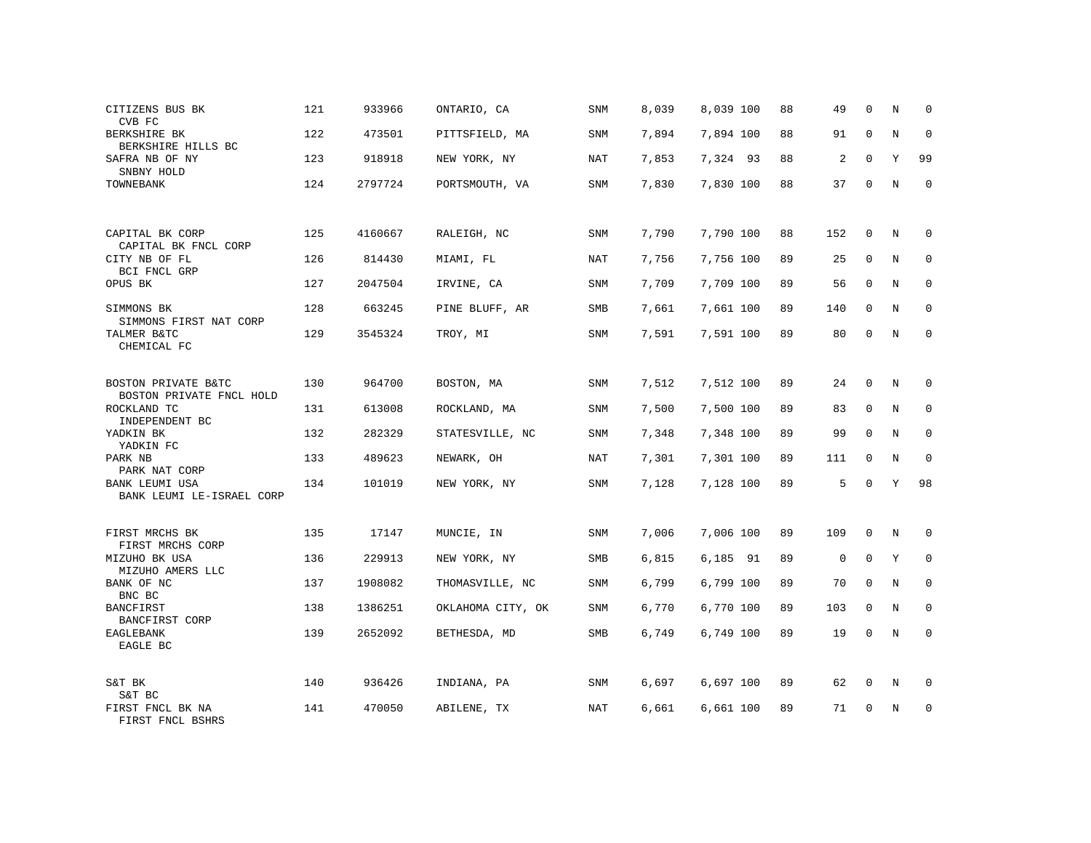| CITIZENS BUS BK<br>CVB FC                       | 121 | 933966  | ONTARIO, CA       | SNM        | 8,039 | 8,039 100 | 88 | 49          | $\mathbf 0$  | N | 0           |
|-------------------------------------------------|-----|---------|-------------------|------------|-------|-----------|----|-------------|--------------|---|-------------|
| BERKSHIRE BK<br>BERKSHIRE HILLS BC              | 122 | 473501  | PITTSFIELD, MA    | SNM        | 7,894 | 7,894 100 | 88 | 91          | $\mathbf 0$  | N | $\mathbf 0$ |
| SAFRA NB OF NY<br>SNBNY HOLD                    | 123 | 918918  | NEW YORK, NY      | NAT        | 7,853 | 7,324 93  | 88 | 2           | $\mathbf 0$  | Υ | 99          |
| TOWNEBANK                                       | 124 | 2797724 | PORTSMOUTH, VA    | SNM        | 7,830 | 7,830 100 | 88 | 37          | $\mathbf 0$  | N | $\mathbf 0$ |
|                                                 |     |         |                   |            |       |           |    |             |              |   |             |
| CAPITAL BK CORP<br>CAPITAL BK FNCL CORP         | 125 | 4160667 | RALEIGH, NC       | SNM        | 7,790 | 7,790 100 | 88 | 152         | $\mathbf 0$  | N | $\Omega$    |
| CITY NB OF FL<br>BCI FNCL GRP                   | 126 | 814430  | MIAMI, FL         | <b>NAT</b> | 7,756 | 7,756 100 | 89 | 25          | $\mathbf{0}$ | N | $\mathbf 0$ |
| OPUS BK                                         | 127 | 2047504 | IRVINE, CA        | SNM        | 7,709 | 7,709 100 | 89 | 56          | $\mathbf 0$  | N | $\mathbf 0$ |
| SIMMONS BK<br>SIMMONS FIRST NAT CORP            | 128 | 663245  | PINE BLUFF, AR    | SMB        | 7,661 | 7,661 100 | 89 | 140         | $\mathbf 0$  | N | $\mathbf 0$ |
| TALMER B&TC<br>CHEMICAL FC                      | 129 | 3545324 | TROY, MI          | SNM        | 7,591 | 7,591 100 | 89 | 80          | $\mathbf 0$  | N | $\Omega$    |
|                                                 |     |         |                   |            |       |           |    |             |              |   |             |
| BOSTON PRIVATE B&TC<br>BOSTON PRIVATE FNCL HOLD | 130 | 964700  | BOSTON, MA        | SNM        | 7,512 | 7,512 100 | 89 | 24          | $\mathbf 0$  | N | $\mathbf 0$ |
| ROCKLAND TC<br>INDEPENDENT BC                   | 131 | 613008  | ROCKLAND, MA      | SNM        | 7,500 | 7,500 100 | 89 | 83          | $\Omega$     | N | $\Omega$    |
| YADKIN BK<br>YADKIN FC                          | 132 | 282329  | STATESVILLE, NC   | SNM        | 7,348 | 7,348 100 | 89 | 99          | $\mathbf 0$  | N | $\mathbf 0$ |
| PARK NB<br>PARK NAT CORP                        | 133 | 489623  | NEWARK, OH        | NAT        | 7,301 | 7,301 100 | 89 | 111         | $\Omega$     | N | $\Omega$    |
| BANK LEUMI USA<br>BANK LEUMI LE-ISRAEL CORP     | 134 | 101019  | NEW YORK, NY      | SNM        | 7,128 | 7,128 100 | 89 | 5           | $\mathbf 0$  | Υ | 98          |
|                                                 |     |         |                   |            |       |           |    |             |              |   |             |
| FIRST MRCHS BK<br>FIRST MRCHS CORP              | 135 | 17147   | MUNCIE, IN        | SNM        | 7,006 | 7,006 100 | 89 | 109         | $\mathbf 0$  | N | $\mathbf 0$ |
| MIZUHO BK USA<br>MIZUHO AMERS LLC               | 136 | 229913  | NEW YORK, NY      | <b>SMB</b> | 6,815 | 6,185 91  | 89 | $\mathbf 0$ | $\Omega$     | Y | $\mathbf 0$ |
| BANK OF NC<br>BNC BC                            | 137 | 1908082 | THOMASVILLE, NC   | SNM        | 6,799 | 6,799 100 | 89 | 70          | $\mathbf{0}$ | N | $\mathbf 0$ |
| <b>BANCFIRST</b><br>BANCFIRST CORP              | 138 | 1386251 | OKLAHOMA CITY, OK | SNM        | 6,770 | 6,770 100 | 89 | 103         | $\mathbf 0$  | N | $\mathbf 0$ |
| EAGLEBANK<br>EAGLE BC                           | 139 | 2652092 | BETHESDA, MD      | SMB        | 6,749 | 6,749 100 | 89 | 19          | $\mathbf 0$  | N | $\mathbf 0$ |
|                                                 |     |         |                   |            |       |           |    |             |              |   |             |
| S&T BK<br>S&T BC                                | 140 | 936426  | INDIANA, PA       | SNM        | 6,697 | 6,697 100 | 89 | 62          | 0            | N | 0           |
| FIRST FNCL BK NA<br>FIRST FNCL BSHRS            | 141 | 470050  | ABILENE, TX       | NAT        | 6,661 | 6,661 100 | 89 | 71          | $\Omega$     | N | $\mathbf 0$ |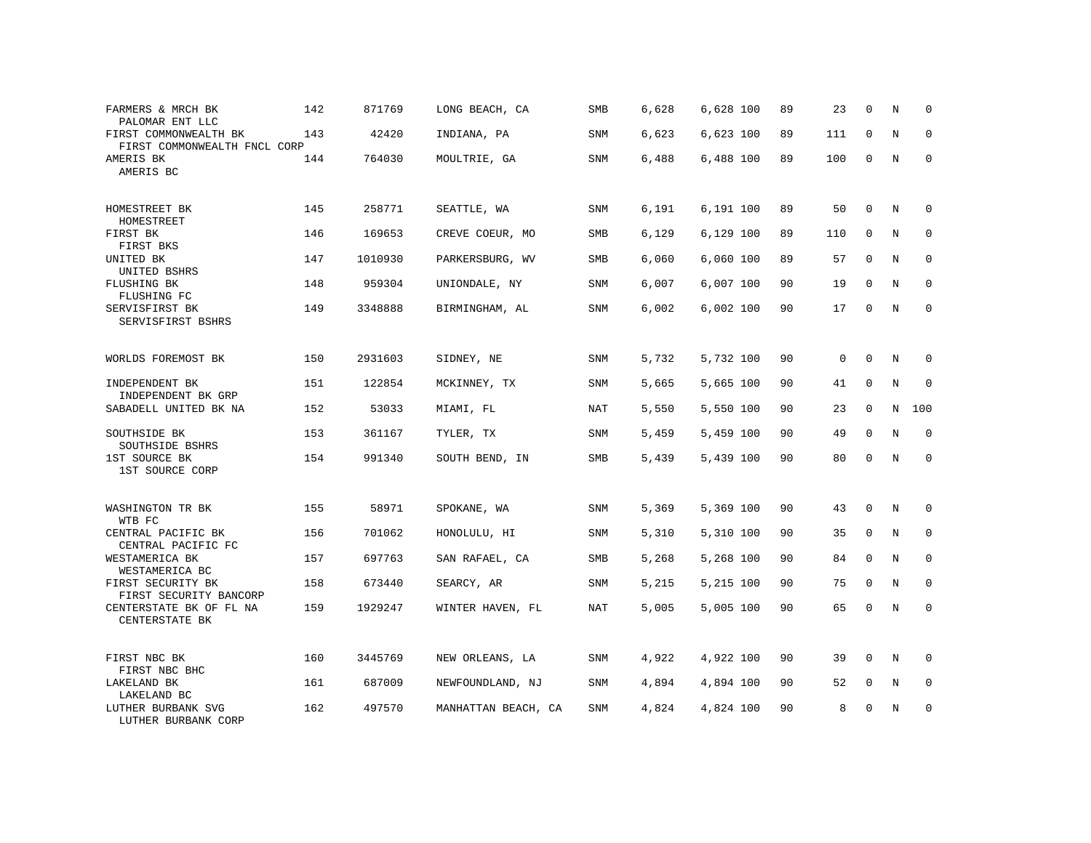| FARMERS & MRCH BK<br>PALOMAR ENT LLC                  | 142 | 871769  | LONG BEACH, CA      | SMB        | 6,628 | 6,628 100 | 89 | 23          | $\mathbf 0$ | N              | $\Omega$    |
|-------------------------------------------------------|-----|---------|---------------------|------------|-------|-----------|----|-------------|-------------|----------------|-------------|
| FIRST COMMONWEALTH BK<br>FIRST COMMONWEALTH FNCL CORP | 143 | 42420   | INDIANA, PA         | <b>SNM</b> | 6,623 | 6,623 100 | 89 | 111         | $\Omega$    | N              | $\Omega$    |
| AMERIS BK<br>AMERIS BC                                | 144 | 764030  | MOULTRIE, GA        | <b>SNM</b> | 6,488 | 6,488 100 | 89 | 100         | $\mathbf 0$ | N              | $\Omega$    |
| HOMESTREET BK<br>HOMESTREET                           | 145 | 258771  | SEATTLE, WA         | <b>SNM</b> | 6,191 | 6,191 100 | 89 | 50          | $\Omega$    | N              | $\Omega$    |
| FIRST BK<br>FIRST BKS                                 | 146 | 169653  | CREVE COEUR, MO     | SMB        | 6,129 | 6,129 100 | 89 | 110         | $\mathbf 0$ | N              | $\mathbf 0$ |
| UNITED BK<br>UNITED BSHRS                             | 147 | 1010930 | PARKERSBURG, WV     | SMB        | 6,060 | 6,060 100 | 89 | 57          | $\Omega$    | N              | $\Omega$    |
| FLUSHING BK<br>FLUSHING FC                            | 148 | 959304  | UNIONDALE, NY       | SNM        | 6,007 | 6,007 100 | 90 | 19          | $\mathbf 0$ | N              | $\mathbf 0$ |
| SERVISFIRST BK<br>SERVISFIRST BSHRS                   | 149 | 3348888 | BIRMINGHAM, AL      | <b>SNM</b> | 6,002 | 6,002 100 | 90 | 17          | $\Omega$    | N              | $\Omega$    |
| WORLDS FOREMOST BK                                    | 150 | 2931603 | SIDNEY, NE          | <b>SNM</b> | 5,732 | 5,732 100 | 90 | $\mathbf 0$ | $\Omega$    | N              | $\Omega$    |
| INDEPENDENT BK<br>INDEPENDENT BK GRP                  | 151 | 122854  | MCKINNEY, TX        | <b>SNM</b> | 5,665 | 5,665 100 | 90 | 41          | $\mathbf 0$ | $\rm N$        | $\mathbf 0$ |
| SABADELL UNITED BK NA                                 | 152 | 53033   | MIAMI, FL           | NAT        | 5,550 | 5,550 100 | 90 | 23          | $\Omega$    | N              | 100         |
| SOUTHSIDE BK<br>SOUTHSIDE BSHRS                       | 153 | 361167  | TYLER, TX           | <b>SNM</b> | 5,459 | 5,459 100 | 90 | 49          | $\Omega$    | $\overline{N}$ | $\Omega$    |
| 1ST SOURCE BK<br>1ST SOURCE CORP                      | 154 | 991340  | SOUTH BEND, IN      | SMB        | 5,439 | 5,439 100 | 90 | 80          | $\mathbf 0$ | N              | $\mathbf 0$ |
| WASHINGTON TR BK<br>WTB FC                            | 155 | 58971   | SPOKANE, WA         | SNM        | 5,369 | 5,369 100 | 90 | 43          | $\mathbf 0$ | N              | $\mathbf 0$ |
| CENTRAL PACIFIC BK<br>CENTRAL PACIFIC FC              | 156 | 701062  | HONOLULU, HI        | <b>SNM</b> | 5,310 | 5,310 100 | 90 | 35          | $\mathbf 0$ | N              | $\mathbf 0$ |
| WESTAMERICA BK<br>WESTAMERICA BC                      | 157 | 697763  | SAN RAFAEL, CA      | SMB        | 5,268 | 5,268 100 | 90 | 84          | $\mathbf 0$ | $\rm N$        | $\mathbf 0$ |
| FIRST SECURITY BK<br>FIRST SECURITY BANCORP           | 158 | 673440  | SEARCY, AR          | <b>SNM</b> | 5,215 | 5,215 100 | 90 | 75          | $\mathbf 0$ | N              | $\mathbf 0$ |
| CENTERSTATE BK OF FL NA<br>CENTERSTATE BK             | 159 | 1929247 | WINTER HAVEN, FL    | <b>NAT</b> | 5,005 | 5,005 100 | 90 | 65          | $\Omega$    | $_{\rm N}$     | $\Omega$    |
| FIRST NBC BK<br>FIRST NBC BHC                         | 160 | 3445769 | NEW ORLEANS, LA     | <b>SNM</b> | 4,922 | 4,922 100 | 90 | 39          | $\mathbf 0$ | N              | $\mathbf 0$ |
| LAKELAND BK<br>LAKELAND BC                            | 161 | 687009  | NEWFOUNDLAND, NJ    | <b>SNM</b> | 4,894 | 4,894 100 | 90 | 52          | 0           | N              | 0           |
| LUTHER BURBANK SVG<br>LUTHER BURBANK CORP             | 162 | 497570  | MANHATTAN BEACH, CA | <b>SNM</b> | 4,824 | 4,824 100 | 90 | 8           | $\Omega$    | N              | $\mathbf 0$ |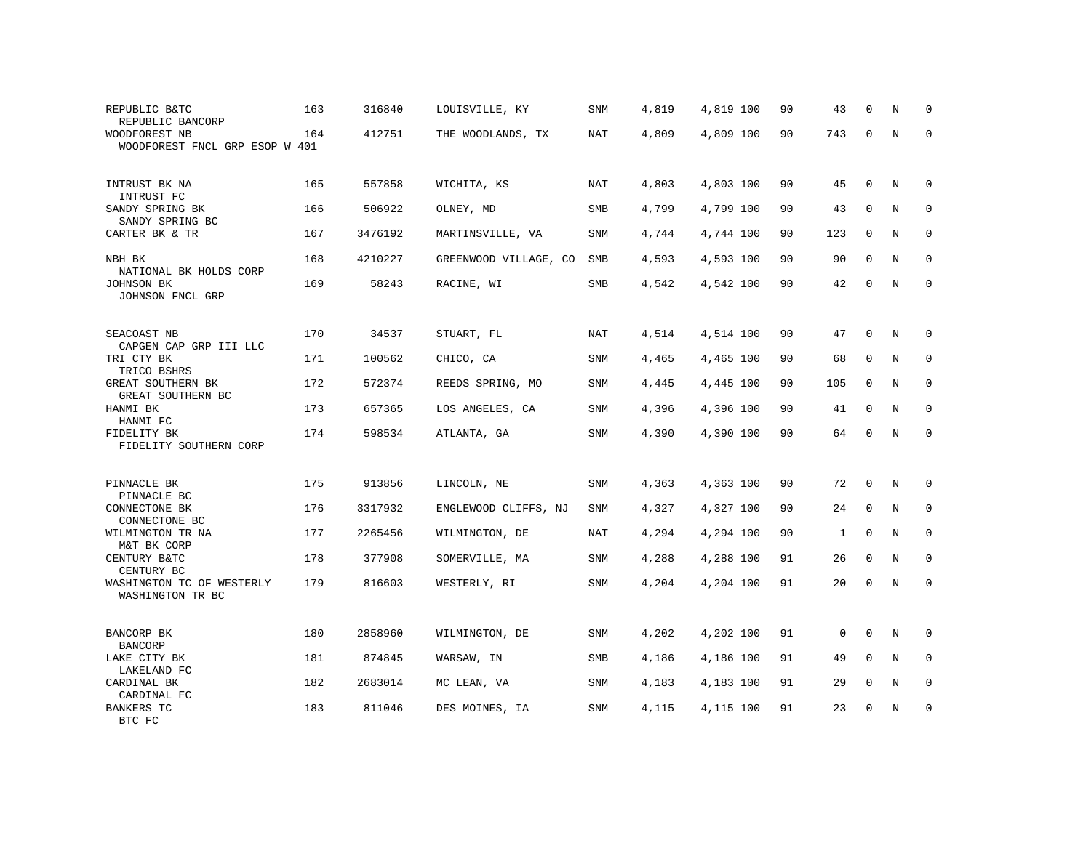| REPUBLIC B&TC<br>REPUBLIC BANCORP                        | 163 | 316840  | LOUISVILLE, KY        | SNM        | 4,819 | 4,819 100 | 90 | 43           | 0           | N            | 0           |
|----------------------------------------------------------|-----|---------|-----------------------|------------|-------|-----------|----|--------------|-------------|--------------|-------------|
| WOODFOREST NB<br>WOODFOREST FNCL GRP ESOP W 401          | 164 | 412751  | THE WOODLANDS, TX     | NAT        | 4,809 | 4,809 100 | 90 | 743          | $\Omega$    | N            | $\mathbf 0$ |
| INTRUST BK NA                                            | 165 | 557858  | WICHITA, KS           | NAT        | 4,803 | 4,803 100 | 90 | 45           | $\Omega$    | N            | $\Omega$    |
| INTRUST FC<br>SANDY SPRING BK                            | 166 | 506922  | OLNEY, MD             | SMB        | 4,799 | 4,799 100 | 90 | 43           | $\Omega$    | N            | $\mathbf 0$ |
| SANDY SPRING BC<br>CARTER BK & TR                        | 167 | 3476192 | MARTINSVILLE, VA      | SNM        | 4,744 | 4,744 100 | 90 | 123          | 0           | N            | 0           |
| NBH BK                                                   | 168 | 4210227 | GREENWOOD VILLAGE, CO | SMB        | 4,593 | 4,593 100 | 90 | 90           | 0           | N            | 0           |
| NATIONAL BK HOLDS CORP<br>JOHNSON BK<br>JOHNSON FNCL GRP | 169 | 58243   | RACINE, WI            | SMB        | 4,542 | 4,542 100 | 90 | 42           | $\mathbf 0$ | $\, {\rm N}$ | 0           |
| SEACOAST NB<br>CAPGEN CAP GRP III LLC                    | 170 | 34537   | STUART, FL            | NAT        | 4,514 | 4,514 100 | 90 | 47           | 0           | N            | 0           |
| TRI CTY BK<br>TRICO BSHRS                                | 171 | 100562  | CHICO, CA             | SNM        | 4,465 | 4,465 100 | 90 | 68           | $\Omega$    | N            | $\mathbf 0$ |
| GREAT SOUTHERN BK<br>GREAT SOUTHERN BC                   | 172 | 572374  | REEDS SPRING, MO      | <b>SNM</b> | 4,445 | 4,445 100 | 90 | 105          | $\mathbf 0$ | N            | $\mathbf 0$ |
| HANMI BK<br>HANMI FC                                     | 173 | 657365  | LOS ANGELES, CA       | <b>SNM</b> | 4,396 | 4,396 100 | 90 | 41           | 0           | N            | $\mathbf 0$ |
| FIDELITY BK<br>FIDELITY SOUTHERN CORP                    | 174 | 598534  | ATLANTA, GA           | SNM        | 4,390 | 4,390 100 | 90 | 64           | $\mathbf 0$ | N            | $\mathbf 0$ |
| PINNACLE BK<br>PINNACLE BC                               | 175 | 913856  | LINCOLN, NE           | SNM        | 4,363 | 4,363 100 | 90 | 72           | $\mathbf 0$ | N            | 0           |
| CONNECTONE BK<br>CONNECTONE BC                           | 176 | 3317932 | ENGLEWOOD CLIFFS, NJ  | SNM        | 4,327 | 4,327 100 | 90 | 24           | 0           | N            | $\mathbf 0$ |
| WILMINGTON TR NA<br>M&T BK CORP                          | 177 | 2265456 | WILMINGTON, DE        | NAT        | 4,294 | 4,294 100 | 90 | $\mathbf{1}$ | $\mathbf 0$ | N            | $\mathbf 0$ |
| CENTURY B&TC<br>CENTURY BC                               | 178 | 377908  | SOMERVILLE, MA        | SNM        | 4,288 | 4,288 100 | 91 | 26           | 0           | N            | $\mathbf 0$ |
| WASHINGTON TC OF WESTERLY<br>WASHINGTON TR BC            | 179 | 816603  | WESTERLY, RI          | <b>SNM</b> | 4,204 | 4,204 100 | 91 | 20           | $\mathbf 0$ | N            | $\mathbf 0$ |
| BANCORP BK                                               | 180 | 2858960 | WILMINGTON, DE        | SNM        | 4,202 | 4,202 100 | 91 | 0            | $\Omega$    | N            | 0           |
| <b>BANCORP</b><br>LAKE CITY BK                           | 181 | 874845  | WARSAW, IN            | SMB        | 4,186 | 4,186 100 | 91 | 49           | $\Omega$    | N            | 0           |
| LAKELAND FC<br>CARDINAL BK                               | 182 | 2683014 | MC LEAN, VA           | SNM        | 4,183 | 4,183 100 | 91 | 29           | $\Omega$    | N            | $\mathbf 0$ |
| CARDINAL FC<br><b>BANKERS TC</b><br>BTC FC               | 183 | 811046  | DES MOINES, IA        | SNM        | 4,115 | 4,115 100 | 91 | 23           | 0           | N            | $\mathbf 0$ |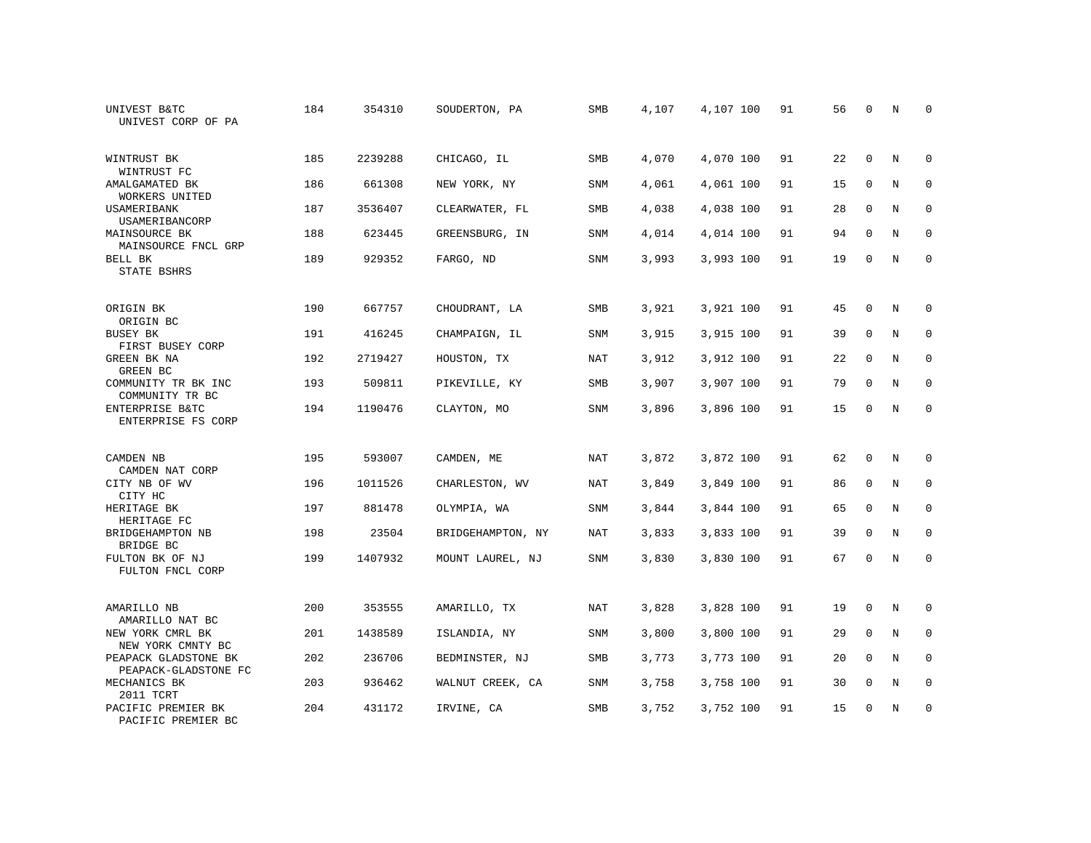| UNIVEST B&TC<br>UNIVEST CORP OF PA           | 184 | 354310  | SOUDERTON, PA     | SMB        | 4,107 | 4,107 100 | 91 | 56 | $\mathbf 0$  | N | $\Omega$    |
|----------------------------------------------|-----|---------|-------------------|------------|-------|-----------|----|----|--------------|---|-------------|
| WINTRUST BK<br>WINTRUST FC                   | 185 | 2239288 | CHICAGO, IL       | <b>SMB</b> | 4,070 | 4,070 100 | 91 | 22 | $\Omega$     | N | $\Omega$    |
| AMALGAMATED BK<br>WORKERS UNITED             | 186 | 661308  | NEW YORK, NY      | SNM        | 4,061 | 4,061 100 | 91 | 15 | $\mathbf 0$  | N | $\mathbf 0$ |
| USAMERIBANK<br>USAMERIBANCORP                | 187 | 3536407 | CLEARWATER, FL    | SMB        | 4,038 | 4,038 100 | 91 | 28 | $\Omega$     | N | $\Omega$    |
| MAINSOURCE BK<br>MAINSOURCE FNCL GRP         | 188 | 623445  | GREENSBURG, IN    | SNM        | 4,014 | 4,014 100 | 91 | 94 | $\mathbf{0}$ | N | $\mathbf 0$ |
| <b>BELL BK</b><br>STATE BSHRS                | 189 | 929352  | FARGO, ND         | <b>SNM</b> | 3,993 | 3,993 100 | 91 | 19 | $\mathbf{0}$ | N | $\mathbf 0$ |
| ORIGIN BK<br>ORIGIN BC                       | 190 | 667757  | CHOUDRANT, LA     | SMB        | 3,921 | 3,921 100 | 91 | 45 | $\mathbf 0$  | N | 0           |
| BUSEY BK<br>FIRST BUSEY CORP                 | 191 | 416245  | CHAMPAIGN, IL     | <b>SNM</b> | 3,915 | 3,915 100 | 91 | 39 | $\mathbf{0}$ | N | $\mathbf 0$ |
| GREEN BK NA<br>GREEN BC                      | 192 | 2719427 | HOUSTON, TX       | NAT        | 3,912 | 3,912 100 | 91 | 22 | $\mathbf 0$  | N | $\mathbf 0$ |
| COMMUNITY TR BK INC<br>COMMUNITY TR BC       | 193 | 509811  | PIKEVILLE, KY     | <b>SMB</b> | 3,907 | 3,907 100 | 91 | 79 | $\mathbf{0}$ | N | $\mathbf 0$ |
| ENTERPRISE B&TC<br>ENTERPRISE FS CORP        | 194 | 1190476 | CLAYTON, MO       | <b>SNM</b> | 3,896 | 3,896 100 | 91 | 15 | $\Omega$     | N | $\Omega$    |
| CAMDEN NB<br>CAMDEN NAT CORP                 | 195 | 593007  | CAMDEN, ME        | NAT        | 3,872 | 3,872 100 | 91 | 62 | $\mathbf{0}$ | N | $\mathbf 0$ |
| CITY NB OF WV<br>CITY HC                     | 196 | 1011526 | CHARLESTON, WV    | NAT        | 3,849 | 3,849 100 | 91 | 86 | 0            | N | 0           |
| HERITAGE BK<br>HERITAGE FC                   | 197 | 881478  | OLYMPIA, WA       | SNM        | 3,844 | 3,844 100 | 91 | 65 | $\Omega$     | N | $\mathbf 0$ |
| BRIDGEHAMPTON NB<br>BRIDGE BC                | 198 | 23504   | BRIDGEHAMPTON, NY | <b>NAT</b> | 3,833 | 3,833 100 | 91 | 39 | $\Omega$     | N | $\mathbf 0$ |
| FULTON BK OF NJ<br>FULTON FNCL CORP          | 199 | 1407932 | MOUNT LAUREL, NJ  | SNM        | 3,830 | 3,830 100 | 91 | 67 | $\mathbf 0$  | N | $\mathbf 0$ |
| AMARILLO NB<br>AMARILLO NAT BC               | 200 | 353555  | AMARILLO, TX      | NAT        | 3,828 | 3,828 100 | 91 | 19 | $\mathbf 0$  | N | 0           |
| NEW YORK CMRL BK<br>NEW YORK CMNTY BC        | 201 | 1438589 | ISLANDIA, NY      | <b>SNM</b> | 3,800 | 3,800 100 | 91 | 29 | $\mathbf{0}$ | N | 0           |
| PEAPACK GLADSTONE BK<br>PEAPACK-GLADSTONE FC | 202 | 236706  | BEDMINSTER, NJ    | <b>SMB</b> | 3,773 | 3,773 100 | 91 | 20 | $\Omega$     | N | $\mathbf 0$ |
| MECHANICS BK<br>2011 TCRT                    | 203 | 936462  | WALNUT CREEK, CA  | SNM        | 3,758 | 3,758 100 | 91 | 30 | $\mathbf 0$  | N | 0           |
| PACIFIC PREMIER BK<br>PACIFIC PREMIER BC     | 204 | 431172  | IRVINE, CA        | SMB        | 3,752 | 3,752 100 | 91 | 15 | $\Omega$     | N | $\mathbf 0$ |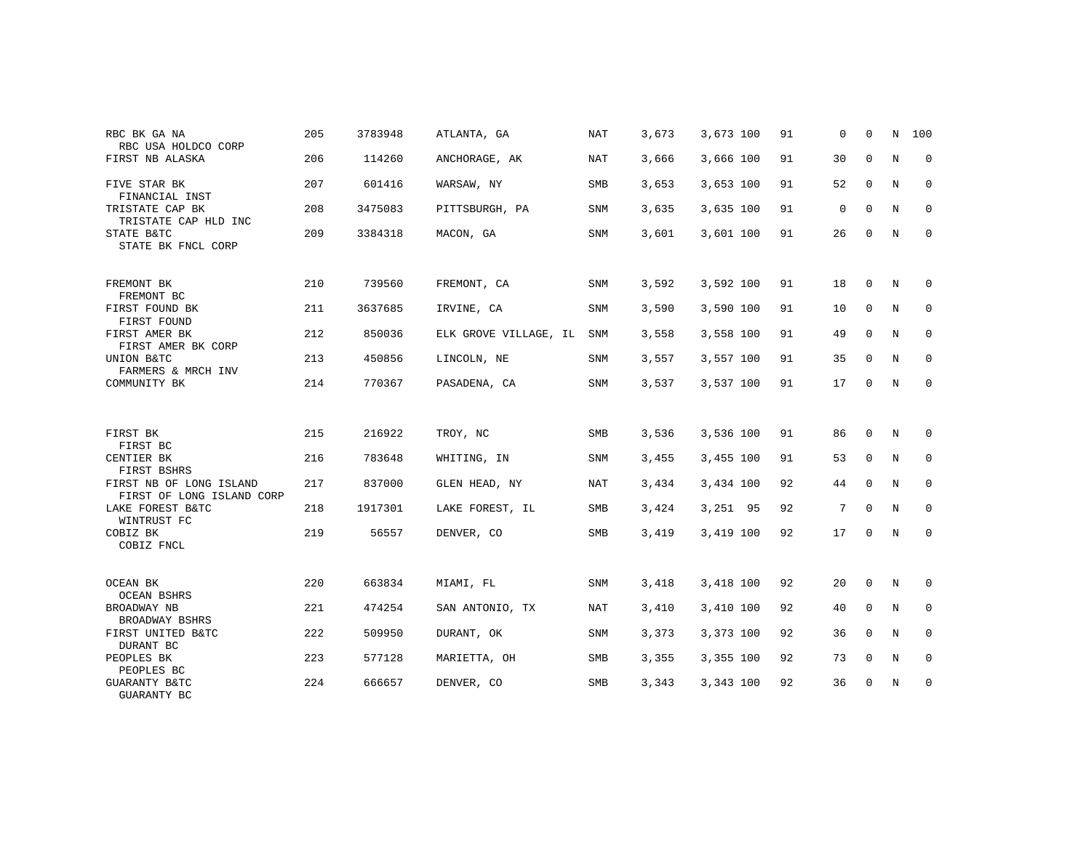| RBC BK GA NA<br>RBC USA HOLDCO CORP                  | 205 | 3783948 | ATLANTA, GA           | <b>NAT</b> | 3,673 | 3,673 100 | 91 | 0  | $\mathbf 0$  | N | 100          |
|------------------------------------------------------|-----|---------|-----------------------|------------|-------|-----------|----|----|--------------|---|--------------|
| FIRST NB ALASKA                                      | 206 | 114260  | ANCHORAGE, AK         | <b>NAT</b> | 3,666 | 3,666 100 | 91 | 30 | $\mathbf 0$  | N | 0            |
| FIVE STAR BK<br>FINANCIAL INST                       | 207 | 601416  | WARSAW, NY            | <b>SMB</b> | 3,653 | 3,653 100 | 91 | 52 | $\mathbf{0}$ | N | $\mathbf 0$  |
| TRISTATE CAP BK<br>TRISTATE CAP HLD INC              | 208 | 3475083 | PITTSBURGH, PA        | SNM        | 3,635 | 3,635 100 | 91 | 0  | $\mathbf 0$  | N | $\mathbf 0$  |
| STATE B&TC<br>STATE BK FNCL CORP                     | 209 | 3384318 | MACON, GA             | <b>SNM</b> | 3,601 | 3,601 100 | 91 | 26 | $\Omega$     | N | $\mathbf{0}$ |
| FREMONT BK<br>FREMONT BC                             | 210 | 739560  | FREMONT, CA           | SNM        | 3,592 | 3,592 100 | 91 | 18 | 0            | N | $\mathbf 0$  |
| FIRST FOUND BK<br>FIRST FOUND                        | 211 | 3637685 | IRVINE, CA            | SNM        | 3,590 | 3,590 100 | 91 | 10 | 0            | N | 0            |
| FIRST AMER BK<br>FIRST AMER BK CORP                  | 212 | 850036  | ELK GROVE VILLAGE, IL | SNM        | 3,558 | 3,558 100 | 91 | 49 | $\mathbf 0$  | N | $\mathbf 0$  |
| UNION B&TC<br>FARMERS & MRCH INV                     | 213 | 450856  | LINCOLN, NE           | SNM        | 3,557 | 3,557 100 | 91 | 35 | 0            | N | 0            |
| COMMUNITY BK                                         | 214 | 770367  | PASADENA, CA          | SNM        | 3,537 | 3,537 100 | 91 | 17 | 0            | N | $\mathbf{0}$ |
|                                                      |     |         |                       |            |       |           |    |    |              |   |              |
| FIRST BK<br>FIRST BC                                 | 215 | 216922  | TROY, NC              | SMB        | 3,536 | 3,536 100 | 91 | 86 | $\mathbf 0$  | N | 0            |
| CENTIER BK<br>FIRST BSHRS                            | 216 | 783648  | WHITING, IN           | <b>SNM</b> | 3,455 | 3,455 100 | 91 | 53 | $\mathbf 0$  | N | $\mathbf 0$  |
| FIRST NB OF LONG ISLAND<br>FIRST OF LONG ISLAND CORP | 217 | 837000  | GLEN HEAD, NY         | NAT        | 3,434 | 3,434 100 | 92 | 44 | $\mathbf 0$  | N | 0            |
| LAKE FOREST B&TC<br>WINTRUST FC                      | 218 | 1917301 | LAKE FOREST, IL       | SMB        | 3,424 | 3,251 95  | 92 | 7  | $\Omega$     | N | $\mathbf 0$  |
| COBIZ BK<br>COBIZ FNCL                               | 219 | 56557   | DENVER, CO            | SMB        | 3,419 | 3,419 100 | 92 | 17 | 0            | N | 0            |
|                                                      |     |         |                       |            |       |           |    |    |              |   |              |
| OCEAN BK<br><b>OCEAN BSHRS</b>                       | 220 | 663834  | MIAMI, FL             | SNM        | 3,418 | 3,418 100 | 92 | 20 | 0            | N | 0            |
| BROADWAY NB<br>BROADWAY BSHRS                        | 221 | 474254  | SAN ANTONIO, TX       | NAT        | 3,410 | 3,410 100 | 92 | 40 | $\mathbf 0$  | N | $\mathbf 0$  |
| FIRST UNITED B&TC<br>DURANT BC                       | 222 | 509950  | DURANT, OK            | SNM        | 3,373 | 3,373 100 | 92 | 36 | $\mathbf 0$  | N | 0            |
| PEOPLES BK<br>PEOPLES BC                             | 223 | 577128  | MARIETTA, OH          | SMB        | 3,355 | 3,355 100 | 92 | 73 | $\mathbf 0$  | N | $\mathbf 0$  |
| <b>GUARANTY B&amp;TC</b><br>GUARANTY BC              | 224 | 666657  | DENVER, CO            | SMB        | 3,343 | 3,343 100 | 92 | 36 | 0            | N | $\mathbf 0$  |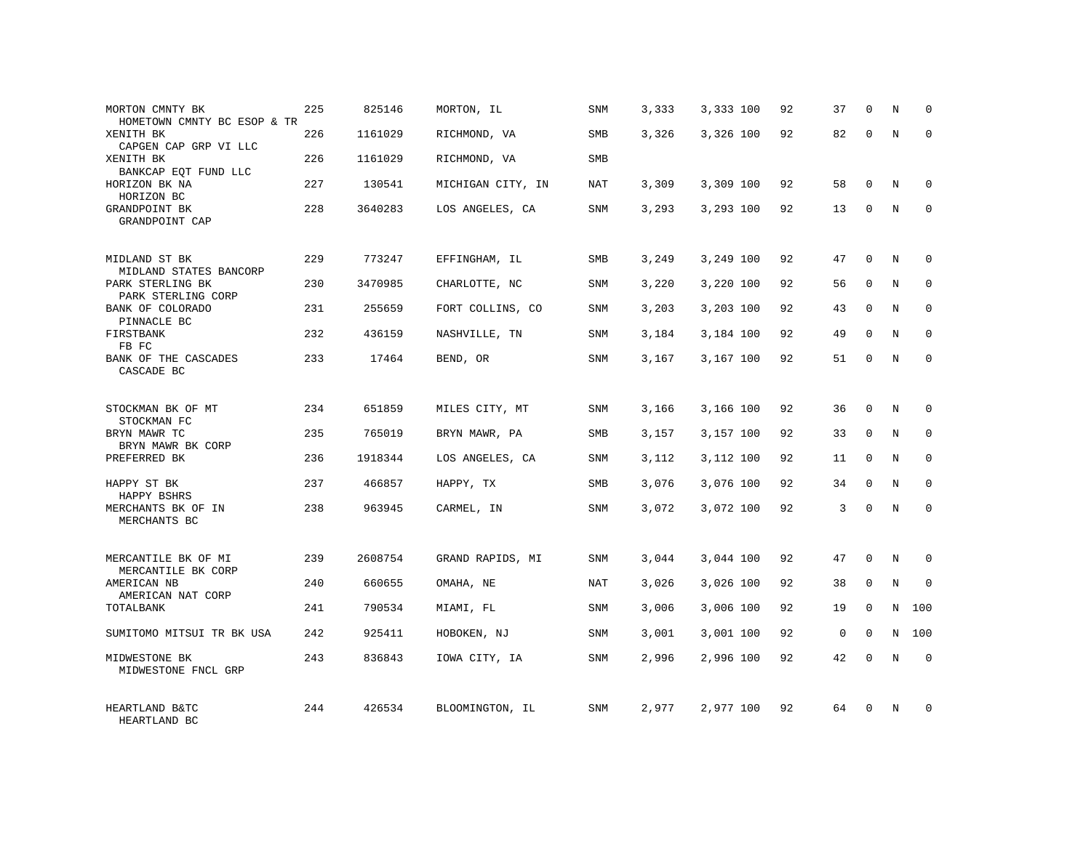| MORTON CMNTY BK<br>HOMETOWN CMNTY BC ESOP & TR                   | 225 | 825146  | MORTON, IL        | SNM        | 3,333 | 3,333 100 | 92 | 37           | $\mathbf 0$  | N              | $\Omega$    |
|------------------------------------------------------------------|-----|---------|-------------------|------------|-------|-----------|----|--------------|--------------|----------------|-------------|
| XENITH BK<br>CAPGEN CAP GRP VI LLC                               | 226 | 1161029 | RICHMOND, VA      | SMB        | 3,326 | 3,326 100 | 92 | 82           | $\Omega$     | N              | $\Omega$    |
| XENITH BK<br>BANKCAP EQT FUND LLC                                | 226 | 1161029 | RICHMOND, VA      | SMB        |       |           |    |              |              |                |             |
| HORIZON BK NA<br>HORIZON BC                                      | 227 | 130541  | MICHIGAN CITY, IN | NAT        | 3,309 | 3,309 100 | 92 | 58           | $\Omega$     | N              | $\Omega$    |
| GRANDPOINT BK<br>GRANDPOINT CAP                                  | 228 | 3640283 | LOS ANGELES, CA   | <b>SNM</b> | 3,293 | 3,293 100 | 92 | 13           | $\Omega$     | N              | $\Omega$    |
| MIDLAND ST BK                                                    | 229 | 773247  | EFFINGHAM, IL     | SMB        | 3,249 | 3,249 100 | 92 | 47           | $\Omega$     | N              | $\Omega$    |
| MIDLAND STATES BANCORP<br>PARK STERLING BK<br>PARK STERLING CORP | 230 | 3470985 | CHARLOTTE, NC     | SNM        | 3,220 | 3,220 100 | 92 | 56           | $\mathbf 0$  | N              | $\mathbf 0$ |
| BANK OF COLORADO<br>PINNACLE BC                                  | 231 | 255659  | FORT COLLINS, CO  | SNM        | 3,203 | 3,203 100 | 92 | 43           | $\Omega$     | N              | $\Omega$    |
| FIRSTBANK<br>FB FC                                               | 232 | 436159  | NASHVILLE, TN     | SNM        | 3,184 | 3,184 100 | 92 | 49           | $\mathbf 0$  | N              | $\mathbf 0$ |
| BANK OF THE CASCADES<br>CASCADE BC                               | 233 | 17464   | BEND, OR          | <b>SNM</b> | 3,167 | 3,167 100 | 92 | 51           | $\Omega$     | N              | $\Omega$    |
| STOCKMAN BK OF MT<br>STOCKMAN FC                                 | 234 | 651859  | MILES CITY, MT    | SNM        | 3,166 | 3,166 100 | 92 | 36           | $\Omega$     | N              | $\Omega$    |
| BRYN MAWR TC<br>BRYN MAWR BK CORP                                | 235 | 765019  | BRYN MAWR, PA     | <b>SMB</b> | 3,157 | 3,157 100 | 92 | 33           | $\Omega$     | N              | $\mathbf 0$ |
| PREFERRED BK                                                     | 236 | 1918344 | LOS ANGELES, CA   | SNM        | 3,112 | 3,112 100 | 92 | 11           | $\mathbf 0$  | N              | $\mathbf 0$ |
| HAPPY ST BK<br>HAPPY BSHRS                                       | 237 | 466857  | HAPPY, TX         | <b>SMB</b> | 3,076 | 3,076 100 | 92 | 34           | $\Omega$     | $\overline{N}$ | $\mathbf 0$ |
| MERCHANTS BK OF IN<br>MERCHANTS BC                               | 238 | 963945  | CARMEL, IN        | <b>SNM</b> | 3,072 | 3,072 100 | 92 | 3            | $\mathbf 0$  | N              | $\mathbf 0$ |
| MERCANTILE BK OF MI<br>MERCANTILE BK CORP                        | 239 | 2608754 | GRAND RAPIDS, MI  | SNM        | 3,044 | 3,044 100 | 92 | 47           | $\mathbf{0}$ | $\mathbf N$    | $\mathbf 0$ |
| AMERICAN NB<br>AMERICAN NAT CORP                                 | 240 | 660655  | OMAHA, NE         | <b>NAT</b> | 3,026 | 3,026 100 | 92 | 38           | $\mathbf{0}$ | $\rm N$        | $\mathbf 0$ |
| TOTALBANK                                                        | 241 | 790534  | MIAMI, FL         | SNM        | 3,006 | 3,006 100 | 92 | 19           | $\Omega$     | N              | 100         |
| SUMITOMO MITSUI TR BK USA                                        | 242 | 925411  | HOBOKEN, NJ       | <b>SNM</b> | 3,001 | 3,001 100 | 92 | $\mathbf{0}$ | $\mathbf{0}$ | N              | 100         |
| MIDWESTONE BK<br>MIDWESTONE FNCL GRP                             | 243 | 836843  | IOWA CITY, IA     | SNM        | 2,996 | 2,996 100 | 92 | 42           | $\Omega$     | $_{\rm N}$     | $\Omega$    |
| HEARTLAND B&TC<br>HEARTLAND BC                                   | 244 | 426534  | BLOOMINGTON, IL   | <b>SNM</b> | 2,977 | 2,977 100 | 92 | 64           | $\Omega$     | N              | $\mathbf 0$ |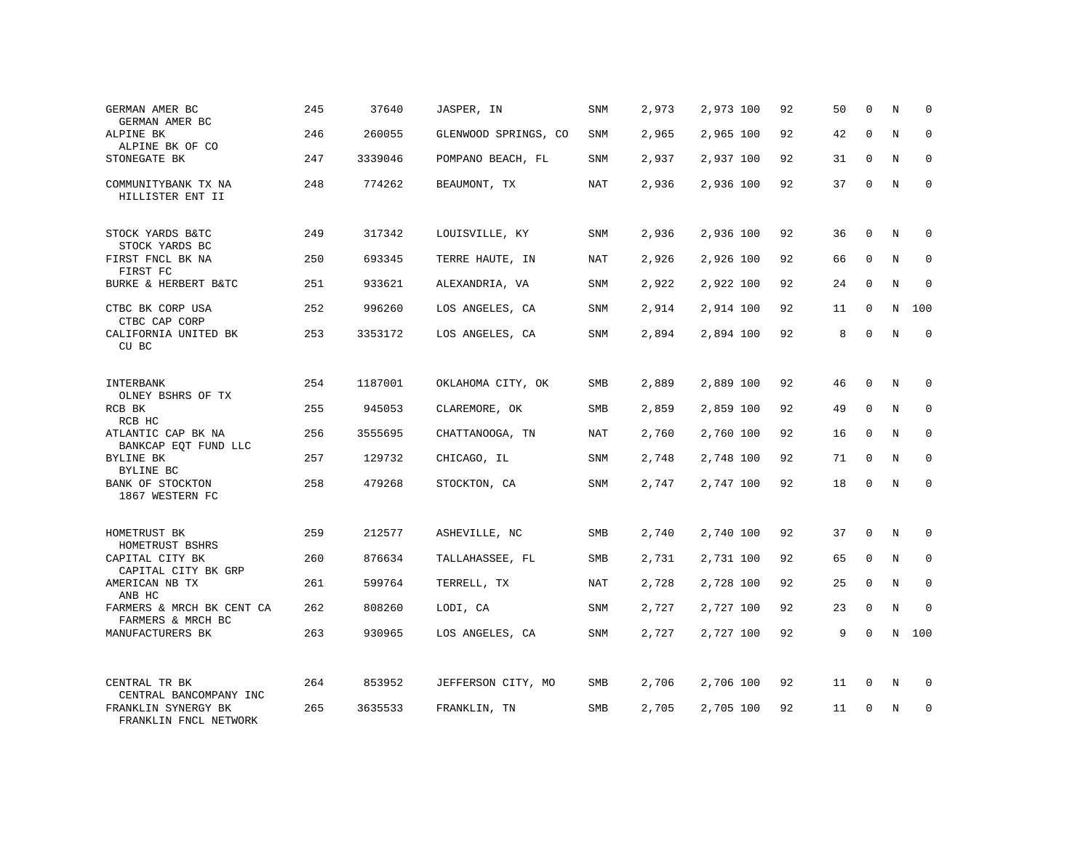| GERMAN AMER BC<br>GERMAN AMER BC                          | 245 | 37640   | JASPER, IN           | SNM        | 2,973 | 2,973 100 | 92 | 50 | $\mathbf 0$  | N | 0           |
|-----------------------------------------------------------|-----|---------|----------------------|------------|-------|-----------|----|----|--------------|---|-------------|
| ALPINE BK<br>ALPINE BK OF CO                              | 246 | 260055  | GLENWOOD SPRINGS, CO | SNM        | 2,965 | 2,965 100 | 92 | 42 | $\Omega$     | N | $\mathbf 0$ |
| STONEGATE BK                                              | 247 | 3339046 | POMPANO BEACH, FL    | SNM        | 2,937 | 2,937 100 | 92 | 31 | $\mathbf 0$  | N | $\mathbf 0$ |
| COMMUNITYBANK TX NA<br>HILLISTER ENT II                   | 248 | 774262  | BEAUMONT, TX         | <b>NAT</b> | 2,936 | 2,936 100 | 92 | 37 | $\Omega$     | N | $\Omega$    |
| STOCK YARDS B&TC                                          | 249 | 317342  | LOUISVILLE, KY       | SNM        | 2,936 | 2,936 100 | 92 | 36 | $\mathbf 0$  | N | $\mathbf 0$ |
| STOCK YARDS BC<br>FIRST FNCL BK NA<br>FIRST FC            | 250 | 693345  | TERRE HAUTE, IN      | NAT        | 2,926 | 2,926 100 | 92 | 66 | $\Omega$     | N | $\mathbf 0$ |
| BURKE & HERBERT B&TC                                      | 251 | 933621  | ALEXANDRIA, VA       | SNM        | 2,922 | 2,922 100 | 92 | 24 | $\mathbf 0$  | N | $\mathbf 0$ |
| CTBC BK CORP USA<br>CTBC CAP CORP                         | 252 | 996260  | LOS ANGELES, CA      | SNM        | 2,914 | 2,914 100 | 92 | 11 | $\mathbf 0$  | N | 100         |
| CALIFORNIA UNITED BK<br>CU BC                             | 253 | 3353172 | LOS ANGELES, CA      | SNM        | 2,894 | 2,894 100 | 92 | 8  | $\mathbf 0$  | N | $\mathbf 0$ |
| INTERBANK<br>OLNEY BSHRS OF TX                            | 254 | 1187001 | OKLAHOMA CITY, OK    | SMB        | 2,889 | 2,889 100 | 92 | 46 | $\mathbf 0$  | N | $\mathbf 0$ |
| RCB BK<br>RCB HC                                          | 255 | 945053  | CLAREMORE, OK        | <b>SMB</b> | 2,859 | 2,859 100 | 92 | 49 | $\Omega$     | N | $\Omega$    |
| ATLANTIC CAP BK NA<br>BANKCAP EQT FUND LLC                | 256 | 3555695 | CHATTANOOGA, TN      | NAT        | 2,760 | 2,760 100 | 92 | 16 | $\mathbf{0}$ | N | $\mathbf 0$ |
| BYLINE BK<br>BYLINE BC                                    | 257 | 129732  | CHICAGO, IL          | <b>SNM</b> | 2,748 | 2,748 100 | 92 | 71 | $\mathbf 0$  | N | $\mathbf 0$ |
| BANK OF STOCKTON<br>1867 WESTERN FC                       | 258 | 479268  | STOCKTON, CA         | <b>SNM</b> | 2,747 | 2,747 100 | 92 | 18 | $\mathbf 0$  | N | $\mathbf 0$ |
| HOMETRUST BK                                              | 259 | 212577  | ASHEVILLE, NC        | SMB        | 2,740 | 2,740 100 | 92 | 37 | $\mathbf 0$  | N | $\mathbf 0$ |
| HOMETRUST BSHRS<br>CAPITAL CITY BK<br>CAPITAL CITY BK GRP | 260 | 876634  | TALLAHASSEE, FL      | SMB        | 2,731 | 2,731 100 | 92 | 65 | $\mathbf 0$  | N | 0           |
| AMERICAN NB TX<br>ANB HC                                  | 261 | 599764  | TERRELL, TX          | NAT        | 2,728 | 2,728 100 | 92 | 25 | $\mathbf{0}$ | N | $\mathbf 0$ |
| FARMERS & MRCH BK CENT CA<br>FARMERS & MRCH BC            | 262 | 808260  | LODI, CA             | SNM        | 2,727 | 2,727 100 | 92 | 23 | $\mathbf 0$  | N | $\mathbf 0$ |
| MANUFACTURERS BK                                          | 263 | 930965  | LOS ANGELES, CA      | SNM        | 2,727 | 2,727 100 | 92 | 9  | $\mathbf 0$  | N | 100         |
| CENTRAL TR BK<br>CENTRAL BANCOMPANY INC                   | 264 | 853952  | JEFFERSON CITY, MO   | SMB        | 2,706 | 2,706 100 | 92 | 11 | 0            | N | 0           |
| FRANKLIN SYNERGY BK<br>FRANKLIN FNCL NETWORK              | 265 | 3635533 | FRANKLIN, TN         | SMB        | 2,705 | 2,705 100 | 92 | 11 | $\mathbf 0$  | N | $\mathbf 0$ |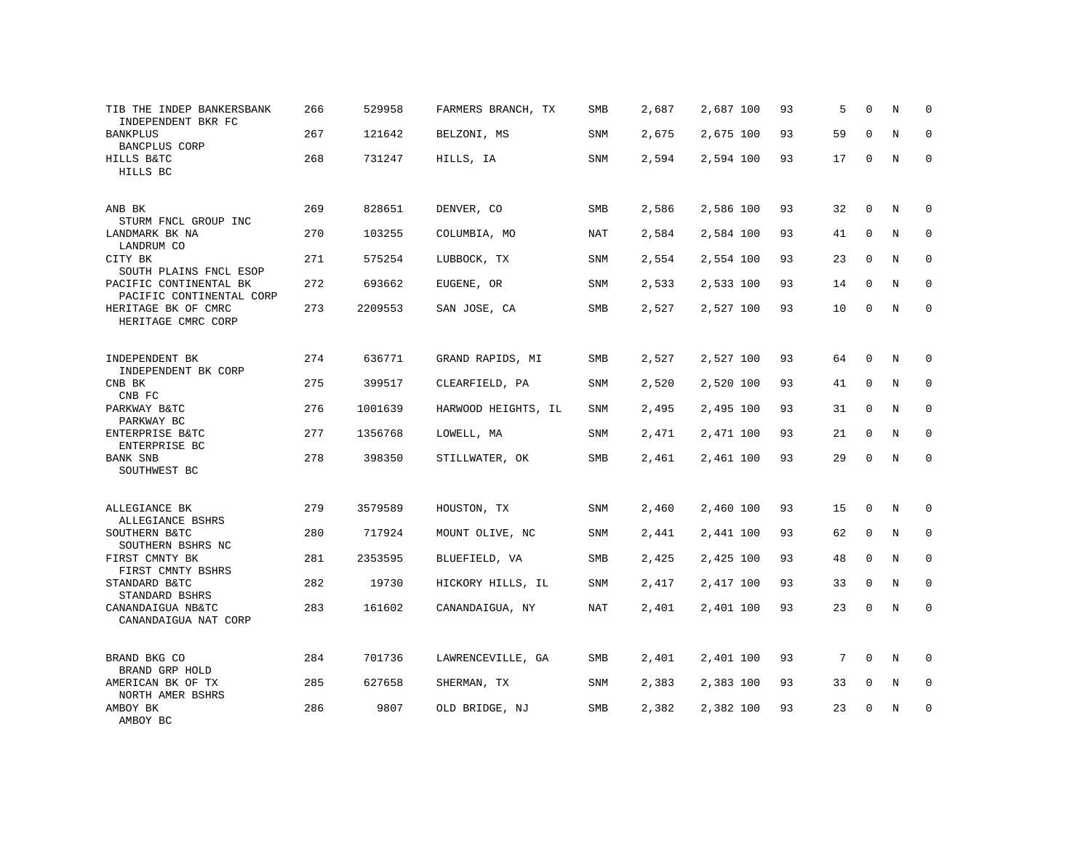| TIB THE INDEP BANKERSBANK<br>INDEPENDENT BKR FC    | 266 | 529958  | FARMERS BRANCH, TX  | <b>SMB</b> | 2,687 | 2,687 100 | 93 | 5  | $\Omega$     | N       | $\mathbf 0$ |
|----------------------------------------------------|-----|---------|---------------------|------------|-------|-----------|----|----|--------------|---------|-------------|
| <b>BANKPLUS</b><br>BANCPLUS CORP                   | 267 | 121642  | BELZONI, MS         | SNM        | 2,675 | 2,675 100 | 93 | 59 | $\Omega$     | N       | 0           |
| HILLS B&TC<br>HILLS BC                             | 268 | 731247  | HILLS, IA           | SNM        | 2,594 | 2,594 100 | 93 | 17 | $\mathbf 0$  | N       | $\mathbf 0$ |
| ANB BK<br>STURM FNCL GROUP INC                     | 269 | 828651  | DENVER, CO          | SMB        | 2,586 | 2,586 100 | 93 | 32 | $\mathbf 0$  | N       | $\mathbf 0$ |
| LANDMARK BK NA<br>LANDRUM CO                       | 270 | 103255  | COLUMBIA, MO        | <b>NAT</b> | 2,584 | 2,584 100 | 93 | 41 | $\mathbf 0$  | N       | $\mathbf 0$ |
| CITY BK<br>SOUTH PLAINS FNCL ESOP                  | 271 | 575254  | LUBBOCK, TX         | <b>SNM</b> | 2,554 | 2,554 100 | 93 | 23 | $\Omega$     | N       | $\mathbf 0$ |
| PACIFIC CONTINENTAL BK<br>PACIFIC CONTINENTAL CORP | 272 | 693662  | EUGENE, OR          | SNM        | 2,533 | 2,533 100 | 93 | 14 | $\Omega$     | N       | $\mathbf 0$ |
| HERITAGE BK OF CMRC<br>HERITAGE CMRC CORP          | 273 | 2209553 | SAN JOSE, CA        | SMB        | 2,527 | 2,527 100 | 93 | 10 | $\Omega$     | N       | $\mathbf 0$ |
| INDEPENDENT BK<br>INDEPENDENT BK CORP              | 274 | 636771  | GRAND RAPIDS, MI    | SMB        | 2,527 | 2,527 100 | 93 | 64 | $\mathbf 0$  | N       | 0           |
| CNB BK<br>CNB FC                                   | 275 | 399517  | CLEARFIELD, PA      | <b>SNM</b> | 2,520 | 2,520 100 | 93 | 41 | $\mathbf 0$  | N       | 0           |
| PARKWAY B&TC<br>PARKWAY BC                         | 276 | 1001639 | HARWOOD HEIGHTS, IL | SNM        | 2,495 | 2,495 100 | 93 | 31 | $\mathbf 0$  | N       | 0           |
| ENTERPRISE B&TC<br>ENTERPRISE BC                   | 277 | 1356768 | LOWELL, MA          | <b>SNM</b> | 2,471 | 2,471 100 | 93 | 21 | $\mathbf 0$  | N       | 0           |
| <b>BANK SNB</b><br>SOUTHWEST BC                    | 278 | 398350  | STILLWATER, OK      | SMB        | 2,461 | 2,461 100 | 93 | 29 | $\mathbf 0$  | N       | $\mathbf 0$ |
| ALLEGIANCE BK<br>ALLEGIANCE BSHRS                  | 279 | 3579589 | HOUSTON, TX         | SNM        | 2,460 | 2,460 100 | 93 | 15 | $\mathbf 0$  | N       | 0           |
| SOUTHERN B&TC<br>SOUTHERN BSHRS NC                 | 280 | 717924  | MOUNT OLIVE, NC     | SNM        | 2,441 | 2,441 100 | 93 | 62 | $\mathbf{0}$ | N       | $\mathbf 0$ |
| FIRST CMNTY BK<br>FIRST CMNTY BSHRS                | 281 | 2353595 | BLUEFIELD, VA       | SMB        | 2,425 | 2,425 100 | 93 | 48 | $\Omega$     | N       | $\mathbf 0$ |
| STANDARD B&TC<br>STANDARD BSHRS                    | 282 | 19730   | HICKORY HILLS, IL   | SNM        | 2,417 | 2,417 100 | 93 | 33 | $\Omega$     | N       | $\mathbf 0$ |
| CANANDAIGUA NB&TC<br>CANANDAIGUA NAT CORP          | 283 | 161602  | CANANDAIGUA, NY     | NAT        | 2,401 | 2,401 100 | 93 | 23 | $\Omega$     | $\rm N$ | $\mathbf 0$ |
| BRAND BKG CO<br>BRAND GRP HOLD                     | 284 | 701736  | LAWRENCEVILLE, GA   | SMB        | 2,401 | 2,401 100 | 93 | 7  | $\Omega$     | N       | 0           |
| AMERICAN BK OF TX<br>NORTH AMER BSHRS              | 285 | 627658  | SHERMAN, TX         | SNM        | 2,383 | 2,383 100 | 93 | 33 | $\mathbf 0$  | N       | 0           |
| AMBOY BK<br>AMBOY BC                               | 286 | 9807    | OLD BRIDGE, NJ      | SMB        | 2,382 | 2,382 100 | 93 | 23 | $\Omega$     | N       | $\mathbf 0$ |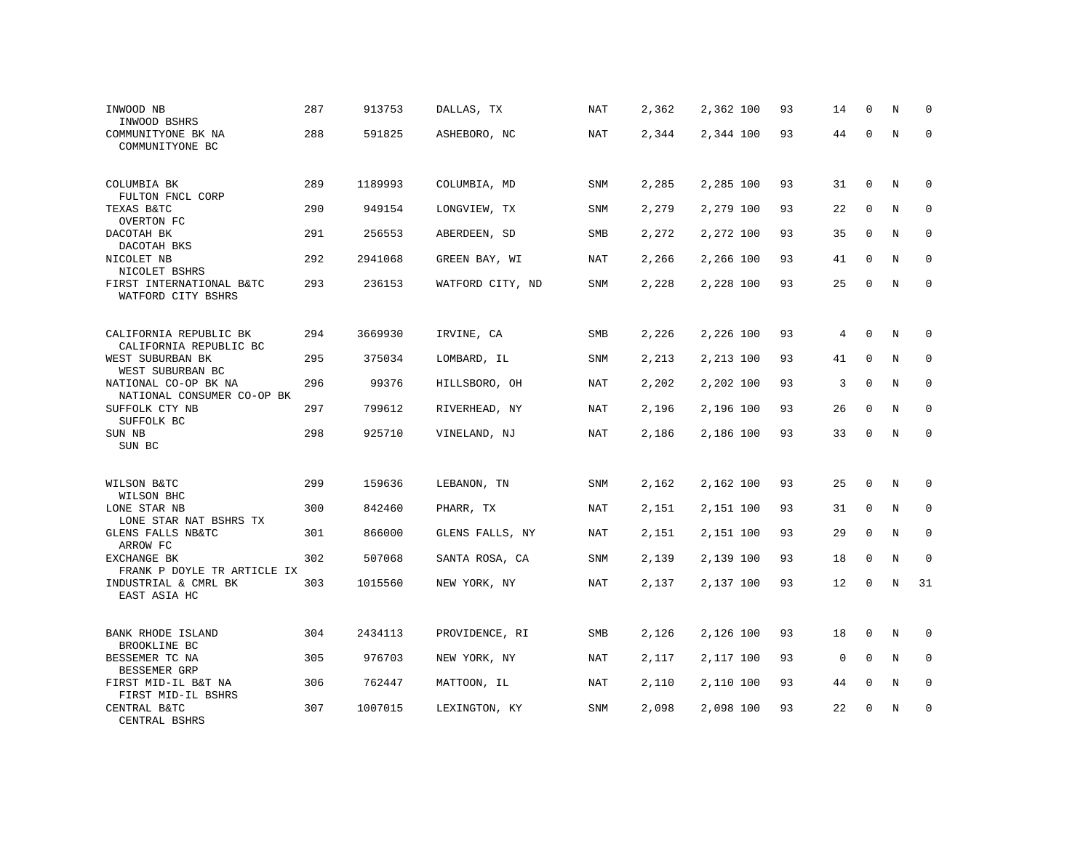| INWOOD NB<br>INWOOD BSHRS                          | 287 | 913753  | DALLAS, TX       | NAT        | 2,362 | 2,362 100 | 93 | 14          | $\mathbf 0$ | N           | 0           |
|----------------------------------------------------|-----|---------|------------------|------------|-------|-----------|----|-------------|-------------|-------------|-------------|
| COMMUNITYONE BK NA<br>COMMUNITYONE BC              | 288 | 591825  | ASHEBORO, NC     | NAT        | 2,344 | 2,344 100 | 93 | 44          | $\Omega$    | N           | $\mathbf 0$ |
| COLUMBIA BK<br>FULTON FNCL CORP                    | 289 | 1189993 | COLUMBIA, MD     | SNM        | 2,285 | 2,285 100 | 93 | 31          | $\mathbf 0$ | N           | 0           |
| TEXAS B&TC<br>OVERTON FC                           | 290 | 949154  | LONGVIEW, TX     | <b>SNM</b> | 2,279 | 2,279 100 | 93 | 22          | $\Omega$    | N           | $\Omega$    |
| DACOTAH BK<br>DACOTAH BKS                          | 291 | 256553  | ABERDEEN, SD     | <b>SMB</b> | 2,272 | 2,272 100 | 93 | 35          | $\mathbf 0$ | N           | $\mathbf 0$ |
| NICOLET NB<br>NICOLET BSHRS                        | 292 | 2941068 | GREEN BAY, WI    | NAT        | 2,266 | 2,266 100 | 93 | 41          | $\mathbf 0$ | N           | 0           |
| FIRST INTERNATIONAL B&TC<br>WATFORD CITY BSHRS     | 293 | 236153  | WATFORD CITY, ND | SNM        | 2,228 | 2,228 100 | 93 | 25          | $\Omega$    | N           | $\mathbf 0$ |
| CALIFORNIA REPUBLIC BK<br>CALIFORNIA REPUBLIC BC   | 294 | 3669930 | IRVINE, CA       | SMB        | 2,226 | 2,226 100 | 93 | 4           | $\mathbf 0$ | N           | 0           |
| WEST SUBURBAN BK<br>WEST SUBURBAN BC               | 295 | 375034  | LOMBARD, IL      | SNM        | 2,213 | 2,213 100 | 93 | 41          | $\mathbf 0$ | N           | 0           |
| NATIONAL CO-OP BK NA<br>NATIONAL CONSUMER CO-OP BK | 296 | 99376   | HILLSBORO, OH    | <b>NAT</b> | 2,202 | 2,202 100 | 93 | 3           | $\mathsf 0$ | $\mathbf N$ | $\mathbf 0$ |
| SUFFOLK CTY NB<br>SUFFOLK BC                       | 297 | 799612  | RIVERHEAD, NY    | NAT        | 2,196 | 2,196 100 | 93 | 26          | $\mathbf 0$ | N           | $\mathbf 0$ |
| SUN NB<br>SUN BC                                   | 298 | 925710  | VINELAND, NJ     | <b>NAT</b> | 2,186 | 2,186 100 | 93 | 33          | $\mathbf 0$ | N           | $\mathbf 0$ |
| WILSON B&TC<br>WILSON BHC                          | 299 | 159636  | LEBANON, TN      | SNM        | 2,162 | 2,162 100 | 93 | 25          | 0           | N           | 0           |
| LONE STAR NB<br>LONE STAR NAT BSHRS TX             | 300 | 842460  | PHARR, TX        | NAT        | 2,151 | 2,151 100 | 93 | 31          | $\mathbf 0$ | N           | 0           |
| GLENS FALLS NB&TC<br>ARROW FC                      | 301 | 866000  | GLENS FALLS, NY  | <b>NAT</b> | 2,151 | 2,151 100 | 93 | 29          | $\mathbf 0$ | N           | 0           |
| EXCHANGE BK<br>FRANK P DOYLE TR ARTICLE IX         | 302 | 507068  | SANTA ROSA, CA   | SNM        | 2,139 | 2,139 100 | 93 | 18          | $\mathbf 0$ | $\rm N$     | $\mathbf 0$ |
| INDUSTRIAL & CMRL BK<br>EAST ASIA HC               | 303 | 1015560 | NEW YORK, NY     | <b>NAT</b> | 2,137 | 2,137 100 | 93 | 12          | $\mathbf 0$ | N           | 31          |
| BANK RHODE ISLAND<br>BROOKLINE BC                  | 304 | 2434113 | PROVIDENCE, RI   | <b>SMB</b> | 2,126 | 2,126 100 | 93 | 18          | $\mathbf 0$ | N           | 0           |
| BESSEMER TC NA<br>BESSEMER GRP                     | 305 | 976703  | NEW YORK, NY     | NAT        | 2,117 | 2,117 100 | 93 | $\mathbf 0$ | $\mathbf 0$ | N           | $\mathbf 0$ |
| FIRST MID-IL B&T NA<br>FIRST MID-IL BSHRS          | 306 | 762447  | MATTOON, IL      | NAT        | 2,110 | 2,110 100 | 93 | 44          | $\mathbf 0$ | N           | $\mathbf 0$ |
| CENTRAL B&TC<br>CENTRAL BSHRS                      | 307 | 1007015 | LEXINGTON, KY    | SNM        | 2,098 | 2,098 100 | 93 | 22          | $\Omega$    | N           | $\mathbf 0$ |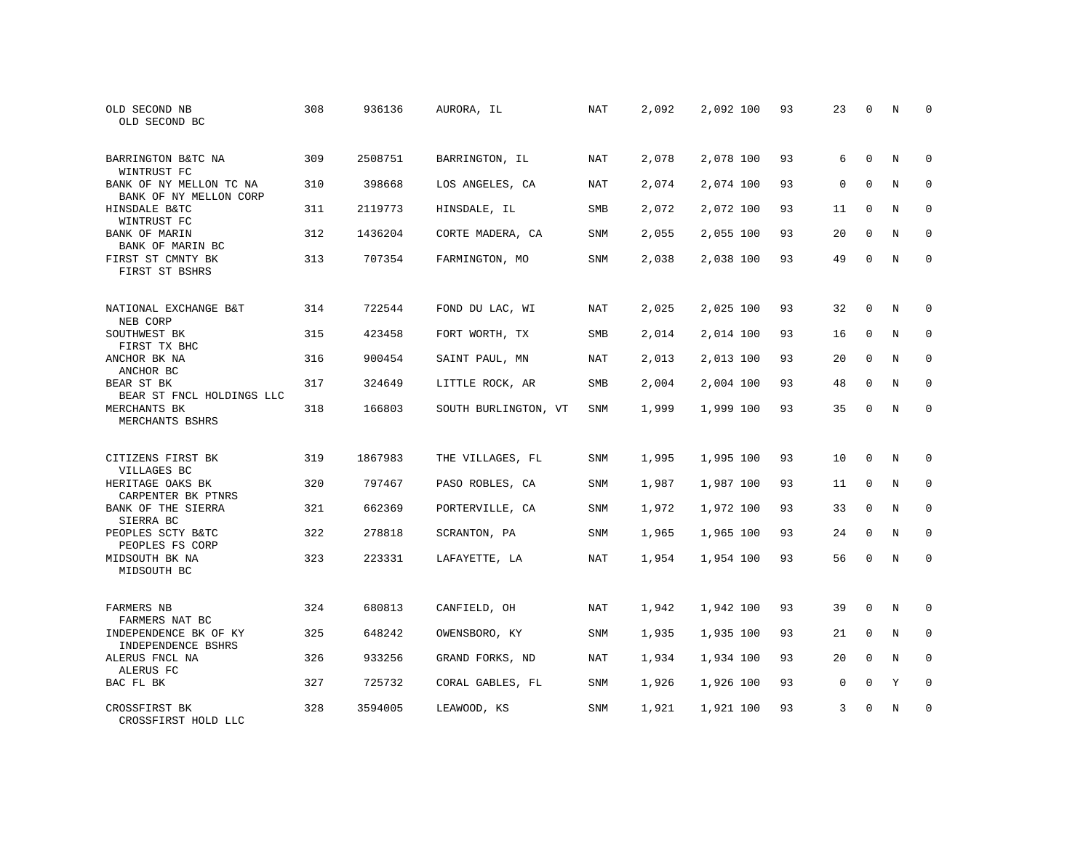| OLD SECOND NB<br>OLD SECOND BC                    | 308 | 936136  | AURORA, IL           | NAT        | 2,092 | 2,092 100 | 93 | 23          | $\mathbf 0$  | N | $\mathbf 0$  |
|---------------------------------------------------|-----|---------|----------------------|------------|-------|-----------|----|-------------|--------------|---|--------------|
| BARRINGTON B&TC NA<br>WINTRUST FC                 | 309 | 2508751 | BARRINGTON, IL       | NAT        | 2,078 | 2,078 100 | 93 | 6           | $\Omega$     | N | $\Omega$     |
| BANK OF NY MELLON TC NA<br>BANK OF NY MELLON CORP | 310 | 398668  | LOS ANGELES, CA      | NAT        | 2,074 | 2,074 100 | 93 | $\mathbf 0$ | $\mathbf{0}$ | N | $\mathbf 0$  |
| HINSDALE B&TC<br>WINTRUST FC                      | 311 | 2119773 | HINSDALE, IL         | <b>SMB</b> | 2,072 | 2,072 100 | 93 | 11          | $\Omega$     | N | $\mathbf 0$  |
| <b>BANK OF MARIN</b><br>BANK OF MARIN BC          | 312 | 1436204 | CORTE MADERA, CA     | <b>SNM</b> | 2,055 | 2,055 100 | 93 | 20          | $\Omega$     | N | $\mathbf 0$  |
| FIRST ST CMNTY BK<br>FIRST ST BSHRS               | 313 | 707354  | FARMINGTON, MO       | <b>SNM</b> | 2,038 | 2,038 100 | 93 | 49          | $\mathbf 0$  | N | $\mathbf 0$  |
| NATIONAL EXCHANGE B&T                             | 314 | 722544  | FOND DU LAC, WI      | <b>NAT</b> | 2,025 | 2,025 100 | 93 | 32          | $\mathbf 0$  | N | 0            |
| NEB CORP<br>SOUTHWEST BK<br>FIRST TX BHC          | 315 | 423458  | FORT WORTH, TX       | SMB        | 2,014 | 2,014 100 | 93 | 16          | $\mathbf 0$  | N | $\mathbf 0$  |
| ANCHOR BK NA<br>ANCHOR BC                         | 316 | 900454  | SAINT PAUL, MN       | <b>NAT</b> | 2,013 | 2,013 100 | 93 | 20          | $\Omega$     | N | $\mathbf 0$  |
| BEAR ST BK<br>BEAR ST FNCL HOLDINGS LLC           | 317 | 324649  | LITTLE ROCK, AR      | SMB        | 2,004 | 2,004 100 | 93 | 48          | $\mathbf 0$  | N | 0            |
| MERCHANTS BK<br>MERCHANTS BSHRS                   | 318 | 166803  | SOUTH BURLINGTON, VT | SNM        | 1,999 | 1,999 100 | 93 | 35          | $\mathbf 0$  | N | $\mathbf 0$  |
| CITIZENS FIRST BK<br>VILLAGES BC                  | 319 | 1867983 | THE VILLAGES, FL     | SNM        | 1,995 | 1,995 100 | 93 | 10          | 0            | N | 0            |
| HERITAGE OAKS BK<br>CARPENTER BK PTNRS            | 320 | 797467  | PASO ROBLES, CA      | SNM        | 1,987 | 1,987 100 | 93 | 11          | 0            | N | 0            |
| BANK OF THE SIERRA<br>SIERRA BC                   | 321 | 662369  | PORTERVILLE, CA      | <b>SNM</b> | 1,972 | 1,972 100 | 93 | 33          | $\Omega$     | N | $\mathbf 0$  |
| PEOPLES SCTY B&TC<br>PEOPLES FS CORP              | 322 | 278818  | SCRANTON, PA         | SNM        | 1,965 | 1,965 100 | 93 | 24          | $\mathbf 0$  | N | 0            |
| MIDSOUTH BK NA<br>MIDSOUTH BC                     | 323 | 223331  | LAFAYETTE, LA        | NAT        | 1,954 | 1,954 100 | 93 | 56          | $\Omega$     | N | $\mathbf{0}$ |
| FARMERS NB<br>FARMERS NAT BC                      | 324 | 680813  | CANFIELD, OH         | NAT        | 1,942 | 1,942 100 | 93 | 39          | 0            | N | 0            |
| INDEPENDENCE BK OF KY<br>INDEPENDENCE BSHRS       | 325 | 648242  | OWENSBORO, KY        | <b>SNM</b> | 1,935 | 1,935 100 | 93 | 21          | $\mathbf 0$  | N | $\mathbf 0$  |
| ALERUS FNCL NA<br>ALERUS FC                       | 326 | 933256  | GRAND FORKS, ND      | NAT        | 1,934 | 1,934 100 | 93 | 20          | $\mathbf 0$  | N | $\mathbf 0$  |
| BAC FL BK                                         | 327 | 725732  | CORAL GABLES, FL     | SNM        | 1,926 | 1,926 100 | 93 | 0           | $\mathbf 0$  | Y | $\mathbf 0$  |
| CROSSFIRST BK<br>CROSSFIRST HOLD LLC              | 328 | 3594005 | LEAWOOD, KS          | <b>SNM</b> | 1,921 | 1,921 100 | 93 | 3           | $\Omega$     | N | $\mathbf 0$  |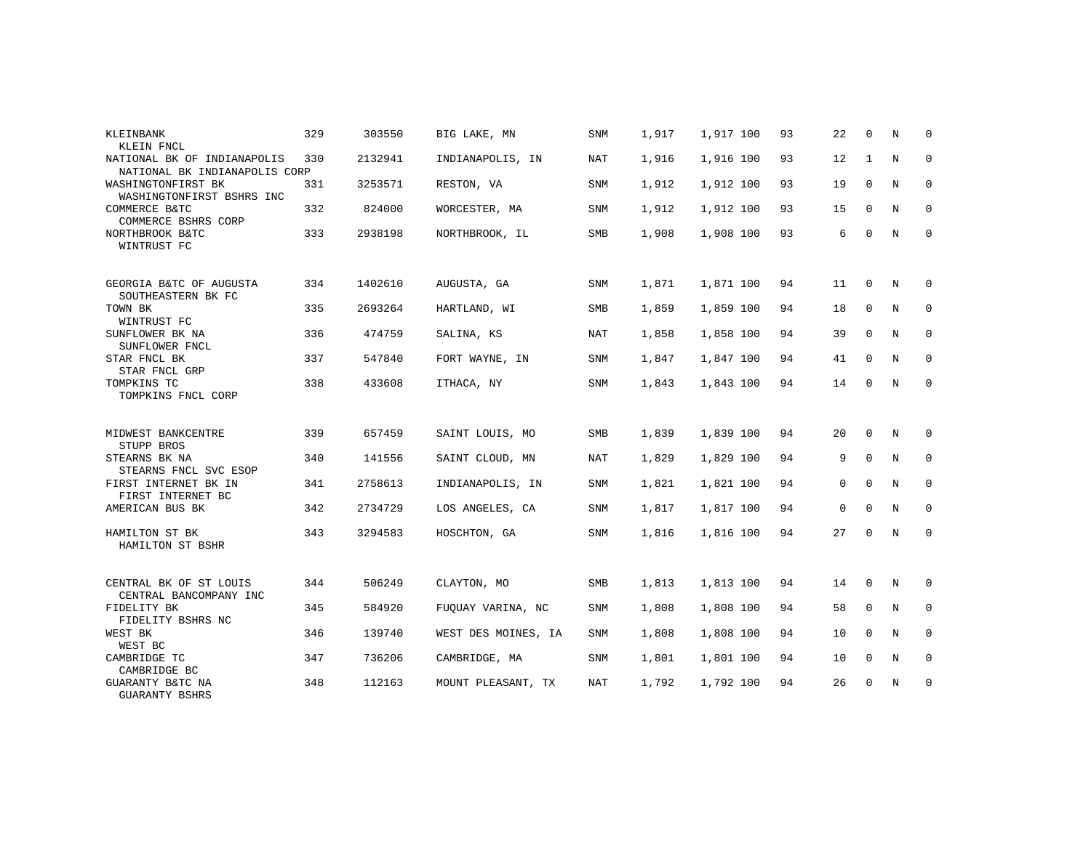| KLEINBANK<br>KLEIN FNCL                                      | 329 | 303550  | BIG LAKE, MN        | <b>SNM</b> | 1,917 | 1,917 100 | 93 | 22          | $\Omega$     | N              | $\Omega$    |
|--------------------------------------------------------------|-----|---------|---------------------|------------|-------|-----------|----|-------------|--------------|----------------|-------------|
| NATIONAL BK OF INDIANAPOLIS<br>NATIONAL BK INDIANAPOLIS CORP | 330 | 2132941 | INDIANAPOLIS, IN    | NAT        | 1,916 | 1,916 100 | 93 | 12          | 1            | N              | $\mathbf 0$ |
| WASHINGTONFIRST BK<br>WASHINGTONFIRST BSHRS INC              | 331 | 3253571 | RESTON, VA          | <b>SNM</b> | 1,912 | 1,912 100 | 93 | 19          | $\Omega$     | $\overline{N}$ | $\Omega$    |
| COMMERCE B&TC<br>COMMERCE BSHRS CORP                         | 332 | 824000  | WORCESTER, MA       | SNM        | 1,912 | 1,912 100 | 93 | 15          | 0            | N              | $\mathbf 0$ |
| NORTHBROOK B&TC<br>WINTRUST FC                               | 333 | 2938198 | NORTHBROOK, IL      | SMB        | 1,908 | 1,908 100 | 93 | 6           | $\mathbf 0$  | N              | $\mathbf 0$ |
| GEORGIA B&TC OF AUGUSTA<br>SOUTHEASTERN BK FC                | 334 | 1402610 | AUGUSTA, GA         | <b>SNM</b> | 1,871 | 1,871 100 | 94 | 11          | $\mathbf 0$  | N              | $\mathbf 0$ |
| TOWN BK<br>WINTRUST FC                                       | 335 | 2693264 | HARTLAND, WI        | SMB        | 1,859 | 1,859 100 | 94 | 18          | $\mathbf 0$  | N              | $\mathbf 0$ |
| SUNFLOWER BK NA<br>SUNFLOWER FNCL                            | 336 | 474759  | SALINA, KS          | <b>NAT</b> | 1,858 | 1,858 100 | 94 | 39          | $\Omega$     | N              | $\mathbf 0$ |
| STAR FNCL BK<br>STAR FNCL GRP                                | 337 | 547840  | FORT WAYNE, IN      | SNM        | 1,847 | 1,847 100 | 94 | 41          | $\mathbf 0$  | N              | 0           |
| TOMPKINS TC<br>TOMPKINS FNCL CORP                            | 338 | 433608  | ITHACA, NY          | <b>SNM</b> | 1,843 | 1,843 100 | 94 | 14          | $\mathbf 0$  | N              | $\mathbf 0$ |
| MIDWEST BANKCENTRE<br>STUPP BROS                             | 339 | 657459  | SAINT LOUIS, MO     | SMB        | 1,839 | 1,839 100 | 94 | 20          | $\Omega$     | N              | $\Omega$    |
| STEARNS BK NA<br>STEARNS FNCL SVC ESOP                       | 340 | 141556  | SAINT CLOUD, MN     | NAT        | 1,829 | 1,829 100 | 94 | 9           | $\mathbf 0$  | N              | $\mathbf 0$ |
| FIRST INTERNET BK IN<br>FIRST INTERNET BC                    | 341 | 2758613 | INDIANAPOLIS, IN    | <b>SNM</b> | 1,821 | 1,821 100 | 94 | 0           | $\mathbf 0$  | N              | $\mathbf 0$ |
| AMERICAN BUS BK                                              | 342 | 2734729 | LOS ANGELES, CA     | SNM        | 1,817 | 1,817 100 | 94 | $\mathbf 0$ | $\Omega$     | N              | $\mathbf 0$ |
| HAMILTON ST BK<br>HAMILTON ST BSHR                           | 343 | 3294583 | HOSCHTON, GA        | <b>SNM</b> | 1,816 | 1,816 100 | 94 | 27          | 0            | N              | $\mathbf 0$ |
| CENTRAL BK OF ST LOUIS<br>CENTRAL BANCOMPANY INC             | 344 | 506249  | CLAYTON, MO         | <b>SMB</b> | 1,813 | 1,813 100 | 94 | 14          | 0            | N              | $\mathbf 0$ |
| FIDELITY BK<br>FIDELITY BSHRS NC                             | 345 | 584920  | FUQUAY VARINA, NC   | SNM        | 1,808 | 1,808 100 | 94 | 58          | $\mathbf 0$  | N              | $\mathbf 0$ |
| WEST BK<br>WEST BC                                           | 346 | 139740  | WEST DES MOINES, IA | SNM        | 1,808 | 1,808 100 | 94 | 10          | $\Omega$     | N              | $\mathbf 0$ |
| CAMBRIDGE TC<br>CAMBRIDGE BC                                 | 347 | 736206  | CAMBRIDGE, MA       | <b>SNM</b> | 1,801 | 1,801 100 | 94 | 10          | $\mathbf{0}$ | N              | $\mathbf 0$ |
| GUARANTY B&TC NA<br><b>GUARANTY BSHRS</b>                    | 348 | 112163  | MOUNT PLEASANT, TX  | <b>NAT</b> | 1,792 | 1,792 100 | 94 | 26          | $\mathbf 0$  | N              | $\mathbf 0$ |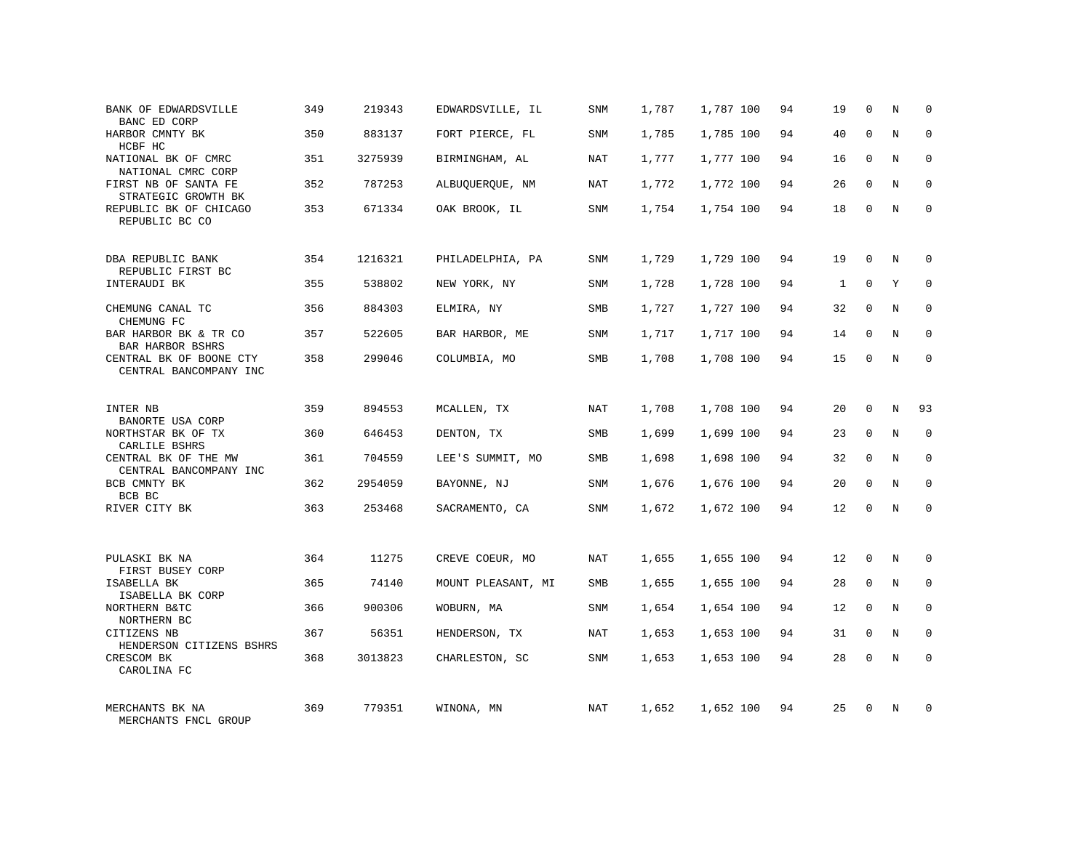| BANK OF EDWARDSVILLE<br>BANC ED CORP                  | 349 | 219343  | EDWARDSVILLE, IL   | SNM        | 1,787 | 1,787 100 | 94 | 19 | $\mathbf 0$  | N          | $\Omega$    |
|-------------------------------------------------------|-----|---------|--------------------|------------|-------|-----------|----|----|--------------|------------|-------------|
| HARBOR CMNTY BK<br>HCBF HC                            | 350 | 883137  | FORT PIERCE, FL    | <b>SNM</b> | 1,785 | 1,785 100 | 94 | 40 | $\Omega$     | N          | $\Omega$    |
| NATIONAL BK OF CMRC<br>NATIONAL CMRC CORP             | 351 | 3275939 | BIRMINGHAM, AL     | <b>NAT</b> | 1,777 | 1,777 100 | 94 | 16 | $\mathbf{0}$ | N          | $\mathbf 0$ |
| FIRST NB OF SANTA FE<br>STRATEGIC GROWTH BK           | 352 | 787253  | ALBUQUERQUE, NM    | NAT        | 1,772 | 1,772 100 | 94 | 26 | $\Omega$     | N          | $\Omega$    |
| REPUBLIC BK OF CHICAGO<br>REPUBLIC BC CO              | 353 | 671334  | OAK BROOK, IL      | <b>SNM</b> | 1,754 | 1,754 100 | 94 | 18 | $\Omega$     | N          | $\Omega$    |
| DBA REPUBLIC BANK                                     | 354 | 1216321 | PHILADELPHIA, PA   | <b>SNM</b> | 1,729 | 1,729 100 | 94 | 19 | $\Omega$     | N          | $\Omega$    |
| REPUBLIC FIRST BC<br>INTERAUDI BK                     | 355 | 538802  | NEW YORK, NY       | SNM        | 1,728 | 1,728 100 | 94 | 1  | $\mathbf{0}$ | Υ          | $\mathbf 0$ |
| CHEMUNG CANAL TC<br>CHEMUNG FC                        | 356 | 884303  | ELMIRA, NY         | <b>SMB</b> | 1,727 | 1,727 100 | 94 | 32 | $\Omega$     | N          | $\Omega$    |
| BAR HARBOR BK & TR CO<br>BAR HARBOR BSHRS             | 357 | 522605  | BAR HARBOR, ME     | SNM        | 1,717 | 1,717 100 | 94 | 14 | $\mathbf 0$  | N          | $\mathbf 0$ |
| CENTRAL BK OF BOONE CTY<br>CENTRAL BANCOMPANY INC     | 358 | 299046  | COLUMBIA, MO       | <b>SMB</b> | 1,708 | 1,708 100 | 94 | 15 | $\Omega$     | N          | $\Omega$    |
| INTER NB<br>BANORTE USA CORP                          | 359 | 894553  | MCALLEN, TX        | NAT        | 1,708 | 1,708 100 | 94 | 20 | $\Omega$     | N          | 93          |
| NORTHSTAR BK OF TX<br>CARLILE BSHRS                   | 360 | 646453  | DENTON, TX         | SMB        | 1,699 | 1,699 100 | 94 | 23 | $\Omega$     | N          | $\Omega$    |
| CENTRAL BK OF THE MW<br>CENTRAL BANCOMPANY INC        | 361 | 704559  | LEE'S SUMMIT, MO   | SMB        | 1,698 | 1,698 100 | 94 | 32 | $\mathbf 0$  | N          | $\mathbf 0$ |
| BCB CMNTY BK<br>BCB BC                                | 362 | 2954059 | BAYONNE, NJ        | <b>SNM</b> | 1,676 | 1,676 100 | 94 | 20 | $\Omega$     | N          | $\mathbf 0$ |
| RIVER CITY BK                                         | 363 | 253468  | SACRAMENTO, CA     | SNM        | 1,672 | 1,672 100 | 94 | 12 | $\mathbf 0$  | N          | $\mathbf 0$ |
| PULASKI BK NA                                         | 364 | 11275   | CREVE COEUR, MO    | <b>NAT</b> | 1,655 | 1,655 100 | 94 | 12 | $\mathbf 0$  | N          | $\mathbf 0$ |
| FIRST BUSEY CORP<br>ISABELLA BK                       | 365 | 74140   | MOUNT PLEASANT, MI | <b>SMB</b> | 1,655 | 1,655 100 | 94 | 28 | $\mathbf 0$  | N          | $\mathbf 0$ |
| ISABELLA BK CORP<br>NORTHERN B&TC                     | 366 | 900306  | WOBURN, MA         | <b>SNM</b> | 1,654 | 1,654 100 | 94 | 12 | $\Omega$     | N          | $\Omega$    |
| NORTHERN BC<br>CITIZENS NB                            | 367 | 56351   | HENDERSON, TX      | NAT        | 1,653 | 1,653 100 | 94 | 31 | $\mathbf 0$  | N          | $\mathbf 0$ |
| HENDERSON CITIZENS BSHRS<br>CRESCOM BK<br>CAROLINA FC | 368 | 3013823 | CHARLESTON, SC     | <b>SNM</b> | 1,653 | 1,653 100 | 94 | 28 | $\Omega$     | $_{\rm N}$ | $\Omega$    |
| MERCHANTS BK NA<br>MERCHANTS FNCL GROUP               | 369 | 779351  | WINONA, MN         | NAT        | 1,652 | 1,652 100 | 94 | 25 | $\Omega$     | N          | $\Omega$    |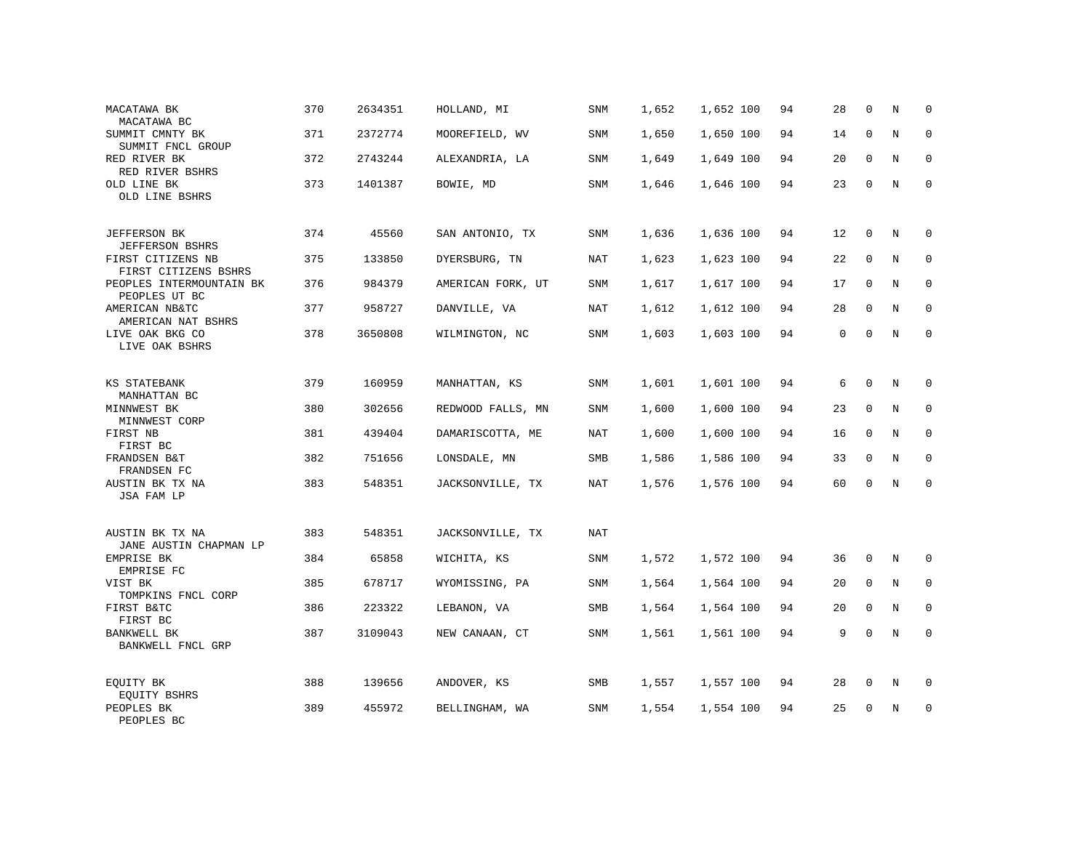| MACATAWA BK<br>MACATAWA BC                                          | 370 | 2634351 | HOLLAND, MI       | SNM        | 1,652 | 1,652 100 | 94 | 28 | $\mathbf 0$  | N           | $\mathbf 0$         |
|---------------------------------------------------------------------|-----|---------|-------------------|------------|-------|-----------|----|----|--------------|-------------|---------------------|
| SUMMIT CMNTY BK<br>SUMMIT FNCL GROUP                                | 371 | 2372774 | MOOREFIELD, WV    | SNM        | 1,650 | 1,650 100 | 94 | 14 | $\mathbf{0}$ | N           | $\mathbf 0$         |
| RED RIVER BK<br>RED RIVER BSHRS                                     | 372 | 2743244 | ALEXANDRIA, LA    | SNM        | 1,649 | 1,649 100 | 94 | 20 | $\Omega$     | N           | $\Omega$            |
| OLD LINE BK<br>OLD LINE BSHRS                                       | 373 | 1401387 | BOWIE, MD         | SNM        | 1,646 | 1,646 100 | 94 | 23 | $\mathbf{0}$ | N           | $\mathbf 0$         |
| <b>JEFFERSON BK</b>                                                 | 374 | 45560   | SAN ANTONIO, TX   | <b>SNM</b> | 1,636 | 1,636 100 | 94 | 12 | $\mathbf 0$  | N           | 0                   |
| <b>JEFFERSON BSHRS</b><br>FIRST CITIZENS NB<br>FIRST CITIZENS BSHRS | 375 | 133850  | DYERSBURG, TN     | NAT        | 1,623 | 1,623 100 | 94 | 22 | $\mathbf 0$  | N           | $\mathbf{0}$        |
| PEOPLES INTERMOUNTAIN BK<br>PEOPLES UT BC                           | 376 | 984379  | AMERICAN FORK, UT | <b>SNM</b> | 1,617 | 1,617 100 | 94 | 17 | $\mathbf 0$  | N           | $\mathbf 0$         |
| AMERICAN NB&TC<br>AMERICAN NAT BSHRS                                | 377 | 958727  | DANVILLE, VA      | NAT        | 1,612 | 1,612 100 | 94 | 28 | $\mathbf 0$  | N           | 0                   |
| LIVE OAK BKG CO<br>LIVE OAK BSHRS                                   | 378 | 3650808 | WILMINGTON, NC    | SNM        | 1,603 | 1,603 100 | 94 | 0  | $\mathbf{0}$ | N           | $\mathsf{O}\xspace$ |
| KS STATEBANK<br>MANHATTAN BC                                        | 379 | 160959  | MANHATTAN, KS     | SNM        | 1,601 | 1,601 100 | 94 | 6  | $\mathbf 0$  | N           | 0                   |
| MINNWEST BK<br>MINNWEST CORP                                        | 380 | 302656  | REDWOOD FALLS, MN | SNM        | 1,600 | 1,600 100 | 94 | 23 | $\mathbf 0$  | N           | 0                   |
| FIRST NB<br>FIRST BC                                                | 381 | 439404  | DAMARISCOTTA, ME  | NAT        | 1,600 | 1,600 100 | 94 | 16 | $\mathbf 0$  | N           | 0                   |
| FRANDSEN B&T<br>FRANDSEN FC                                         | 382 | 751656  | LONSDALE, MN      | <b>SMB</b> | 1,586 | 1,586 100 | 94 | 33 | $\mathbf 0$  | N           | $\mathbf{0}$        |
| AUSTIN BK TX NA<br>JSA FAM LP                                       | 383 | 548351  | JACKSONVILLE, TX  | NAT        | 1,576 | 1,576 100 | 94 | 60 | $\mathbf 0$  | N           | $\mathbf 0$         |
| AUSTIN BK TX NA<br>JANE AUSTIN CHAPMAN LP                           | 383 | 548351  | JACKSONVILLE, TX  | NAT        |       |           |    |    |              |             |                     |
| EMPRISE BK<br>EMPRISE FC                                            | 384 | 65858   | WICHITA, KS       | SNM        | 1,572 | 1,572 100 | 94 | 36 | $\mathbf{0}$ | N           | $\Omega$            |
| VIST BK<br>TOMPKINS FNCL CORP                                       | 385 | 678717  | WYOMISSING, PA    | SNM        | 1,564 | 1,564 100 | 94 | 20 | $\mathbf{0}$ | N           | $\mathbf 0$         |
| FIRST B&TC<br>FIRST BC                                              | 386 | 223322  | LEBANON, VA       | SMB        | 1,564 | 1,564 100 | 94 | 20 | $\mathbf 0$  | N           | $\mathbf 0$         |
| BANKWELL BK<br>BANKWELL FNCL GRP                                    | 387 | 3109043 | NEW CANAAN, CT    | SNM        | 1,561 | 1,561 100 | 94 | 9  | $\mathbf 0$  | $\mathbf N$ | $\mathbf 0$         |
| EQUITY BK                                                           | 388 | 139656  | ANDOVER, KS       | SMB        | 1,557 | 1,557 100 | 94 | 28 | $\mathbf{0}$ | N           | $\mathbf 0$         |
| EQUITY BSHRS<br>PEOPLES BK<br>PEOPLES BC                            | 389 | 455972  | BELLINGHAM, WA    | <b>SNM</b> | 1,554 | 1,554 100 | 94 | 25 | $\mathbf 0$  | N           | $\mathbf 0$         |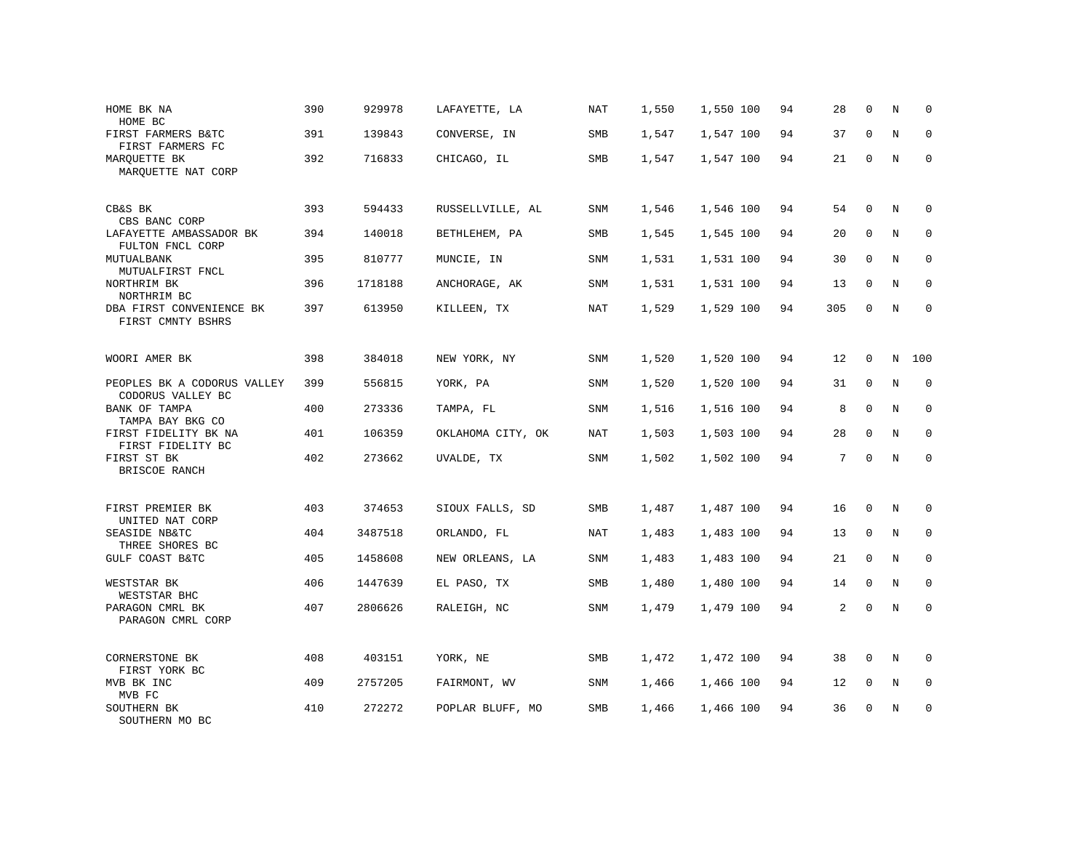| HOME BK NA<br>HOME BC                            | 390 | 929978  | LAFAYETTE, LA     | NAT        | 1,550 | 1,550 100 | 94 | 28  | $\mathbf 0$  | N | $\mathbf 0$ |
|--------------------------------------------------|-----|---------|-------------------|------------|-------|-----------|----|-----|--------------|---|-------------|
| FIRST FARMERS B&TC<br>FIRST FARMERS FC           | 391 | 139843  | CONVERSE, IN      | SMB        | 1,547 | 1,547 100 | 94 | 37  | $\Omega$     | N | $\mathbf 0$ |
| MARQUETTE BK<br>MARQUETTE NAT CORP               | 392 | 716833  | CHICAGO, IL       | SMB        | 1,547 | 1,547 100 | 94 | 21  | $\Omega$     | N | $\Omega$    |
| CB&S BK<br>CBS BANC CORP                         | 393 | 594433  | RUSSELLVILLE, AL  | SNM        | 1,546 | 1,546 100 | 94 | 54  | $\mathbf 0$  | N | 0           |
| LAFAYETTE AMBASSADOR BK<br>FULTON FNCL CORP      | 394 | 140018  | BETHLEHEM, PA     | SMB        | 1,545 | 1,545 100 | 94 | 20  | $\mathbf 0$  | N | $\mathbf 0$ |
| MUTUALBANK<br>MUTUALFIRST FNCL                   | 395 | 810777  | MUNCIE, IN        | SNM        | 1,531 | 1,531 100 | 94 | 30  | $\Omega$     | N | $\mathbf 0$ |
| NORTHRIM BK<br>NORTHRIM BC                       | 396 | 1718188 | ANCHORAGE, AK     | SNM        | 1,531 | 1,531 100 | 94 | 13  | $\Omega$     | N | $\Omega$    |
| DBA FIRST CONVENIENCE BK<br>FIRST CMNTY BSHRS    | 397 | 613950  | KILLEEN, TX       | <b>NAT</b> | 1,529 | 1,529 100 | 94 | 305 | $\mathbf 0$  | N | $\mathbf 0$ |
| WOORI AMER BK                                    | 398 | 384018  | NEW YORK, NY      | SNM        | 1,520 | 1,520 100 | 94 | 12  | $\mathbf 0$  | N | 100         |
| PEOPLES BK A CODORUS VALLEY<br>CODORUS VALLEY BC | 399 | 556815  | YORK, PA          | SNM        | 1,520 | 1,520 100 | 94 | 31  | $\mathbf 0$  | N | $\mathbf 0$ |
| <b>BANK OF TAMPA</b><br>TAMPA BAY BKG CO         | 400 | 273336  | TAMPA, FL         | SNM        | 1,516 | 1,516 100 | 94 | 8   | $\Omega$     | N | $\Omega$    |
| FIRST FIDELITY BK NA<br>FIRST FIDELITY BC        | 401 | 106359  | OKLAHOMA CITY, OK | NAT        | 1,503 | 1,503 100 | 94 | 28  | $\Omega$     | N | $\mathbf 0$ |
| FIRST ST BK<br>BRISCOE RANCH                     | 402 | 273662  | UVALDE, TX        | <b>SNM</b> | 1,502 | 1,502 100 | 94 | 7   | $\Omega$     | N | $\Omega$    |
| FIRST PREMIER BK<br>UNITED NAT CORP              | 403 | 374653  | SIOUX FALLS, SD   | <b>SMB</b> | 1,487 | 1,487 100 | 94 | 16  | $\Omega$     | N | $\Omega$    |
| SEASIDE NB&TC<br>THREE SHORES BC                 | 404 | 3487518 | ORLANDO, FL       | NAT        | 1,483 | 1,483 100 | 94 | 13  | $\mathbf{0}$ | N | 0           |
| GULF COAST B&TC                                  | 405 | 1458608 | NEW ORLEANS, LA   | <b>SNM</b> | 1,483 | 1,483 100 | 94 | 21  | $\Omega$     | N | $\mathbf 0$ |
| WESTSTAR BK<br>WESTSTAR BHC                      | 406 | 1447639 | EL PASO, TX       | SMB        | 1,480 | 1,480 100 | 94 | 14  | $\mathbf{0}$ | N | $\mathbf 0$ |
| PARAGON CMRL BK<br>PARAGON CMRL CORP             | 407 | 2806626 | RALEIGH, NC       | <b>SNM</b> | 1,479 | 1,479 100 | 94 | 2   | $\Omega$     | N | $\Omega$    |
| CORNERSTONE BK<br>FIRST YORK BC                  | 408 | 403151  | YORK, NE          | <b>SMB</b> | 1,472 | 1,472 100 | 94 | 38  | $\mathbf{0}$ | N | $\mathbf 0$ |
| MVB BK INC<br>MVB FC                             | 409 | 2757205 | FAIRMONT, WV      | SNM        | 1,466 | 1,466 100 | 94 | 12  | 0            | N | 0           |
| SOUTHERN BK<br>SOUTHERN MO BC                    | 410 | 272272  | POPLAR BLUFF, MO  | <b>SMB</b> | 1,466 | 1,466 100 | 94 | 36  | $\Omega$     | N | $\mathbf 0$ |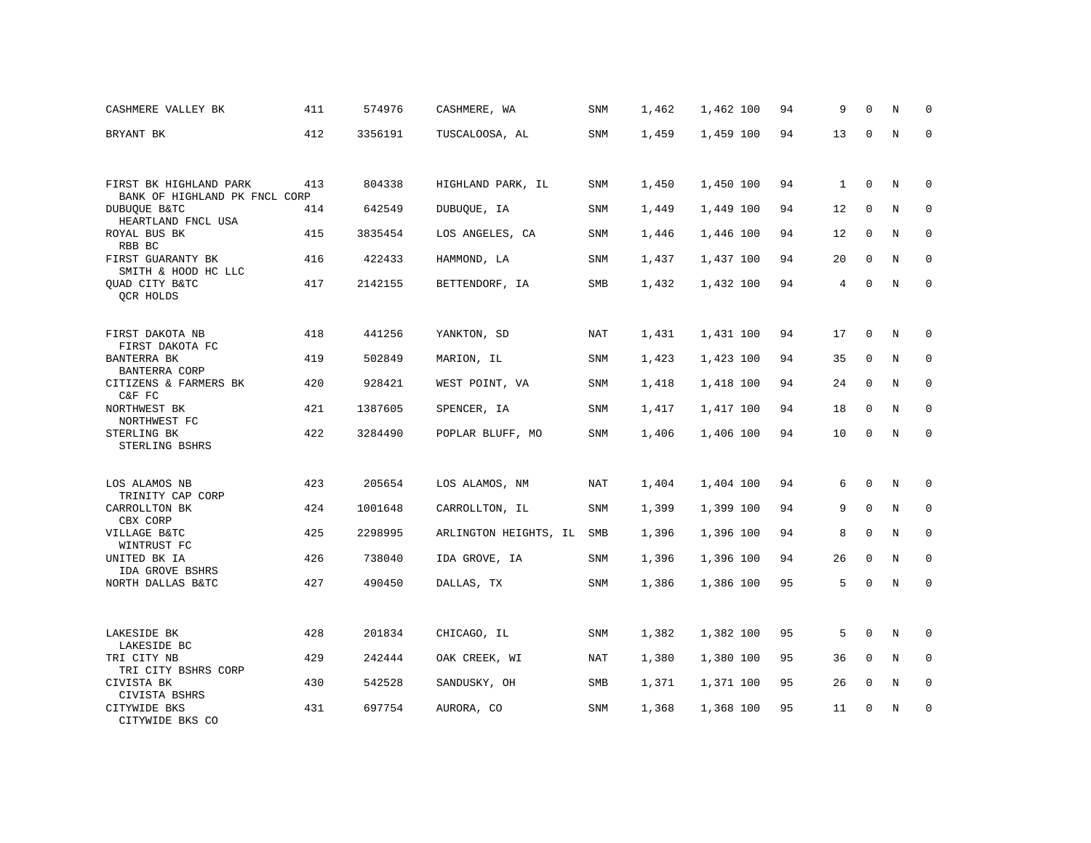| CASHMERE VALLEY BK                                      | 411 | 574976  | CASHMERE, WA          | SNM        | 1,462 | 1,462 100 | 94 | 9  | $\mathbf 0$  | N           | $\mathbf 0$ |
|---------------------------------------------------------|-----|---------|-----------------------|------------|-------|-----------|----|----|--------------|-------------|-------------|
| BRYANT BK                                               | 412 | 3356191 | TUSCALOOSA, AL        | SNM        | 1,459 | 1,459 100 | 94 | 13 | $\Omega$     | N           | $\Omega$    |
|                                                         |     |         |                       |            |       |           |    |    |              |             |             |
| FIRST BK HIGHLAND PARK<br>BANK OF HIGHLAND PK FNCL CORP | 413 | 804338  | HIGHLAND PARK, IL     | SNM        | 1,450 | 1,450 100 | 94 | 1  | $\mathbf 0$  | N           | $\mathbf 0$ |
| <b>DUBUOUE B&amp;TC</b><br>HEARTLAND FNCL USA           | 414 | 642549  | DUBUQUE, IA           | SNM        | 1,449 | 1,449 100 | 94 | 12 | $\Omega$     | N           | $\Omega$    |
| ROYAL BUS BK<br>RBB BC                                  | 415 | 3835454 | LOS ANGELES, CA       | SNM        | 1,446 | 1,446 100 | 94 | 12 | $\mathbf 0$  | N           | $\mathbf 0$ |
| FIRST GUARANTY BK<br>SMITH & HOOD HC LLC                | 416 | 422433  | HAMMOND, LA           | SNM        | 1,437 | 1,437 100 | 94 | 20 | $\Omega$     | N           | $\Omega$    |
| QUAD CITY B&TC<br>QCR HOLDS                             | 417 | 2142155 | BETTENDORF, IA        | SMB        | 1,432 | 1,432 100 | 94 | 4  | $\mathbf 0$  | N           | $\mathbf 0$ |
|                                                         |     |         |                       |            |       |           |    |    |              |             |             |
| FIRST DAKOTA NB<br>FIRST DAKOTA FC                      | 418 | 441256  | YANKTON, SD           | NAT        | 1,431 | 1,431 100 | 94 | 17 | 0            | N           | 0           |
| BANTERRA BK<br>BANTERRA CORP                            | 419 | 502849  | MARION, IL            | SNM        | 1,423 | 1,423 100 | 94 | 35 | $\Omega$     | N           | $\mathbf 0$ |
| CITIZENS & FARMERS BK<br>C&F FC                         | 420 | 928421  | WEST POINT, VA        | SNM        | 1,418 | 1,418 100 | 94 | 24 | $\mathbf 0$  | N           | $\mathbf 0$ |
| NORTHWEST BK<br>NORTHWEST FC                            | 421 | 1387605 | SPENCER, IA           | SNM        | 1,417 | 1,417 100 | 94 | 18 | $\Omega$     | N           | $\mathbf 0$ |
| STERLING BK<br>STERLING BSHRS                           | 422 | 3284490 | POPLAR BLUFF, MO      | <b>SNM</b> | 1,406 | 1,406 100 | 94 | 10 | $\mathbf 0$  | N           | $\Omega$    |
|                                                         |     |         |                       |            |       |           |    |    |              |             |             |
| LOS ALAMOS NB<br>TRINITY CAP CORP                       | 423 | 205654  | LOS ALAMOS, NM        | <b>NAT</b> | 1,404 | 1,404 100 | 94 | 6  | $\mathbf{0}$ | N           | $\mathbf 0$ |
| CARROLLTON BK<br>CBX CORP                               | 424 | 1001648 | CARROLLTON, IL        | SNM        | 1,399 | 1,399 100 | 94 | 9  | $\mathbf 0$  | N           | $\mathbf 0$ |
| VILLAGE B&TC<br>WINTRUST FC                             | 425 | 2298995 | ARLINGTON HEIGHTS, IL | SMB        | 1,396 | 1,396 100 | 94 | 8  | $\mathbf 0$  | N           | $\mathbf 0$ |
| UNITED BK IA<br>IDA GROVE BSHRS                         | 426 | 738040  | IDA GROVE, IA         | <b>SNM</b> | 1,396 | 1,396 100 | 94 | 26 | $\mathbf 0$  | $\mathbf N$ | $\mathbf 0$ |
| NORTH DALLAS B&TC                                       | 427 | 490450  | DALLAS, TX            | <b>SNM</b> | 1,386 | 1,386 100 | 95 | 5  | $\mathbf{0}$ | N           | $\mathbf 0$ |
|                                                         |     |         |                       |            |       |           |    |    |              |             |             |
| LAKESIDE BK<br>LAKESIDE BC                              | 428 | 201834  | CHICAGO, IL           | SNM        | 1,382 | 1,382 100 | 95 | 5  | $\mathbf 0$  | N           | $\mathbf 0$ |
| TRI CITY NB<br>TRI CITY BSHRS CORP                      | 429 | 242444  | OAK CREEK, WI         | NAT        | 1,380 | 1,380 100 | 95 | 36 | $\mathbf 0$  | N           | $\mathbf 0$ |
| CIVISTA BK<br>CIVISTA BSHRS                             | 430 | 542528  | SANDUSKY, OH          | SMB        | 1,371 | 1,371 100 | 95 | 26 | 0            | N           | 0           |
| CITYWIDE BKS<br>CITYWIDE BKS CO                         | 431 | 697754  | AURORA, CO            | <b>SNM</b> | 1,368 | 1,368 100 | 95 | 11 | $\Omega$     | N           | $\mathbf 0$ |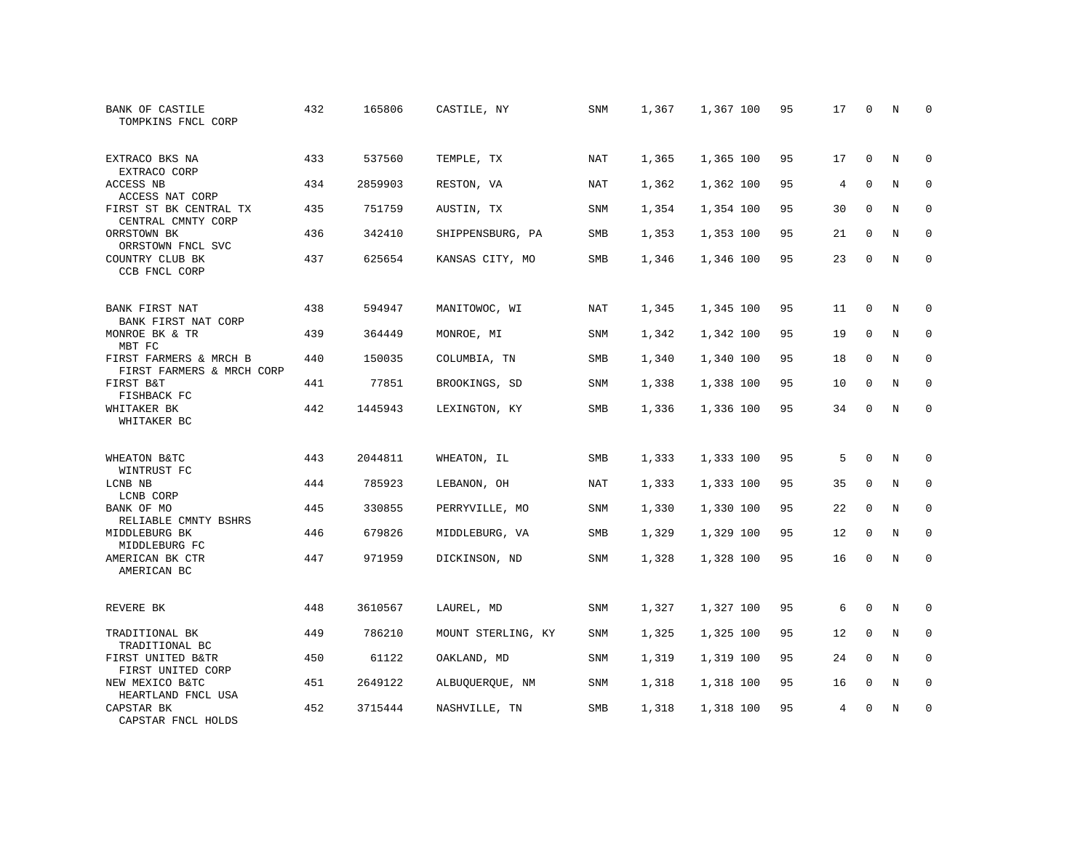| BANK OF CASTILE<br>TOMPKINS FNCL CORP               | 432 | 165806  | CASTILE, NY        | SNM        | 1,367 | 1,367 100 | 95 | 17 | $\mathbf 0$ | N | $\Omega$    |
|-----------------------------------------------------|-----|---------|--------------------|------------|-------|-----------|----|----|-------------|---|-------------|
| EXTRACO BKS NA<br>EXTRACO CORP                      | 433 | 537560  | TEMPLE, TX         | NAT        | 1,365 | 1,365 100 | 95 | 17 | $\Omega$    | N | $\Omega$    |
| ACCESS NB<br>ACCESS NAT CORP                        | 434 | 2859903 | RESTON, VA         | NAT        | 1,362 | 1,362 100 | 95 | 4  | $\mathbf 0$ | N | $\mathbf 0$ |
| FIRST ST BK CENTRAL TX<br>CENTRAL CMNTY CORP        | 435 | 751759  | AUSTIN, TX         | SNM        | 1,354 | 1,354 100 | 95 | 30 | $\Omega$    | N | $\Omega$    |
| ORRSTOWN BK<br>ORRSTOWN FNCL SVC                    | 436 | 342410  | SHIPPENSBURG, PA   | SMB        | 1,353 | 1,353 100 | 95 | 21 | $\mathbf 0$ | N | $\mathbf 0$ |
| COUNTRY CLUB BK<br>CCB FNCL CORP                    | 437 | 625654  | KANSAS CITY, MO    | <b>SMB</b> | 1,346 | 1,346 100 | 95 | 23 | $\mathbf 0$ | N | $\mathbf 0$ |
| BANK FIRST NAT<br>BANK FIRST NAT CORP               | 438 | 594947  | MANITOWOC, WI      | NAT        | 1,345 | 1,345 100 | 95 | 11 | 0           | N | $\mathbf 0$ |
| MONROE BK & TR<br>MBT FC                            | 439 | 364449  | MONROE, MI         | SNM        | 1,342 | 1,342 100 | 95 | 19 | $\mathbf 0$ | N | $\mathbf 0$ |
| FIRST FARMERS & MRCH B<br>FIRST FARMERS & MRCH CORP | 440 | 150035  | COLUMBIA, TN       | SMB        | 1,340 | 1,340 100 | 95 | 18 | 0           | N | $\mathbf 0$ |
| FIRST B&T<br>FISHBACK FC                            | 441 | 77851   | BROOKINGS, SD      | SNM        | 1,338 | 1,338 100 | 95 | 10 | $\mathbf 0$ | N | $\mathbf 0$ |
| WHITAKER BK<br>WHITAKER BC                          | 442 | 1445943 | LEXINGTON, KY      | SMB        | 1,336 | 1,336 100 | 95 | 34 | $\Omega$    | N | $\Omega$    |
| WHEATON B&TC<br>WINTRUST FC                         | 443 | 2044811 | WHEATON, IL        | SMB        | 1,333 | 1,333 100 | 95 | 5  | $\Omega$    | N | $\mathbf 0$ |
| LCNB NB<br>LCNB CORP                                | 444 | 785923  | LEBANON, OH        | NAT        | 1,333 | 1,333 100 | 95 | 35 | 0           | N | 0           |
| BANK OF MO<br>RELIABLE CMNTY BSHRS                  | 445 | 330855  | PERRYVILLE, MO     | <b>SNM</b> | 1,330 | 1,330 100 | 95 | 22 | $\mathbf 0$ | N | $\mathbf 0$ |
| MIDDLEBURG BK<br>MIDDLEBURG FC                      | 446 | 679826  | MIDDLEBURG, VA     | <b>SMB</b> | 1,329 | 1,329 100 | 95 | 12 | $\mathbf 0$ | N | $\mathbf 0$ |
| AMERICAN BK CTR<br>AMERICAN BC                      | 447 | 971959  | DICKINSON, ND      | <b>SNM</b> | 1,328 | 1,328 100 | 95 | 16 | 0           | N | $\mathbf 0$ |
| REVERE BK                                           | 448 | 3610567 | LAUREL, MD         | SNM        | 1,327 | 1,327 100 | 95 | 6  | 0           | N | 0           |
| TRADITIONAL BK<br>TRADITIONAL BC                    | 449 | 786210  | MOUNT STERLING, KY | SNM        | 1,325 | 1,325 100 | 95 | 12 | $\mathbf 0$ | N | $\mathbf 0$ |
| FIRST UNITED B&TR<br>FIRST UNITED CORP              | 450 | 61122   | OAKLAND, MD        | <b>SNM</b> | 1,319 | 1,319 100 | 95 | 24 | $\Omega$    | N | $\mathbf 0$ |
| NEW MEXICO B&TC<br>HEARTLAND FNCL USA               | 451 | 2649122 | ALBUQUERQUE, NM    | SNM        | 1,318 | 1,318 100 | 95 | 16 | 0           | N | 0           |
| CAPSTAR BK<br>CAPSTAR FNCL HOLDS                    | 452 | 3715444 | NASHVILLE, TN      | <b>SMB</b> | 1,318 | 1,318 100 | 95 | 4  | $\Omega$    | N | $\mathbf 0$ |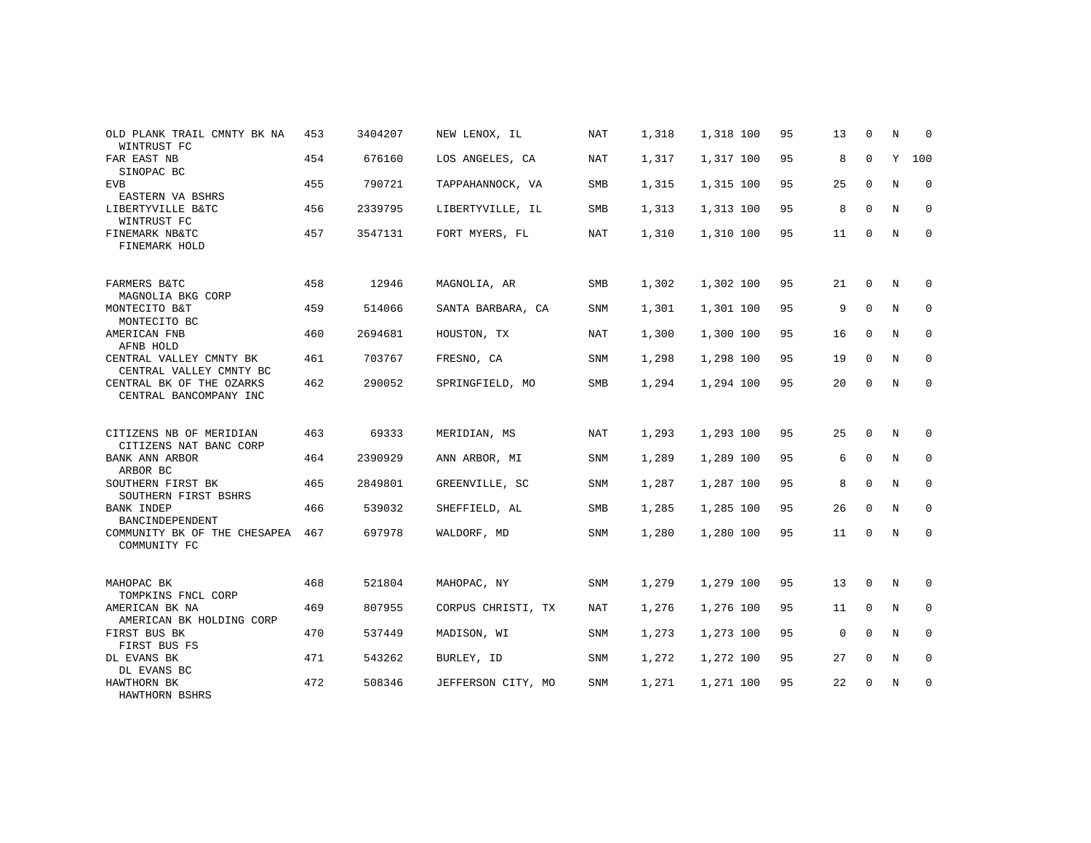| OLD PLANK TRAIL CMNTY BK NA<br>WINTRUST FC         | 453 | 3404207 | NEW LENOX, IL      | <b>NAT</b> | 1,318 | 1,318 100 | 95 | 13 | $\mathbf 0$ | N | $\mathbf 0$ |
|----------------------------------------------------|-----|---------|--------------------|------------|-------|-----------|----|----|-------------|---|-------------|
| FAR EAST NB<br>SINOPAC BC                          | 454 | 676160  | LOS ANGELES, CA    | <b>NAT</b> | 1,317 | 1,317 100 | 95 | 8  | $\mathbf 0$ | Y | 100         |
| <b>EVB</b><br>EASTERN VA BSHRS                     | 455 | 790721  | TAPPAHANNOCK, VA   | <b>SMB</b> | 1,315 | 1,315 100 | 95 | 25 | $\Omega$    | N | $\mathbf 0$ |
| LIBERTYVILLE B&TC<br>WINTRUST FC                   | 456 | 2339795 | LIBERTYVILLE, IL   | SMB        | 1,313 | 1,313 100 | 95 | 8  | $\Omega$    | N | $\mathbf 0$ |
| FINEMARK NB&TC<br>FINEMARK HOLD                    | 457 | 3547131 | FORT MYERS, FL     | <b>NAT</b> | 1,310 | 1,310 100 | 95 | 11 | $\Omega$    | N | $\mathbf 0$ |
| FARMERS B&TC<br>MAGNOLIA BKG CORP                  | 458 | 12946   | MAGNOLIA, AR       | SMB        | 1,302 | 1,302 100 | 95 | 21 | $\mathbf 0$ | N | $\mathbf 0$ |
| MONTECITO B&T<br>MONTECITO BC                      | 459 | 514066  | SANTA BARBARA, CA  | SNM        | 1,301 | 1,301 100 | 95 | 9  | $\mathbf 0$ | N | $\mathbf 0$ |
| AMERICAN FNB<br>AFNB HOLD                          | 460 | 2694681 | HOUSTON, TX        | NAT        | 1,300 | 1,300 100 | 95 | 16 | $\Omega$    | N | $\mathbf 0$ |
| CENTRAL VALLEY CMNTY BK<br>CENTRAL VALLEY CMNTY BC | 461 | 703767  | FRESNO, CA         | SNM        | 1,298 | 1,298 100 | 95 | 19 | $\mathbf 0$ | N | 0           |
| CENTRAL BK OF THE OZARKS<br>CENTRAL BANCOMPANY INC | 462 | 290052  | SPRINGFIELD, MO    | SMB        | 1,294 | 1,294 100 | 95 | 20 | $\mathbf 0$ | N | $\mathbf 0$ |
| CITIZENS NB OF MERIDIAN<br>CITIZENS NAT BANC CORP  | 463 | 69333   | MERIDIAN, MS       | NAT        | 1,293 | 1,293 100 | 95 | 25 | $\mathbf 0$ | N | 0           |
| BANK ANN ARBOR<br>ARBOR BC                         | 464 | 2390929 | ANN ARBOR, MI      | <b>SNM</b> | 1,289 | 1,289 100 | 95 | 6  | $\mathbf 0$ | N | $\mathbf 0$ |
| SOUTHERN FIRST BK<br>SOUTHERN FIRST BSHRS          | 465 | 2849801 | GREENVILLE, SC     | SNM        | 1,287 | 1,287 100 | 95 | 8  | $\mathbf 0$ | N | 0           |
| <b>BANK INDEP</b><br>BANCINDEPENDENT               | 466 | 539032  | SHEFFIELD, AL      | SMB        | 1,285 | 1,285 100 | 95 | 26 | $\Omega$    | N | $\Omega$    |
| COMMUNITY BK OF THE CHESAPEA<br>COMMUNITY FC       | 467 | 697978  | WALDORF, MD        | SNM        | 1,280 | 1,280 100 | 95 | 11 | $\Omega$    | N | $\mathbf 0$ |
| MAHOPAC BK<br>TOMPKINS FNCL CORP                   | 468 | 521804  | MAHOPAC, NY        | SNM        | 1,279 | 1,279 100 | 95 | 13 | 0           | N | 0           |
| AMERICAN BK NA<br>AMERICAN BK HOLDING CORP         | 469 | 807955  | CORPUS CHRISTI, TX | NAT        | 1,276 | 1,276 100 | 95 | 11 | $\Omega$    | N | $\mathbf 0$ |
| FIRST BUS BK<br>FIRST BUS FS                       | 470 | 537449  | MADISON, WI        | SNM        | 1,273 | 1,273 100 | 95 | 0  | $\mathbf 0$ | N | 0           |
| DL EVANS BK<br>DL EVANS BC                         | 471 | 543262  | BURLEY, ID         | <b>SNM</b> | 1,272 | 1,272 100 | 95 | 27 | $\mathbf 0$ | N | $\mathbf 0$ |
| HAWTHORN BK<br>HAWTHORN BSHRS                      | 472 | 508346  | JEFFERSON CITY, MO | SNM        | 1,271 | 1,271 100 | 95 | 22 | 0           | N | $\mathbf 0$ |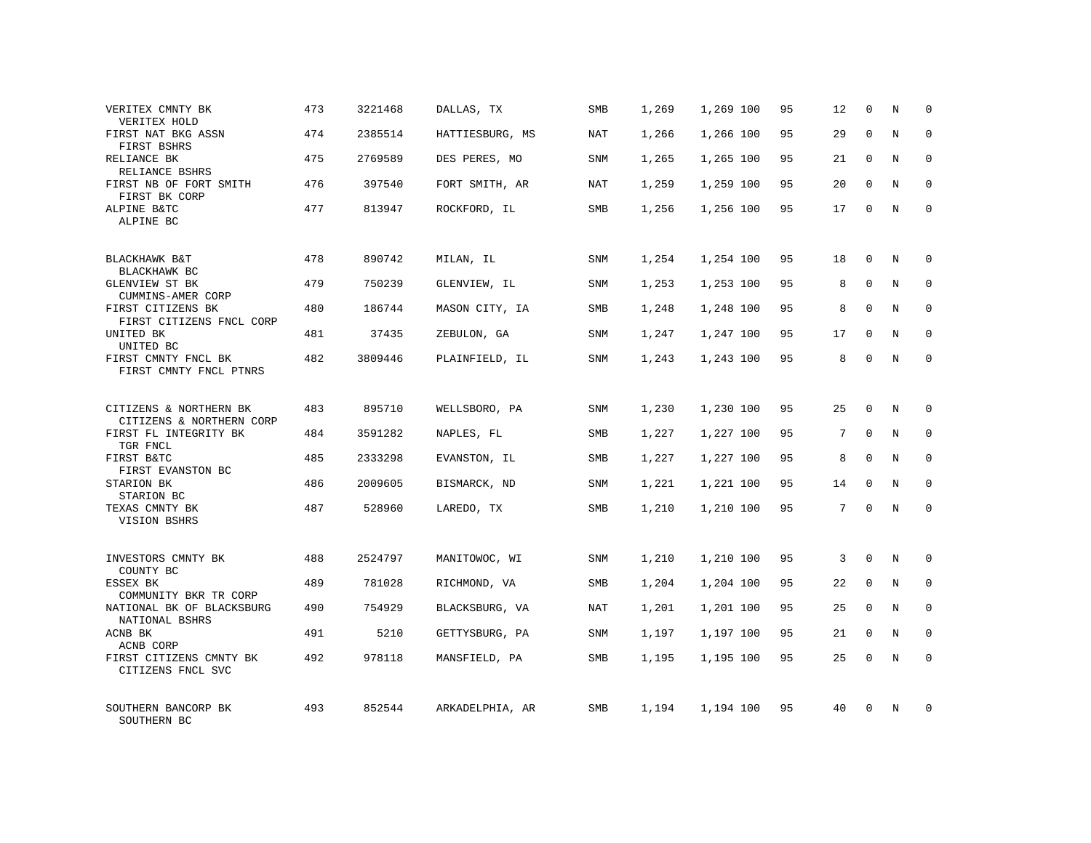| VERITEX CMNTY BK<br>VERITEX HOLD                    | 473 | 3221468 | DALLAS, TX      | SMB        | 1,269 | 1,269 100 | 95 | 12 | $\mathbf 0$  | N              | $\Omega$    |
|-----------------------------------------------------|-----|---------|-----------------|------------|-------|-----------|----|----|--------------|----------------|-------------|
| FIRST NAT BKG ASSN<br>FIRST BSHRS                   | 474 | 2385514 | HATTIESBURG, MS | NAT        | 1,266 | 1,266 100 | 95 | 29 | $\Omega$     | N              | $\Omega$    |
| RELIANCE BK<br>RELIANCE BSHRS                       | 475 | 2769589 | DES PERES, MO   | <b>SNM</b> | 1,265 | 1,265 100 | 95 | 21 | $\mathbf 0$  | N              | $\mathbf 0$ |
| FIRST NB OF FORT SMITH<br>FIRST BK CORP             | 476 | 397540  | FORT SMITH, AR  | NAT        | 1,259 | 1,259 100 | 95 | 20 | $\Omega$     | N              | $\Omega$    |
| ALPINE B&TC<br>ALPINE BC                            | 477 | 813947  | ROCKFORD, IL    | <b>SMB</b> | 1,256 | 1,256 100 | 95 | 17 | $\Omega$     | N              | $\Omega$    |
| BLACKHAWK B&T                                       | 478 | 890742  | MILAN, IL       | SNM        | 1,254 | 1,254 100 | 95 | 18 | $\Omega$     | N              | $\Omega$    |
| BLACKHAWK BC<br>GLENVIEW ST BK<br>CUMMINS-AMER CORP | 479 | 750239  | GLENVIEW, IL    | SNM        | 1,253 | 1,253 100 | 95 | 8  | $\mathbf 0$  | N              | $\mathbf 0$ |
| FIRST CITIZENS BK<br>FIRST CITIZENS FNCL CORP       | 480 | 186744  | MASON CITY, IA  | <b>SMB</b> | 1,248 | 1,248 100 | 95 | 8  | $\Omega$     | N              | $\Omega$    |
| UNITED BK<br>UNITED BC                              | 481 | 37435   | ZEBULON, GA     | SNM        | 1,247 | 1,247 100 | 95 | 17 | $\Omega$     | N              | $\mathbf 0$ |
| FIRST CMNTY FNCL BK<br>FIRST CMNTY FNCL PTNRS       | 482 | 3809446 | PLAINFIELD, IL  | <b>SNM</b> | 1,243 | 1,243 100 | 95 | 8  | $\Omega$     | N              | $\Omega$    |
| CITIZENS & NORTHERN BK<br>CITIZENS & NORTHERN CORP  | 483 | 895710  | WELLSBORO, PA   | SNM        | 1,230 | 1,230 100 | 95 | 25 | $\Omega$     | N              | $\Omega$    |
| FIRST FL INTEGRITY BK<br>TGR FNCL                   | 484 | 3591282 | NAPLES, FL      | SMB        | 1,227 | 1,227 100 | 95 | 7  | $\Omega$     | N              | $\mathbf 0$ |
| FIRST B&TC<br>FIRST EVANSTON BC                     | 485 | 2333298 | EVANSTON, IL    | <b>SMB</b> | 1,227 | 1,227 100 | 95 | 8  | $\Omega$     | N              | $\mathbf 0$ |
| STARION BK<br>STARION BC                            | 486 | 2009605 | BISMARCK, ND    | SNM        | 1,221 | 1,221 100 | 95 | 14 | $\Omega$     | $\overline{N}$ | $\mathbf 0$ |
| TEXAS CMNTY BK<br>VISION BSHRS                      | 487 | 528960  | LAREDO, TX      | SMB        | 1,210 | 1,210 100 | 95 | 7  | $\Omega$     | N              | $\mathbf 0$ |
| INVESTORS CMNTY BK<br>COUNTY BC                     | 488 | 2524797 | MANITOWOC, WI   | SNM        | 1,210 | 1,210 100 | 95 | 3  | $\mathbf 0$  | N              | $\mathbf 0$ |
| ESSEX BK<br>COMMUNITY BKR TR CORP                   | 489 | 781028  | RICHMOND, VA    | <b>SMB</b> | 1,204 | 1,204 100 | 95 | 22 | $\mathbf{0}$ | N              | $\mathbf 0$ |
| NATIONAL BK OF BLACKSBURG<br>NATIONAL BSHRS         | 490 | 754929  | BLACKSBURG, VA  | NAT        | 1,201 | 1,201 100 | 95 | 25 | $\Omega$     | N              | $\Omega$    |
| ACNB BK<br>ACNB CORP                                | 491 | 5210    | GETTYSBURG, PA  | SNM        | 1,197 | 1,197 100 | 95 | 21 | $\mathbf 0$  | N              | $\mathbf 0$ |
| FIRST CITIZENS CMNTY BK<br>CITIZENS FNCL SVC        | 492 | 978118  | MANSFIELD, PA   | <b>SMB</b> | 1,195 | 1,195 100 | 95 | 25 | $\Omega$     | $_{\rm N}$     | $\Omega$    |
| SOUTHERN BANCORP BK<br>SOUTHERN BC                  | 493 | 852544  | ARKADELPHIA, AR | <b>SMB</b> | 1,194 | 1,194 100 | 95 | 40 | $\Omega$     | N              | $\Omega$    |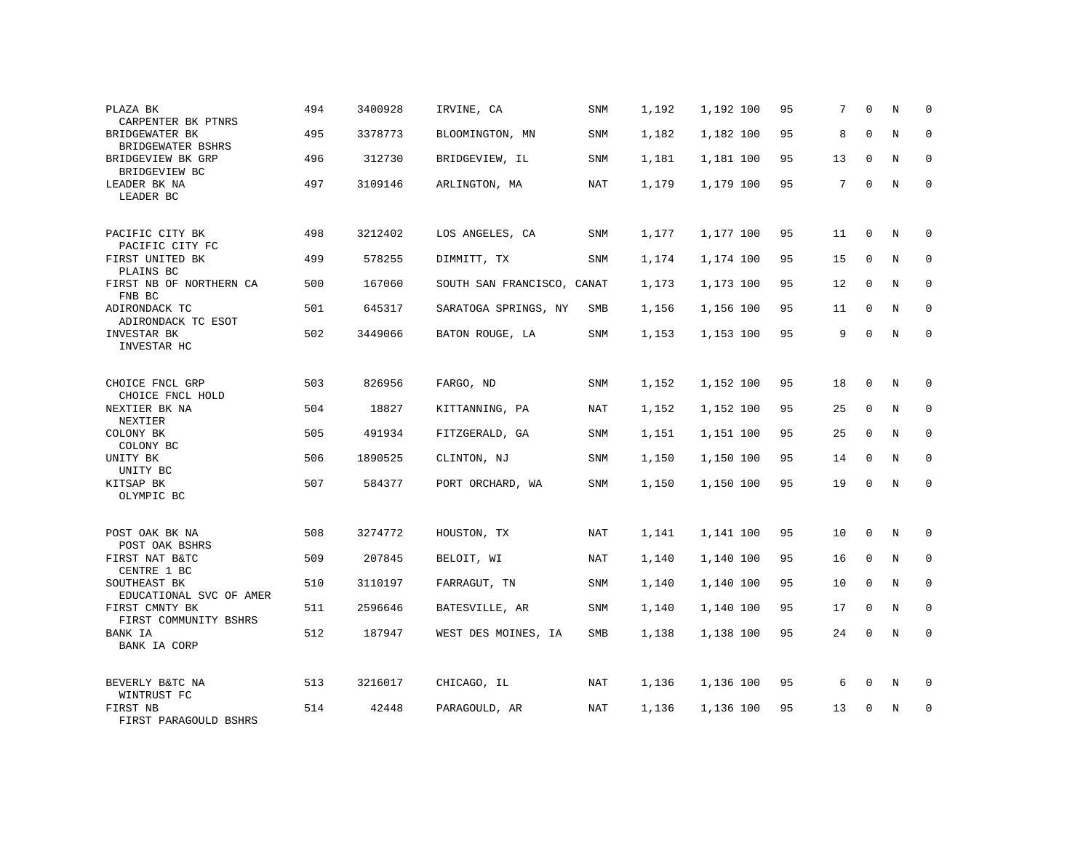| PLAZA BK<br>CARPENTER BK PTNRS                 | 494 | 3400928 | IRVINE, CA                 | SNM        | 1,192 | 1,192 100 | 95 | 7  | $\mathbf 0$  | N | $\mathbf 0$ |
|------------------------------------------------|-----|---------|----------------------------|------------|-------|-----------|----|----|--------------|---|-------------|
| BRIDGEWATER BK<br>BRIDGEWATER BSHRS            | 495 | 3378773 | BLOOMINGTON, MN            | <b>SNM</b> | 1,182 | 1,182 100 | 95 | 8  | $\Omega$     | N | $\mathbf 0$ |
| BRIDGEVIEW BK GRP<br>BRIDGEVIEW BC             | 496 | 312730  | BRIDGEVIEW, IL             | SNM        | 1,181 | 1,181 100 | 95 | 13 | $\mathbf 0$  | N | $\mathbf 0$ |
| LEADER BK NA<br>LEADER BC                      | 497 | 3109146 | ARLINGTON, MA              | <b>NAT</b> | 1,179 | 1,179 100 | 95 | 7  | $\Omega$     | N | $\mathbf 0$ |
| PACIFIC CITY BK                                | 498 | 3212402 | LOS ANGELES, CA            | SNM        | 1,177 | 1,177 100 | 95 | 11 | $\mathbf 0$  | N | $\mathbf 0$ |
| PACIFIC CITY FC<br>FIRST UNITED BK             | 499 | 578255  | DIMMITT, TX                | <b>SNM</b> | 1,174 | 1,174 100 | 95 | 15 | $\mathbf{0}$ | N | $\mathbf 0$ |
| PLAINS BC<br>FIRST NB OF NORTHERN CA<br>FNB BC | 500 | 167060  | SOUTH SAN FRANCISCO, CANAT |            | 1,173 | 1,173 100 | 95 | 12 | $\mathbf 0$  | N | $\mathbf 0$ |
| ADIRONDACK TC<br>ADIRONDACK TC ESOT            | 501 | 645317  | SARATOGA SPRINGS, NY       | SMB        | 1,156 | 1,156 100 | 95 | 11 | $\mathbf 0$  | N | $\mathbf 0$ |
| INVESTAR BK<br>INVESTAR HC                     | 502 | 3449066 | BATON ROUGE, LA            | SNM        | 1,153 | 1,153 100 | 95 | 9  | $\mathbf 0$  | N | $\mathbf 0$ |
| CHOICE FNCL GRP<br>CHOICE FNCL HOLD            | 503 | 826956  | FARGO, ND                  | SNM        | 1,152 | 1,152 100 | 95 | 18 | $\mathbf 0$  | N | $\mathbf 0$ |
| NEXTIER BK NA<br>NEXTIER                       | 504 | 18827   | KITTANNING, PA             | NAT        | 1,152 | 1,152 100 | 95 | 25 | $\Omega$     | N | $\Omega$    |
| COLONY BK<br>COLONY BC                         | 505 | 491934  | FITZGERALD, GA             | SNM        | 1,151 | 1,151 100 | 95 | 25 | $\mathbf 0$  | N | $\mathbf 0$ |
| UNITY BK<br>UNITY BC                           | 506 | 1890525 | CLINTON, NJ                | SNM        | 1,150 | 1,150 100 | 95 | 14 | $\Omega$     | N | $\Omega$    |
| KITSAP BK<br>OLYMPIC BC                        | 507 | 584377  | PORT ORCHARD, WA           | SNM        | 1,150 | 1,150 100 | 95 | 19 | $\mathbf{0}$ | N | $\mathbf 0$ |
| POST OAK BK NA<br>POST OAK BSHRS               | 508 | 3274772 | HOUSTON, TX                | NAT        | 1,141 | 1,141 100 | 95 | 10 | 0            | N | 0           |
| FIRST NAT B&TC<br>CENTRE 1 BC                  | 509 | 207845  | BELOIT, WI                 | NAT        | 1,140 | 1,140 100 | 95 | 16 | $\Omega$     | N | $\mathbf 0$ |
| SOUTHEAST BK<br>EDUCATIONAL SVC OF AMER        | 510 | 3110197 | FARRAGUT, TN               | SNM        | 1,140 | 1,140 100 | 95 | 10 | $\mathbf 0$  | N | 0           |
| FIRST CMNTY BK<br>FIRST COMMUNITY BSHRS        | 511 | 2596646 | BATESVILLE, AR             | SNM        | 1,140 | 1,140 100 | 95 | 17 | $\Omega$     | N | $\mathbf 0$ |
| BANK IA<br><b>BANK IA CORP</b>                 | 512 | 187947  | WEST DES MOINES, IA        | SMB        | 1,138 | 1,138 100 | 95 | 24 | $\mathbf 0$  | N | $\mathbf 0$ |
| BEVERLY B&TC NA<br>WINTRUST FC                 | 513 | 3216017 | CHICAGO, IL                | NAT        | 1,136 | 1,136 100 | 95 | 6  | 0            | N | 0           |
| FIRST NB<br>FIRST PARAGOULD BSHRS              | 514 | 42448   | PARAGOULD, AR              | NAT        | 1,136 | 1,136 100 | 95 | 13 | $\Omega$     | N | $\mathbf 0$ |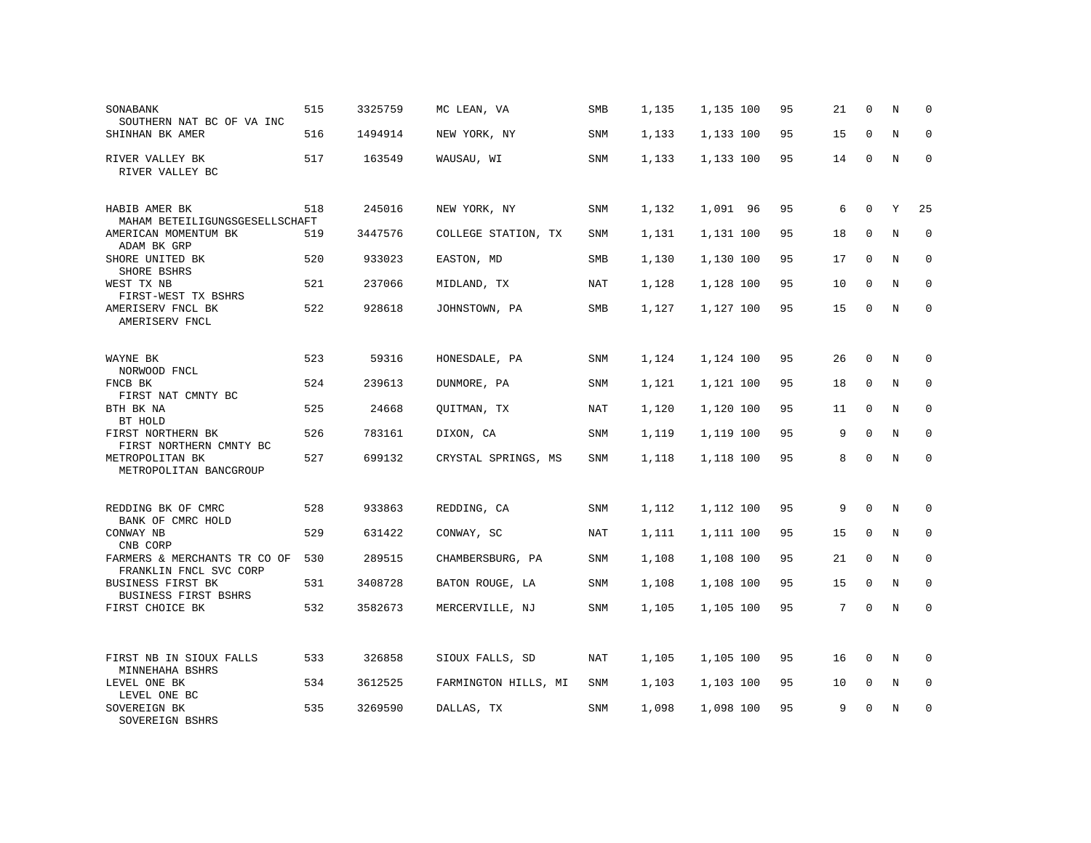| SONABANK<br>SOUTHERN NAT BC OF VA INC                   | 515 | 3325759 | MC LEAN, VA          | SMB        | 1,135 | 1,135 100 | 95 | 21 | $\mathbf 0$ | N | $\mathbf 0$ |
|---------------------------------------------------------|-----|---------|----------------------|------------|-------|-----------|----|----|-------------|---|-------------|
| SHINHAN BK AMER                                         | 516 | 1494914 | NEW YORK, NY         | <b>SNM</b> | 1,133 | 1,133 100 | 95 | 15 | $\Omega$    | N | $\Omega$    |
| RIVER VALLEY BK<br>RIVER VALLEY BC                      | 517 | 163549  | WAUSAU, WI           | SNM        | 1,133 | 1,133 100 | 95 | 14 | $\mathbf 0$ | N | $\Omega$    |
| HABIB AMER BK<br>MAHAM BETEILIGUNGSGESELLSCHAFT         | 518 | 245016  | NEW YORK, NY         | SNM        | 1,132 | 1,091 96  | 95 | 6  | $\mathbf 0$ | Y | 25          |
| AMERICAN MOMENTUM BK<br>ADAM BK GRP                     | 519 | 3447576 | COLLEGE STATION, TX  | SNM        | 1,131 | 1,131 100 | 95 | 18 | $\Omega$    | N | $\Omega$    |
| SHORE UNITED BK<br>SHORE BSHRS                          | 520 | 933023  | EASTON, MD           | SMB        | 1,130 | 1,130 100 | 95 | 17 | $\Omega$    | N | $\mathbf 0$ |
| WEST TX NB<br>FIRST-WEST TX BSHRS                       | 521 | 237066  | MIDLAND, TX          | <b>NAT</b> | 1,128 | 1,128 100 | 95 | 10 | $\Omega$    | N | $\Omega$    |
| AMERISERV FNCL BK<br>AMERISERV FNCL                     | 522 | 928618  | JOHNSTOWN, PA        | SMB        | 1,127 | 1,127 100 | 95 | 15 | $\mathbf 0$ | N | $\Omega$    |
| WAYNE BK<br>NORWOOD FNCL                                | 523 | 59316   | HONESDALE, PA        | <b>SNM</b> | 1,124 | 1,124 100 | 95 | 26 | $\mathbf 0$ | N | $\mathbf 0$ |
| FNCB BK<br>FIRST NAT CMNTY BC                           | 524 | 239613  | DUNMORE, PA          | SNM        | 1,121 | 1,121 100 | 95 | 18 | $\mathbf 0$ | N | $\mathbf 0$ |
| BTH BK NA<br>BT HOLD                                    | 525 | 24668   | QUITMAN, TX          | <b>NAT</b> | 1,120 | 1,120 100 | 95 | 11 | $\Omega$    | N | $\Omega$    |
| FIRST NORTHERN BK<br>FIRST NORTHERN CMNTY BC            | 526 | 783161  | DIXON, CA            | SNM        | 1,119 | 1,119 100 | 95 | 9  | $\Omega$    | N | $\mathbf 0$ |
| METROPOLITAN BK<br>METROPOLITAN BANCGROUP               | 527 | 699132  | CRYSTAL SPRINGS, MS  | SNM        | 1,118 | 1,118 100 | 95 | 8  | $\Omega$    | N | $\Omega$    |
| REDDING BK OF CMRC<br>BANK OF CMRC HOLD                 | 528 | 933863  | REDDING, CA          | <b>SNM</b> | 1,112 | 1,112 100 | 95 | 9  | $\Omega$    | N | $\Omega$    |
| CONWAY NB<br>CNB CORP                                   | 529 | 631422  | CONWAY, SC           | NAT        | 1,111 | 1,111 100 | 95 | 15 | $\mathbf 0$ | N | $\mathbf 0$ |
| FARMERS & MERCHANTS TR CO OF<br>FRANKLIN FNCL SVC CORP  | 530 | 289515  | CHAMBERSBURG, PA     | <b>SNM</b> | 1,108 | 1,108 100 | 95 | 21 | $\Omega$    | N | $\mathbf 0$ |
| <b>BUSINESS FIRST BK</b><br><b>BUSINESS FIRST BSHRS</b> | 531 | 3408728 | BATON ROUGE, LA      | <b>SNM</b> | 1,108 | 1,108 100 | 95 | 15 | $\mathbf 0$ | N | $\mathbf 0$ |
| FIRST CHOICE BK                                         | 532 | 3582673 | MERCERVILLE, NJ      | <b>SNM</b> | 1,105 | 1,105 100 | 95 | 7  | $\Omega$    | N | $\Omega$    |
| FIRST NB IN SIOUX FALLS<br>MINNEHAHA BSHRS              | 533 | 326858  | SIOUX FALLS, SD      | <b>NAT</b> | 1,105 | 1,105 100 | 95 | 16 | $\mathbf 0$ | N | $\mathbf 0$ |
| LEVEL ONE BK<br>LEVEL ONE BC                            | 534 | 3612525 | FARMINGTON HILLS, MI | SNM        | 1,103 | 1,103 100 | 95 | 10 | $\mathbf 0$ | N | 0           |
| SOVEREIGN BK<br>SOVEREIGN BSHRS                         | 535 | 3269590 | DALLAS, TX           | <b>SNM</b> | 1,098 | 1,098 100 | 95 | 9  | $\Omega$    | N | $\mathbf 0$ |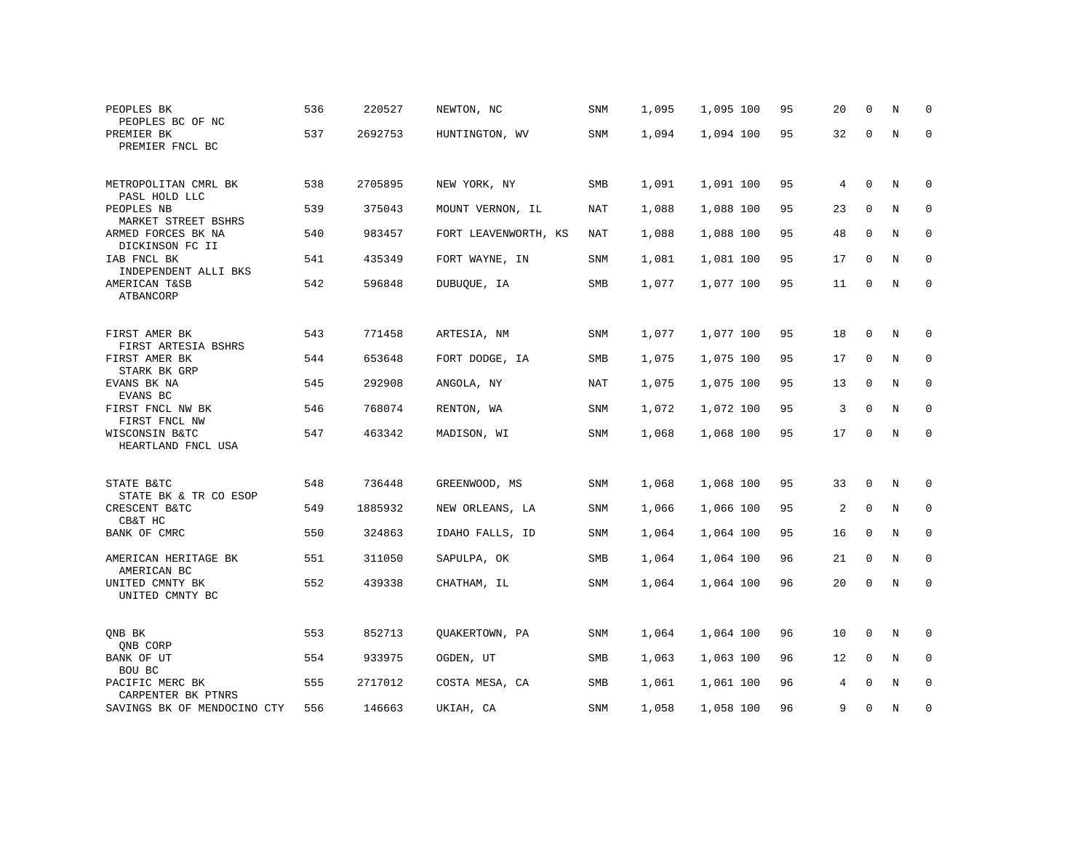| PEOPLES BK<br>PEOPLES BC OF NC                        | 536 | 220527  | NEWTON, NC           | <b>SNM</b> | 1,095 | 1,095 100 | 95 | 20 | $\mathbf 0$  | N       | $\mathbf 0$ |
|-------------------------------------------------------|-----|---------|----------------------|------------|-------|-----------|----|----|--------------|---------|-------------|
| PREMIER BK<br>PREMIER FNCL BC                         | 537 | 2692753 | HUNTINGTON, WV       | <b>SNM</b> | 1,094 | 1,094 100 | 95 | 32 | $\mathbf 0$  | N       | $\mathbf 0$ |
| METROPOLITAN CMRL BK                                  | 538 | 2705895 |                      |            | 1,091 | 1,091 100 | 95 | 4  | 0            | Ν       | 0           |
| PASL HOLD LLC                                         |     |         | NEW YORK, NY         | SMB        |       |           |    |    |              |         |             |
| PEOPLES NB<br>MARKET STREET BSHRS                     | 539 | 375043  | MOUNT VERNON, IL     | NAT        | 1,088 | 1,088 100 | 95 | 23 | $\mathbf 0$  | N       | 0           |
| ARMED FORCES BK NA<br>DICKINSON FC II                 | 540 | 983457  | FORT LEAVENWORTH, KS | NAT        | 1,088 | 1,088 100 | 95 | 48 | $\mathbf 0$  | N       | 0           |
| IAB FNCL BK<br>INDEPENDENT ALLI BKS                   | 541 | 435349  | FORT WAYNE, IN       | SNM        | 1,081 | 1,081 100 | 95 | 17 | 0            | N       | 0           |
| AMERICAN T&SB<br>ATBANCORP                            | 542 | 596848  | DUBUQUE, IA          | SMB        | 1,077 | 1,077 100 | 95 | 11 | $\Omega$     | $\rm N$ | $\mathbf 0$ |
|                                                       |     |         |                      |            |       |           |    |    |              |         |             |
| FIRST AMER BK                                         | 543 | 771458  | ARTESIA, NM          | SNM        | 1,077 | 1,077 100 | 95 | 18 | 0            | N       | $\mathbf 0$ |
| FIRST ARTESIA BSHRS<br>FIRST AMER BK                  | 544 | 653648  | FORT DODGE, IA       | SMB        | 1,075 | 1,075 100 | 95 | 17 | 0            | Ν       | 0           |
| STARK BK GRP<br>EVANS BK NA                           | 545 | 292908  | ANGOLA, NY           | NAT        | 1,075 | 1,075 100 | 95 | 13 | $\mathbf 0$  | N       | $\mathbf 0$ |
| EVANS BC<br>FIRST FNCL NW BK                          | 546 | 768074  | RENTON, WA           | <b>SNM</b> | 1,072 | 1,072 100 | 95 | 3  | $\mathbf 0$  | N       | $\mathbf 0$ |
| FIRST FNCL NW<br>WISCONSIN B&TC<br>HEARTLAND FNCL USA | 547 | 463342  | MADISON, WI          | SNM        | 1,068 | 1,068 100 | 95 | 17 | 0            | $\rm N$ | $\mathbf 0$ |
|                                                       |     |         |                      |            |       |           |    |    |              |         |             |
| STATE B&TC                                            | 548 | 736448  | GREENWOOD, MS        | <b>SNM</b> | 1,068 | 1,068 100 | 95 | 33 | $\mathbf 0$  | N       | 0           |
| STATE BK & TR CO ESOP<br>CRESCENT B&TC                | 549 | 1885932 | NEW ORLEANS, LA      | SNM        | 1,066 | 1,066 100 | 95 | 2  | $\mathbf 0$  | $\rm N$ | 0           |
| CB&T HC<br>BANK OF CMRC                               | 550 | 324863  | IDAHO FALLS, ID      | SNM        | 1,064 | 1,064 100 | 95 | 16 | 0            | Ν       | 0           |
| AMERICAN HERITAGE BK                                  | 551 | 311050  | SAPULPA, OK          | SMB        | 1,064 | 1,064 100 | 96 | 21 | $\mathbf 0$  | N       | $\mathbf 0$ |
| AMERICAN BC<br>UNITED CMNTY BK<br>UNITED CMNTY BC     | 552 | 439338  | CHATHAM, IL          | SNM        | 1,064 | 1,064 100 | 96 | 20 | 0            | N       | $\mathbf 0$ |
|                                                       |     |         |                      |            |       |           |    |    |              |         |             |
| ONB BK<br>QNB CORP                                    | 553 | 852713  | OUAKERTOWN, PA       | <b>SNM</b> | 1,064 | 1,064 100 | 96 | 10 | $\mathbf{0}$ | N       | $\mathbf 0$ |
| BANK OF UT<br>BOU BC                                  | 554 | 933975  | OGDEN, UT            | SMB        | 1,063 | 1,063 100 | 96 | 12 | $\mathbf 0$  | N       | 0           |
| PACIFIC MERC BK<br>CARPENTER BK PTNRS                 | 555 | 2717012 | COSTA MESA, CA       | SMB        | 1,061 | 1,061 100 | 96 | 4  | $\mathbf 0$  | N       | 0           |
| SAVINGS BK OF MENDOCINO CTY                           | 556 | 146663  | UKIAH, CA            | SNM        | 1,058 | 1,058 100 | 96 | 9  | $\mathbf 0$  | N       | 0           |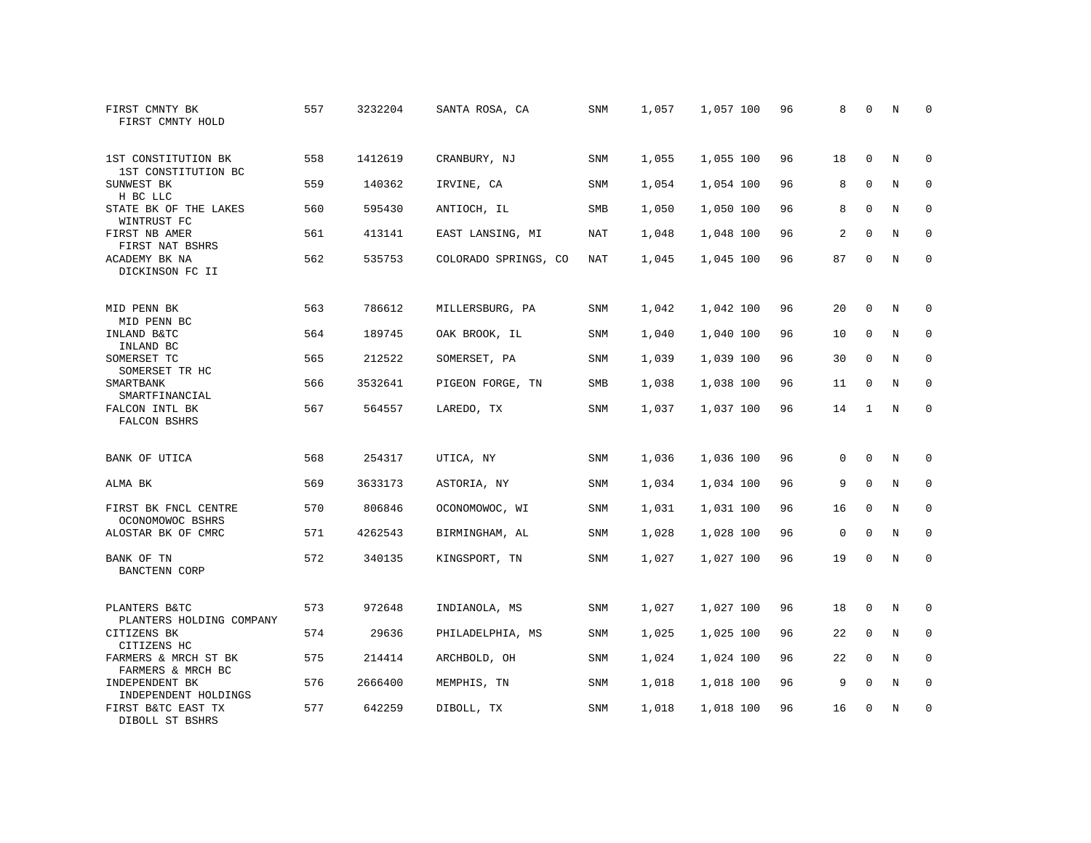| FIRST CMNTY BK<br>FIRST CMNTY HOLD         | 557 | 3232204 | SANTA ROSA, CA       | SNM        | 1,057 | 1,057 100 | 96 | 8           | $\mathbf 0$  | N | $\Omega$    |
|--------------------------------------------|-----|---------|----------------------|------------|-------|-----------|----|-------------|--------------|---|-------------|
| 1ST CONSTITUTION BK<br>1ST CONSTITUTION BC | 558 | 1412619 | CRANBURY, NJ         | <b>SNM</b> | 1,055 | 1,055 100 | 96 | 18          | $\Omega$     | N | $\Omega$    |
| SUNWEST BK<br>H BC LLC                     | 559 | 140362  | IRVINE, CA           | SNM        | 1,054 | 1,054 100 | 96 | 8           | $\mathbf 0$  | N | $\mathbf 0$ |
| STATE BK OF THE LAKES<br>WINTRUST FC       | 560 | 595430  | ANTIOCH, IL          | <b>SMB</b> | 1,050 | 1,050 100 | 96 | 8           | $\Omega$     | N | $\Omega$    |
| FIRST NB AMER<br>FIRST NAT BSHRS           | 561 | 413141  | EAST LANSING, MI     | NAT        | 1,048 | 1,048 100 | 96 | 2           | $\mathbf 0$  | N | $\mathbf 0$ |
| ACADEMY BK NA<br>DICKINSON FC II           | 562 | 535753  | COLORADO SPRINGS, CO | NAT        | 1,045 | 1,045 100 | 96 | 87          | $\mathbf{0}$ | N | $\mathbf 0$ |
| MID PENN BK<br>MID PENN BC                 | 563 | 786612  | MILLERSBURG, PA      | SNM        | 1,042 | 1,042 100 | 96 | 20          | $\mathbf 0$  | N | $\mathbf 0$ |
| INLAND B&TC<br>INLAND BC                   | 564 | 189745  | OAK BROOK, IL        | <b>SNM</b> | 1,040 | 1,040 100 | 96 | 10          | $\mathbf{0}$ | N | $\mathbf 0$ |
| SOMERSET TC<br>SOMERSET TR HC              | 565 | 212522  | SOMERSET, PA         | SNM        | 1,039 | 1,039 100 | 96 | 30          | 0            | N | $\mathbf 0$ |
| SMARTBANK<br>SMARTFINANCIAL                | 566 | 3532641 | PIGEON FORGE, TN     | SMB        | 1,038 | 1,038 100 | 96 | 11          | $\mathbf{0}$ | N | $\mathbf 0$ |
| FALCON INTL BK<br>FALCON BSHRS             | 567 | 564557  | LAREDO, TX           | <b>SNM</b> | 1,037 | 1,037 100 | 96 | 14          | 1            | N | $\Omega$    |
| BANK OF UTICA                              | 568 | 254317  | UTICA, NY            | <b>SNM</b> | 1,036 | 1,036 100 | 96 | 0           | $\mathbf{0}$ | N | $\mathbf 0$ |
| ALMA BK                                    | 569 | 3633173 | ASTORIA, NY          | SNM        | 1,034 | 1,034 100 | 96 | 9           | $\mathbf 0$  | N | 0           |
| FIRST BK FNCL CENTRE<br>OCONOMOWOC BSHRS   | 570 | 806846  | OCONOMOWOC, WI       | <b>SNM</b> | 1,031 | 1,031 100 | 96 | 16          | $\Omega$     | N | $\mathbf 0$ |
| ALOSTAR BK OF CMRC                         | 571 | 4262543 | BIRMINGHAM, AL       | <b>SNM</b> | 1,028 | 1,028 100 | 96 | $\mathbf 0$ | $\Omega$     | N | $\mathbf 0$ |
| BANK OF TN<br><b>BANCTENN CORP</b>         | 572 | 340135  | KINGSPORT, TN        | <b>SNM</b> | 1,027 | 1,027 100 | 96 | 19          | $\mathbf 0$  | N | $\mathbf 0$ |
| PLANTERS B&TC<br>PLANTERS HOLDING COMPANY  | 573 | 972648  | INDIANOLA, MS        | SNM        | 1,027 | 1,027 100 | 96 | 18          | $\mathbf 0$  | N | 0           |
| CITIZENS BK<br>CITIZENS HC                 | 574 | 29636   | PHILADELPHIA, MS     | SNM        | 1,025 | 1,025 100 | 96 | 22          | $\mathbf 0$  | N | $\mathbf 0$ |
| FARMERS & MRCH ST BK<br>FARMERS & MRCH BC  | 575 | 214414  | ARCHBOLD, OH         | <b>SNM</b> | 1,024 | 1,024 100 | 96 | 22          | $\Omega$     | N | $\mathbf 0$ |
| INDEPENDENT BK<br>INDEPENDENT HOLDINGS     | 576 | 2666400 | MEMPHIS, TN          | <b>SNM</b> | 1,018 | 1,018 100 | 96 | 9           | $\mathbf 0$  | N | 0           |
| FIRST B&TC EAST TX<br>DIBOLL ST BSHRS      | 577 | 642259  | DIBOLL, TX           | <b>SNM</b> | 1,018 | 1,018 100 | 96 | 16          | $\Omega$     | N | $\mathbf 0$ |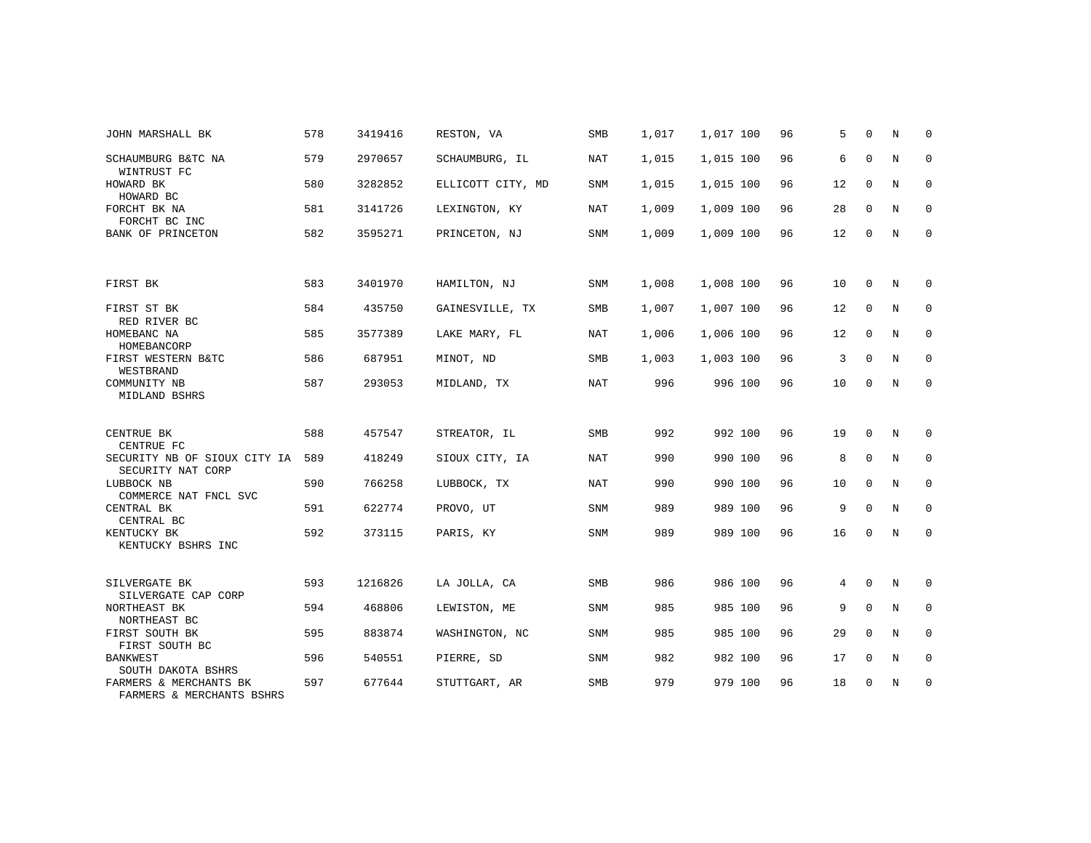| JOHN MARSHALL BK                                    | 578 | 3419416 | RESTON, VA        | SMB        | 1,017 | 1,017 100 | 96 | 5  | $\Omega$    | N              | $\Omega$    |
|-----------------------------------------------------|-----|---------|-------------------|------------|-------|-----------|----|----|-------------|----------------|-------------|
| SCHAUMBURG B&TC NA<br>WINTRUST FC                   | 579 | 2970657 | SCHAUMBURG, IL    | <b>NAT</b> | 1,015 | 1,015 100 | 96 | 6  | $\mathbf 0$ | N              | $\mathbf 0$ |
| HOWARD BK<br>HOWARD BC                              | 580 | 3282852 | ELLICOTT CITY, MD | <b>SNM</b> | 1,015 | 1,015 100 | 96 | 12 | $\Omega$    | $\overline{N}$ | $\Omega$    |
| FORCHT BK NA<br>FORCHT BC INC                       | 581 | 3141726 | LEXINGTON, KY     | NAT        | 1,009 | 1,009 100 | 96 | 28 | $\mathbf 0$ | N              | $\mathbf 0$ |
| <b>BANK OF PRINCETON</b>                            | 582 | 3595271 | PRINCETON, NJ     | <b>SNM</b> | 1,009 | 1,009 100 | 96 | 12 | $\mathbf 0$ | N              | $\mathbf 0$ |
|                                                     |     |         |                   |            |       |           |    |    |             |                |             |
| FIRST BK                                            | 583 | 3401970 | HAMILTON, NJ      | <b>SNM</b> | 1,008 | 1,008 100 | 96 | 10 | $\mathbf 0$ | N              | $\mathbf 0$ |
| FIRST ST BK<br>RED RIVER BC                         | 584 | 435750  | GAINESVILLE, TX   | SMB        | 1,007 | 1,007 100 | 96 | 12 | $\mathbf 0$ | N              | $\mathbf 0$ |
| HOMEBANC NA<br>HOMEBANCORP                          | 585 | 3577389 | LAKE MARY, FL     | NAT        | 1,006 | 1,006 100 | 96 | 12 | $\Omega$    | N              | $\mathbf 0$ |
| FIRST WESTERN B&TC<br>WESTBRAND                     | 586 | 687951  | MINOT, ND         | SMB        | 1,003 | 1,003 100 | 96 | 3  | $\mathbf 0$ | N              | 0           |
| COMMUNITY NB<br>MIDLAND BSHRS                       | 587 | 293053  | MIDLAND, TX       | <b>NAT</b> | 996   | 996 100   | 96 | 10 | $\mathbf 0$ | N              | $\mathbf 0$ |
|                                                     |     |         |                   |            |       |           |    |    |             |                |             |
| CENTRUE BK<br>CENTRUE FC                            | 588 | 457547  | STREATOR, IL      | SMB        | 992   | 992 100   | 96 | 19 | $\Omega$    | N              | $\Omega$    |
| SECURITY NB OF SIOUX CITY IA<br>SECURITY NAT CORP   | 589 | 418249  | SIOUX CITY, IA    | NAT        | 990   | 990 100   | 96 | 8  | $\mathbf 0$ | N              | $\mathbf 0$ |
| LUBBOCK NB<br>COMMERCE NAT FNCL SVC                 | 590 | 766258  | LUBBOCK, TX       | NAT        | 990   | 990 100   | 96 | 10 | $\mathbf 0$ | N              | $\mathbf 0$ |
| CENTRAL BK<br>CENTRAL BC                            | 591 | 622774  | PROVO, UT         | SNM        | 989   | 989 100   | 96 | 9  | $\Omega$    | N              | $\mathbf 0$ |
| KENTUCKY BK<br>KENTUCKY BSHRS INC                   | 592 | 373115  | PARIS, KY         | <b>SNM</b> | 989   | 989 100   | 96 | 16 | $\mathbf 0$ | N              | $\mathbf 0$ |
|                                                     |     |         |                   |            |       |           |    |    |             |                |             |
| SILVERGATE BK<br>SILVERGATE CAP CORP                | 593 | 1216826 | LA JOLLA, CA      | <b>SMB</b> | 986   | 986 100   | 96 | 4  | $\Omega$    | N              | $\mathbf 0$ |
| NORTHEAST BK<br>NORTHEAST BC                        | 594 | 468806  | LEWISTON, ME      | <b>SNM</b> | 985   | 985 100   | 96 | 9  | $\Omega$    | N              | $\mathbf 0$ |
| FIRST SOUTH BK<br>FIRST SOUTH BC                    | 595 | 883874  | WASHINGTON, NC    | <b>SNM</b> | 985   | 985 100   | 96 | 29 | $\Omega$    | N              | $\mathbf 0$ |
| <b>BANKWEST</b><br>SOUTH DAKOTA BSHRS               | 596 | 540551  | PIERRE, SD        | <b>SNM</b> | 982   | 982 100   | 96 | 17 | $\mathbf 0$ | N              | $\mathbf 0$ |
| FARMERS & MERCHANTS BK<br>FARMERS & MERCHANTS BSHRS | 597 | 677644  | STUTTGART, AR     | SMB        | 979   | 979 100   | 96 | 18 | $\mathbf 0$ | N              | $\mathbf 0$ |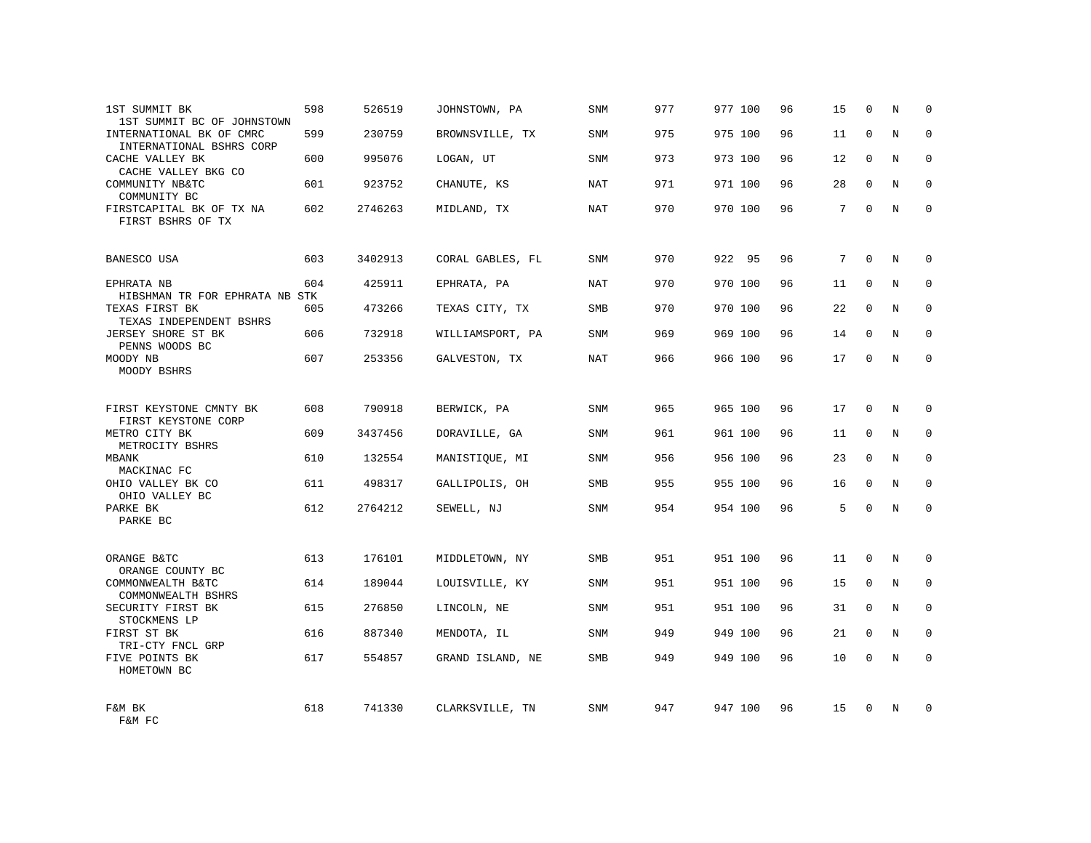| 1ST SUMMIT BK<br>1ST SUMMIT BC OF JOHNSTOWN          | 598 | 526519  | JOHNSTOWN, PA    | SNM        | 977 | 977 100 | 96 | 15 | $\mathbf 0$  | N | $\Omega$    |
|------------------------------------------------------|-----|---------|------------------|------------|-----|---------|----|----|--------------|---|-------------|
| INTERNATIONAL BK OF CMRC<br>INTERNATIONAL BSHRS CORP | 599 | 230759  | BROWNSVILLE, TX  | <b>SNM</b> | 975 | 975 100 | 96 | 11 | $\Omega$     | N | $\Omega$    |
| CACHE VALLEY BK<br>CACHE VALLEY BKG CO               | 600 | 995076  | LOGAN, UT        | <b>SNM</b> | 973 | 973 100 | 96 | 12 | $\mathbf 0$  | N | $\mathbf 0$ |
| COMMUNITY NB&TC<br>COMMUNITY BC                      | 601 | 923752  | CHANUTE, KS      | <b>NAT</b> | 971 | 971 100 | 96 | 28 | $\Omega$     | N | $\Omega$    |
| FIRSTCAPITAL BK OF TX NA<br>FIRST BSHRS OF TX        | 602 | 2746263 | MIDLAND, TX      | NAT        | 970 | 970 100 | 96 | 7  | $\Omega$     | N | $\Omega$    |
| BANESCO USA                                          | 603 | 3402913 | CORAL GABLES, FL | <b>SNM</b> | 970 | 922 95  | 96 | 7  | $\Omega$     | N | $\Omega$    |
| EPHRATA NB<br>HIBSHMAN TR FOR EPHRATA NB STK         | 604 | 425911  | EPHRATA, PA      | NAT        | 970 | 970 100 | 96 | 11 | $\Omega$     | N | $\mathbf 0$ |
| TEXAS FIRST BK<br>TEXAS INDEPENDENT BSHRS            | 605 | 473266  | TEXAS CITY, TX   | <b>SMB</b> | 970 | 970 100 | 96 | 22 | $\Omega$     | N | $\Omega$    |
| JERSEY SHORE ST BK<br>PENNS WOODS BC                 | 606 | 732918  | WILLIAMSPORT, PA | SNM        | 969 | 969 100 | 96 | 14 | $\Omega$     | N | $\mathbf 0$ |
| MOODY NB<br>MOODY BSHRS                              | 607 | 253356  | GALVESTON, TX    | <b>NAT</b> | 966 | 966 100 | 96 | 17 | $\Omega$     | N | $\Omega$    |
| FIRST KEYSTONE CMNTY BK<br>FIRST KEYSTONE CORP       | 608 | 790918  | BERWICK, PA      | <b>SNM</b> | 965 | 965 100 | 96 | 17 | $\Omega$     | N | $\Omega$    |
| METRO CITY BK<br>METROCITY BSHRS                     | 609 | 3437456 | DORAVILLE, GA    | SNM        | 961 | 961 100 | 96 | 11 | $\Omega$     | N | $\Omega$    |
| MBANK<br>MACKINAC FC                                 | 610 | 132554  | MANISTIQUE, MI   | <b>SNM</b> | 956 | 956 100 | 96 | 23 | $\Omega$     | N | $\mathbf 0$ |
| OHIO VALLEY BK CO<br>OHIO VALLEY BC                  | 611 | 498317  | GALLIPOLIS, OH   | <b>SMB</b> | 955 | 955 100 | 96 | 16 | $\Omega$     | N | $\mathbf 0$ |
| PARKE BK<br>PARKE BC                                 | 612 | 2764212 | SEWELL, NJ       | <b>SNM</b> | 954 | 954 100 | 96 | 5  | $\Omega$     | N | $\mathbf 0$ |
| ORANGE B&TC<br>ORANGE COUNTY BC                      | 613 | 176101  | MIDDLETOWN, NY   | SMB        | 951 | 951 100 | 96 | 11 | $\mathbf{0}$ | N | $\mathbf 0$ |
| COMMONWEALTH B&TC<br>COMMONWEALTH BSHRS              | 614 | 189044  | LOUISVILLE, KY   | <b>SNM</b> | 951 | 951 100 | 96 | 15 | $\mathbf{0}$ | N | $\mathbf 0$ |
| SECURITY FIRST BK<br>STOCKMENS LP                    | 615 | 276850  | LINCOLN, NE      | SNM        | 951 | 951 100 | 96 | 31 | $\Omega$     | N | $\Omega$    |
| FIRST ST BK<br>TRI-CTY FNCL GRP                      | 616 | 887340  | MENDOTA, IL      | <b>SNM</b> | 949 | 949 100 | 96 | 21 | $\Omega$     | N | $\mathbf 0$ |
| FIVE POINTS BK<br>HOMETOWN BC                        | 617 | 554857  | GRAND ISLAND, NE | <b>SMB</b> | 949 | 949 100 | 96 | 10 | $\Omega$     | N | $\Omega$    |
| F&M BK<br>F&M FC                                     | 618 | 741330  | CLARKSVILLE, TN  | <b>SNM</b> | 947 | 947 100 | 96 | 15 | $\Omega$     | N | $\Omega$    |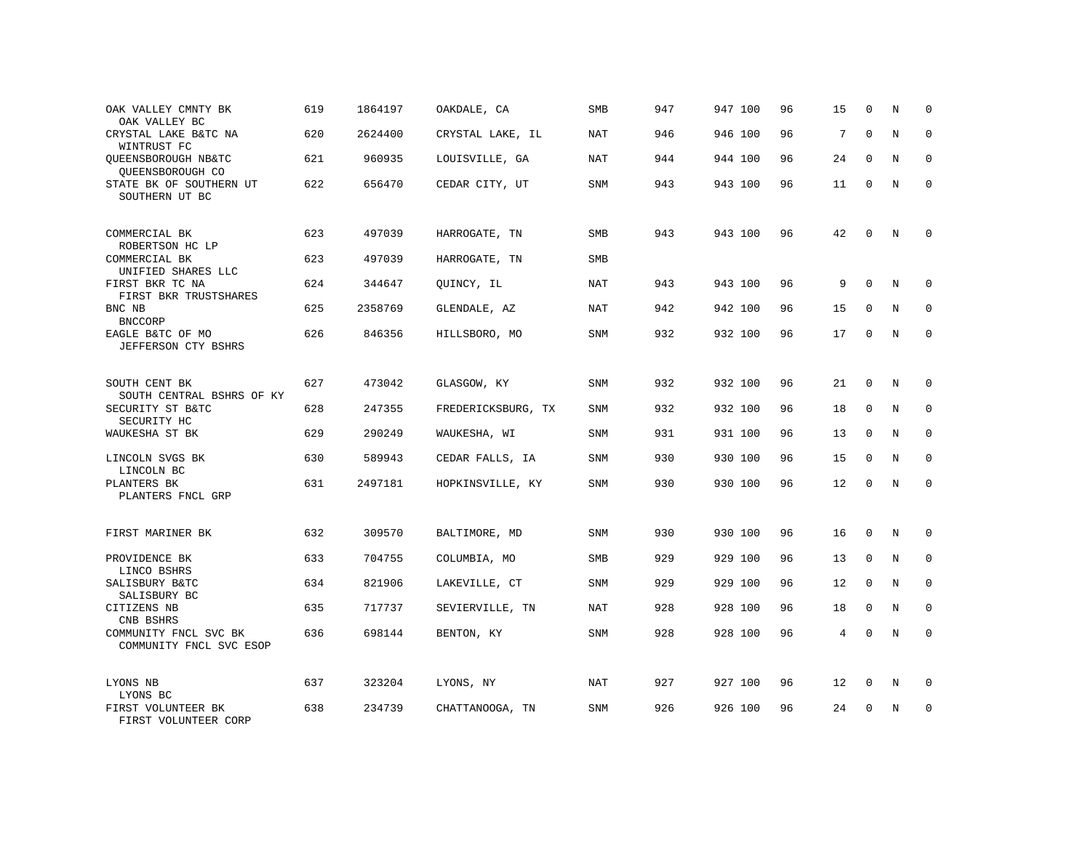| OAK VALLEY CMNTY BK<br>OAK VALLEY BC             | 619 | 1864197 | OAKDALE, CA        | SMB        | 947 | 947 100 | 96 | 15 | 0           | N | $\mathbf 0$ |
|--------------------------------------------------|-----|---------|--------------------|------------|-----|---------|----|----|-------------|---|-------------|
| CRYSTAL LAKE B&TC NA<br>WINTRUST FC              | 620 | 2624400 | CRYSTAL LAKE, IL   | <b>NAT</b> | 946 | 946 100 | 96 | 7  | $\Omega$    | N | $\mathbf 0$ |
| QUEENSBOROUGH NB&TC<br>QUEENSBOROUGH CO          | 621 | 960935  | LOUISVILLE, GA     | NAT        | 944 | 944 100 | 96 | 24 | $\Omega$    | N | $\mathbf 0$ |
| STATE BK OF SOUTHERN UT<br>SOUTHERN UT BC        | 622 | 656470  | CEDAR CITY, UT     | SNM        | 943 | 943 100 | 96 | 11 | $\Omega$    | N | $\Omega$    |
| COMMERCIAL BK<br>ROBERTSON HC LP                 | 623 | 497039  | HARROGATE, TN      | SMB        | 943 | 943 100 | 96 | 42 | $\Omega$    | N | $\Omega$    |
| COMMERCIAL BK<br>UNIFIED SHARES LLC              | 623 | 497039  | HARROGATE, TN      | SMB        |     |         |    |    |             |   |             |
| FIRST BKR TC NA<br>FIRST BKR TRUSTSHARES         | 624 | 344647  | QUINCY, IL         | NAT        | 943 | 943 100 | 96 | 9  | $\Omega$    | N | $\Omega$    |
| BNC NB<br><b>BNCCORP</b>                         | 625 | 2358769 | GLENDALE, AZ       | <b>NAT</b> | 942 | 942 100 | 96 | 15 | $\mathbf 0$ | N | $\mathbf 0$ |
| EAGLE B&TC OF MO<br>JEFFERSON CTY BSHRS          | 626 | 846356  | HILLSBORO, MO      | SNM        | 932 | 932 100 | 96 | 17 | $\mathbf 0$ | N | $\Omega$    |
| SOUTH CENT BK<br>SOUTH CENTRAL BSHRS OF KY       | 627 | 473042  | GLASGOW, KY        | SNM        | 932 | 932 100 | 96 | 21 | $\mathbf 0$ | N | $\mathbf 0$ |
| SECURITY ST B&TC                                 | 628 | 247355  | FREDERICKSBURG, TX | SNM        | 932 | 932 100 | 96 | 18 | $\Omega$    | N | $\Omega$    |
| SECURITY HC<br>WAUKESHA ST BK                    | 629 | 290249  | WAUKESHA, WI       | SNM        | 931 | 931 100 | 96 | 13 | $\mathbf 0$ | N | $\mathbf 0$ |
| LINCOLN SVGS BK<br>LINCOLN BC                    | 630 | 589943  | CEDAR FALLS, IA    | <b>SNM</b> | 930 | 930 100 | 96 | 15 | $\Omega$    | N | $\Omega$    |
| PLANTERS BK<br>PLANTERS FNCL GRP                 | 631 | 2497181 | HOPKINSVILLE, KY   | SNM        | 930 | 930 100 | 96 | 12 | $\mathbf 0$ | N | $\mathbf 0$ |
| FIRST MARINER BK                                 | 632 | 309570  | BALTIMORE, MD      | SNM        | 930 | 930 100 | 96 | 16 | $\mathbf 0$ | N | $\mathbf 0$ |
| PROVIDENCE BK                                    | 633 | 704755  | COLUMBIA, MO       | <b>SMB</b> | 929 | 929 100 | 96 | 13 | $\Omega$    | N | $\mathbf 0$ |
| LINCO BSHRS<br>SALISBURY B&TC<br>SALISBURY BC    | 634 | 821906  | LAKEVILLE, CT      | SNM        | 929 | 929 100 | 96 | 12 | $\mathbf 0$ | N | $\mathbf 0$ |
| CITIZENS NB<br>CNB BSHRS                         | 635 | 717737  | SEVIERVILLE, TN    | NAT        | 928 | 928 100 | 96 | 18 | $\Omega$    | N | $\mathbf 0$ |
| COMMUNITY FNCL SVC BK<br>COMMUNITY FNCL SVC ESOP | 636 | 698144  | BENTON, KY         | SNM        | 928 | 928 100 | 96 | 4  | $\mathbf 0$ | N | $\mathbf 0$ |
| LYONS NB<br>LYONS BC                             | 637 | 323204  | LYONS, NY          | NAT        | 927 | 927 100 | 96 | 12 | 0           | N | 0           |
| FIRST VOLUNTEER BK<br>FIRST VOLUNTEER CORP       | 638 | 234739  | CHATTANOOGA, TN    | <b>SNM</b> | 926 | 926 100 | 96 | 24 | $\Omega$    | N | $\mathbf 0$ |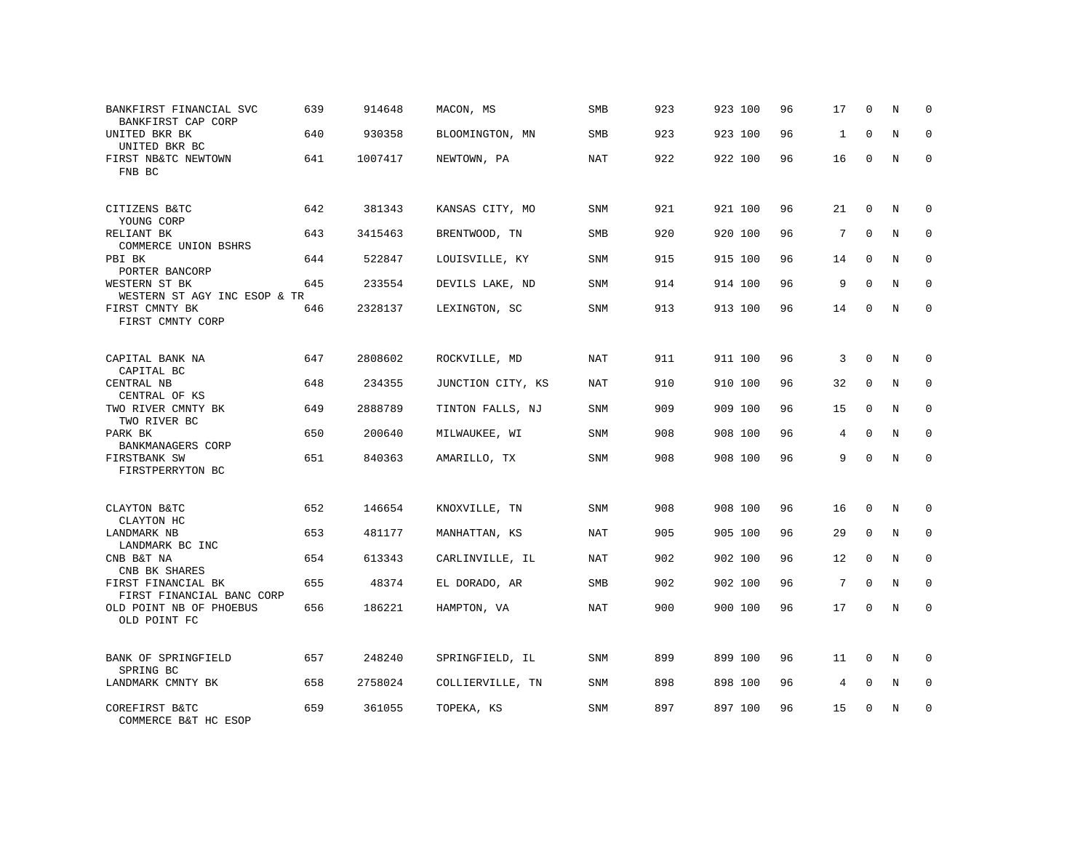| BANKFIRST FINANCIAL SVC<br>BANKFIRST CAP CORP   | 639 | 914648  | MACON, MS         | <b>SMB</b> | 923 | 923 100 | 96 | 17              | 0           | N          | $\mathbf 0$  |
|-------------------------------------------------|-----|---------|-------------------|------------|-----|---------|----|-----------------|-------------|------------|--------------|
| UNITED BKR BK<br>UNITED BKR BC                  | 640 | 930358  | BLOOMINGTON, MN   | SMB        | 923 | 923 100 | 96 | 1               | $\Omega$    | N          | $\Omega$     |
| FIRST NB&TC NEWTOWN<br>FNB BC                   | 641 | 1007417 | NEWTOWN, PA       | NAT        | 922 | 922 100 | 96 | 16              | $\Omega$    | N          | $\Omega$     |
| CITIZENS B&TC<br>YOUNG CORP                     | 642 | 381343  | KANSAS CITY, MO   | SNM        | 921 | 921 100 | 96 | 21              | 0           | N          | 0            |
| RELIANT BK<br>COMMERCE UNION BSHRS              | 643 | 3415463 | BRENTWOOD, TN     | <b>SMB</b> | 920 | 920 100 | 96 | 7               | $\Omega$    | N          | $\mathbf 0$  |
| PBI BK<br>PORTER BANCORP                        | 644 | 522847  | LOUISVILLE, KY    | SNM        | 915 | 915 100 | 96 | 14              | $\Omega$    | N          | $\mathbf 0$  |
| WESTERN ST BK<br>WESTERN ST AGY INC ESOP & TR   | 645 | 233554  | DEVILS LAKE, ND   | SNM        | 914 | 914 100 | 96 | 9               | $\Omega$    | N          | $\Omega$     |
| FIRST CMNTY BK<br>FIRST CMNTY CORP              | 646 | 2328137 | LEXINGTON, SC     | SNM        | 913 | 913 100 | 96 | 14              | $\mathbf 0$ | N          | $\Omega$     |
| CAPITAL BANK NA                                 | 647 | 2808602 | ROCKVILLE, MD     | <b>NAT</b> | 911 | 911 100 | 96 | 3               | $\mathbf 0$ | N          | $\mathbf 0$  |
| CAPITAL BC<br>CENTRAL NB<br>CENTRAL OF KS       | 648 | 234355  | JUNCTION CITY, KS | NAT        | 910 | 910 100 | 96 | 32              | $\mathbf 0$ | N          | $\mathbf 0$  |
| TWO RIVER CMNTY BK<br>TWO RIVER BC              | 649 | 2888789 | TINTON FALLS, NJ  | SNM        | 909 | 909 100 | 96 | 15              | $\Omega$    | N          | $\Omega$     |
| PARK BK<br>BANKMANAGERS CORP                    | 650 | 200640  | MILWAUKEE, WI     | SNM        | 908 | 908 100 | 96 | 4               | $\Omega$    | N          | $\mathbf 0$  |
| FIRSTBANK SW<br>FIRSTPERRYTON BC                | 651 | 840363  | AMARILLO, TX      | SNM        | 908 | 908 100 | 96 | 9               | $\Omega$    | $_{\rm N}$ | $\Omega$     |
| CLAYTON B&TC<br>CLAYTON HC                      | 652 | 146654  | KNOXVILLE, TN     | SNM        | 908 | 908 100 | 96 | 16              | $\Omega$    | N          | $\Omega$     |
| LANDMARK NB<br>LANDMARK BC INC                  | 653 | 481177  | MANHATTAN, KS     | NAT        | 905 | 905 100 | 96 | 29              | $\mathbf 0$ | N          | $\mathbf 0$  |
| CNB B&T NA<br>CNB BK SHARES                     | 654 | 613343  | CARLINVILLE, IL   | <b>NAT</b> | 902 | 902 100 | 96 | 12              | $\Omega$    | N          | $\mathbf{0}$ |
| FIRST FINANCIAL BK<br>FIRST FINANCIAL BANC CORP | 655 | 48374   | EL DORADO, AR     | <b>SMB</b> | 902 | 902 100 | 96 | $7\phantom{.0}$ | $\mathbf 0$ | N          | $\mathbf 0$  |
| OLD POINT NB OF PHOEBUS<br>OLD POINT FC         | 656 | 186221  | HAMPTON, VA       | <b>NAT</b> | 900 | 900 100 | 96 | 17              | $\Omega$    | $_{\rm N}$ | $\Omega$     |
| BANK OF SPRINGFIELD<br>SPRING BC                | 657 | 248240  | SPRINGFIELD, IL   | SNM        | 899 | 899 100 | 96 | 11              | $\mathbf 0$ | N          | $\mathbf 0$  |
| LANDMARK CMNTY BK                               | 658 | 2758024 | COLLIERVILLE, TN  | SNM        | 898 | 898 100 | 96 | 4               | 0           | N          | 0            |
| COREFIRST B&TC<br>COMMERCE B&T HC ESOP          | 659 | 361055  | TOPEKA, KS        | SNM        | 897 | 897 100 | 96 | 15              | $\Omega$    | N          | $\mathbf 0$  |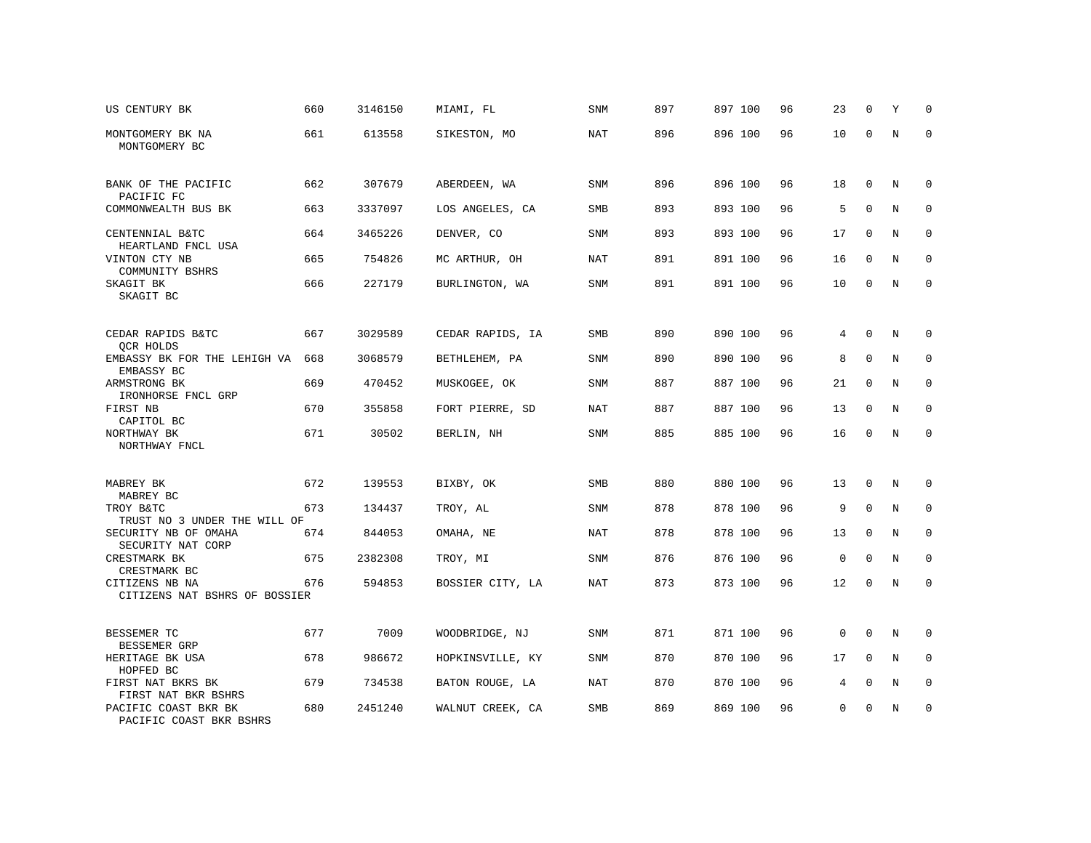| US CENTURY BK                                   | 660 | 3146150 | MIAMI, FL        | SNM        | 897 | 897 100 | 96 | 23          | 0            | Υ | $\Omega$     |
|-------------------------------------------------|-----|---------|------------------|------------|-----|---------|----|-------------|--------------|---|--------------|
| MONTGOMERY BK NA<br>MONTGOMERY BC               | 661 | 613558  | SIKESTON, MO     | <b>NAT</b> | 896 | 896 100 | 96 | 10          | $\mathbf 0$  | N | $\mathbf 0$  |
| BANK OF THE PACIFIC                             | 662 | 307679  | ABERDEEN, WA     | <b>SNM</b> | 896 | 896 100 | 96 | 18          | $\mathbf 0$  | N | $\mathbf 0$  |
| PACIFIC FC<br>COMMONWEALTH BUS BK               | 663 | 3337097 | LOS ANGELES, CA  | SMB        | 893 | 893 100 | 96 | 5           | $\mathbf{0}$ | N | $\mathbf 0$  |
| CENTENNIAL B&TC                                 | 664 | 3465226 | DENVER, CO       | <b>SNM</b> | 893 | 893 100 | 96 | 17          | $\mathbf 0$  | N | $\mathbf 0$  |
| HEARTLAND FNCL USA<br>VINTON CTY NB             | 665 | 754826  | MC ARTHUR, OH    | <b>NAT</b> | 891 | 891 100 | 96 | 16          | $\mathbf 0$  | N | 0            |
| COMMUNITY BSHRS<br>SKAGIT BK                    | 666 | 227179  | BURLINGTON, WA   | SNM        | 891 | 891 100 | 96 | 10          | $\mathbf 0$  | N | 0            |
| SKAGIT BC                                       |     |         |                  |            |     |         |    |             |              |   |              |
| CEDAR RAPIDS B&TC                               | 667 | 3029589 | CEDAR RAPIDS, IA | <b>SMB</b> | 890 | 890 100 | 96 | 4           | $\mathbf 0$  | N | $\mathbf 0$  |
| QCR HOLDS<br>EMBASSY BK FOR THE LEHIGH VA       | 668 | 3068579 | BETHLEHEM, PA    | SNM        | 890 | 890 100 | 96 | 8           | $\mathbf 0$  | N | 0            |
| EMBASSY BC<br>ARMSTRONG BK                      | 669 | 470452  | MUSKOGEE, OK     | <b>SNM</b> | 887 | 887 100 | 96 | 21          | $\mathbf 0$  | N | $\mathbf 0$  |
| IRONHORSE FNCL GRP                              |     |         |                  |            |     |         |    |             |              |   |              |
| FIRST NB<br>CAPITOL BC                          | 670 | 355858  | FORT PIERRE, SD  | NAT        | 887 | 887 100 | 96 | 13          | $\Omega$     | N | $\mathbf{0}$ |
| NORTHWAY BK<br>NORTHWAY FNCL                    | 671 | 30502   | BERLIN, NH       | <b>SNM</b> | 885 | 885 100 | 96 | 16          | 0            | N | $\mathbf 0$  |
|                                                 |     |         |                  |            |     |         |    |             |              |   |              |
| MABREY BK<br>MABREY BC                          | 672 | 139553  | BIXBY, OK        | SMB        | 880 | 880 100 | 96 | 13          | $\mathbf 0$  | N | 0            |
| TROY B&TC<br>TRUST NO 3 UNDER THE WILL OF       | 673 | 134437  | TROY, AL         | <b>SNM</b> | 878 | 878 100 | 96 | 9           | $\mathbf 0$  | N | $\mathbf 0$  |
| SECURITY NB OF OMAHA<br>SECURITY NAT CORP       | 674 | 844053  | OMAHA, NE        | <b>NAT</b> | 878 | 878 100 | 96 | 13          | $\mathbf 0$  | N | $\mathbf 0$  |
| CRESTMARK BK<br>CRESTMARK BC                    | 675 | 2382308 | TROY, MI         | <b>SNM</b> | 876 | 876 100 | 96 | $\mathsf 0$ | $\mathbf 0$  | N | $\mathbf 0$  |
| CITIZENS NB NA<br>CITIZENS NAT BSHRS OF BOSSIER | 676 | 594853  | BOSSIER CITY, LA | <b>NAT</b> | 873 | 873 100 | 96 | 12          | $\mathbf 0$  | N | $\mathbf 0$  |
|                                                 |     |         |                  |            |     |         |    |             |              |   |              |
| BESSEMER TC<br><b>BESSEMER GRP</b>              | 677 | 7009    | WOODBRIDGE, NJ   | SNM        | 871 | 871 100 | 96 | 0           | $\mathbf 0$  | N | 0            |
| HERITAGE BK USA<br>HOPFED BC                    | 678 | 986672  | HOPKINSVILLE, KY | <b>SNM</b> | 870 | 870 100 | 96 | 17          | $\mathbf 0$  | N | $\mathbf 0$  |
| FIRST NAT BKRS BK<br>FIRST NAT BKR BSHRS        | 679 | 734538  | BATON ROUGE, LA  | <b>NAT</b> | 870 | 870 100 | 96 | 4           | $\mathbf 0$  | N | $\mathbf 0$  |
| PACIFIC COAST BKR BK<br>PACIFIC COAST BKR BSHRS | 680 | 2451240 | WALNUT CREEK, CA | SMB        | 869 | 869 100 | 96 | 0           | $\mathbf 0$  | N | $\mathbf 0$  |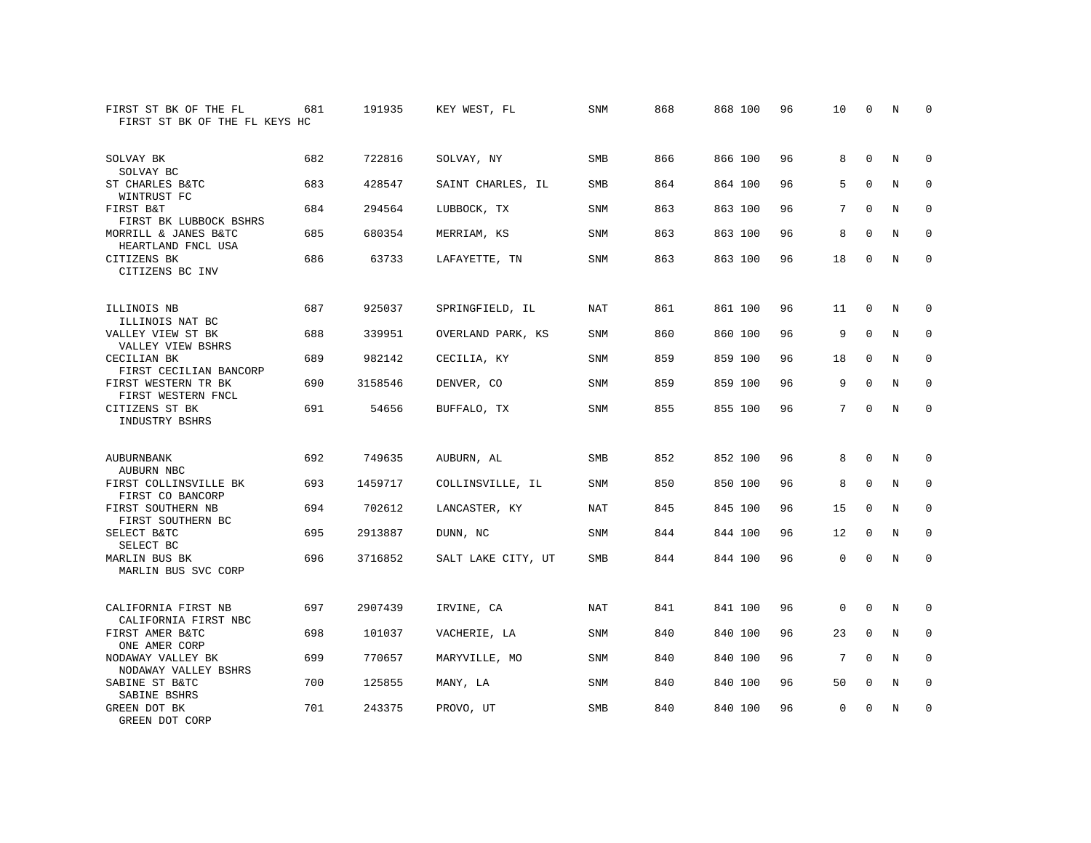| FIRST ST BK OF THE FL<br>FIRST ST BK OF THE FL KEYS HC | 681 | 191935  | KEY WEST, FL       | SNM        | 868 | 868 100 | 96 | 10       | 0            | N          | 0           |
|--------------------------------------------------------|-----|---------|--------------------|------------|-----|---------|----|----------|--------------|------------|-------------|
| SOLVAY BK<br>SOLVAY BC                                 | 682 | 722816  | SOLVAY, NY         | <b>SMB</b> | 866 | 866 100 | 96 | 8        | $\Omega$     | N          | $\mathbf 0$ |
| ST CHARLES B&TC<br>WINTRUST FC                         | 683 | 428547  | SAINT CHARLES, IL  | SMB        | 864 | 864 100 | 96 | 5        | $\mathbf 0$  | Ν          | 0           |
| FIRST B&T<br>FIRST BK LUBBOCK BSHRS                    | 684 | 294564  | LUBBOCK, TX        | <b>SNM</b> | 863 | 863 100 | 96 | 7        | $\Omega$     | N          | $\mathbf 0$ |
| MORRILL & JANES B&TC<br>HEARTLAND FNCL USA             | 685 | 680354  | MERRIAM, KS        | <b>SNM</b> | 863 | 863 100 | 96 | 8        | $\Omega$     | N          | $\mathbf 0$ |
| CITIZENS BK<br>CITIZENS BC INV                         | 686 | 63733   | LAFAYETTE, TN      | <b>SNM</b> | 863 | 863 100 | 96 | 18       | $\mathbf{0}$ | N          | $\mathbf 0$ |
| ILLINOIS NB<br>ILLINOIS NAT BC                         | 687 | 925037  | SPRINGFIELD, IL    | <b>NAT</b> | 861 | 861 100 | 96 | 11       | 0            | N          | $\mathbf 0$ |
| VALLEY VIEW ST BK<br>VALLEY VIEW BSHRS                 | 688 | 339951  | OVERLAND PARK, KS  | <b>SNM</b> | 860 | 860 100 | 96 | 9        | $\mathbf{0}$ | $\rm N$    | $\mathbf 0$ |
| CECILIAN BK<br>FIRST CECILIAN BANCORP                  | 689 | 982142  | CECILIA, KY        | <b>SNM</b> | 859 | 859 100 | 96 | 18       | $\mathbf 0$  | N          | $\mathbf 0$ |
| FIRST WESTERN TR BK<br>FIRST WESTERN FNCL              | 690 | 3158546 | DENVER, CO         | <b>SNM</b> | 859 | 859 100 | 96 | 9        | $\mathbf{0}$ | N          | $\mathbf 0$ |
| CITIZENS ST BK<br>INDUSTRY BSHRS                       | 691 | 54656   | BUFFALO, TX        | <b>SNM</b> | 855 | 855 100 | 96 | 7        | $\Omega$     | $_{\rm N}$ | $\Omega$    |
| AUBURNBANK<br>AUBURN NBC                               | 692 | 749635  | AUBURN, AL         | <b>SMB</b> | 852 | 852 100 | 96 | 8        | 0            | N          | $\mathbf 0$ |
| FIRST COLLINSVILLE BK<br>FIRST CO BANCORP              | 693 | 1459717 | COLLINSVILLE, IL   | <b>SNM</b> | 850 | 850 100 | 96 | 8        | $\Omega$     | N          | $\mathbf 0$ |
| FIRST SOUTHERN NB<br>FIRST SOUTHERN BC                 | 694 | 702612  | LANCASTER, KY      | <b>NAT</b> | 845 | 845 100 | 96 | 15       | 0            | N          | 0           |
| SELECT B&TC<br>SELECT BC                               | 695 | 2913887 | DUNN, NC           | <b>SNM</b> | 844 | 844 100 | 96 | 12       | $\mathbf 0$  | N          | 0           |
| MARLIN BUS BK<br>MARLIN BUS SVC CORP                   | 696 | 3716852 | SALT LAKE CITY, UT | <b>SMB</b> | 844 | 844 100 | 96 | 0        | $\Omega$     | N          | $\mathbf 0$ |
| CALIFORNIA FIRST NB<br>CALIFORNIA FIRST NBC            | 697 | 2907439 | IRVINE, CA         | <b>NAT</b> | 841 | 841 100 | 96 | 0        | 0            | N          | $\mathbf 0$ |
| FIRST AMER B&TC<br>ONE AMER CORP                       | 698 | 101037  | VACHERIE, LA       | <b>SNM</b> | 840 | 840 100 | 96 | 23       | $\mathbf{0}$ | N          | $\mathbf 0$ |
| NODAWAY VALLEY BK<br>NODAWAY VALLEY BSHRS              | 699 | 770657  | MARYVILLE, MO      | <b>SNM</b> | 840 | 840 100 | 96 | 7        | 0            | N          | 0           |
| SABINE ST B&TC<br>SABINE BSHRS                         | 700 | 125855  | MANY, LA           | <b>SNM</b> | 840 | 840 100 | 96 | 50       | $\mathbf 0$  | N          | 0           |
| GREEN DOT BK<br>GREEN DOT CORP                         | 701 | 243375  | PROVO, UT          | <b>SMB</b> | 840 | 840 100 | 96 | $\Omega$ | $\Omega$     | N          | $\mathbf 0$ |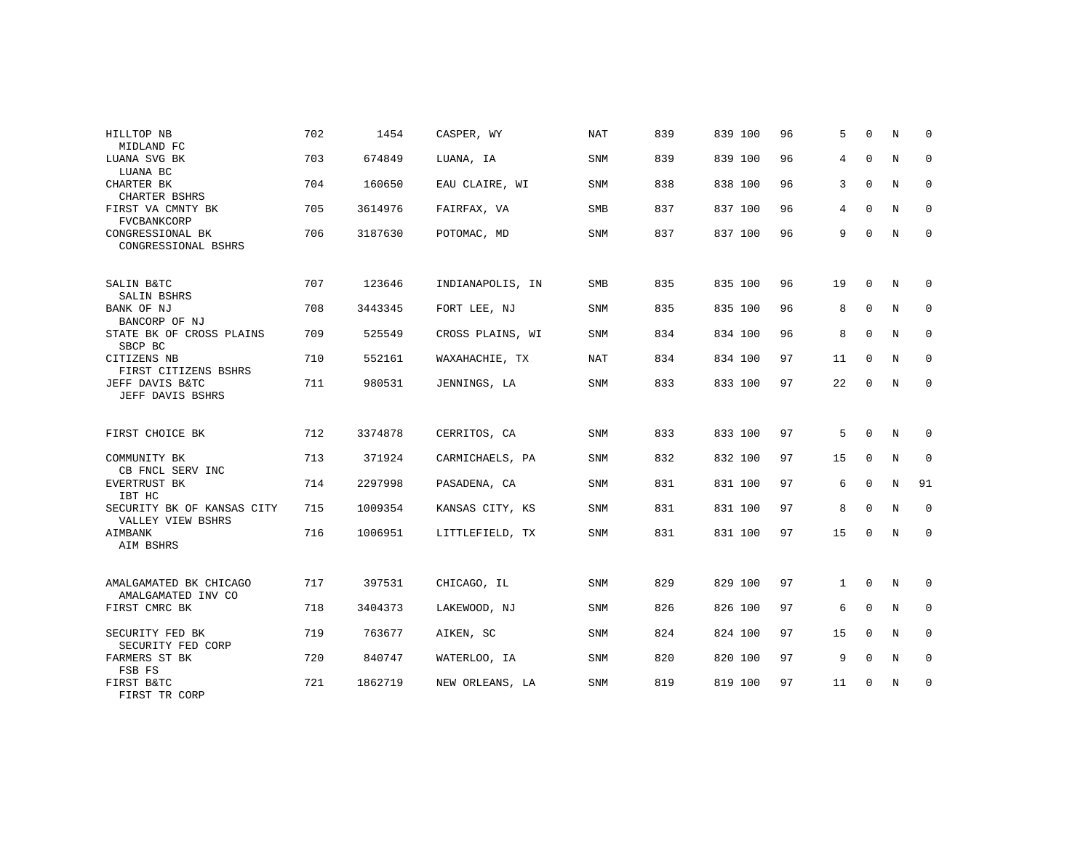| HILLTOP NB<br>MIDLAND FC                        | 702 | 1454    | CASPER, WY       | <b>NAT</b> | 839 | 839 100 | 96 | 5            | $\Omega$     | N              | $\Omega$    |
|-------------------------------------------------|-----|---------|------------------|------------|-----|---------|----|--------------|--------------|----------------|-------------|
| LUANA SVG BK<br>LUANA BC                        | 703 | 674849  | LUANA, IA        | <b>SNM</b> | 839 | 839 100 | 96 | 4            | $\mathbf{0}$ | N              | $\mathbf 0$ |
| CHARTER BK<br>CHARTER BSHRS                     | 704 | 160650  | EAU CLAIRE, WI   | SNM        | 838 | 838 100 | 96 | 3            | $\Omega$     | $\overline{N}$ | $\mathbf 0$ |
| FIRST VA CMNTY BK<br><b>FVCBANKCORP</b>         | 705 | 3614976 | FAIRFAX, VA      | <b>SMB</b> | 837 | 837 100 | 96 | 4            | $\Omega$     | N              | $\mathbf 0$ |
| CONGRESSIONAL BK<br>CONGRESSIONAL BSHRS         | 706 | 3187630 | POTOMAC, MD      | <b>SNM</b> | 837 | 837 100 | 96 | 9            | $\mathbf 0$  | N              | $\mathbf 0$ |
| SALIN B&TC<br>SALIN BSHRS                       | 707 | 123646  | INDIANAPOLIS, IN | <b>SMB</b> | 835 | 835 100 | 96 | 19           | $\mathbf 0$  | N              | $\mathbf 0$ |
| BANK OF NJ<br>BANCORP OF NJ                     | 708 | 3443345 | FORT LEE, NJ     | SNM        | 835 | 835 100 | 96 | 8            | $\mathbf 0$  | N              | 0           |
| STATE BK OF CROSS PLAINS<br>SBCP BC             | 709 | 525549  | CROSS PLAINS, WI | <b>SNM</b> | 834 | 834 100 | 96 | 8            | $\Omega$     | N              | $\mathbf 0$ |
| CITIZENS NB<br>FIRST CITIZENS BSHRS             | 710 | 552161  | WAXAHACHIE, TX   | NAT        | 834 | 834 100 | 97 | 11           | $\mathbf 0$  | N              | $\mathbf 0$ |
| JEFF DAVIS B&TC<br>JEFF DAVIS BSHRS             | 711 | 980531  | JENNINGS, LA     | <b>SNM</b> | 833 | 833 100 | 97 | 22           | $\mathbf 0$  | N              | $\mathbf 0$ |
| FIRST CHOICE BK                                 | 712 | 3374878 | CERRITOS, CA     | SNM        | 833 | 833 100 | 97 | 5            | $\Omega$     | N              | $\Omega$    |
| COMMUNITY BK<br>CB FNCL SERV INC                | 713 | 371924  | CARMICHAELS, PA  | SNM        | 832 | 832 100 | 97 | 15           | $\mathbf{0}$ | N              | $\mathbf 0$ |
| <b>EVERTRUST BK</b><br>IBT HC                   | 714 | 2297998 | PASADENA, CA     | <b>SNM</b> | 831 | 831 100 | 97 | 6            | 0            | N              | 91          |
| SECURITY BK OF KANSAS CITY<br>VALLEY VIEW BSHRS | 715 | 1009354 | KANSAS CITY, KS  | SNM        | 831 | 831 100 | 97 | 8            | $\Omega$     | N              | $\mathbf 0$ |
| AIMBANK<br>AIM BSHRS                            | 716 | 1006951 | LITTLEFIELD, TX  | <b>SNM</b> | 831 | 831 100 | 97 | 15           | $\mathbf 0$  | N              | $\mathbf 0$ |
| AMALGAMATED BK CHICAGO                          | 717 | 397531  | CHICAGO, IL      | <b>SNM</b> | 829 | 829 100 | 97 | $\mathbf{1}$ | $\mathbf 0$  | N              | $\mathbf 0$ |
| AMALGAMATED INV CO<br>FIRST CMRC BK             | 718 | 3404373 | LAKEWOOD, NJ     | <b>SNM</b> | 826 | 826 100 | 97 | 6            | $\Omega$     | N              | $\mathbf 0$ |
| SECURITY FED BK<br>SECURITY FED CORP            | 719 | 763677  | AIKEN, SC        | <b>SNM</b> | 824 | 824 100 | 97 | 15           | $\Omega$     | N              | $\mathbf 0$ |
| FARMERS ST BK<br>FSB FS                         | 720 | 840747  | WATERLOO, IA     | <b>SNM</b> | 820 | 820 100 | 97 | 9            | $\mathbf{0}$ | N              | $\mathbf 0$ |
| FIRST B&TC<br>FIRST TR CORP                     | 721 | 1862719 | NEW ORLEANS, LA  | <b>SNM</b> | 819 | 819 100 | 97 | 11           | $\mathbf 0$  | N              | $\mathbf 0$ |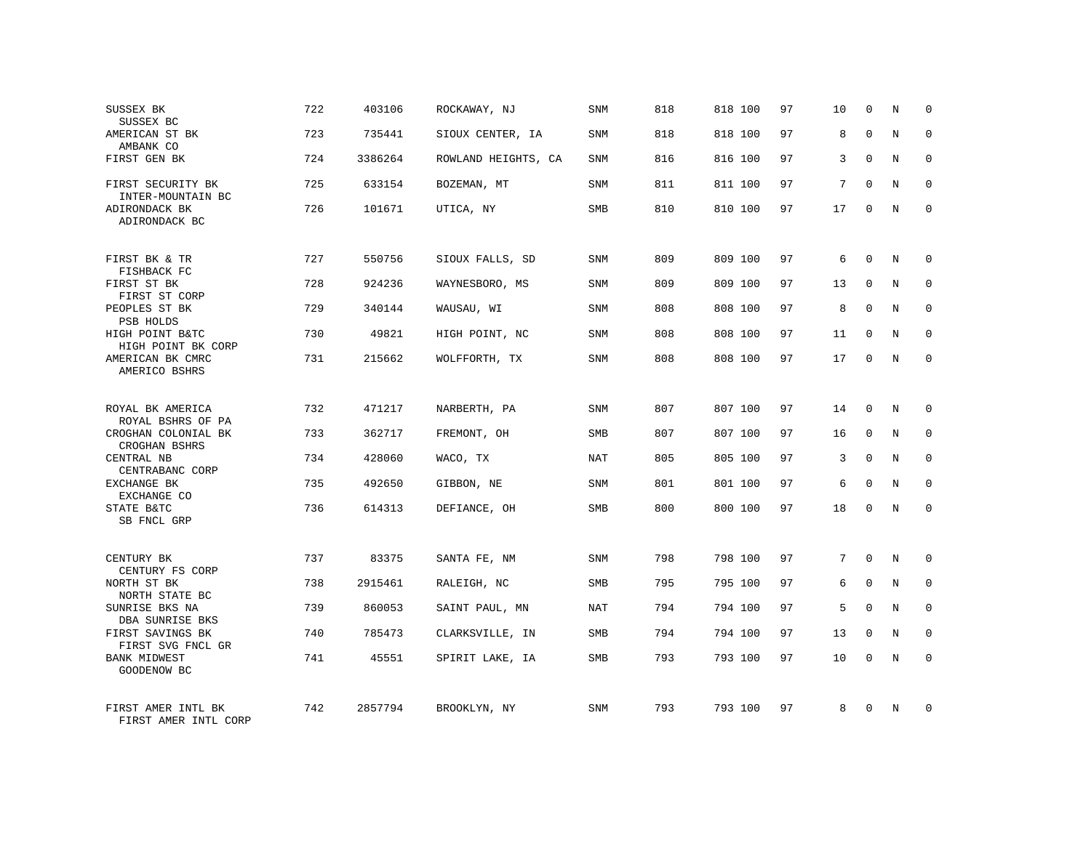| SUSSEX BK<br>SUSSEX BC                      | 722 | 403106  | ROCKAWAY, NJ        | SNM        | 818 | 818 100 | 97 | 10 | $\mathbf 0$  | Ν           | 0           |
|---------------------------------------------|-----|---------|---------------------|------------|-----|---------|----|----|--------------|-------------|-------------|
| AMERICAN ST BK<br>AMBANK CO                 | 723 | 735441  | SIOUX CENTER, IA    | SNM        | 818 | 818 100 | 97 | 8  | $\Omega$     | N           | $\mathbf 0$ |
| FIRST GEN BK                                | 724 | 3386264 | ROWLAND HEIGHTS, CA | SNM        | 816 | 816 100 | 97 | 3  | $\Omega$     | N           | $\mathbf 0$ |
| FIRST SECURITY BK<br>INTER-MOUNTAIN BC      | 725 | 633154  | BOZEMAN, MT         | SNM        | 811 | 811 100 | 97 | 7  | $\Omega$     | N           | $\mathbf 0$ |
| ADIRONDACK BK<br>ADIRONDACK BC              | 726 | 101671  | UTICA, NY           | SMB        | 810 | 810 100 | 97 | 17 | $\Omega$     | N           | $\Omega$    |
| FIRST BK & TR                               | 727 | 550756  | SIOUX FALLS, SD     | SNM        | 809 | 809 100 | 97 | 6  | $\mathbf{0}$ | N           | $\Omega$    |
| FISHBACK FC<br>FIRST ST BK<br>FIRST ST CORP | 728 | 924236  | WAYNESBORO, MS      | SNM        | 809 | 809 100 | 97 | 13 | $\mathbf 0$  | N           | $\mathbf 0$ |
| PEOPLES ST BK<br>PSB HOLDS                  | 729 | 340144  | WAUSAU, WI          | SNM        | 808 | 808 100 | 97 | 8  | $\mathbf{0}$ | N           | $\mathbf 0$ |
| HIGH POINT B&TC<br>HIGH POINT BK CORP       | 730 | 49821   | HIGH POINT, NC      | SNM        | 808 | 808 100 | 97 | 11 | $\mathbf 0$  | N           | $\Omega$    |
| AMERICAN BK CMRC<br>AMERICO BSHRS           | 731 | 215662  | WOLFFORTH, TX       | SNM        | 808 | 808 100 | 97 | 17 | $\mathbf 0$  | N           | $\mathbf 0$ |
| ROYAL BK AMERICA<br>ROYAL BSHRS OF PA       | 732 | 471217  | NARBERTH, PA        | SNM        | 807 | 807 100 | 97 | 14 | $\Omega$     | N           | $\Omega$    |
| CROGHAN COLONIAL BK<br>CROGHAN BSHRS        | 733 | 362717  | FREMONT, OH         | <b>SMB</b> | 807 | 807 100 | 97 | 16 | $\mathbf 0$  | N           | $\mathbf 0$ |
| CENTRAL NB<br>CENTRABANC CORP               | 734 | 428060  | WACO, TX            | NAT        | 805 | 805 100 | 97 | 3  | $\Omega$     | N           | $\Omega$    |
| EXCHANGE BK<br>EXCHANGE CO                  | 735 | 492650  | GIBBON, NE          | <b>SNM</b> | 801 | 801 100 | 97 | 6  | $\mathbf 0$  | N           | $\mathbf 0$ |
| STATE B&TC<br>SB FNCL GRP                   | 736 | 614313  | DEFIANCE, OH        | <b>SMB</b> | 800 | 800 100 | 97 | 18 | $\Omega$     | N           | $\Omega$    |
| CENTURY BK<br>CENTURY FS CORP               | 737 | 83375   | SANTA FE, NM        | SNM        | 798 | 798 100 | 97 | 7  | $\Omega$     | $\mathbf N$ | $\mathbf 0$ |
| NORTH ST BK<br>NORTH STATE BC               | 738 | 2915461 | RALEIGH, NC         | SMB        | 795 | 795 100 | 97 | 6  | $\mathbf 0$  | N           | $\mathbf 0$ |
| SUNRISE BKS NA<br>DBA SUNRISE BKS           | 739 | 860053  | SAINT PAUL, MN      | NAT        | 794 | 794 100 | 97 | 5  | $\Omega$     | N           | $\mathbf 0$ |
| FIRST SAVINGS BK<br>FIRST SVG FNCL GR       | 740 | 785473  | CLARKSVILLE, IN     | <b>SMB</b> | 794 | 794 100 | 97 | 13 | $\mathbf 0$  | N           | $\mathbf 0$ |
| <b>BANK MIDWEST</b><br>GOODENOW BC          | 741 | 45551   | SPIRIT LAKE, IA     | <b>SMB</b> | 793 | 793 100 | 97 | 10 | $\Omega$     | N           | $\mathbf 0$ |
| FIRST AMER INTL BK<br>FIRST AMER INTL CORP  | 742 | 2857794 | BROOKLYN, NY        | <b>SNM</b> | 793 | 793 100 | 97 | 8  | $\Omega$     | N           | $\mathbf 0$ |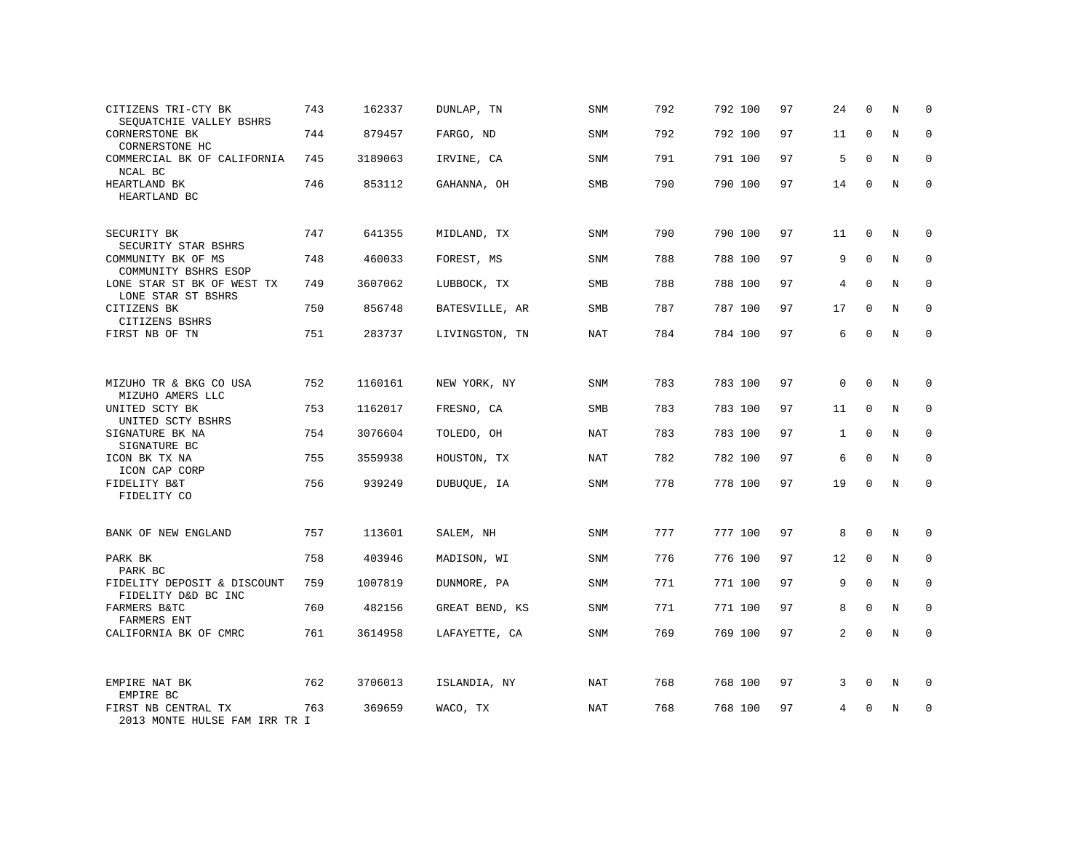| CITIZENS TRI-CTY BK<br>SEQUATCHIE VALLEY BSHRS                           | 743 | 162337  | DUNLAP, TN     | SNM        | 792 | 792 100 | 97 | 24 | $\mathbf 0$ | Ν | 0           |
|--------------------------------------------------------------------------|-----|---------|----------------|------------|-----|---------|----|----|-------------|---|-------------|
| CORNERSTONE BK<br>CORNERSTONE HC                                         | 744 | 879457  | FARGO, ND      | SNM        | 792 | 792 100 | 97 | 11 | $\mathbf 0$ | N | $\mathbf 0$ |
| COMMERCIAL BK OF CALIFORNIA<br>NCAL BC                                   | 745 | 3189063 | IRVINE, CA     | SNM        | 791 | 791 100 | 97 | 5  | $\Omega$    | N | $\Omega$    |
| HEARTLAND BK<br>HEARTLAND BC                                             | 746 | 853112  | GAHANNA, OH    | SMB        | 790 | 790 100 | 97 | 14 | $\mathbf 0$ | N | $\mathbf 0$ |
| SECURITY BK                                                              | 747 | 641355  | MIDLAND, TX    | SNM        | 790 | 790 100 | 97 | 11 | $\Omega$    | N | $\Omega$    |
| SECURITY STAR BSHRS<br>COMMUNITY BK OF MS                                | 748 | 460033  | FOREST, MS     | SNM        | 788 | 788 100 | 97 | 9  | $\Omega$    | N | $\mathbf 0$ |
| COMMUNITY BSHRS ESOP<br>LONE STAR ST BK OF WEST TX<br>LONE STAR ST BSHRS | 749 | 3607062 | LUBBOCK, TX    | SMB        | 788 | 788 100 | 97 | 4  | $\Omega$    | N | $\mathbf 0$ |
| CITIZENS BK<br>CITIZENS BSHRS                                            | 750 | 856748  | BATESVILLE, AR | SMB        | 787 | 787 100 | 97 | 17 | $\mathbf 0$ | N | $\mathbf 0$ |
| FIRST NB OF TN                                                           | 751 | 283737  | LIVINGSTON, TN | NAT        | 784 | 784 100 | 97 | 6  | $\Omega$    | N | $\mathbf 0$ |
|                                                                          |     |         |                |            |     |         |    |    |             |   |             |
| MIZUHO TR & BKG CO USA<br>MIZUHO AMERS LLC                               | 752 | 1160161 | NEW YORK, NY   | SNM        | 783 | 783 100 | 97 | 0  | $\mathbf 0$ | N | 0           |
| UNITED SCTY BK<br>UNITED SCTY BSHRS                                      | 753 | 1162017 | FRESNO, CA     | SMB        | 783 | 783 100 | 97 | 11 | 0           | N | $\mathbf 0$ |
| SIGNATURE BK NA<br>SIGNATURE BC                                          | 754 | 3076604 | TOLEDO, OH     | <b>NAT</b> | 783 | 783 100 | 97 | 1  | $\Omega$    | N | $\mathbf 0$ |
| ICON BK TX NA<br>ICON CAP CORP                                           | 755 | 3559938 | HOUSTON, TX    | NAT        | 782 | 782 100 | 97 | 6  | $\Omega$    | N | $\mathbf 0$ |
| FIDELITY B&T<br>FIDELITY CO                                              | 756 | 939249  | DUBUQUE, IA    | SNM        | 778 | 778 100 | 97 | 19 | $\Omega$    | N | $\Omega$    |
|                                                                          |     |         |                |            |     |         |    |    |             |   |             |
| BANK OF NEW ENGLAND                                                      | 757 | 113601  | SALEM, NH      | SNM        | 777 | 777 100 | 97 | 8  | $\mathbf 0$ | N | $\mathbf 0$ |
| PARK BK<br>PARK BC                                                       | 758 | 403946  | MADISON, WI    | SNM        | 776 | 776 100 | 97 | 12 | $\mathbf 0$ | N | $\Omega$    |
| FIDELITY DEPOSIT & DISCOUNT<br>FIDELITY D&D BC INC                       | 759 | 1007819 | DUNMORE, PA    | SNM        | 771 | 771 100 | 97 | 9  | $\mathbf 0$ | N | $\mathbf 0$ |
| FARMERS B&TC<br>FARMERS ENT                                              | 760 | 482156  | GREAT BEND, KS | SNM        | 771 | 771 100 | 97 | 8  | $\Omega$    | N | $\Omega$    |
| CALIFORNIA BK OF CMRC                                                    | 761 | 3614958 | LAFAYETTE, CA  | <b>SNM</b> | 769 | 769 100 | 97 | 2  | $\Omega$    | N | $\Omega$    |
|                                                                          | 762 | 3706013 |                |            | 768 | 768 100 | 97 |    | $\mathbf 0$ | N | $\mathbf 0$ |
| EMPIRE NAT BK<br>EMPIRE BC                                               |     |         | ISLANDIA, NY   | NAT        |     |         |    | 3  |             |   |             |
| FIRST NB CENTRAL TX<br>2013 MONTE HULSE FAM TRR TR I                     | 763 | 369659  | WACO, TX       | <b>NAT</b> | 768 | 768 100 | 97 | 4  | $\Omega$    | N | $\mathbf 0$ |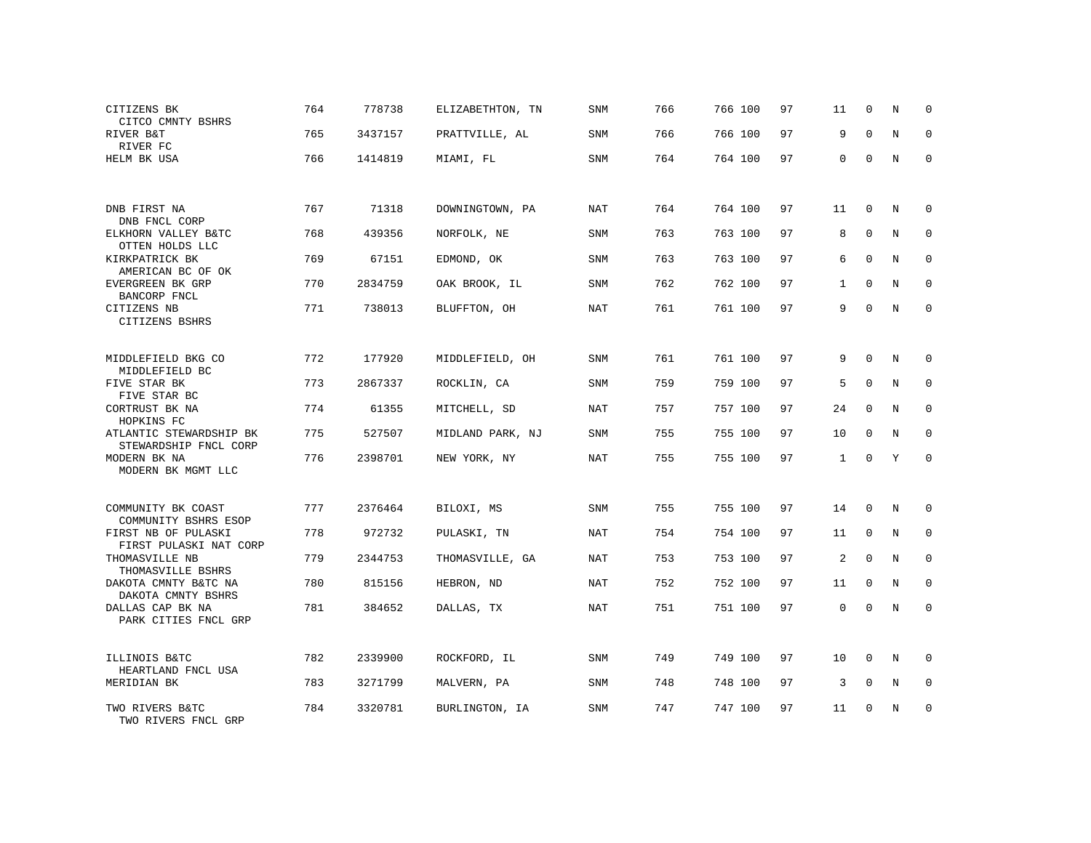| CITIZENS BK                                      | 764 | 778738  | ELIZABETHTON, TN | SNM        | 766 | 766 100 | 97 | 11           | 0            | N              | $\mathbf 0$ |
|--------------------------------------------------|-----|---------|------------------|------------|-----|---------|----|--------------|--------------|----------------|-------------|
| CITCO CMNTY BSHRS<br>RIVER B&T<br>RIVER FC       | 765 | 3437157 | PRATTVILLE, AL   | <b>SNM</b> | 766 | 766 100 | 97 | 9            | $\Omega$     | $\overline{N}$ | $\mathbf 0$ |
| HELM BK USA                                      | 766 | 1414819 | MIAMI, FL        | SNM        | 764 | 764 100 | 97 | 0            | $\mathbf{0}$ | N              | $\mathbf 0$ |
|                                                  |     |         |                  |            |     |         |    |              |              |                |             |
| DNB FIRST NA<br>DNB FNCL CORP                    | 767 | 71318   | DOWNINGTOWN, PA  | NAT        | 764 | 764 100 | 97 | 11           | 0            | N              | $\mathbf 0$ |
| ELKHORN VALLEY B&TC<br>OTTEN HOLDS LLC           | 768 | 439356  | NORFOLK, NE      | <b>SNM</b> | 763 | 763 100 | 97 | 8            | $\mathbf{0}$ | N              | $\mathbf 0$ |
| KIRKPATRICK BK<br>AMERICAN BC OF OK              | 769 | 67151   | EDMOND, OK       | SNM        | 763 | 763 100 | 97 | 6            | $\Omega$     | N              | $\mathbf 0$ |
| EVERGREEN BK GRP<br>BANCORP FNCL                 | 770 | 2834759 | OAK BROOK, IL    | <b>SNM</b> | 762 | 762 100 | 97 | 1            | $\mathbf 0$  | N              | 0           |
| CITIZENS NB<br>CITIZENS BSHRS                    | 771 | 738013  | BLUFFTON, OH     | NAT        | 761 | 761 100 | 97 | 9            | $\Omega$     | N              | $\Omega$    |
|                                                  |     |         |                  |            |     |         |    |              |              |                |             |
| MIDDLEFIELD BKG CO<br>MIDDLEFIELD BC             | 772 | 177920  | MIDDLEFIELD, OH  | SNM        | 761 | 761 100 | 97 | 9            | $\Omega$     | N              | $\Omega$    |
| FIVE STAR BK<br>FIVE STAR BC                     | 773 | 2867337 | ROCKLIN, CA      | SNM        | 759 | 759 100 | 97 | 5            | $\mathbf 0$  | N              | $\mathbf 0$ |
| CORTRUST BK NA<br>HOPKINS FC                     | 774 | 61355   | MITCHELL, SD     | <b>NAT</b> | 757 | 757 100 | 97 | 24           | $\Omega$     | N              | $\mathbf 0$ |
| ATLANTIC STEWARDSHIP BK<br>STEWARDSHIP FNCL CORP | 775 | 527507  | MIDLAND PARK, NJ | SNM        | 755 | 755 100 | 97 | 10           | $\Omega$     | N              | $\Omega$    |
| MODERN BK NA<br>MODERN BK MGMT LLC               | 776 | 2398701 | NEW YORK, NY     | <b>NAT</b> | 755 | 755 100 | 97 | $\mathbf{1}$ | $\Omega$     | Y              | $\Omega$    |
|                                                  |     |         |                  |            |     |         |    |              |              |                |             |
| COMMUNITY BK COAST<br>COMMUNITY BSHRS ESOP       | 777 | 2376464 | BILOXI, MS       | SNM        | 755 | 755 100 | 97 | 14           | $\mathbf 0$  | N              | 0           |
| FIRST NB OF PULASKI<br>FIRST PULASKI NAT CORP    | 778 | 972732  | PULASKI, TN      | NAT        | 754 | 754 100 | 97 | 11           | $\mathbf 0$  | N              | $\mathbf 0$ |
| THOMASVILLE NB<br>THOMASVILLE BSHRS              | 779 | 2344753 | THOMASVILLE, GA  | NAT        | 753 | 753 100 | 97 | 2            | $\mathbf 0$  | N              | $\mathbf 0$ |
| DAKOTA CMNTY B&TC NA<br>DAKOTA CMNTY BSHRS       | 780 | 815156  | HEBRON, ND       | NAT        | 752 | 752 100 | 97 | 11           | $\Omega$     | N              | $\mathbf 0$ |
| DALLAS CAP BK NA<br>PARK CITIES FNCL GRP         | 781 | 384652  | DALLAS, TX       | NAT        | 751 | 751 100 | 97 | $\mathbf 0$  | $\mathbf 0$  | N              | $\mathbf 0$ |
|                                                  |     |         |                  |            |     |         |    |              |              |                |             |
| ILLINOIS B&TC<br>HEARTLAND FNCL USA              | 782 | 2339900 | ROCKFORD, IL     | SNM        | 749 | 749 100 | 97 | 10           | $\mathbf 0$  | N              | $\mathbf 0$ |
| MERIDIAN BK                                      | 783 | 3271799 | MALVERN, PA      | SNM        | 748 | 748 100 | 97 | 3            | $\mathbf 0$  | N              | $\mathbf 0$ |
| TWO RIVERS B&TC<br>TWO RIVERS FNCL GRP           | 784 | 3320781 | BURLINGTON, IA   | <b>SNM</b> | 747 | 747 100 | 97 | 11           | $\Omega$     | N              | $\mathbf 0$ |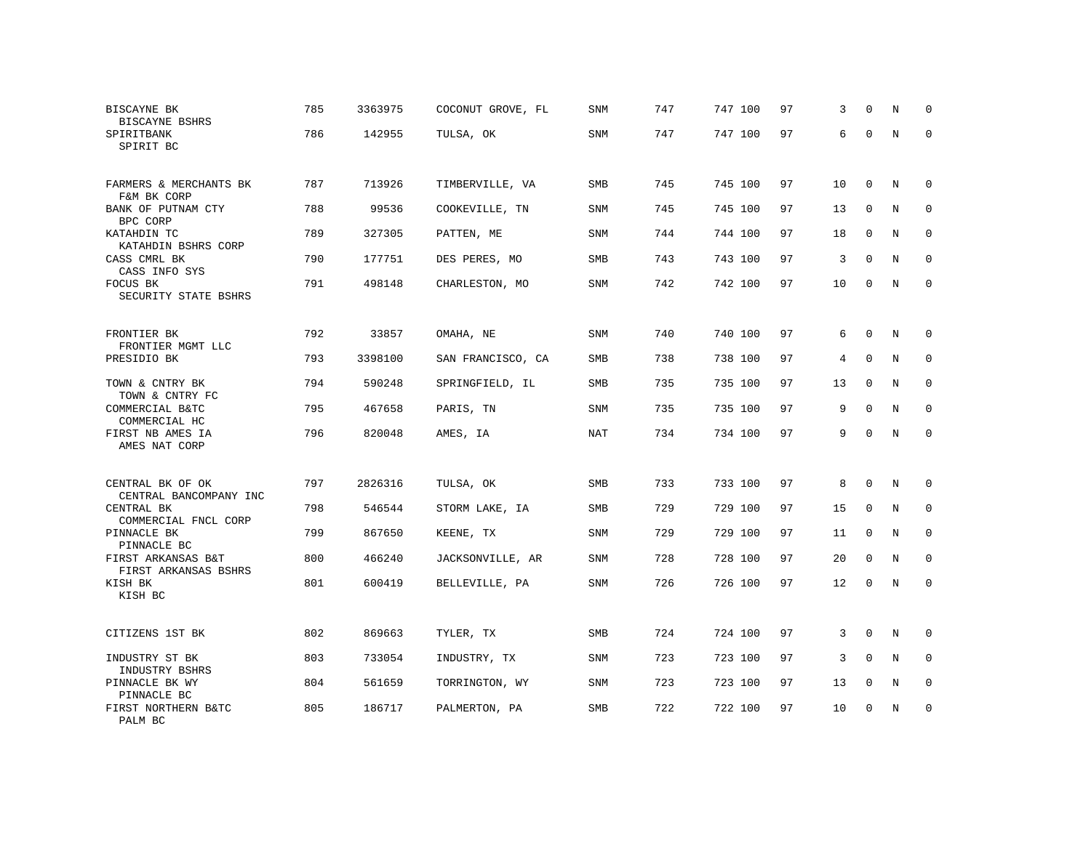| BISCAYNE BK<br>BISCAYNE BSHRS                      | 785 | 3363975 | COCONUT GROVE, FL | SNM        | 747        | 747 100 | 97 | 3  | $\Omega$    | N | 0                |
|----------------------------------------------------|-----|---------|-------------------|------------|------------|---------|----|----|-------------|---|------------------|
| SPIRITBANK<br>SPIRIT BC                            | 786 | 142955  | TULSA, OK         | SNM        | 747        | 747 100 | 97 | 6  | $\Omega$    | N | $\mathbf 0$      |
| FARMERS & MERCHANTS BK<br>F&M BK CORP              | 787 | 713926  | TIMBERVILLE, VA   | SMB        | 745        | 745 100 | 97 | 10 | 0           | N | 0                |
| BANK OF PUTNAM CTY<br>BPC CORP                     | 788 | 99536   | COOKEVILLE, TN    | SNM        | 745        | 745 100 | 97 | 13 | $\mathbf 0$ | N | $\mathbf 0$      |
| KATAHDIN TC                                        | 789 | 327305  | PATTEN, ME        | SNM        | 744        | 744 100 | 97 | 18 | $\mathbf 0$ | N | $\mathbf 0$      |
| KATAHDIN BSHRS CORP<br>CASS CMRL BK                | 790 | 177751  | DES PERES, MO     | SMB        | 743        | 743 100 | 97 | 3  | $\mathbf 0$ | N | $\mathbf 0$      |
| CASS INFO SYS<br>FOCUS BK<br>SECURITY STATE BSHRS  | 791 | 498148  | CHARLESTON, MO    | SNM        | 742        | 742 100 | 97 | 10 | $\mathbf 0$ | N | $\mathbf 0$      |
| FRONTIER BK                                        | 792 | 33857   | OMAHA, NE         | SNM        | 740        | 740 100 | 97 | 6  | $\mathbf 0$ | N | 0                |
| FRONTIER MGMT LLC<br>PRESIDIO BK                   | 793 | 3398100 | SAN FRANCISCO, CA | <b>SMB</b> | 738        | 738 100 | 97 | 4  | $\Omega$    | N | $\mathbf 0$      |
| TOWN & CNTRY BK                                    | 794 | 590248  | SPRINGFIELD, IL   | SMB        | 735        | 735 100 | 97 | 13 | $\mathbf 0$ | N | $\mathbf 0$      |
| TOWN & CNTRY FC<br>COMMERCIAL B&TC                 | 795 | 467658  | PARIS, TN         | SNM        | 735        | 735 100 | 97 | 9  | $\Omega$    | N | $\mathbf 0$      |
| COMMERCIAL HC<br>FIRST NB AMES IA<br>AMES NAT CORP | 796 | 820048  | AMES, IA          | <b>NAT</b> | 734        | 734 100 | 97 | 9  | $\mathbf 0$ | N | $\mathbf 0$      |
| CENTRAL BK OF OK                                   | 797 | 2826316 | TULSA, OK         | <b>SMB</b> | 733        | 733 100 | 97 | 8  | $\mathbf 0$ | N | 0                |
| CENTRAL BANCOMPANY INC<br>CENTRAL BK               | 798 | 546544  | STORM LAKE, IA    | <b>SMB</b> | 729        | 729 100 | 97 | 15 | $\mathbf 0$ | N | $\mathbf 0$      |
| COMMERCIAL FNCL CORP<br>PINNACLE BK                | 799 | 867650  | KEENE, TX         | SNM        | 729        | 729 100 | 97 | 11 | 0           | N | $\mathbf 0$      |
| PINNACLE BC<br>FIRST ARKANSAS B&T                  | 800 | 466240  | JACKSONVILLE, AR  | <b>SNM</b> | 728        | 728 100 | 97 | 20 | $\mathbf 0$ | N | $\mathbf 0$      |
| FIRST ARKANSAS BSHRS<br>KISH BK<br>KISH BC         | 801 | 600419  | BELLEVILLE, PA    | <b>SNM</b> | 726        | 726 100 | 97 | 12 | 0           | N | $\mathbf 0$      |
| CITIZENS 1ST BK                                    | 802 | 869663  | TYLER, TX         | <b>SMB</b> | 724        | 724 100 | 97 | 3  | $\mathbf 0$ | N | 0                |
|                                                    |     |         |                   |            |            |         |    |    | $\mathbf 0$ |   |                  |
| INDUSTRY ST BK<br>INDUSTRY BSHRS                   | 803 | 733054  | INDUSTRY, TX      | SNM        | 723<br>723 | 723 100 | 97 | 3  |             | N | 0<br>$\mathbf 0$ |
| PINNACLE BK WY<br>PINNACLE BC                      | 804 | 561659  | TORRINGTON, WY    | SNM        |            | 723 100 | 97 | 13 | 0           | N |                  |
| FIRST NORTHERN B&TC<br>PALM BC                     | 805 | 186717  | PALMERTON, PA     | SMB        | 722        | 722 100 | 97 | 10 | $\mathbf 0$ | N | $\mathbf 0$      |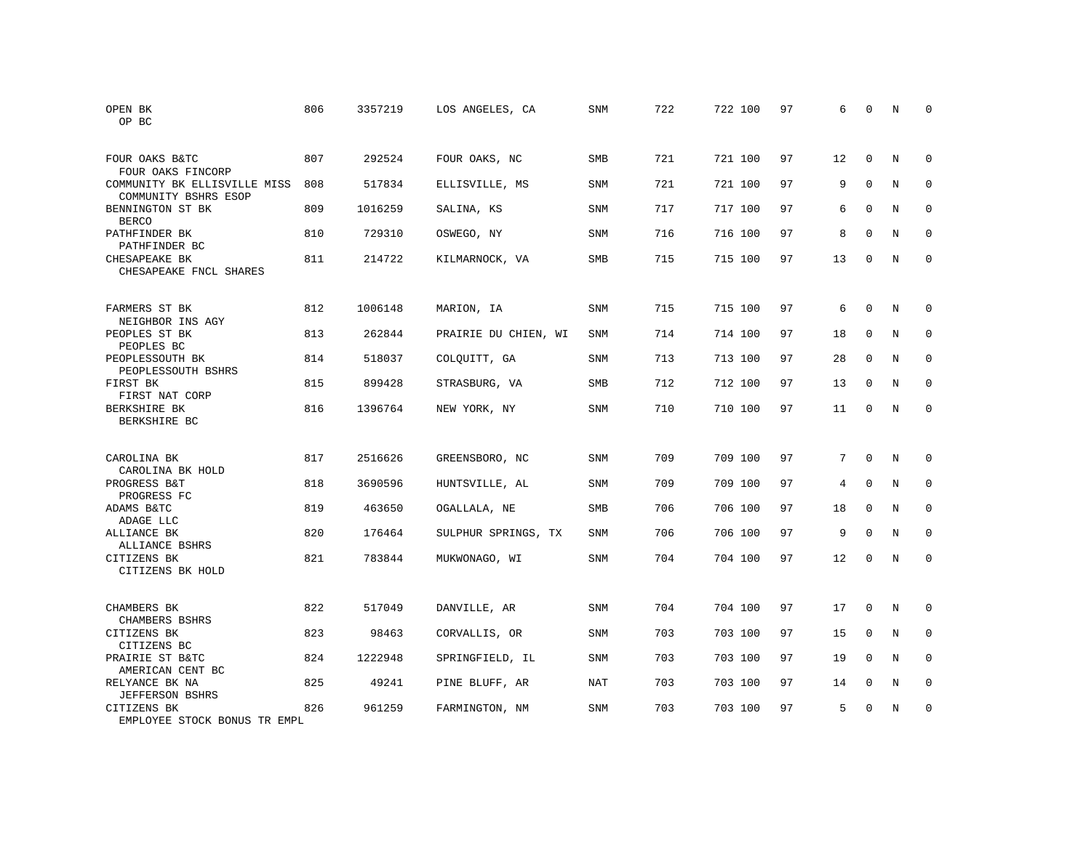| OPEN BK<br>OP BC                                     | 806 | 3357219 | LOS ANGELES, CA      | SNM        | 722 | 722 100 | 97 | 6  | $\Omega$     | N | $\Omega$    |
|------------------------------------------------------|-----|---------|----------------------|------------|-----|---------|----|----|--------------|---|-------------|
| FOUR OAKS B&TC<br>FOUR OAKS FINCORP                  | 807 | 292524  | FOUR OAKS, NC        | <b>SMB</b> | 721 | 721 100 | 97 | 12 | $\Omega$     | N | $\Omega$    |
| COMMUNITY BK ELLISVILLE MISS<br>COMMUNITY BSHRS ESOP | 808 | 517834  | ELLISVILLE, MS       | SNM        | 721 | 721 100 | 97 | 9  | $\mathbf{0}$ | N | $\mathbf 0$ |
| BENNINGTON ST BK<br><b>BERCO</b>                     | 809 | 1016259 | SALINA, KS           | <b>SNM</b> | 717 | 717 100 | 97 | 6  | $\Omega$     | N | $\Omega$    |
| PATHFINDER BK<br>PATHFINDER BC                       | 810 | 729310  | OSWEGO, NY           | <b>SNM</b> | 716 | 716 100 | 97 | 8  | $\mathbf{0}$ | N | $\mathbf 0$ |
| CHESAPEAKE BK<br>CHESAPEAKE FNCL SHARES              | 811 | 214722  | KILMARNOCK, VA       | <b>SMB</b> | 715 | 715 100 | 97 | 13 | $\mathbf{0}$ | N | $\mathbf 0$ |
| FARMERS ST BK<br>NEIGHBOR INS AGY                    | 812 | 1006148 | MARION, IA           | <b>SNM</b> | 715 | 715 100 | 97 | 6  | $\mathbf{0}$ | N | $\mathbf 0$ |
| PEOPLES ST BK<br>PEOPLES BC                          | 813 | 262844  | PRAIRIE DU CHIEN, WI | <b>SNM</b> | 714 | 714 100 | 97 | 18 | $\Omega$     | N | $\mathbf 0$ |
| PEOPLESSOUTH BK<br>PEOPLESSOUTH BSHRS                | 814 | 518037  | COLQUITT, GA         | <b>SNM</b> | 713 | 713 100 | 97 | 28 | $\Omega$     | N | $\mathbf 0$ |
| FIRST BK<br>FIRST NAT CORP                           | 815 | 899428  | STRASBURG, VA        | <b>SMB</b> | 712 | 712 100 | 97 | 13 | $\Omega$     | N | $\mathbf 0$ |
| BERKSHIRE BK<br>BERKSHIRE BC                         | 816 | 1396764 | NEW YORK, NY         | <b>SNM</b> | 710 | 710 100 | 97 | 11 | $\Omega$     | N | $\Omega$    |
| CAROLINA BK<br>CAROLINA BK HOLD                      | 817 | 2516626 | GREENSBORO, NC       | <b>SNM</b> | 709 | 709 100 | 97 | 7  | $\Omega$     | N | $\mathbf 0$ |
| PROGRESS B&T<br>PROGRESS FC                          | 818 | 3690596 | HUNTSVILLE, AL       | SNM        | 709 | 709 100 | 97 | 4  | $\mathbf 0$  | N | 0           |
| ADAMS B&TC<br>ADAGE LLC                              | 819 | 463650  | OGALLALA, NE         | <b>SMB</b> | 706 | 706 100 | 97 | 18 | $\Omega$     | N | $\mathbf 0$ |
| ALLIANCE BK<br>ALLIANCE BSHRS                        | 820 | 176464  | SULPHUR SPRINGS, TX  | <b>SNM</b> | 706 | 706 100 | 97 | 9  | $\Omega$     | N | $\mathbf 0$ |
| CITIZENS BK<br>CITIZENS BK HOLD                      | 821 | 783844  | MUKWONAGO, WI        | SNM        | 704 | 704 100 | 97 | 12 | $\mathbf 0$  | N | $\mathbf 0$ |
| CHAMBERS BK<br>CHAMBERS BSHRS                        | 822 | 517049  | DANVILLE, AR         | SNM        | 704 | 704 100 | 97 | 17 | 0            | N | 0           |
| CITIZENS BK<br>CITIZENS BC                           | 823 | 98463   | CORVALLIS, OR        | <b>SNM</b> | 703 | 703 100 | 97 | 15 | $\mathbf{0}$ | N | $\mathbf 0$ |
| PRAIRIE ST B&TC<br>AMERICAN CENT BC                  | 824 | 1222948 | SPRINGFIELD, IL      | <b>SNM</b> | 703 | 703 100 | 97 | 19 | $\Omega$     | N | $\mathbf 0$ |
| RELYANCE BK NA<br><b>JEFFERSON BSHRS</b>             | 825 | 49241   | PINE BLUFF, AR       | <b>NAT</b> | 703 | 703 100 | 97 | 14 | $\mathbf 0$  | N | 0           |
| CITIZENS BK<br>EMPLOYEE STOCK BONUS TR EMPL          | 826 | 961259  | FARMINGTON, NM       | <b>SNM</b> | 703 | 703 100 | 97 | 5  | $\Omega$     | N | $\mathbf 0$ |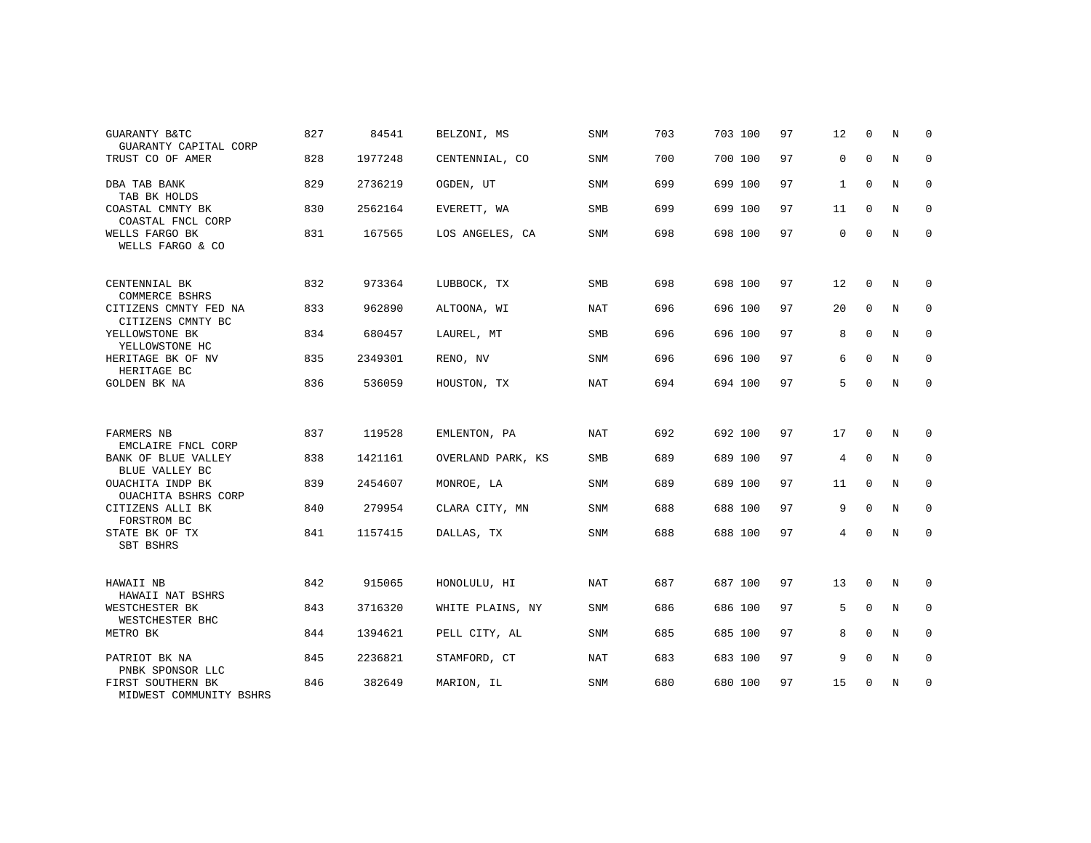| <b>GUARANTY B&amp;TC</b><br>GUARANTY CAPITAL CORP | 827 | 84541   | BELZONI, MS       | <b>SNM</b> | 703 | 703 100 | 97 | 12           | $\Omega$    | N              | $\Omega$    |
|---------------------------------------------------|-----|---------|-------------------|------------|-----|---------|----|--------------|-------------|----------------|-------------|
| TRUST CO OF AMER                                  | 828 | 1977248 | CENTENNIAL, CO    | <b>SNM</b> | 700 | 700 100 | 97 | 0            | $\mathbf 0$ | N              | $\mathbf 0$ |
| DBA TAB BANK<br>TAB BK HOLDS                      | 829 | 2736219 | OGDEN, UT         | SNM        | 699 | 699 100 | 97 | $\mathbf{1}$ | $\Omega$    | $\overline{N}$ | $\mathbf 0$ |
| COASTAL CMNTY BK<br>COASTAL FNCL CORP             | 830 | 2562164 | EVERETT, WA       | <b>SMB</b> | 699 | 699 100 | 97 | 11           | 0           | N              | $\mathbf 0$ |
| WELLS FARGO BK<br>WELLS FARGO & CO                | 831 | 167565  | LOS ANGELES, CA   | <b>SNM</b> | 698 | 698 100 | 97 | 0            | $\mathbf 0$ | N              | $\mathbf 0$ |
| CENTENNIAL BK<br>COMMERCE BSHRS                   | 832 | 973364  | LUBBOCK, TX       | <b>SMB</b> | 698 | 698 100 | 97 | 12           | $\mathbf 0$ | N              | $\mathbf 0$ |
| CITIZENS CMNTY FED NA<br>CITIZENS CMNTY BC        | 833 | 962890  | ALTOONA, WI       | NAT        | 696 | 696 100 | 97 | 20           | $\mathbf 0$ | N              | 0           |
| YELLOWSTONE BK<br>YELLOWSTONE HC                  | 834 | 680457  | LAUREL, MT        | SMB        | 696 | 696 100 | 97 | 8            | $\Omega$    | N              | $\mathbf 0$ |
| HERITAGE BK OF NV<br>HERITAGE BC                  | 835 | 2349301 | RENO, NV          | SNM        | 696 | 696 100 | 97 | 6            | $\mathbf 0$ | N              | 0           |
| GOLDEN BK NA                                      | 836 | 536059  | HOUSTON, TX       | NAT        | 694 | 694 100 | 97 | 5            | $\mathbf 0$ | N              | $\mathbf 0$ |
|                                                   |     |         |                   |            |     |         |    |              |             |                |             |
| FARMERS NB<br>EMCLAIRE FNCL CORP                  | 837 | 119528  | EMLENTON, PA      | <b>NAT</b> | 692 | 692 100 | 97 | 17           | $\Omega$    | N              | $\Omega$    |
| BANK OF BLUE VALLEY<br>BLUE VALLEY BC             | 838 | 1421161 | OVERLAND PARK, KS | SMB        | 689 | 689 100 | 97 | 4            | $\mathbf 0$ | N              | $\mathbf 0$ |
| OUACHITA INDP BK<br>OUACHITA BSHRS CORP           | 839 | 2454607 | MONROE, LA        | <b>SNM</b> | 689 | 689 100 | 97 | 11           | 0           | N              | $\mathbf 0$ |
| CITIZENS ALLI BK<br>FORSTROM BC                   | 840 | 279954  | CLARA CITY, MN    | SNM        | 688 | 688 100 | 97 | 9            | $\Omega$    | N              | $\mathbf 0$ |
| STATE BK OF TX<br>SBT BSHRS                       | 841 | 1157415 | DALLAS, TX        | <b>SNM</b> | 688 | 688 100 | 97 | 4            | $\mathbf 0$ | N              | $\mathbf 0$ |
|                                                   |     |         |                   |            |     |         |    |              |             |                |             |
| HAWAII NB<br>HAWAII NAT BSHRS                     | 842 | 915065  | HONOLULU, HI      | NAT        | 687 | 687 100 | 97 | 13           | $\mathbf 0$ | N              | $\mathbf 0$ |
| WESTCHESTER BK<br>WESTCHESTER BHC                 | 843 | 3716320 | WHITE PLAINS, NY  | SNM        | 686 | 686 100 | 97 | 5            | $\Omega$    | N              | $\mathbf 0$ |
| METRO BK                                          | 844 | 1394621 | PELL CITY, AL     | SNM        | 685 | 685 100 | 97 | 8            | $\Omega$    | N              | $\mathbf 0$ |
| PATRIOT BK NA<br>PNBK SPONSOR LLC                 | 845 | 2236821 | STAMFORD, CT      | NAT        | 683 | 683 100 | 97 | 9            | $\mathbf 0$ | N              | $\mathbf 0$ |
| FIRST SOUTHERN BK<br>MIDWEST COMMUNITY BSHRS      | 846 | 382649  | MARION, IL        | <b>SNM</b> | 680 | 680 100 | 97 | 15           | $\mathbf 0$ | N              | $\mathbf 0$ |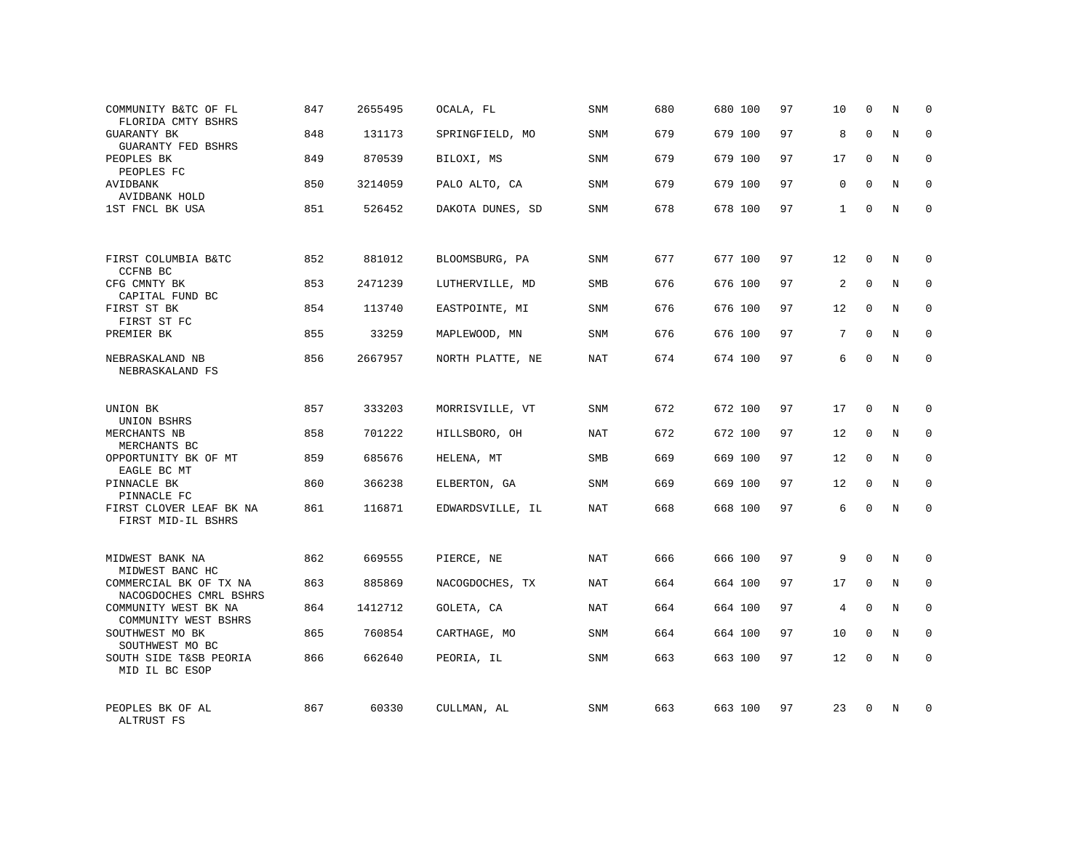| COMMUNITY B&TC OF FL<br>FLORIDA CMTY BSHRS                          | 847 | 2655495 | OCALA, FL        | SNM        | 680 | 680 100 | 97 | 10           | $\mathbf 0$  | Ν          | $\mathbf 0$ |
|---------------------------------------------------------------------|-----|---------|------------------|------------|-----|---------|----|--------------|--------------|------------|-------------|
| <b>GUARANTY BK</b><br><b>GUARANTY FED BSHRS</b>                     | 848 | 131173  | SPRINGFIELD, MO  | SNM        | 679 | 679 100 | 97 | 8            | $\Omega$     | N          | $\mathbf 0$ |
| PEOPLES BK<br>PEOPLES FC                                            | 849 | 870539  | BILOXI, MS       | SNM        | 679 | 679 100 | 97 | 17           | $\Omega$     | N          | $\mathbf 0$ |
| AVIDBANK<br>AVIDBANK HOLD                                           | 850 | 3214059 | PALO ALTO, CA    | SNM        | 679 | 679 100 | 97 | 0            | $\Omega$     | N          | $\mathbf 0$ |
| 1ST FNCL BK USA                                                     | 851 | 526452  | DAKOTA DUNES, SD | SNM        | 678 | 678 100 | 97 | $\mathbf{1}$ | $\Omega$     | N          | $\Omega$    |
| FIRST COLUMBIA B&TC                                                 | 852 | 881012  | BLOOMSBURG, PA   | SNM        | 677 | 677 100 | 97 | 12           | $\mathbf 0$  | N          | $\Omega$    |
| CCFNB BC<br>CFG CMNTY BK                                            | 853 | 2471239 | LUTHERVILLE, MD  | <b>SMB</b> | 676 | 676 100 | 97 | 2            | $\mathbf 0$  | N          | $\mathbf 0$ |
| CAPITAL FUND BC<br>FIRST ST BK<br>FIRST ST FC                       | 854 | 113740  | EASTPOINTE, MI   | SNM        | 676 | 676 100 | 97 | 12           | $\mathbf 0$  | N          | $\mathbf 0$ |
| PREMIER BK                                                          | 855 | 33259   | MAPLEWOOD, MN    | SNM        | 676 | 676 100 | 97 | 7            | $\Omega$     | N          | $\Omega$    |
| NEBRASKALAND NB<br>NEBRASKALAND FS                                  | 856 | 2667957 | NORTH PLATTE, NE | <b>NAT</b> | 674 | 674 100 | 97 | 6            | $\Omega$     | N          | $\mathbf 0$ |
| UNION BK<br>UNION BSHRS                                             | 857 | 333203  | MORRISVILLE, VT  | SNM        | 672 | 672 100 | 97 | 17           | $\Omega$     | N          | $\Omega$    |
| MERCHANTS NB<br>MERCHANTS BC                                        | 858 | 701222  | HILLSBORO, OH    | NAT        | 672 | 672 100 | 97 | 12           | $\mathbf 0$  | N          | $\mathbf 0$ |
| OPPORTUNITY BK OF MT<br>EAGLE BC MT                                 | 859 | 685676  | HELENA, MT       | <b>SMB</b> | 669 | 669 100 | 97 | 12           | $\Omega$     | N          | $\Omega$    |
| PINNACLE BK<br>PINNACLE FC                                          | 860 | 366238  | ELBERTON, GA     | <b>SNM</b> | 669 | 669 100 | 97 | 12           | $\mathbf 0$  | N          | $\mathbf 0$ |
| FIRST CLOVER LEAF BK NA<br>FIRST MID-IL BSHRS                       | 861 | 116871  | EDWARDSVILLE, IL | <b>NAT</b> | 668 | 668 100 | 97 | 6            | $\Omega$     | $_{\rm N}$ | $\Omega$    |
| MIDWEST BANK NA                                                     | 862 | 669555  | PIERCE, NE       | <b>NAT</b> | 666 | 666 100 | 97 | 9            | $\Omega$     | N          | $\mathbf 0$ |
| MIDWEST BANC HC<br>COMMERCIAL BK OF TX NA<br>NACOGDOCHES CMRL BSHRS | 863 | 885869  | NACOGDOCHES, TX  | NAT        | 664 | 664 100 | 97 | 17           | $\mathbf{0}$ | N          | $\mathbf 0$ |
| COMMUNITY WEST BK NA<br>COMMUNITY WEST BSHRS                        | 864 | 1412712 | GOLETA, CA       | NAT        | 664 | 664 100 | 97 | 4            | $\Omega$     | N          | $\mathbf 0$ |
| SOUTHWEST MO BK<br>SOUTHWEST MO BC                                  | 865 | 760854  | CARTHAGE, MO     | <b>SNM</b> | 664 | 664 100 | 97 | 10           | $\mathbf{0}$ | N          | $\mathbf 0$ |
| SOUTH SIDE T&SB PEORIA<br>MID IL BC ESOP                            | 866 | 662640  | PEORIA, IL       | SNM        | 663 | 663 100 | 97 | 12           | $\Omega$     | N          | $\mathbf 0$ |
| PEOPLES BK OF AL<br>ALTRUST FS                                      | 867 | 60330   | CULLMAN, AL      | <b>SNM</b> | 663 | 663 100 | 97 | 23           | $\Omega$     | N          | $\mathbf 0$ |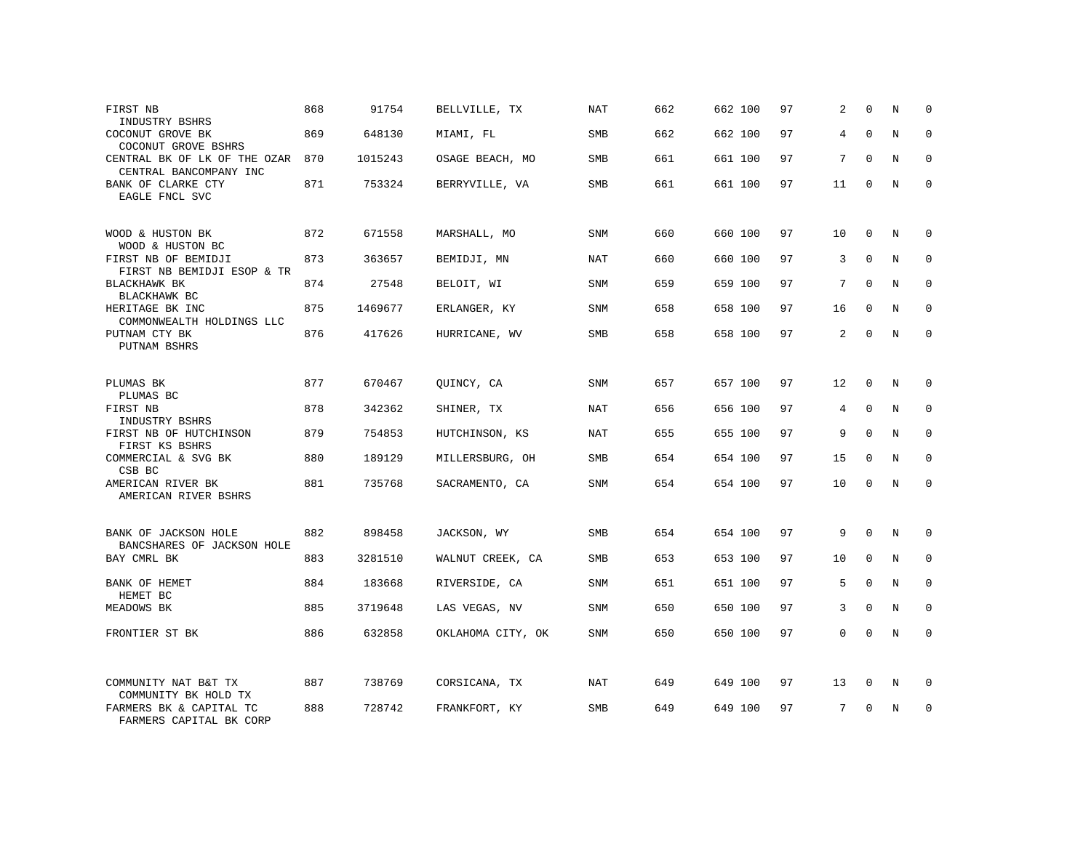| FIRST NB<br>INDUSTRY BSHRS                             | 868 | 91754   | BELLVILLE, TX     | NAT        | 662 | 662 100 | 97 | 2  | $\Omega$    | N | 0           |
|--------------------------------------------------------|-----|---------|-------------------|------------|-----|---------|----|----|-------------|---|-------------|
| COCONUT GROVE BK<br>COCONUT GROVE BSHRS                | 869 | 648130  | MIAMI, FL         | <b>SMB</b> | 662 | 662 100 | 97 | 4  | $\Omega$    | N | $\mathbf 0$ |
| CENTRAL BK OF LK OF THE OZAR<br>CENTRAL BANCOMPANY INC | 870 | 1015243 | OSAGE BEACH, MO   | SMB        | 661 | 661 100 | 97 | 7  | $\Omega$    | N | $\mathbf 0$ |
| BANK OF CLARKE CTY<br>EAGLE FNCL SVC                   | 871 | 753324  | BERRYVILLE, VA    | SMB        | 661 | 661 100 | 97 | 11 | $\Omega$    | N | $\Omega$    |
| WOOD & HUSTON BK<br>WOOD & HUSTON BC                   | 872 | 671558  | MARSHALL, MO      | SNM        | 660 | 660 100 | 97 | 10 | $\mathbf 0$ | N | $\Omega$    |
| FIRST NB OF BEMIDJI<br>FIRST NB BEMIDJI ESOP & TR      | 873 | 363657  | BEMIDJI, MN       | <b>NAT</b> | 660 | 660 100 | 97 | 3  | $\Omega$    | N | $\mathbf 0$ |
| BLACKHAWK BK<br>BLACKHAWK BC                           | 874 | 27548   | BELOIT, WI        | SNM        | 659 | 659 100 | 97 | 7  | $\Omega$    | N | $\Omega$    |
| HERITAGE BK INC<br>COMMONWEALTH HOLDINGS LLC           | 875 | 1469677 | ERLANGER, KY      | SNM        | 658 | 658 100 | 97 | 16 | $\mathbf 0$ | N | $\mathbf 0$ |
| PUTNAM CTY BK<br>PUTNAM BSHRS                          | 876 | 417626  | HURRICANE, WV     | SMB        | 658 | 658 100 | 97 | 2  | $\Omega$    | N | $\Omega$    |
| PLUMAS BK<br>PLUMAS BC                                 | 877 | 670467  | QUINCY, CA        | SNM        | 657 | 657 100 | 97 | 12 | $\mathbf 0$ | N | 0           |
| FIRST NB<br>INDUSTRY BSHRS                             | 878 | 342362  | SHINER, TX        | NAT        | 656 | 656 100 | 97 | 4  | $\Omega$    | N | $\Omega$    |
| FIRST NB OF HUTCHINSON<br>FIRST KS BSHRS               | 879 | 754853  | HUTCHINSON, KS    | NAT        | 655 | 655 100 | 97 | 9  | $\Omega$    | N | $\mathbf 0$ |
| COMMERCIAL & SVG BK<br>CSB BC                          | 880 | 189129  | MILLERSBURG, OH   | <b>SMB</b> | 654 | 654 100 | 97 | 15 | $\Omega$    | N | $\Omega$    |
| AMERICAN RIVER BK<br>AMERICAN RIVER BSHRS              | 881 | 735768  | SACRAMENTO, CA    | <b>SNM</b> | 654 | 654 100 | 97 | 10 | $\mathbf 0$ | N | $\mathbf 0$ |
| BANK OF JACKSON HOLE<br>BANCSHARES OF JACKSON HOLE     | 882 | 898458  | JACKSON, WY       | <b>SMB</b> | 654 | 654 100 | 97 | 9  | $\mathbf 0$ | N | $\mathbf 0$ |
| BAY CMRL BK                                            | 883 | 3281510 | WALNUT CREEK, CA  | <b>SMB</b> | 653 | 653 100 | 97 | 10 | $\Omega$    | N | $\mathbf 0$ |
| BANK OF HEMET<br>HEMET BC                              | 884 | 183668  | RIVERSIDE, CA     | SNM        | 651 | 651 100 | 97 | 5  | $\mathbf 0$ | N | $\mathbf 0$ |
| MEADOWS BK                                             | 885 | 3719648 | LAS VEGAS, NV     | SNM        | 650 | 650 100 | 97 | 3  | $\Omega$    | N | $\mathbf 0$ |
| FRONTIER ST BK                                         | 886 | 632858  | OKLAHOMA CITY, OK | SNM        | 650 | 650 100 | 97 | 0  | $\mathbf 0$ | N | $\mathbf 0$ |
| COMMUNITY NAT B&T TX<br>COMMUNITY BK HOLD TX           | 887 | 738769  | CORSICANA, TX     | NAT        | 649 | 649 100 | 97 | 13 | 0           | N | 0           |
| FARMERS BK & CAPITAL TC<br>FARMERS CAPITAL BK CORP     | 888 | 728742  | FRANKFORT, KY     | <b>SMB</b> | 649 | 649 100 | 97 | 7  | $\Omega$    | N | $\mathbf 0$ |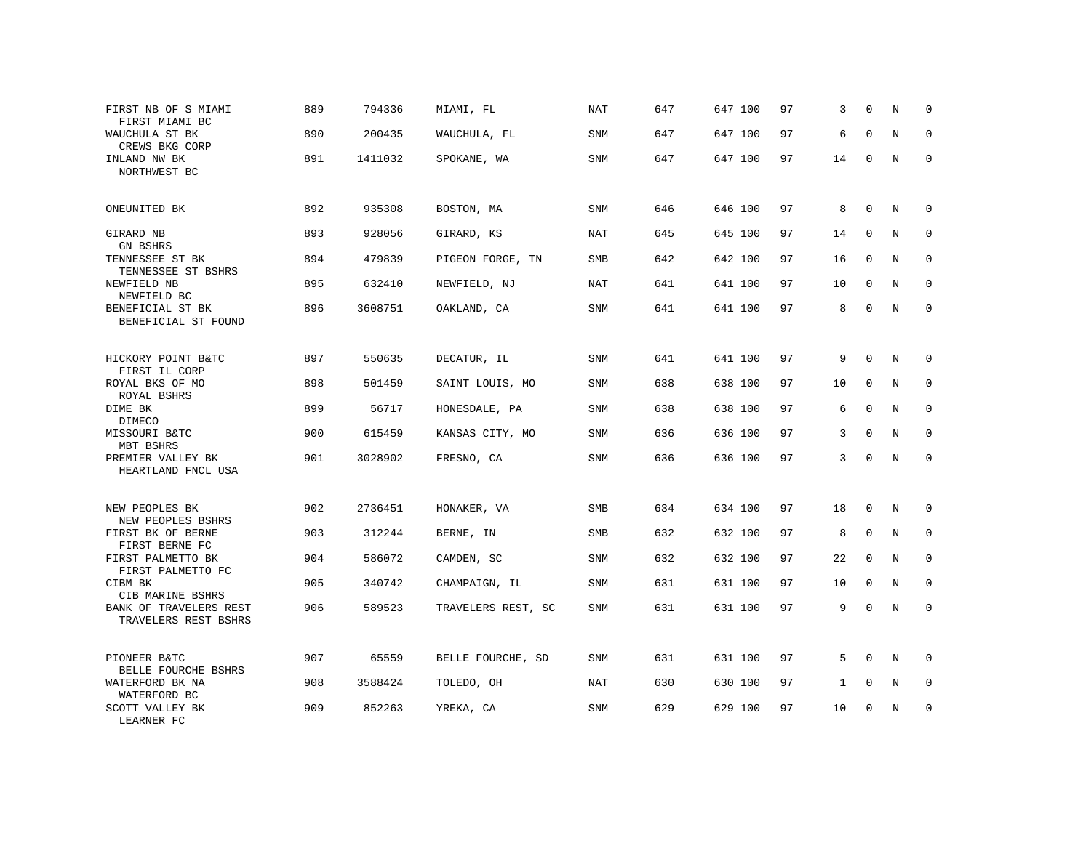| FIRST NB OF S MIAMI<br>FIRST MIAMI BC          | 889 | 794336  | MIAMI, FL          | <b>NAT</b> | 647 | 647 100 | 97 | 3  | $\Omega$    | N | $\mathbf 0$ |
|------------------------------------------------|-----|---------|--------------------|------------|-----|---------|----|----|-------------|---|-------------|
| WAUCHULA ST BK<br>CREWS BKG CORP               | 890 | 200435  | WAUCHULA, FL       | SNM        | 647 | 647 100 | 97 | 6  | $\mathbf 0$ | N | $\Omega$    |
| INLAND NW BK<br>NORTHWEST BC                   | 891 | 1411032 | SPOKANE, WA        | SNM        | 647 | 647 100 | 97 | 14 | $\mathbf 0$ | N | $\Omega$    |
| ONEUNITED BK                                   | 892 | 935308  | BOSTON, MA         | <b>SNM</b> | 646 | 646 100 | 97 | 8  | 0           | N | 0           |
| GIRARD NB<br>GN BSHRS                          | 893 | 928056  | GIRARD, KS         | <b>NAT</b> | 645 | 645 100 | 97 | 14 | $\mathbf 0$ | N | $\mathbf 0$ |
| TENNESSEE ST BK<br>TENNESSEE ST BSHRS          | 894 | 479839  | PIGEON FORGE, TN   | SMB        | 642 | 642 100 | 97 | 16 | $\mathbf 0$ | N | $\mathbf 0$ |
| NEWFIELD NB<br>NEWFIELD BC                     | 895 | 632410  | NEWFIELD, NJ       | <b>NAT</b> | 641 | 641 100 | 97 | 10 | $\mathbf 0$ | N | $\mathbf 0$ |
| BENEFICIAL ST BK<br>BENEFICIAL ST FOUND        | 896 | 3608751 | OAKLAND, CA        | <b>SNM</b> | 641 | 641 100 | 97 | 8  | $\mathbf 0$ | N | $\mathbf 0$ |
| HICKORY POINT B&TC<br>FIRST IL CORP            | 897 | 550635  | DECATUR, IL        | <b>SNM</b> | 641 | 641 100 | 97 | 9  | $\Omega$    | N | $\Omega$    |
| ROYAL BKS OF MO<br>ROYAL BSHRS                 | 898 | 501459  | SAINT LOUIS, MO    | SNM        | 638 | 638 100 | 97 | 10 | $\mathbf 0$ | N | 0           |
| DIME BK<br>DIMECO                              | 899 | 56717   | HONESDALE, PA      | SNM        | 638 | 638 100 | 97 | 6  | $\mathbf 0$ | N | $\mathbf 0$ |
| MISSOURI B&TC<br>MBT BSHRS                     | 900 | 615459  | KANSAS CITY, MO    | <b>SNM</b> | 636 | 636 100 | 97 | 3  | $\mathbf 0$ | N | $\mathbf 0$ |
| PREMIER VALLEY BK<br>HEARTLAND FNCL USA        | 901 | 3028902 | FRESNO, CA         | <b>SNM</b> | 636 | 636 100 | 97 | 3  | $\mathbf 0$ | N | $\Omega$    |
| NEW PEOPLES BK<br>NEW PEOPLES BSHRS            | 902 | 2736451 | HONAKER, VA        | SMB        | 634 | 634 100 | 97 | 18 | $\mathbf 0$ | N | $\Omega$    |
| FIRST BK OF BERNE<br>FIRST BERNE FC            | 903 | 312244  | BERNE, IN          | <b>SMB</b> | 632 | 632 100 | 97 | 8  | $\mathbf 0$ | N | $\mathbf 0$ |
| FIRST PALMETTO BK<br>FIRST PALMETTO FC         | 904 | 586072  | CAMDEN, SC         | <b>SNM</b> | 632 | 632 100 | 97 | 22 | $\mathbf 0$ | N | $\mathbf 0$ |
| CIBM BK<br>CIB MARINE BSHRS                    | 905 | 340742  | CHAMPAIGN, IL      | <b>SNM</b> | 631 | 631 100 | 97 | 10 | $\mathbf 0$ | N | $\mathbf 0$ |
| BANK OF TRAVELERS REST<br>TRAVELERS REST BSHRS | 906 | 589523  | TRAVELERS REST, SC | SNM        | 631 | 631 100 | 97 | 9  | $\mathbf 0$ | N | $\mathbf 0$ |
| PIONEER B&TC<br>BELLE FOURCHE BSHRS            | 907 | 65559   | BELLE FOURCHE, SD  | SNM        | 631 | 631 100 | 97 | 5  | 0           | N | 0           |
| WATERFORD BK NA<br>WATERFORD BC                | 908 | 3588424 | TOLEDO, OH         | NAT        | 630 | 630 100 | 97 | 1  | 0           | N | $\mathbf 0$ |
| SCOTT VALLEY BK<br>LEARNER FC                  | 909 | 852263  | YREKA, CA          | <b>SNM</b> | 629 | 629 100 | 97 | 10 | $\mathbf 0$ | N | $\mathbf 0$ |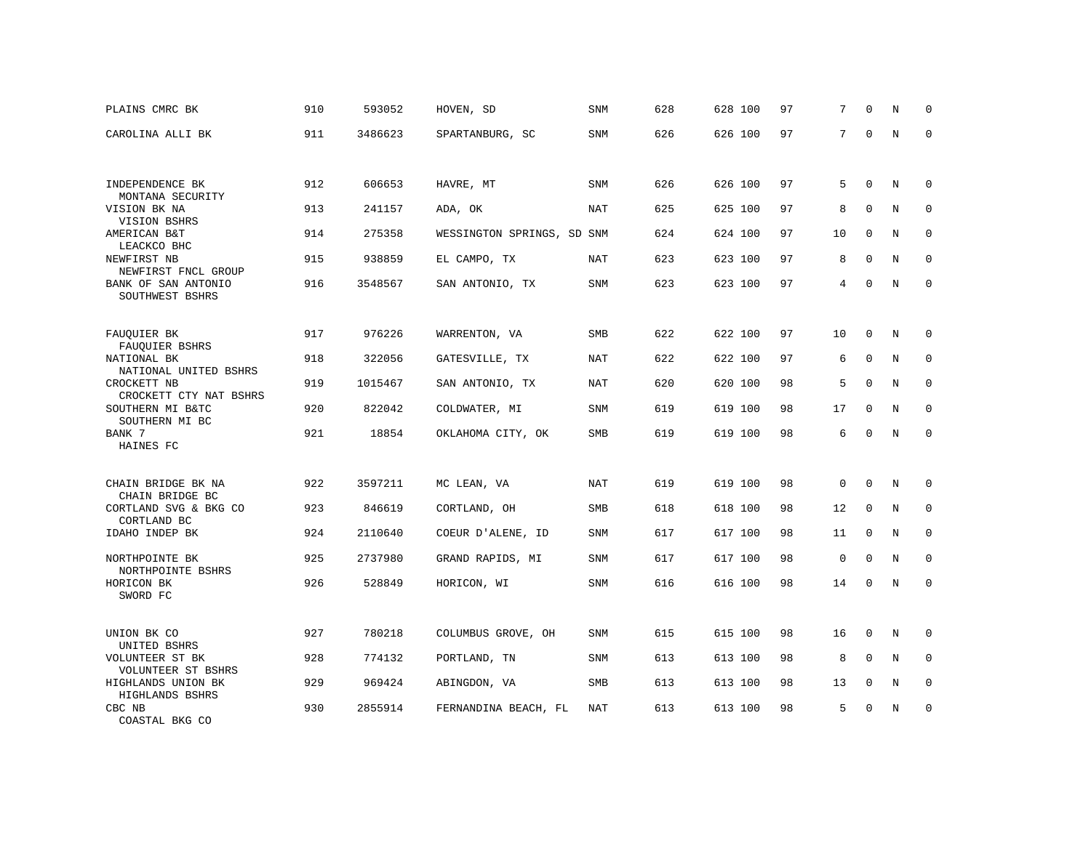| PLAINS CMRC BK                                                | 910 | 593052  | HOVEN, SD                  | SNM        | 628 | 628 100 | 97 | 7           | $\mathbf 0$  | N       | $\Omega$    |
|---------------------------------------------------------------|-----|---------|----------------------------|------------|-----|---------|----|-------------|--------------|---------|-------------|
| CAROLINA ALLI BK                                              | 911 | 3486623 | SPARTANBURG, SC            | <b>SNM</b> | 626 | 626 100 | 97 | 7           | $\Omega$     | N       | $\Omega$    |
|                                                               |     |         |                            |            |     |         |    |             |              |         |             |
| INDEPENDENCE BK<br>MONTANA SECURITY                           | 912 | 606653  | HAVRE, MT                  | SNM        | 626 | 626 100 | 97 | 5           | $\mathbf 0$  | N       | $\mathbf 0$ |
| VISION BK NA<br>VISION BSHRS                                  | 913 | 241157  | ADA, OK                    | NAT        | 625 | 625 100 | 97 | 8           | $\Omega$     | N       | $\Omega$    |
| AMERICAN B&T                                                  | 914 | 275358  | WESSINGTON SPRINGS, SD SNM |            | 624 | 624 100 | 97 | 10          | $\mathbf 0$  | N       | $\mathbf 0$ |
| LEACKCO BHC<br>NEWFIRST NB                                    | 915 | 938859  | EL CAMPO, TX               | <b>NAT</b> | 623 | 623 100 | 97 | 8           | $\Omega$     | N       | $\mathbf 0$ |
| NEWFIRST FNCL GROUP<br>BANK OF SAN ANTONIO<br>SOUTHWEST BSHRS | 916 | 3548567 | SAN ANTONIO, TX            | SNM        | 623 | 623 100 | 97 | 4           | $\Omega$     | N       | $\Omega$    |
|                                                               |     |         |                            |            |     |         |    |             |              |         |             |
| FAUQUIER BK<br>FAUQUIER BSHRS                                 | 917 | 976226  | WARRENTON, VA              | <b>SMB</b> | 622 | 622 100 | 97 | 10          | $\mathbf 0$  | N       | $\mathbf 0$ |
| NATIONAL BK<br>NATIONAL UNITED BSHRS                          | 918 | 322056  | GATESVILLE, TX             | NAT        | 622 | 622 100 | 97 | 6           | $\mathbf 0$  | N       | $\mathbf 0$ |
| CROCKETT NB<br>CROCKETT CTY NAT BSHRS                         | 919 | 1015467 | SAN ANTONIO, TX            | <b>NAT</b> | 620 | 620 100 | 98 | 5           | $\mathbf 0$  | N       | $\mathbf 0$ |
| SOUTHERN MI B&TC<br>SOUTHERN MI BC                            | 920 | 822042  | COLDWATER, MI              | SNM        | 619 | 619 100 | 98 | 17          | $\Omega$     | N       | $\Omega$    |
| BANK 7<br>HAINES FC                                           | 921 | 18854   | OKLAHOMA CITY, OK          | SMB        | 619 | 619 100 | 98 | 6           | $\mathbf 0$  | N       | $\mathbf 0$ |
|                                                               |     |         |                            |            |     |         |    |             |              |         |             |
| CHAIN BRIDGE BK NA<br>CHAIN BRIDGE BC                         | 922 | 3597211 | MC LEAN, VA                | NAT        | 619 | 619 100 | 98 | 0           | $\mathbf 0$  | N       | 0           |
| CORTLAND SVG & BKG CO<br>CORTLAND BC                          | 923 | 846619  | CORTLAND, OH               | <b>SMB</b> | 618 | 618 100 | 98 | 12          | $\Omega$     | N       | $\mathbf 0$ |
| IDAHO INDEP BK                                                | 924 | 2110640 | COEUR D'ALENE, ID          | SNM        | 617 | 617 100 | 98 | 11          | $\Omega$     | N       | $\mathbf 0$ |
| NORTHPOINTE BK<br>NORTHPOINTE BSHRS                           | 925 | 2737980 | GRAND RAPIDS, MI           | <b>SNM</b> | 617 | 617 100 | 98 | $\mathbf 0$ | $\mathbf 0$  | N       | $\mathbf 0$ |
| HORICON BK<br>SWORD FC                                        | 926 | 528849  | HORICON, WI                | SNM        | 616 | 616 100 | 98 | 14          | $\Omega$     | $\rm N$ | $\mathbf 0$ |
| UNION BK CO                                                   | 927 | 780218  | COLUMBUS GROVE, OH         | SNM        | 615 | 615 100 | 98 | 16          | $\mathbf{0}$ | N       | $\mathbf 0$ |
| UNITED BSHRS<br>VOLUNTEER ST BK                               | 928 | 774132  | PORTLAND, TN               | SNM        | 613 | 613 100 | 98 | 8           | $\Omega$     | N       | $\mathbf 0$ |
| VOLUNTEER ST BSHRS<br>HIGHLANDS UNION BK<br>HIGHLANDS BSHRS   | 929 | 969424  | ABINGDON, VA               | SMB        | 613 | 613 100 | 98 | 13          | $\mathbf 0$  | N       | 0           |
| CBC NB<br>COASTAL BKG CO                                      | 930 | 2855914 | FERNANDINA BEACH, FL       | NAT        | 613 | 613 100 | 98 | 5           | $\Omega$     | N       | $\mathbf 0$ |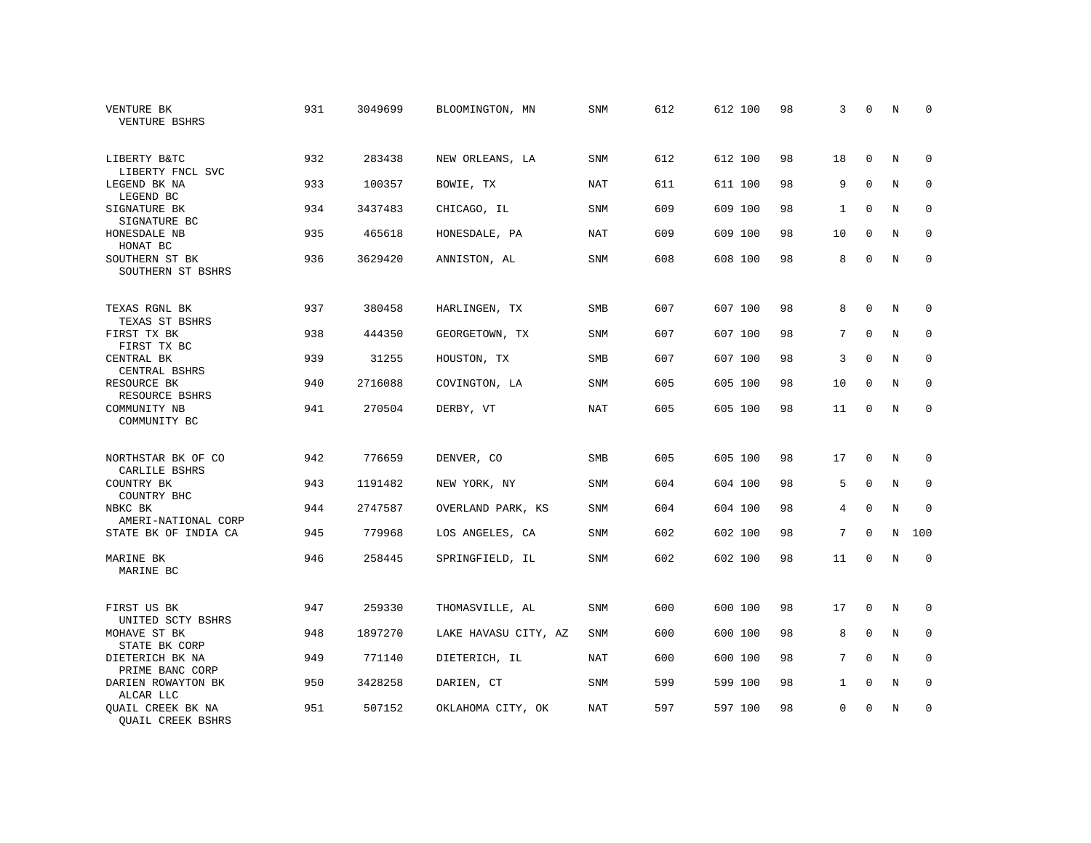| VENTURE BK<br><b>VENTURE BSHRS</b>                   | 931 | 3049699 | BLOOMINGTON, MN      | SNM        | 612 | 612 100 | 98 | 3            | $\mathbf 0$  | N | $\mathbf 0$ |
|------------------------------------------------------|-----|---------|----------------------|------------|-----|---------|----|--------------|--------------|---|-------------|
| LIBERTY B&TC<br>LIBERTY FNCL SVC                     | 932 | 283438  | NEW ORLEANS, LA      | SNM        | 612 | 612 100 | 98 | 18           | $\mathbf 0$  | N | 0           |
| LEGEND BK NA<br>LEGEND BC                            | 933 | 100357  | BOWIE, TX            | <b>NAT</b> | 611 | 611 100 | 98 | 9            | $\Omega$     | N | $\mathbf 0$ |
| SIGNATURE BK<br>SIGNATURE BC                         | 934 | 3437483 | CHICAGO, IL          | SNM        | 609 | 609 100 | 98 | 1            | $\Omega$     | N | $\mathbf 0$ |
| HONESDALE NB<br>HONAT BC                             | 935 | 465618  | HONESDALE, PA        | <b>NAT</b> | 609 | 609 100 | 98 | 10           | $\Omega$     | N | $\mathbf 0$ |
| SOUTHERN ST BK<br>SOUTHERN ST BSHRS                  | 936 | 3629420 | ANNISTON, AL         | SNM        | 608 | 608 100 | 98 | 8            | $\mathbf 0$  | N | $\mathbf 0$ |
| TEXAS RGNL BK                                        | 937 | 380458  | HARLINGEN, TX        | SMB        | 607 | 607 100 | 98 | 8            | $\mathbf 0$  | N | $\mathbf 0$ |
| TEXAS ST BSHRS<br>FIRST TX BK<br>FIRST TX BC         | 938 | 444350  | GEORGETOWN, TX       | SNM        | 607 | 607 100 | 98 | 7            | $\mathbf 0$  | N | $\mathbf 0$ |
| CENTRAL BK<br>CENTRAL BSHRS                          | 939 | 31255   | HOUSTON, TX          | SMB        | 607 | 607 100 | 98 | 3            | $\Omega$     | N | $\mathbf 0$ |
| RESOURCE BK<br>RESOURCE BSHRS                        | 940 | 2716088 | COVINGTON, LA        | SNM        | 605 | 605 100 | 98 | 10           | $\mathbf 0$  | N | $\mathbf 0$ |
| COMMUNITY NB<br>COMMUNITY BC                         | 941 | 270504  | DERBY, VT            | NAT        | 605 | 605 100 | 98 | 11           | $\Omega$     | N | $\Omega$    |
| NORTHSTAR BK OF CO<br>CARLILE BSHRS                  | 942 | 776659  | DENVER, CO           | <b>SMB</b> | 605 | 605 100 | 98 | 17           | $\Omega$     | N | $\Omega$    |
| COUNTRY BK<br>COUNTRY BHC                            | 943 | 1191482 | NEW YORK, NY         | SNM        | 604 | 604 100 | 98 | 5            | $\mathbf{0}$ | N | $\mathbf 0$ |
| NBKC BK<br>AMERI-NATIONAL CORP                       | 944 | 2747587 | OVERLAND PARK, KS    | <b>SNM</b> | 604 | 604 100 | 98 | 4            | $\Omega$     | N | $\Omega$    |
| STATE BK OF INDIA CA                                 | 945 | 779968  | LOS ANGELES, CA      | <b>SNM</b> | 602 | 602 100 | 98 | 7            | $\mathbf 0$  | N | 100         |
| MARINE BK<br>MARINE BC                               | 946 | 258445  | SPRINGFIELD, IL      | <b>SNM</b> | 602 | 602 100 | 98 | 11           | $\Omega$     | N | $\mathbf 0$ |
| FIRST US BK<br>UNITED SCTY BSHRS                     | 947 | 259330  | THOMASVILLE, AL      | <b>SNM</b> | 600 | 600 100 | 98 | 17           | $\mathbf 0$  | N | $\mathbf 0$ |
| MOHAVE ST BK<br>STATE BK CORP                        | 948 | 1897270 | LAKE HAVASU CITY, AZ | <b>SNM</b> | 600 | 600 100 | 98 | 8            | $\mathbf{0}$ | N | $\mathbf 0$ |
| DIETERICH BK NA<br>PRIME BANC CORP                   | 949 | 771140  | DIETERICH, IL        | <b>NAT</b> | 600 | 600 100 | 98 | 7            | $\Omega$     | N | $\mathbf 0$ |
| DARIEN ROWAYTON BK<br>ALCAR LLC                      | 950 | 3428258 | DARIEN, CT           | SNM        | 599 | 599 100 | 98 | $\mathbf{1}$ | $\mathbf 0$  | N | 0           |
| <b>OUAIL CREEK BK NA</b><br><b>OUAIL CREEK BSHRS</b> | 951 | 507152  | OKLAHOMA CITY, OK    | NAT        | 597 | 597 100 | 98 | $\Omega$     | $\Omega$     | N | $\mathbf 0$ |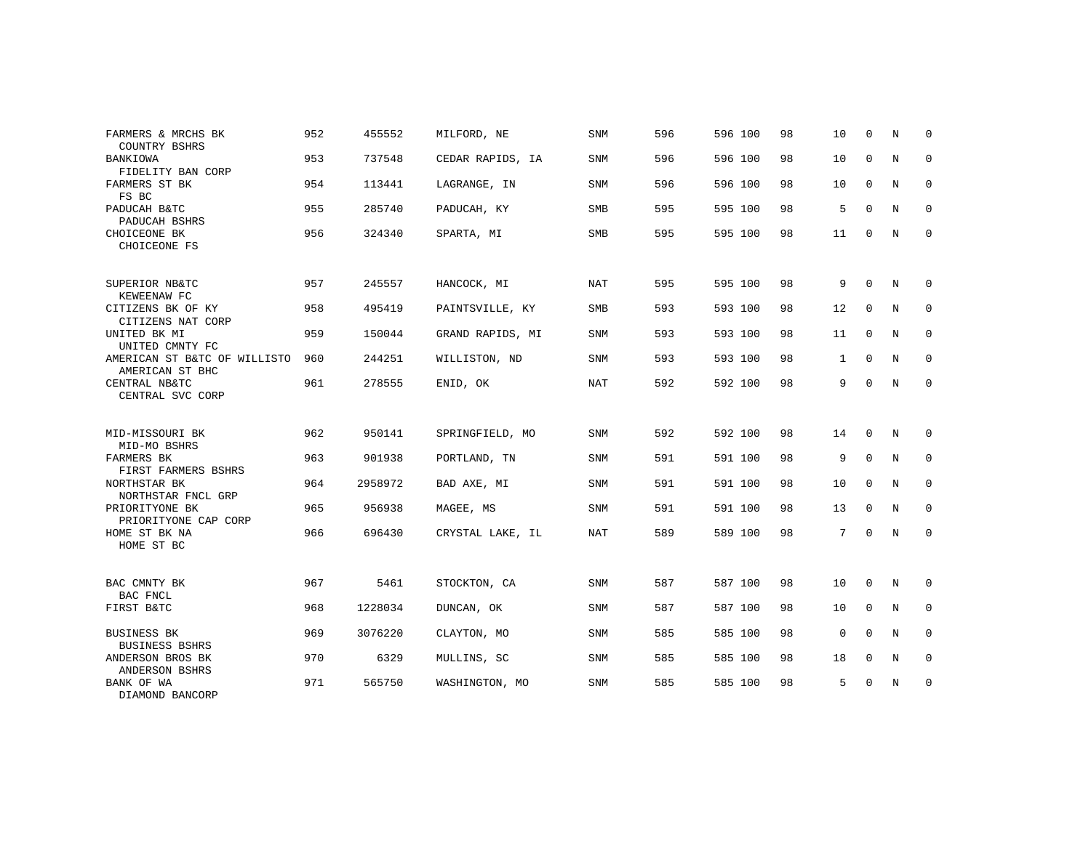| FARMERS & MRCHS BK<br>COUNTRY BSHRS             | 952 | 455552  | MILFORD, NE      | SNM        | 596 | 596 100 | 98 | 10           | $\Omega$    | N              | $\Omega$    |
|-------------------------------------------------|-----|---------|------------------|------------|-----|---------|----|--------------|-------------|----------------|-------------|
| <b>BANKIOWA</b><br>FIDELITY BAN CORP            | 953 | 737548  | CEDAR RAPIDS, IA | <b>SNM</b> | 596 | 596 100 | 98 | 10           | $\mathbf 0$ | N              | $\mathbf 0$ |
| FARMERS ST BK<br>FS BC                          | 954 | 113441  | LAGRANGE, IN     | <b>SNM</b> | 596 | 596 100 | 98 | 10           | $\Omega$    | $\overline{N}$ | $\mathbf 0$ |
| PADUCAH B&TC<br>PADUCAH BSHRS                   | 955 | 285740  | PADUCAH, KY      | <b>SMB</b> | 595 | 595 100 | 98 | 5            | $\Omega$    | N              | $\mathbf 0$ |
| CHOICEONE BK<br>CHOICEONE FS                    | 956 | 324340  | SPARTA, MI       | <b>SMB</b> | 595 | 595 100 | 98 | 11           | $\mathbf 0$ | N              | $\mathbf 0$ |
| SUPERIOR NB&TC<br>KEWEENAW FC                   | 957 | 245557  | HANCOCK, MI      | NAT        | 595 | 595 100 | 98 | 9            | $\Omega$    | N              | $\mathbf 0$ |
| CITIZENS BK OF KY<br>CITIZENS NAT CORP          | 958 | 495419  | PAINTSVILLE, KY  | SMB        | 593 | 593 100 | 98 | 12           | $\mathbf 0$ | N              | 0           |
| UNITED BK MI<br>UNITED CMNTY FC                 | 959 | 150044  | GRAND RAPIDS, MI | <b>SNM</b> | 593 | 593 100 | 98 | 11           | $\Omega$    | N              | $\mathbf 0$ |
| AMERICAN ST B&TC OF WILLISTO<br>AMERICAN ST BHC | 960 | 244251  | WILLISTON, ND    | SNM        | 593 | 593 100 | 98 | $\mathbf{1}$ | $\mathbf 0$ | N              | 0           |
| CENTRAL NB&TC<br>CENTRAL SVC CORP               | 961 | 278555  | ENID, OK         | NAT        | 592 | 592 100 | 98 | 9            | $\Omega$    | N              | $\mathbf 0$ |
| MID-MISSOURI BK<br>MID-MO BSHRS                 | 962 | 950141  | SPRINGFIELD, MO  | <b>SNM</b> | 592 | 592 100 | 98 | 14           | $\Omega$    | N              | $\Omega$    |
| FARMERS BK<br>FIRST FARMERS BSHRS               | 963 | 901938  | PORTLAND, TN     | <b>SNM</b> | 591 | 591 100 | 98 | 9            | $\mathbf 0$ | N              | $\mathbf 0$ |
| NORTHSTAR BK<br>NORTHSTAR FNCL GRP              | 964 | 2958972 | BAD AXE, MI      | <b>SNM</b> | 591 | 591 100 | 98 | 10           | 0           | N              | $\mathbf 0$ |
| PRIORITYONE BK<br>PRIORITYONE CAP CORP          | 965 | 956938  | MAGEE, MS        | SNM        | 591 | 591 100 | 98 | 13           | $\mathbf 0$ | N              | $\mathbf 0$ |
| HOME ST BK NA<br>HOME ST BC                     | 966 | 696430  | CRYSTAL LAKE, IL | <b>NAT</b> | 589 | 589 100 | 98 | 7            | $\mathbf 0$ | N              | $\mathbf 0$ |
| BAC CMNTY BK                                    | 967 | 5461    | STOCKTON, CA     | SNM        | 587 | 587 100 | 98 | 10           | 0           | N              | $\mathbf 0$ |
| BAC FNCL<br>FIRST B&TC                          | 968 | 1228034 | DUNCAN, OK       | <b>SNM</b> | 587 | 587 100 | 98 | 10           | $\mathbf 0$ | N              | $\mathbf 0$ |
| <b>BUSINESS BK</b>                              | 969 | 3076220 | CLAYTON, MO      | SNM        | 585 | 585 100 | 98 | $\mathbf 0$  | $\Omega$    | N              | $\mathbf 0$ |
| <b>BUSINESS BSHRS</b><br>ANDERSON BROS BK       | 970 | 6329    | MULLINS, SC      | <b>SNM</b> | 585 | 585 100 | 98 | 18           | $\mathbf 0$ | N              | $\mathbf 0$ |
| ANDERSON BSHRS<br>BANK OF WA<br>DIAMOND BANCORP | 971 | 565750  | WASHINGTON, MO   | <b>SNM</b> | 585 | 585 100 | 98 | 5            | $\mathbf 0$ | N              | $\mathbf 0$ |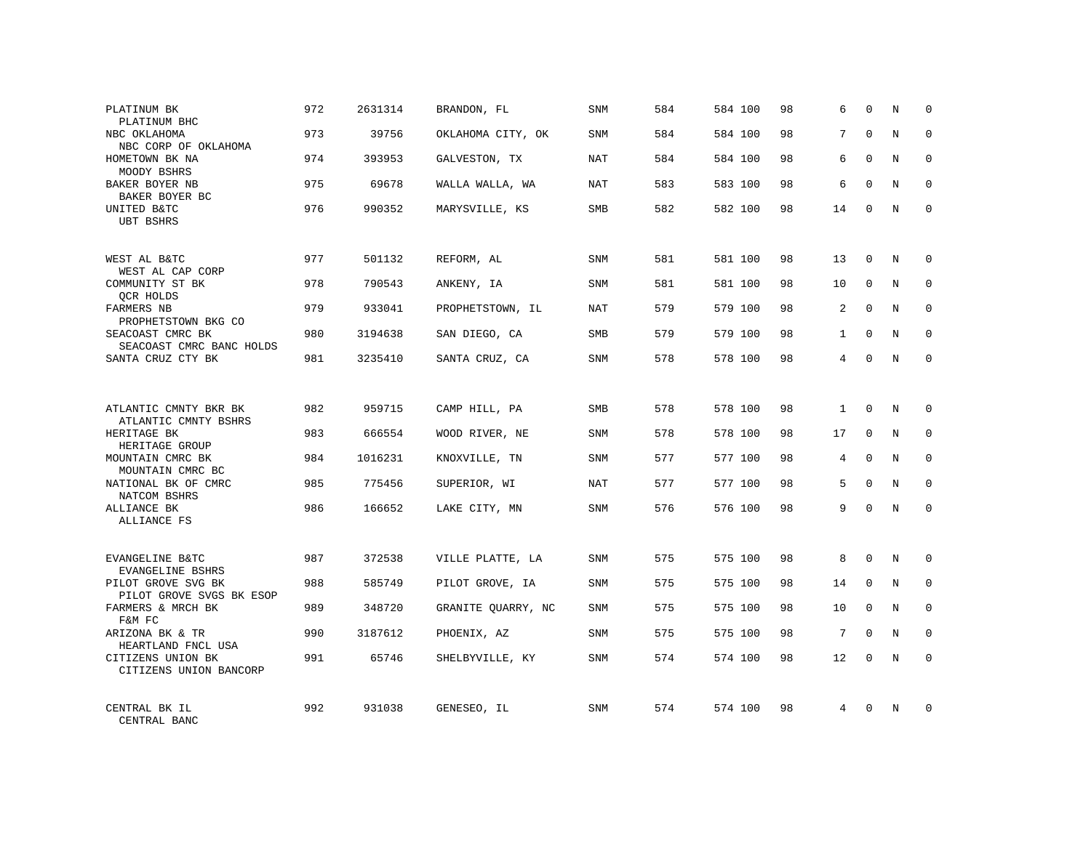| PLATINUM BK<br>PLATINUM BHC                             | 972 | 2631314 | BRANDON, FL        | <b>SNM</b> | 584 | 584 100 | 98 | 6            | $\Omega$     | N          | $\mathbf 0$ |
|---------------------------------------------------------|-----|---------|--------------------|------------|-----|---------|----|--------------|--------------|------------|-------------|
| NBC OKLAHOMA<br>NBC CORP OF OKLAHOMA                    | 973 | 39756   | OKLAHOMA CITY, OK  | SNM        | 584 | 584 100 | 98 | 7            | $\Omega$     | N          | $\mathbf 0$ |
| HOMETOWN BK NA<br>MOODY BSHRS                           | 974 | 393953  | GALVESTON, TX      | NAT        | 584 | 584 100 | 98 | 6            | $\Omega$     | N          | $\mathbf 0$ |
| BAKER BOYER NB<br>BAKER BOYER BC                        | 975 | 69678   | WALLA WALLA, WA    | NAT        | 583 | 583 100 | 98 | 6            | $\Omega$     | N          | $\mathbf 0$ |
| UNITED B&TC<br><b>UBT BSHRS</b>                         | 976 | 990352  | MARYSVILLE, KS     | SMB        | 582 | 582 100 | 98 | 14           | $\Omega$     | N          | $\Omega$    |
| WEST AL B&TC                                            | 977 | 501132  | REFORM, AL         | <b>SNM</b> | 581 | 581 100 | 98 | 13           | $\mathbf{0}$ | N          | $\Omega$    |
| WEST AL CAP CORP<br>COMMUNITY ST BK<br>OCR HOLDS        | 978 | 790543  | ANKENY, IA         | <b>SNM</b> | 581 | 581 100 | 98 | 10           | $\mathbf{0}$ | N          | $\Omega$    |
| FARMERS NB<br>PROPHETSTOWN BKG CO                       | 979 | 933041  | PROPHETSTOWN, IL   | <b>NAT</b> | 579 | 579 100 | 98 | 2            | $\Omega$     | N          | $\mathbf 0$ |
| SEACOAST CMRC BK<br>SEACOAST CMRC BANC HOLDS            | 980 | 3194638 | SAN DIEGO, CA      | <b>SMB</b> | 579 | 579 100 | 98 | $\mathbf{1}$ | $\Omega$     | N          | $\Omega$    |
| SANTA CRUZ CTY BK                                       | 981 | 3235410 | SANTA CRUZ, CA     | <b>SNM</b> | 578 | 578 100 | 98 | 4            | $\Omega$     | N          | $\Omega$    |
| ATLANTIC CMNTY BKR BK                                   | 982 | 959715  | CAMP HILL, PA      | SMB        | 578 | 578 100 | 98 | 1            | $\Omega$     | N          | $\Omega$    |
| ATLANTIC CMNTY BSHRS<br>HERITAGE BK<br>HERITAGE GROUP   | 983 | 666554  | WOOD RIVER, NE     | <b>SNM</b> | 578 | 578 100 | 98 | 17           | $\mathbf{0}$ | N          | $\mathbf 0$ |
| MOUNTAIN CMRC BK<br>MOUNTAIN CMRC BC                    | 984 | 1016231 | KNOXVILLE, TN      | SNM        | 577 | 577 100 | 98 | 4            | $\Omega$     | N          | $\Omega$    |
| NATIONAL BK OF CMRC<br>NATCOM BSHRS                     | 985 | 775456  | SUPERIOR, WI       | NAT        | 577 | 577 100 | 98 | 5            | $\mathbf{0}$ | N          | $\mathbf 0$ |
| ALLIANCE BK<br>ALLIANCE FS                              | 986 | 166652  | LAKE CITY, MN      | SNM        | 576 | 576 100 | 98 | 9            | $\Omega$     | $_{\rm N}$ | $\Omega$    |
| EVANGELINE B&TC                                         | 987 | 372538  | VILLE PLATTE, LA   | <b>SNM</b> | 575 | 575 100 | 98 | 8            | $\Omega$     | N          | $\mathbf 0$ |
| <b>EVANGELINE BSHRS</b><br>PILOT GROVE SVG BK           | 988 | 585749  | PILOT GROVE, IA    | <b>SNM</b> | 575 | 575 100 | 98 | 14           | $\mathbf{0}$ | N          | $\mathbf 0$ |
| PILOT GROVE SVGS BK ESOP<br>FARMERS & MRCH BK<br>F&M FC | 989 | 348720  | GRANITE OUARRY, NC | SNM        | 575 | 575 100 | 98 | 10           | $\Omega$     | N          | $\Omega$    |
| ARIZONA BK & TR<br>HEARTLAND FNCL USA                   | 990 | 3187612 | PHOENIX, AZ        | SNM        | 575 | 575 100 | 98 | 7            | $\mathbf{0}$ | N          | $\mathbf 0$ |
| CITIZENS UNION BK<br>CITIZENS UNION BANCORP             | 991 | 65746   | SHELBYVILLE, KY    | SNM        | 574 | 574 100 | 98 | 12           | $\Omega$     | $_{\rm N}$ | $\mathbf 0$ |
| CENTRAL BK IL<br>CENTRAL BANC                           | 992 | 931038  | GENESEO, IL        | SNM        | 574 | 574 100 | 98 | 4            | $\Omega$     | N          | $\Omega$    |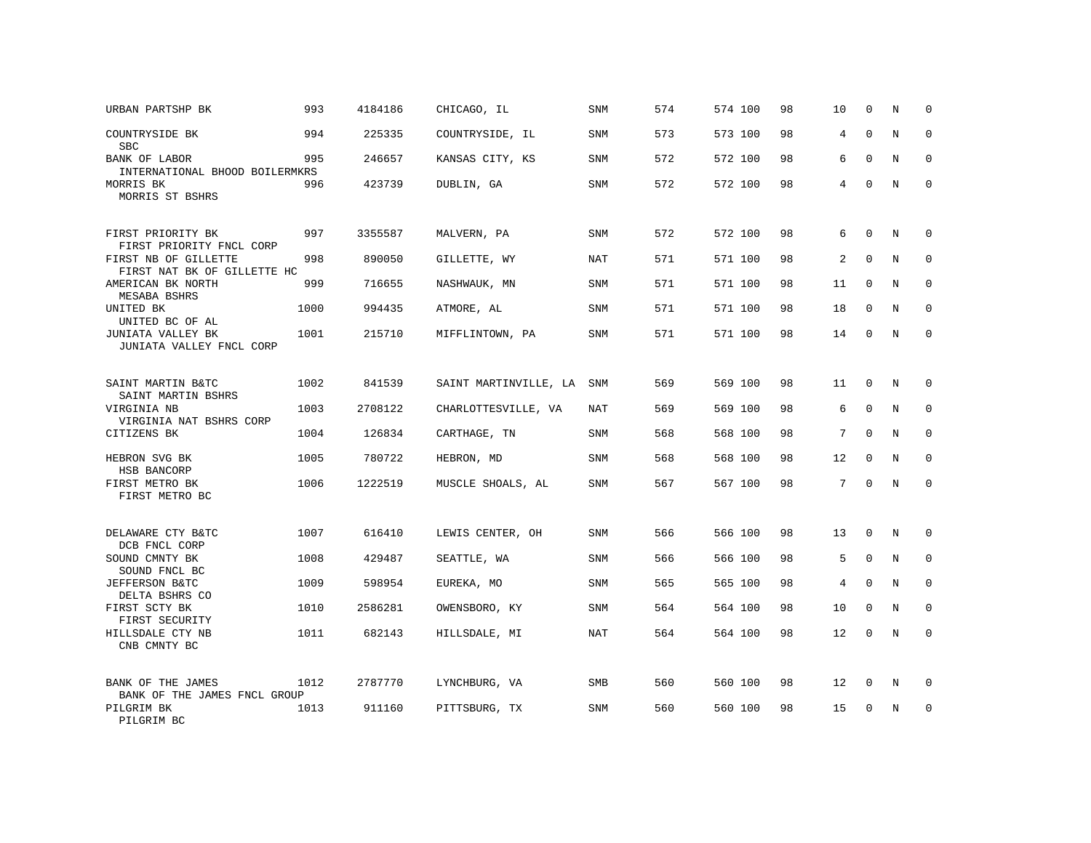| URBAN PARTSHP BK                                    | 993  | 4184186 | CHICAGO, IL           | SNM        | 574 | 574 100 | 98 | 10             | 0            | N | 0           |
|-----------------------------------------------------|------|---------|-----------------------|------------|-----|---------|----|----------------|--------------|---|-------------|
| COUNTRYSIDE BK<br><b>SBC</b>                        | 994  | 225335  | COUNTRYSIDE, IL       | <b>SNM</b> | 573 | 573 100 | 98 | 4              | $\Omega$     | N | $\Omega$    |
| BANK OF LABOR<br>INTERNATIONAL BHOOD BOILERMKRS     | 995  | 246657  | KANSAS CITY, KS       | <b>SNM</b> | 572 | 572 100 | 98 | 6              | $\mathbf{0}$ | N | $\mathbf 0$ |
| MORRIS BK<br>MORRIS ST BSHRS                        | 996  | 423739  | DUBLIN, GA            | SNM        | 572 | 572 100 | 98 | 4              | $\Omega$     | N | $\Omega$    |
| FIRST PRIORITY BK<br>FIRST PRIORITY FNCL CORP       | 997  | 3355587 | MALVERN, PA           | SNM        | 572 | 572 100 | 98 | 6              | $\mathbf 0$  | N | 0           |
| FIRST NB OF GILLETTE<br>FIRST NAT BK OF GILLETTE HC | 998  | 890050  | GILLETTE, WY          | NAT        | 571 | 571 100 | 98 | $\overline{a}$ | $\Omega$     | N | $\Omega$    |
| AMERICAN BK NORTH<br>MESABA BSHRS                   | 999  | 716655  | NASHWAUK, MN          | SNM        | 571 | 571 100 | 98 | 11             | $\mathbf 0$  | N | $\mathbf 0$ |
| UNITED BK<br>UNITED BC OF AL                        | 1000 | 994435  | ATMORE, AL            | <b>SNM</b> | 571 | 571 100 | 98 | 18             | $\Omega$     | N | $\Omega$    |
| JUNIATA VALLEY BK<br>JUNIATA VALLEY FNCL CORP       | 1001 | 215710  | MIFFLINTOWN, PA       | SNM        | 571 | 571 100 | 98 | 14             | 0            | N | $\mathbf 0$ |
| SAINT MARTIN B&TC<br>SAINT MARTIN BSHRS             | 1002 | 841539  | SAINT MARTINVILLE, LA | SNM        | 569 | 569 100 | 98 | 11             | $\mathbf 0$  | N | $\mathbf 0$ |
| VIRGINIA NB<br>VIRGINIA NAT BSHRS CORP              | 1003 | 2708122 | CHARLOTTESVILLE, VA   | NAT        | 569 | 569 100 | 98 | 6              | $\Omega$     | N | $\mathbf 0$ |
| CITIZENS BK                                         | 1004 | 126834  | CARTHAGE, TN          | <b>SNM</b> | 568 | 568 100 | 98 | 7              | $\Omega$     | N | $\mathbf 0$ |
| HEBRON SVG BK<br>HSB BANCORP                        | 1005 | 780722  | HEBRON, MD            | <b>SNM</b> | 568 | 568 100 | 98 | 12             | $\mathbf 0$  | N | $\mathbf 0$ |
| FIRST METRO BK<br>FIRST METRO BC                    | 1006 | 1222519 | MUSCLE SHOALS, AL     | <b>SNM</b> | 567 | 567 100 | 98 | 7              | $\Omega$     | N | $\mathbf 0$ |
| DELAWARE CTY B&TC<br>DCB FNCL CORP                  | 1007 | 616410  | LEWIS CENTER, OH      | <b>SNM</b> | 566 | 566 100 | 98 | 13             | $\mathbf 0$  | N | $\mathbf 0$ |
| SOUND CMNTY BK<br>SOUND FNCL BC                     | 1008 | 429487  | SEATTLE, WA           | SNM        | 566 | 566 100 | 98 | 5              | $\mathbf{0}$ | N | $\mathbf 0$ |
| JEFFERSON B&TC<br>DELTA BSHRS CO                    | 1009 | 598954  | EUREKA, MO            | <b>SNM</b> | 565 | 565 100 | 98 | 4              | $\mathbf{0}$ | N | $\mathbf 0$ |
| FIRST SCTY BK<br>FIRST SECURITY                     | 1010 | 2586281 | OWENSBORO, KY         | SNM        | 564 | 564 100 | 98 | 10             | $\Omega$     | N | $\Omega$    |
| HILLSDALE CTY NB<br>CNB CMNTY BC                    | 1011 | 682143  | HILLSDALE, MI         | NAT        | 564 | 564 100 | 98 | 12             | $\mathbf 0$  | N | $\mathbf 0$ |
| BANK OF THE JAMES<br>BANK OF THE JAMES FNCL GROUP   | 1012 | 2787770 | LYNCHBURG, VA         | SMB        | 560 | 560 100 | 98 | 12             | 0            | N | 0           |
| PILGRIM BK<br>PILGRIM BC                            | 1013 | 911160  | PITTSBURG, TX         | <b>SNM</b> | 560 | 560 100 | 98 | 15             | $\Omega$     | N | $\mathbf 0$ |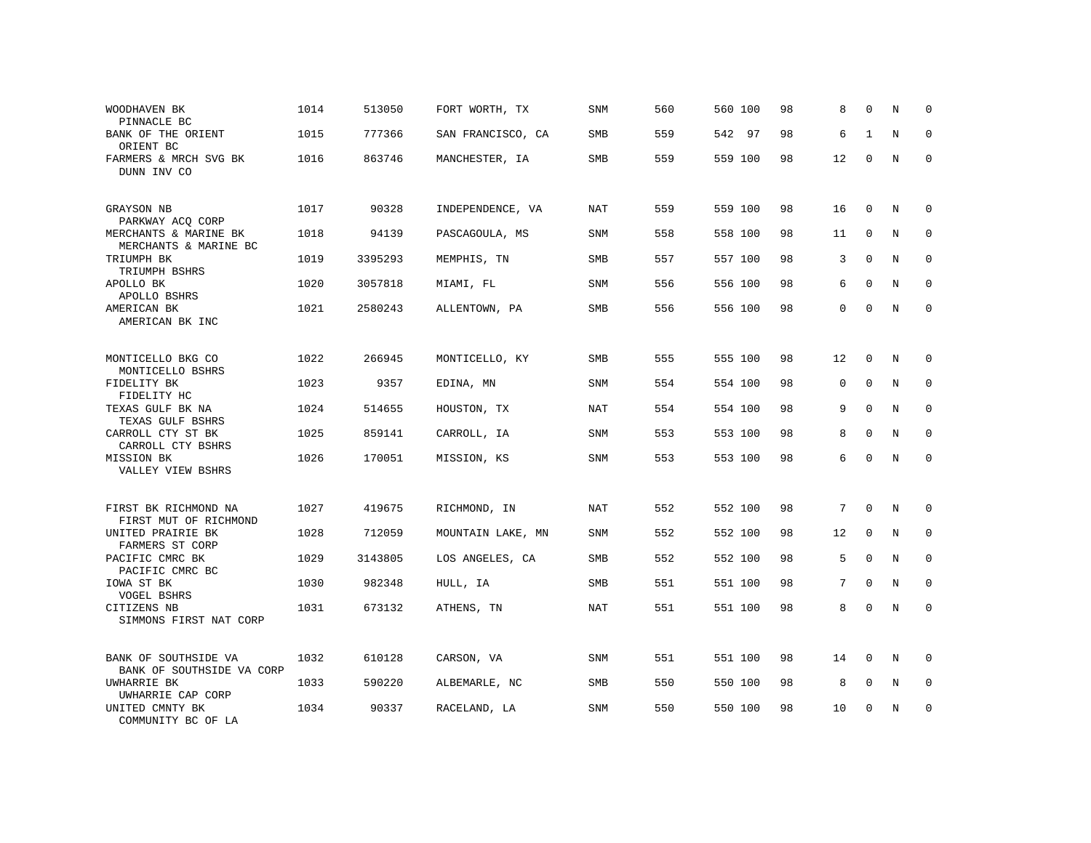| WOODHAVEN BK<br>PINNACLE BC                       | 1014 | 513050  | FORT WORTH, TX    | <b>SNM</b> | 560 | 560 100 | 98 | 8  | $\Omega$    | N          | $\mathbf 0$  |
|---------------------------------------------------|------|---------|-------------------|------------|-----|---------|----|----|-------------|------------|--------------|
| BANK OF THE ORIENT<br>ORIENT BC                   | 1015 | 777366  | SAN FRANCISCO, CA | <b>SMB</b> | 559 | 542 97  | 98 | 6  | 1           | N          | $\Omega$     |
| FARMERS & MRCH SVG BK<br>DUNN INV CO              | 1016 | 863746  | MANCHESTER, IA    | SMB        | 559 | 559 100 | 98 | 12 | $\mathbf 0$ | N          | $\Omega$     |
| GRAYSON NB<br>PARKWAY ACQ CORP                    | 1017 | 90328   | INDEPENDENCE, VA  | NAT        | 559 | 559 100 | 98 | 16 | $\Omega$    | N          | 0            |
| MERCHANTS & MARINE BK<br>MERCHANTS & MARINE BC    | 1018 | 94139   | PASCAGOULA, MS    | SNM        | 558 | 558 100 | 98 | 11 | $\Omega$    | N          | $\mathbf 0$  |
| TRIUMPH BK<br>TRIUMPH BSHRS                       | 1019 | 3395293 | MEMPHIS, TN       | SMB        | 557 | 557 100 | 98 | 3  | $\Omega$    | N          | $\mathbf 0$  |
| APOLLO BK<br>APOLLO BSHRS                         | 1020 | 3057818 | MIAMI, FL         | <b>SNM</b> | 556 | 556 100 | 98 | 6  | $\Omega$    | N          | $\Omega$     |
| AMERICAN BK<br>AMERICAN BK INC                    | 1021 | 2580243 | ALLENTOWN, PA     | SMB        | 556 | 556 100 | 98 | 0  | $\Omega$    | N          | $\mathbf 0$  |
| MONTICELLO BKG CO<br>MONTICELLO BSHRS             | 1022 | 266945  | MONTICELLO, KY    | SMB        | 555 | 555 100 | 98 | 12 | $\mathbf 0$ | N          | $\mathbf 0$  |
| FIDELITY BK<br>FIDELITY HC                        | 1023 | 9357    | EDINA, MN         | <b>SNM</b> | 554 | 554 100 | 98 | 0  | $\mathbf 0$ | N          | $\mathbf 0$  |
| TEXAS GULF BK NA<br>TEXAS GULF BSHRS              | 1024 | 514655  | HOUSTON, TX       | <b>NAT</b> | 554 | 554 100 | 98 | 9  | $\Omega$    | N          | $\Omega$     |
| CARROLL CTY ST BK<br>CARROLL CTY BSHRS            | 1025 | 859141  | CARROLL, IA       | SNM        | 553 | 553 100 | 98 | 8  | $\Omega$    | N          | $\mathbf 0$  |
| MISSION BK<br>VALLEY VIEW BSHRS                   | 1026 | 170051  | MISSION, KS       | <b>SNM</b> | 553 | 553 100 | 98 | 6  | $\Omega$    | N          | $\Omega$     |
| FIRST BK RICHMOND NA<br>FIRST MUT OF RICHMOND     | 1027 | 419675  | RICHMOND, IN      | NAT        | 552 | 552 100 | 98 | 7  | $\Omega$    | N          | $\Omega$     |
| UNITED PRAIRIE BK<br>FARMERS ST CORP              | 1028 | 712059  | MOUNTAIN LAKE, MN | <b>SNM</b> | 552 | 552 100 | 98 | 12 | $\mathbf 0$ | N          | $\mathbf 0$  |
| PACIFIC CMRC BK<br>PACIFIC CMRC BC                | 1029 | 3143805 | LOS ANGELES, CA   | <b>SMB</b> | 552 | 552 100 | 98 | 5  | $\Omega$    | N          | $\mathbf{0}$ |
| IOWA ST BK<br><b>VOGEL BSHRS</b>                  | 1030 | 982348  | HULL, IA          | <b>SMB</b> | 551 | 551 100 | 98 | 7  | $\mathbf 0$ | N          | $\mathbf 0$  |
| CITIZENS NB<br>SIMMONS FIRST NAT CORP             | 1031 | 673132  | ATHENS, TN        | NAT        | 551 | 551 100 | 98 | 8  | $\Omega$    | $_{\rm N}$ | $\Omega$     |
| BANK OF SOUTHSIDE VA<br>BANK OF SOUTHSIDE VA CORP | 1032 | 610128  | CARSON, VA        | <b>SNM</b> | 551 | 551 100 | 98 | 14 | $\mathbf 0$ | N          | $\mathbf 0$  |
| UWHARRIE BK<br>UWHARRIE CAP CORP                  | 1033 | 590220  | ALBEMARLE, NC     | SMB        | 550 | 550 100 | 98 | 8  | $\mathbf 0$ | N          | 0            |
| UNITED CMNTY BK<br>COMMUNITY BC OF LA             | 1034 | 90337   | RACELAND, LA      | <b>SNM</b> | 550 | 550 100 | 98 | 10 | $\Omega$    | N          | $\mathbf 0$  |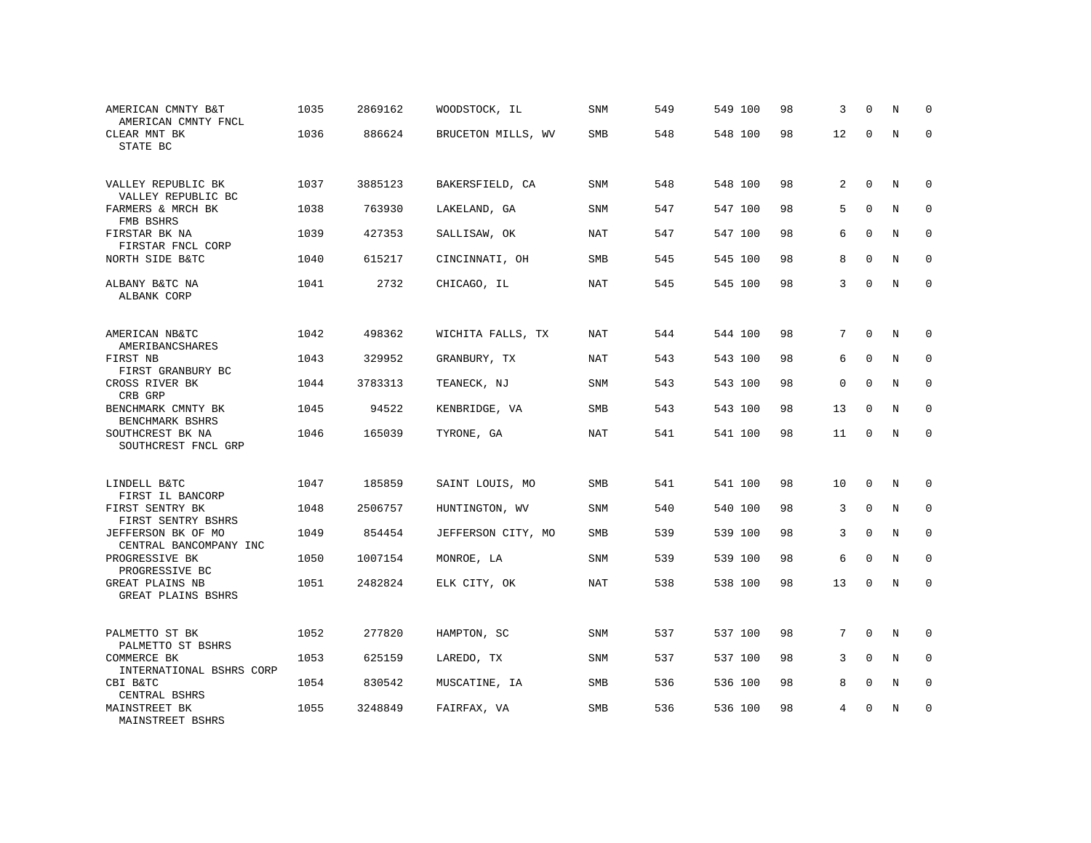| AMERICAN CMNTY B&T<br>AMERICAN CMNTY FNCL    | 1035 | 2869162 | WOODSTOCK, IL      | <b>SNM</b> | 549 | 549 100 | 98 | 3              | $\Omega$     | N              | $\mathbf 0$ |
|----------------------------------------------|------|---------|--------------------|------------|-----|---------|----|----------------|--------------|----------------|-------------|
| CLEAR MNT BK<br>STATE BC                     | 1036 | 886624  | BRUCETON MILLS, WV | SMB        | 548 | 548 100 | 98 | 12             | $\Omega$     | N              | $\mathbf 0$ |
| VALLEY REPUBLIC BK<br>VALLEY REPUBLIC BC     | 1037 | 3885123 | BAKERSFIELD, CA    | <b>SNM</b> | 548 | 548 100 | 98 | $\overline{a}$ | $\Omega$     | N              | $\Omega$    |
| FARMERS & MRCH BK<br>FMB BSHRS               | 1038 | 763930  | LAKELAND, GA       | <b>SNM</b> | 547 | 547 100 | 98 | 5              | $\Omega$     | N              | $\Omega$    |
| FIRSTAR BK NA<br>FIRSTAR FNCL CORP           | 1039 | 427353  | SALLISAW, OK       | NAT        | 547 | 547 100 | 98 | 6              | $\mathbf{0}$ | N              | $\mathbf 0$ |
| NORTH SIDE B&TC                              | 1040 | 615217  | CINCINNATI, OH     | SMB        | 545 | 545 100 | 98 | 8              | $\mathbf{0}$ | N              | $\mathbf 0$ |
| ALBANY B&TC NA<br>ALBANK CORP                | 1041 | 2732    | CHICAGO, IL        | NAT        | 545 | 545 100 | 98 | 3              | $\Omega$     | $\overline{N}$ | $\mathbf 0$ |
| AMERICAN NB&TC<br>AMERIBANCSHARES            | 1042 | 498362  | WICHITA FALLS, TX  | NAT        | 544 | 544 100 | 98 | 7              | $\mathbf 0$  | N              | $\mathbf 0$ |
| FIRST NB<br>FIRST GRANBURY BC                | 1043 | 329952  | GRANBURY, TX       | NAT        | 543 | 543 100 | 98 | 6              | $\Omega$     | N              | 0           |
| CROSS RIVER BK<br>CRB GRP                    | 1044 | 3783313 | TEANECK, NJ        | SNM        | 543 | 543 100 | 98 | $\mathsf 0$    | $\mathbf{0}$ | N              | $\mathbf 0$ |
| BENCHMARK CMNTY BK<br>BENCHMARK BSHRS        | 1045 | 94522   | KENBRIDGE, VA      | <b>SMB</b> | 543 | 543 100 | 98 | 13             | $\Omega$     | N              | $\mathbf 0$ |
| SOUTHCREST BK NA<br>SOUTHCREST FNCL GRP      | 1046 | 165039  | TYRONE, GA         | NAT        | 541 | 541 100 | 98 | 11             | $\mathbf 0$  | N              | $\mathbf 0$ |
| LINDELL B&TC<br>FIRST IL BANCORP             | 1047 | 185859  | SAINT LOUIS, MO    | SMB        | 541 | 541 100 | 98 | 10             | 0            | N              | 0           |
| FIRST SENTRY BK<br>FIRST SENTRY BSHRS        | 1048 | 2506757 | HUNTINGTON, WV     | SNM        | 540 | 540 100 | 98 | 3              | $\mathbf{0}$ | N              | $\mathbf 0$ |
| JEFFERSON BK OF MO<br>CENTRAL BANCOMPANY INC | 1049 | 854454  | JEFFERSON CITY, MO | <b>SMB</b> | 539 | 539 100 | 98 | 3              | $\mathbf{0}$ | N              | $\mathbf 0$ |
| PROGRESSIVE BK<br>PROGRESSIVE BC             | 1050 | 1007154 | MONROE, LA         | SNM        | 539 | 539 100 | 98 | 6              | $\Omega$     | N              | $\mathbf 0$ |
| GREAT PLAINS NB<br>GREAT PLAINS BSHRS        | 1051 | 2482824 | ELK CITY, OK       | <b>NAT</b> | 538 | 538 100 | 98 | 13             | $\mathbf 0$  | N              | $\mathbf 0$ |
| PALMETTO ST BK<br>PALMETTO ST BSHRS          | 1052 | 277820  | HAMPTON, SC        | <b>SNM</b> | 537 | 537 100 | 98 | 7              | $\mathbf 0$  | N              | $\mathbf 0$ |
| COMMERCE BK<br>INTERNATIONAL BSHRS CORP      | 1053 | 625159  | LAREDO, TX         | <b>SNM</b> | 537 | 537 100 | 98 | 3              | $\Omega$     | N              | $\Omega$    |
| CBI B&TC<br>CENTRAL BSHRS                    | 1054 | 830542  | MUSCATINE, IA      | SMB        | 536 | 536 100 | 98 | 8              | $\mathbf{0}$ | N              | $\mathbf 0$ |
| MAINSTREET BK<br>MAINSTREET BSHRS            | 1055 | 3248849 | FAIRFAX, VA        | SMB        | 536 | 536 100 | 98 | 4              | $\Omega$     | N              | $\mathbf 0$ |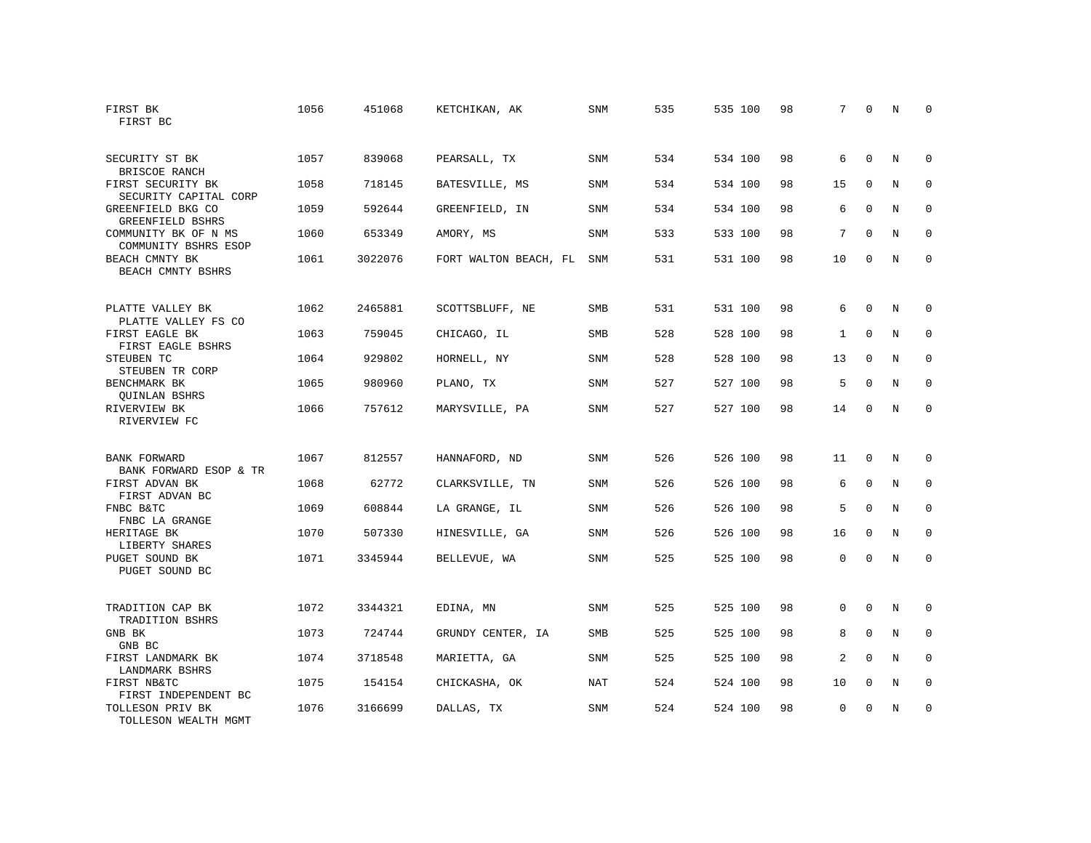| FIRST BK<br>FIRST BC                          | 1056 | 451068  | KETCHIKAN, AK         | SNM        | 535 | 535 100 | 98 | 7            | $\mathbf 0$  | N | $\Omega$    |
|-----------------------------------------------|------|---------|-----------------------|------------|-----|---------|----|--------------|--------------|---|-------------|
| SECURITY ST BK<br>BRISCOE RANCH               | 1057 | 839068  | PEARSALL, TX          | <b>SNM</b> | 534 | 534 100 | 98 | 6            | $\Omega$     | N | $\Omega$    |
| FIRST SECURITY BK<br>SECURITY CAPITAL CORP    | 1058 | 718145  | BATESVILLE, MS        | <b>SNM</b> | 534 | 534 100 | 98 | 15           | $\mathbf 0$  | N | $\mathbf 0$ |
| GREENFIELD BKG CO<br>GREENFIELD BSHRS         | 1059 | 592644  | GREENFIELD, IN        | <b>SNM</b> | 534 | 534 100 | 98 | 6            | $\Omega$     | N | $\Omega$    |
| COMMUNITY BK OF N MS<br>COMMUNITY BSHRS ESOP  | 1060 | 653349  | AMORY, MS             | <b>SNM</b> | 533 | 533 100 | 98 | 7            | $\Omega$     | N | $\mathbf 0$ |
| BEACH CMNTY BK<br>BEACH CMNTY BSHRS           | 1061 | 3022076 | FORT WALTON BEACH, FL | <b>SNM</b> | 531 | 531 100 | 98 | 10           | $\mathbf 0$  | N | $\mathbf 0$ |
| PLATTE VALLEY BK<br>PLATTE VALLEY FS CO       | 1062 | 2465881 | SCOTTSBLUFF, NE       | <b>SMB</b> | 531 | 531 100 | 98 | 6            | $\Omega$     | N | $\mathbf 0$ |
| FIRST EAGLE BK<br>FIRST EAGLE BSHRS           | 1063 | 759045  | CHICAGO, IL           | SMB        | 528 | 528 100 | 98 | $\mathbf{1}$ | $\Omega$     | N | $\mathbf 0$ |
| STEUBEN TC<br>STEUBEN TR CORP                 | 1064 | 929802  | HORNELL, NY           | <b>SNM</b> | 528 | 528 100 | 98 | 13           | $\Omega$     | N | $\mathbf 0$ |
| BENCHMARK BK<br><b>QUINLAN BSHRS</b>          | 1065 | 980960  | PLANO, TX             | <b>SNM</b> | 527 | 527 100 | 98 | 5            | $\Omega$     | N | $\mathbf 0$ |
| RIVERVIEW BK<br>RIVERVIEW FC                  | 1066 | 757612  | MARYSVILLE, PA        | <b>SNM</b> | 527 | 527 100 | 98 | 14           | $\Omega$     | N | $\Omega$    |
| <b>BANK FORWARD</b><br>BANK FORWARD ESOP & TR | 1067 | 812557  | HANNAFORD, ND         | <b>SNM</b> | 526 | 526 100 | 98 | 11           | $\mathbf 0$  | N | $\mathbf 0$ |
| FIRST ADVAN BK<br>FIRST ADVAN BC              | 1068 | 62772   | CLARKSVILLE, TN       | SNM        | 526 | 526 100 | 98 | 6            | $\mathbf{0}$ | N | 0           |
| FNBC B&TC<br>FNBC LA GRANGE                   | 1069 | 608844  | LA GRANGE, IL         | <b>SNM</b> | 526 | 526 100 | 98 | 5            | $\Omega$     | N | $\mathbf 0$ |
| HERITAGE BK<br>LIBERTY SHARES                 | 1070 | 507330  | HINESVILLE, GA        | SNM        | 526 | 526 100 | 98 | 16           | $\Omega$     | N | $\mathbf 0$ |
| PUGET SOUND BK<br>PUGET SOUND BC              | 1071 | 3345944 | BELLEVUE, WA          | SNM        | 525 | 525 100 | 98 | 0            | $\mathbf{0}$ | N | $\mathbf 0$ |
| TRADITION CAP BK<br>TRADITION BSHRS           | 1072 | 3344321 | EDINA, MN             | SNM        | 525 | 525 100 | 98 | 0            | $\mathbf 0$  | N | 0           |
| GNB BK<br>GNB BC                              | 1073 | 724744  | GRUNDY CENTER, IA     | <b>SMB</b> | 525 | 525 100 | 98 | 8            | $\mathbf{0}$ | N | $\mathbf 0$ |
| FIRST LANDMARK BK<br>LANDMARK BSHRS           | 1074 | 3718548 | MARIETTA, GA          | <b>SNM</b> | 525 | 525 100 | 98 | 2            | $\Omega$     | N | $\mathbf 0$ |
| FIRST NB&TC<br>FIRST INDEPENDENT BC           | 1075 | 154154  | CHICKASHA, OK         | <b>NAT</b> | 524 | 524 100 | 98 | 10           | $\mathbf 0$  | N | 0           |
| TOLLESON PRIV BK<br>TOLLESON WEALTH MGMT      | 1076 | 3166699 | DALLAS, TX            | <b>SNM</b> | 524 | 524 100 | 98 | $\Omega$     | $\Omega$     | N | $\mathbf 0$ |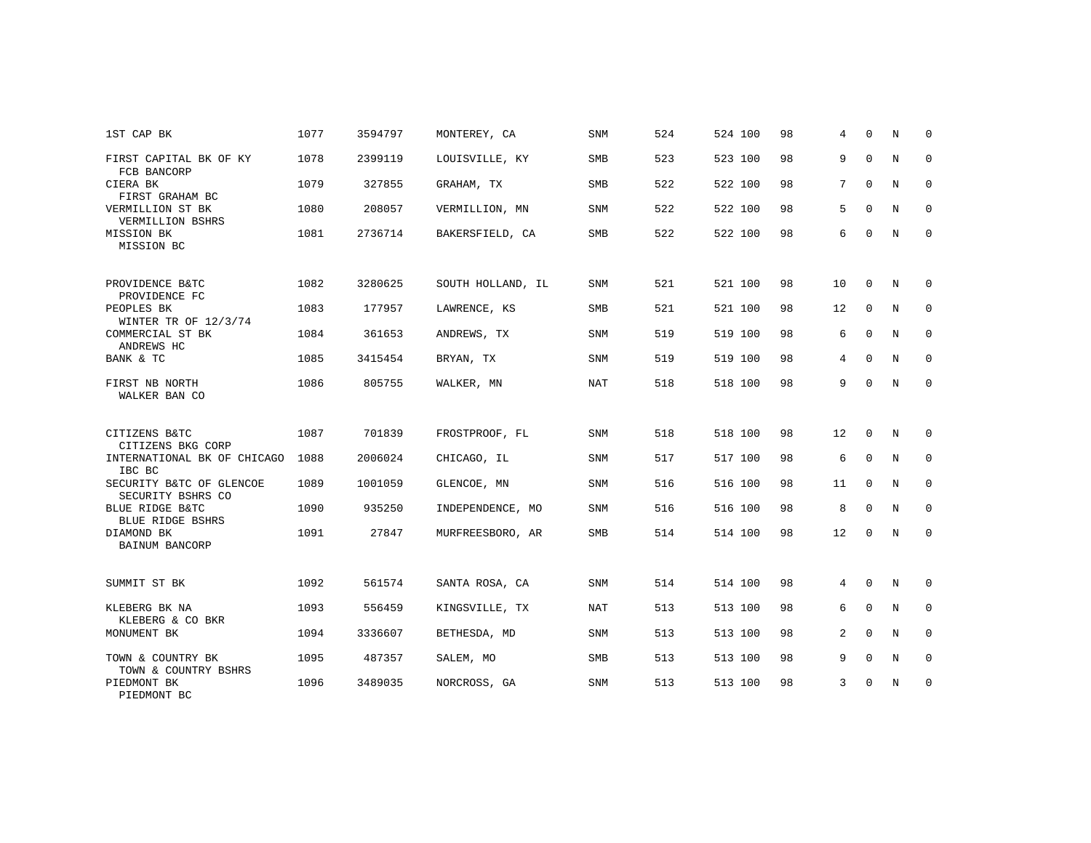| 1ST CAP BK                                    | 1077 | 3594797 | MONTEREY, CA      | <b>SNM</b> | 524 | 524 100 | 98 | 4  | $\Omega$     | N | $\Omega$     |
|-----------------------------------------------|------|---------|-------------------|------------|-----|---------|----|----|--------------|---|--------------|
| FIRST CAPITAL BK OF KY<br>FCB BANCORP         | 1078 | 2399119 | LOUISVILLE, KY    | SMB        | 523 | 523 100 | 98 | 9  | $\mathbf{0}$ | N | $\mathbf 0$  |
| CIERA BK<br>FIRST GRAHAM BC                   | 1079 | 327855  | GRAHAM, TX        | <b>SMB</b> | 522 | 522 100 | 98 | 7  | $\Omega$     | N | $\mathbf 0$  |
| VERMILLION ST BK<br>VERMILLION BSHRS          | 1080 | 208057  | VERMILLION, MN    | SNM        | 522 | 522 100 | 98 | 5  | $\Omega$     | N | $\mathbf 0$  |
| MISSION BK<br>MISSION BC                      | 1081 | 2736714 | BAKERSFIELD, CA   | SMB        | 522 | 522 100 | 98 | 6  | $\mathbf 0$  | N | $\mathbf 0$  |
| PROVIDENCE B&TC<br>PROVIDENCE FC              | 1082 | 3280625 | SOUTH HOLLAND, IL | <b>SNM</b> | 521 | 521 100 | 98 | 10 | 0            | N | 0            |
| PEOPLES BK<br>WINTER TR OF 12/3/74            | 1083 | 177957  | LAWRENCE, KS      | <b>SMB</b> | 521 | 521 100 | 98 | 12 | $\mathbf{0}$ | N | $\mathbf 0$  |
| COMMERCIAL ST BK<br>ANDREWS HC                | 1084 | 361653  | ANDREWS, TX       | <b>SNM</b> | 519 | 519 100 | 98 | 6  | $\mathbf 0$  | N | $\mathbf 0$  |
| BANK & TC                                     | 1085 | 3415454 | BRYAN, TX         | <b>SNM</b> | 519 | 519 100 | 98 | 4  | $\mathbf 0$  | N | $\mathbf{0}$ |
| FIRST NB NORTH<br>WALKER BAN CO               | 1086 | 805755  | WALKER, MN        | NAT        | 518 | 518 100 | 98 | 9  | $\Omega$     | N | $\mathbf 0$  |
| CITIZENS B&TC<br>CITIZENS BKG CORP            | 1087 | 701839  | FROSTPROOF, FL    | SNM        | 518 | 518 100 | 98 | 12 | $\mathbf 0$  | N | 0            |
| INTERNATIONAL BK OF CHICAGO<br>IBC BC         | 1088 | 2006024 | CHICAGO, IL       | SNM        | 517 | 517 100 | 98 | 6  | $\mathbf 0$  | N | 0            |
| SECURITY B&TC OF GLENCOE<br>SECURITY BSHRS CO | 1089 | 1001059 | GLENCOE, MN       | SNM        | 516 | 516 100 | 98 | 11 | $\mathbf 0$  | N | $\mathbf 0$  |
| BLUE RIDGE B&TC<br><b>BLUE RIDGE BSHRS</b>    | 1090 | 935250  | INDEPENDENCE, MO  | SNM        | 516 | 516 100 | 98 | 8  | $\mathbf 0$  | N | 0            |
| DIAMOND BK<br><b>BAINUM BANCORP</b>           | 1091 | 27847   | MURFREESBORO, AR  | SMB        | 514 | 514 100 | 98 | 12 | $\Omega$     | N | $\mathbf{0}$ |
| SUMMIT ST BK                                  | 1092 | 561574  | SANTA ROSA, CA    | SNM        | 514 | 514 100 | 98 | 4  | $\mathbf 0$  | N | $\mathbf 0$  |
| KLEBERG BK NA<br>KLEBERG & CO BKR             | 1093 | 556459  | KINGSVILLE, TX    | NAT        | 513 | 513 100 | 98 | 6  | $\Omega$     | N | $\mathbf 0$  |
| MONUMENT BK                                   | 1094 | 3336607 | BETHESDA, MD      | SNM        | 513 | 513 100 | 98 | 2  | $\Omega$     | N | $\mathbf 0$  |
| TOWN & COUNTRY BK<br>TOWN & COUNTRY BSHRS     | 1095 | 487357  | SALEM, MO         | SMB        | 513 | 513 100 | 98 | 9  | $\mathbf 0$  | N | $\mathbf 0$  |
| PIEDMONT BK<br>PIEDMONT BC                    | 1096 | 3489035 | NORCROSS, GA      | <b>SNM</b> | 513 | 513 100 | 98 | 3  | $\mathbf 0$  | N | $\mathbf 0$  |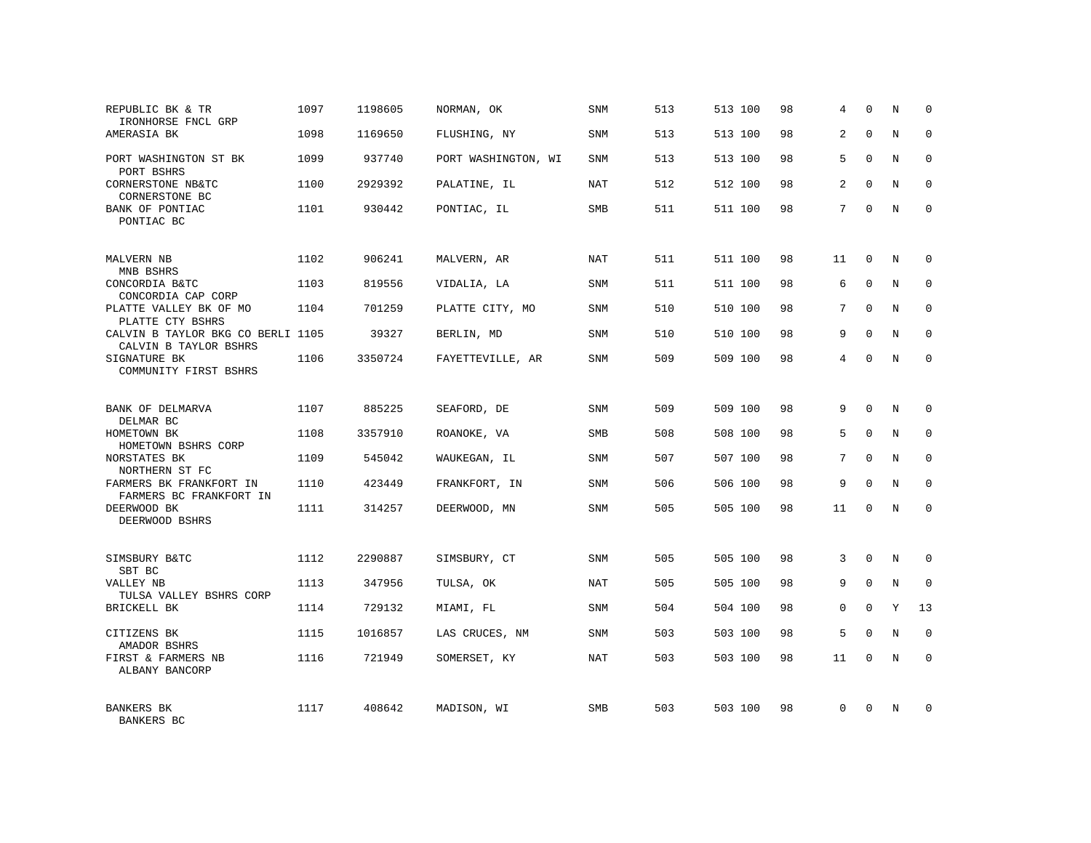| REPUBLIC BK & TR<br>IRONHORSE FNCL GRP                     | 1097 | 1198605 | NORMAN, OK          | <b>SNM</b> | 513 | 513 100 | 98 | 4              | $\Omega$    | N | $\mathbf 0$ |
|------------------------------------------------------------|------|---------|---------------------|------------|-----|---------|----|----------------|-------------|---|-------------|
| AMERASIA BK                                                | 1098 | 1169650 | FLUSHING, NY        | <b>SNM</b> | 513 | 513 100 | 98 | 2              | $\Omega$    | N | $\Omega$    |
| PORT WASHINGTON ST BK<br>PORT BSHRS                        | 1099 | 937740  | PORT WASHINGTON, WI | SNM        | 513 | 513 100 | 98 | 5              | $\Omega$    | N | $\mathbf 0$ |
| CORNERSTONE NB&TC<br>CORNERSTONE BC                        | 1100 | 2929392 | PALATINE, IL        | NAT        | 512 | 512 100 | 98 | $\overline{a}$ | $\Omega$    | N | $\Omega$    |
| BANK OF PONTIAC<br>PONTIAC BC                              | 1101 | 930442  | PONTIAC, IL         | SMB        | 511 | 511 100 | 98 | 7              | $\Omega$    | N | $\Omega$    |
| MALVERN NB<br>MNB BSHRS                                    | 1102 | 906241  | MALVERN, AR         | NAT        | 511 | 511 100 | 98 | 11             | $\mathbf 0$ | N | $\Omega$    |
| CONCORDIA B&TC<br>CONCORDIA CAP CORP                       | 1103 | 819556  | VIDALIA, LA         | <b>SNM</b> | 511 | 511 100 | 98 | 6              | $\Omega$    | N | $\Omega$    |
| PLATTE VALLEY BK OF MO<br>PLATTE CTY BSHRS                 | 1104 | 701259  | PLATTE CITY, MO     | SNM        | 510 | 510 100 | 98 | 7              | $\Omega$    | N | $\mathbf 0$ |
| CALVIN B TAYLOR BKG CO BERLI 1105<br>CALVIN B TAYLOR BSHRS |      | 39327   | BERLIN, MD          | <b>SNM</b> | 510 | 510 100 | 98 | 9              | $\Omega$    | N | $\Omega$    |
| SIGNATURE BK<br>COMMUNITY FIRST BSHRS                      | 1106 | 3350724 | FAYETTEVILLE, AR    | SNM        | 509 | 509 100 | 98 | 4              | $\Omega$    | N | $\Omega$    |
| BANK OF DELMARVA<br>DELMAR BC                              | 1107 | 885225  | SEAFORD, DE         | SNM        | 509 | 509 100 | 98 | 9              | $\Omega$    | N | $\Omega$    |
| HOMETOWN BK<br>HOMETOWN BSHRS CORP                         | 1108 | 3357910 | ROANOKE, VA         | <b>SMB</b> | 508 | 508 100 | 98 | 5              | $\Omega$    | N | $\mathbf 0$ |
| NORSTATES BK<br>NORTHERN ST FC                             | 1109 | 545042  | WAUKEGAN, IL        | <b>SNM</b> | 507 | 507 100 | 98 | 7              | $\Omega$    | N | $\Omega$    |
| FARMERS BK FRANKFORT IN<br>FARMERS BC FRANKFORT IN         | 1110 | 423449  | FRANKFORT, IN       | <b>SNM</b> | 506 | 506 100 | 98 | 9              | $\Omega$    | N | $\mathbf 0$ |
| DEERWOOD BK<br>DEERWOOD BSHRS                              | 1111 | 314257  | DEERWOOD, MN        | <b>SNM</b> | 505 | 505 100 | 98 | 11             | $\Omega$    | N | $\Omega$    |
| SIMSBURY B&TC<br>SBT BC                                    | 1112 | 2290887 | SIMSBURY, CT        | <b>SNM</b> | 505 | 505 100 | 98 | 3              | $\Omega$    | N | $\Omega$    |
| VALLEY NB<br>TULSA VALLEY BSHRS CORP                       | 1113 | 347956  | TULSA, OK           | NAT        | 505 | 505 100 | 98 | 9              | $\mathbf 0$ | N | $\mathbf 0$ |
| <b>BRICKELL BK</b>                                         | 1114 | 729132  | MIAMI, FL           | <b>SNM</b> | 504 | 504 100 | 98 | $\Omega$       | $\Omega$    | Y | 13          |
| CITIZENS BK<br>AMADOR BSHRS                                | 1115 | 1016857 | LAS CRUCES, NM      | <b>SNM</b> | 503 | 503 100 | 98 | 5              | $\Omega$    | N | $\mathbf 0$ |
| FIRST & FARMERS NB<br>ALBANY BANCORP                       | 1116 | 721949  | SOMERSET, KY        | NAT        | 503 | 503 100 | 98 | 11             | $\Omega$    | N | $\Omega$    |
| <b>BANKERS BK</b><br><b>BANKERS BC</b>                     | 1117 | 408642  | MADISON, WI         | <b>SMB</b> | 503 | 503 100 | 98 | $\Omega$       | $\Omega$    | N | $\Omega$    |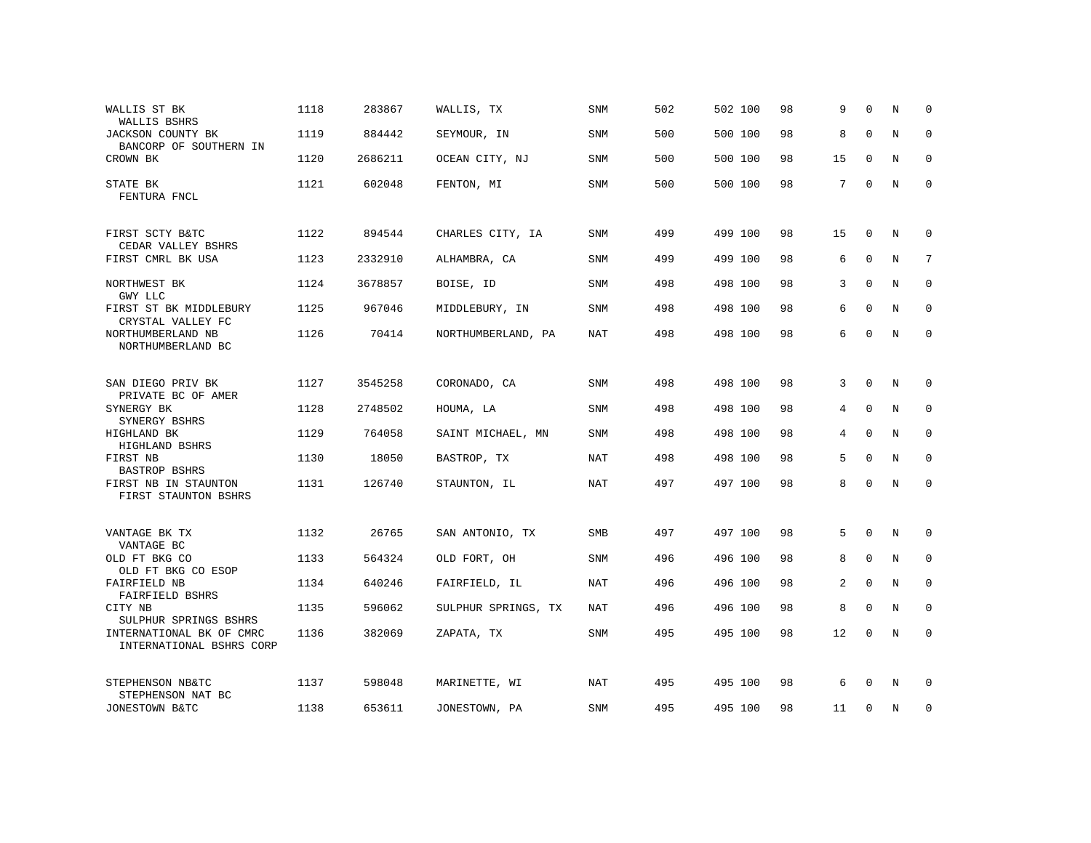| WALLIS ST BK<br>WALLIS BSHRS                                  | 1118 | 283867  | WALLIS, TX          | SNM        | 502 | 502 100 | 98 | 9  | $\Omega$     | N | $\Omega$    |
|---------------------------------------------------------------|------|---------|---------------------|------------|-----|---------|----|----|--------------|---|-------------|
| JACKSON COUNTY BK<br>BANCORP OF SOUTHERN IN                   | 1119 | 884442  | SEYMOUR, IN         | SNM        | 500 | 500 100 | 98 | 8  | $\Omega$     | N | $\mathbf 0$ |
| CROWN BK                                                      | 1120 | 2686211 | OCEAN CITY, NJ      | SNM        | 500 | 500 100 | 98 | 15 | $\mathbf 0$  | N | $\mathbf 0$ |
| STATE BK<br>FENTURA FNCL                                      | 1121 | 602048  | FENTON, MI          | <b>SNM</b> | 500 | 500 100 | 98 | 7  | $\mathbf 0$  | N | $\mathbf 0$ |
| FIRST SCTY B&TC                                               | 1122 | 894544  | CHARLES CITY, IA    | SNM        | 499 | 499 100 | 98 | 15 | 0            | N | 0           |
| CEDAR VALLEY BSHRS<br>FIRST CMRL BK USA                       | 1123 | 2332910 | ALHAMBRA, CA        | <b>SNM</b> | 499 | 499 100 | 98 | 6  | $\Omega$     | N | 7           |
| NORTHWEST BK<br>GMY LLC                                       | 1124 | 3678857 | BOISE, ID           | SNM        | 498 | 498 100 | 98 | 3  | $\Omega$     | N | $\mathbf 0$ |
| FIRST ST BK MIDDLEBURY<br>CRYSTAL VALLEY FC                   | 1125 | 967046  | MIDDLEBURY, IN      | <b>SNM</b> | 498 | 498 100 | 98 | 6  | $\mathbf 0$  | N | 0           |
| NORTHUMBERLAND NB<br>NORTHUMBERLAND BC                        | 1126 | 70414   | NORTHUMBERLAND, PA  | NAT        | 498 | 498 100 | 98 | 6  | $\mathbf 0$  | N | $\Omega$    |
|                                                               |      |         |                     |            |     |         |    |    |              |   |             |
| SAN DIEGO PRIV BK<br>PRIVATE BC OF AMER                       | 1127 | 3545258 | CORONADO, CA        | SNM        | 498 | 498 100 | 98 | 3  | $\mathbf 0$  | N | $\mathbf 0$ |
| SYNERGY BK<br>SYNERGY BSHRS                                   | 1128 | 2748502 | HOUMA, LA           | <b>SNM</b> | 498 | 498 100 | 98 | 4  | $\mathbf 0$  | N | $\mathbf 0$ |
| HIGHLAND BK                                                   | 1129 | 764058  | SAINT MICHAEL, MN   | SNM        | 498 | 498 100 | 98 | 4  | $\mathbf 0$  | N | $\mathbf 0$ |
| HIGHLAND BSHRS<br>FIRST NB                                    | 1130 | 18050   | BASTROP, TX         | NAT        | 498 | 498 100 | 98 | 5  | $\mathbf{0}$ | N | 0           |
| BASTROP BSHRS<br>FIRST NB IN STAUNTON<br>FIRST STAUNTON BSHRS | 1131 | 126740  | STAUNTON, IL        | NAT        | 497 | 497 100 | 98 | 8  | $\Omega$     | N | $\mathbf 0$ |
|                                                               |      |         |                     |            |     |         |    |    |              |   |             |
| VANTAGE BK TX<br>VANTAGE BC                                   | 1132 | 26765   | SAN ANTONIO, TX     | <b>SMB</b> | 497 | 497 100 | 98 | 5  | $\mathbf 0$  | N | 0           |
| OLD FT BKG CO<br>OLD FT BKG CO ESOP                           | 1133 | 564324  | OLD FORT, OH        | SNM        | 496 | 496 100 | 98 | 8  | 0            | N | 0           |
| FAIRFIELD NB<br>FAIRFIELD BSHRS                               | 1134 | 640246  | FAIRFIELD, IL       | <b>NAT</b> | 496 | 496 100 | 98 | 2  | $\Omega$     | N | $\mathbf 0$ |
| CITY NB<br>SULPHUR SPRINGS BSHRS                              | 1135 | 596062  | SULPHUR SPRINGS, TX | NAT        | 496 | 496 100 | 98 | 8  | $\mathbf 0$  | N | 0           |
| INTERNATIONAL BK OF CMRC<br>INTERNATIONAL BSHRS CORP          | 1136 | 382069  | ZAPATA, TX          | SNM        | 495 | 495 100 | 98 | 12 | $\mathbf 0$  | N | $\mathbf 0$ |
| STEPHENSON NB&TC                                              | 1137 | 598048  | MARINETTE, WI       | NAT        | 495 | 495 100 | 98 | 6  | $\Omega$     | N | 0           |
| STEPHENSON NAT BC<br>JONESTOWN B&TC                           | 1138 | 653611  | JONESTOWN, PA       | SNM        | 495 | 495 100 | 98 | 11 | 0            | N | $\mathbf 0$ |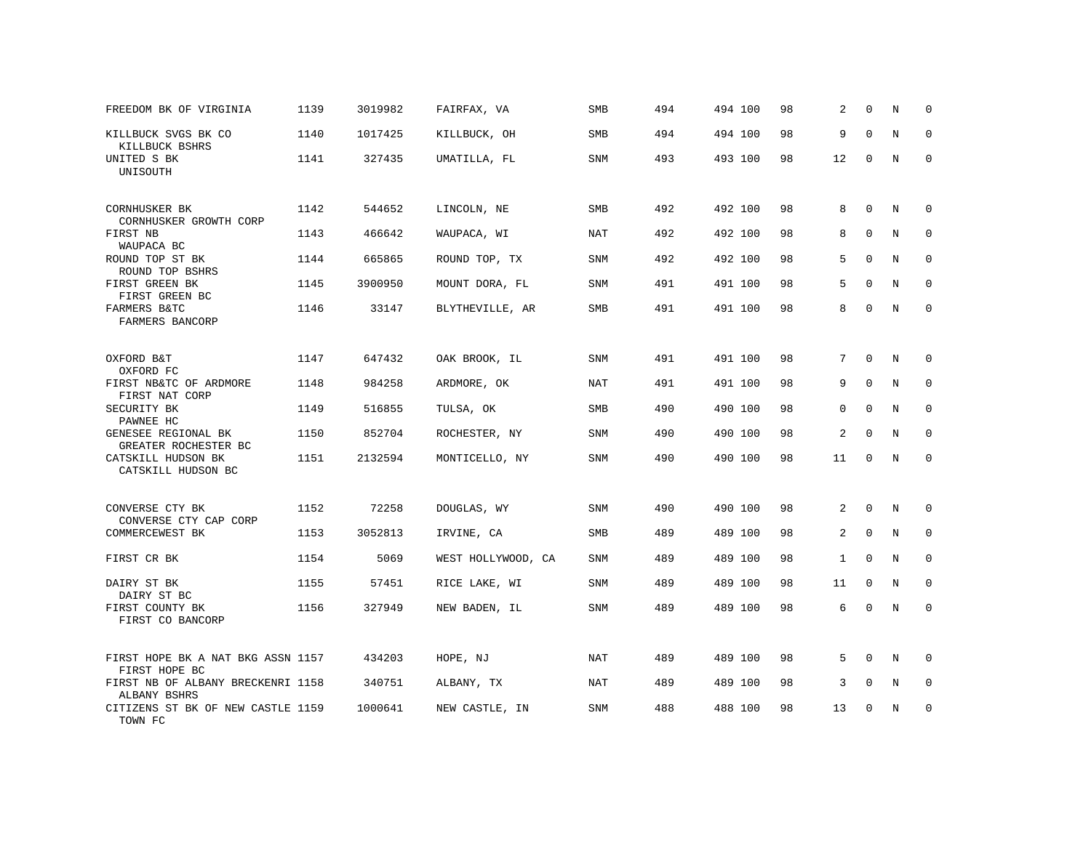| FREEDOM BK OF VIRGINIA                             | 1139 | 3019982 | FAIRFAX, VA        | SMB        | 494 | 494 100 | 98 | 2            | 0            | N           | 0            |
|----------------------------------------------------|------|---------|--------------------|------------|-----|---------|----|--------------|--------------|-------------|--------------|
| KILLBUCK SVGS BK CO<br>KILLBUCK BSHRS              | 1140 | 1017425 | KILLBUCK, OH       | SMB        | 494 | 494 100 | 98 | 9            | $\mathbf 0$  | $\mathbf N$ | $\mathbf 0$  |
| UNITED S BK<br>UNISOUTH                            | 1141 | 327435  | UMATILLA, FL       | SNM        | 493 | 493 100 | 98 | 12           | $\Omega$     | N           | $\Omega$     |
| CORNHUSKER BK                                      | 1142 | 544652  | LINCOLN, NE        | SMB        | 492 | 492 100 | 98 | 8            | $\mathbf 0$  | N           | $\mathbf 0$  |
| CORNHUSKER GROWTH CORP<br>FIRST NB<br>WAUPACA BC   | 1143 | 466642  | WAUPACA, WI        | NAT        | 492 | 492 100 | 98 | 8            | $\mathbf{0}$ | N           | 0            |
| ROUND TOP ST BK<br>ROUND TOP BSHRS                 | 1144 | 665865  | ROUND TOP, TX      | SNM        | 492 | 492 100 | 98 | 5            | $\mathbf 0$  | N           | 0            |
| FIRST GREEN BK<br>FIRST GREEN BC                   | 1145 | 3900950 | MOUNT DORA, FL     | SNM        | 491 | 491 100 | 98 | 5            | $\Omega$     | N           | $\mathbf 0$  |
| FARMERS B&TC<br>FARMERS BANCORP                    | 1146 | 33147   | BLYTHEVILLE, AR    | SMB        | 491 | 491 100 | 98 | 8            | $\Omega$     | N           | $\mathbf 0$  |
| OXFORD B&T<br>OXFORD FC                            | 1147 | 647432  | OAK BROOK, IL      | SNM        | 491 | 491 100 | 98 | 7            | $\mathbf{0}$ | N           | $\mathbf 0$  |
| FIRST NB&TC OF ARDMORE<br>FIRST NAT CORP           | 1148 | 984258  | ARDMORE, OK        | <b>NAT</b> | 491 | 491 100 | 98 | 9            | $\mathbf 0$  | N           | $\mathbf 0$  |
| SECURITY BK<br>PAWNEE HC                           | 1149 | 516855  | TULSA, OK          | SMB        | 490 | 490 100 | 98 | $\Omega$     | $\Omega$     | N           | $\mathbf{0}$ |
| GENESEE REGIONAL BK<br>GREATER ROCHESTER BC        | 1150 | 852704  | ROCHESTER, NY      | SNM        | 490 | 490 100 | 98 | 2            | $\Omega$     | N           | $\mathbf 0$  |
| CATSKILL HUDSON BK<br>CATSKILL HUDSON BC           | 1151 | 2132594 | MONTICELLO, NY     | SNM        | 490 | 490 100 | 98 | 11           | $\mathbf 0$  | N           | $\mathbf{0}$ |
| CONVERSE CTY BK<br>CONVERSE CTY CAP CORP           | 1152 | 72258   | DOUGLAS, WY        | SNM        | 490 | 490 100 | 98 | 2            | $\mathbf 0$  | N           | $\mathbf 0$  |
| COMMERCEWEST BK                                    | 1153 | 3052813 | IRVINE, CA         | SMB        | 489 | 489 100 | 98 | 2            | $\Omega$     | N           | $\mathbf 0$  |
| FIRST CR BK                                        | 1154 | 5069    | WEST HOLLYWOOD, CA | SNM        | 489 | 489 100 | 98 | $\mathbf{1}$ | $\Omega$     | N           | $\mathbf 0$  |
| DAIRY ST BK<br>DAIRY ST BC                         | 1155 | 57451   | RICE LAKE, WI      | SNM        | 489 | 489 100 | 98 | 11           | $\mathbf 0$  | N           | $\mathbf 0$  |
| FIRST COUNTY BK<br>FIRST CO BANCORP                | 1156 | 327949  | NEW BADEN, IL      | SNM        | 489 | 489 100 | 98 | 6            | $\mathbf{0}$ | $\mathbf N$ | $\mathbf 0$  |
| FIRST HOPE BK A NAT BKG ASSN 1157<br>FIRST HOPE BC |      | 434203  | HOPE, NJ           | NAT        | 489 | 489 100 | 98 | 5            | $\Omega$     | N           | $\Omega$     |
| FIRST NB OF ALBANY BRECKENRI 1158<br>ALBANY BSHRS  |      | 340751  | ALBANY, TX         | NAT        | 489 | 489 100 | 98 | 3            | $\Omega$     | N           | $\mathbf 0$  |
| CITIZENS ST BK OF NEW CASTLE 1159<br>TOWN FC       |      | 1000641 | NEW CASTLE, IN     | SNM        | 488 | 488 100 | 98 | 13           | $\Omega$     | N           | $\mathbf 0$  |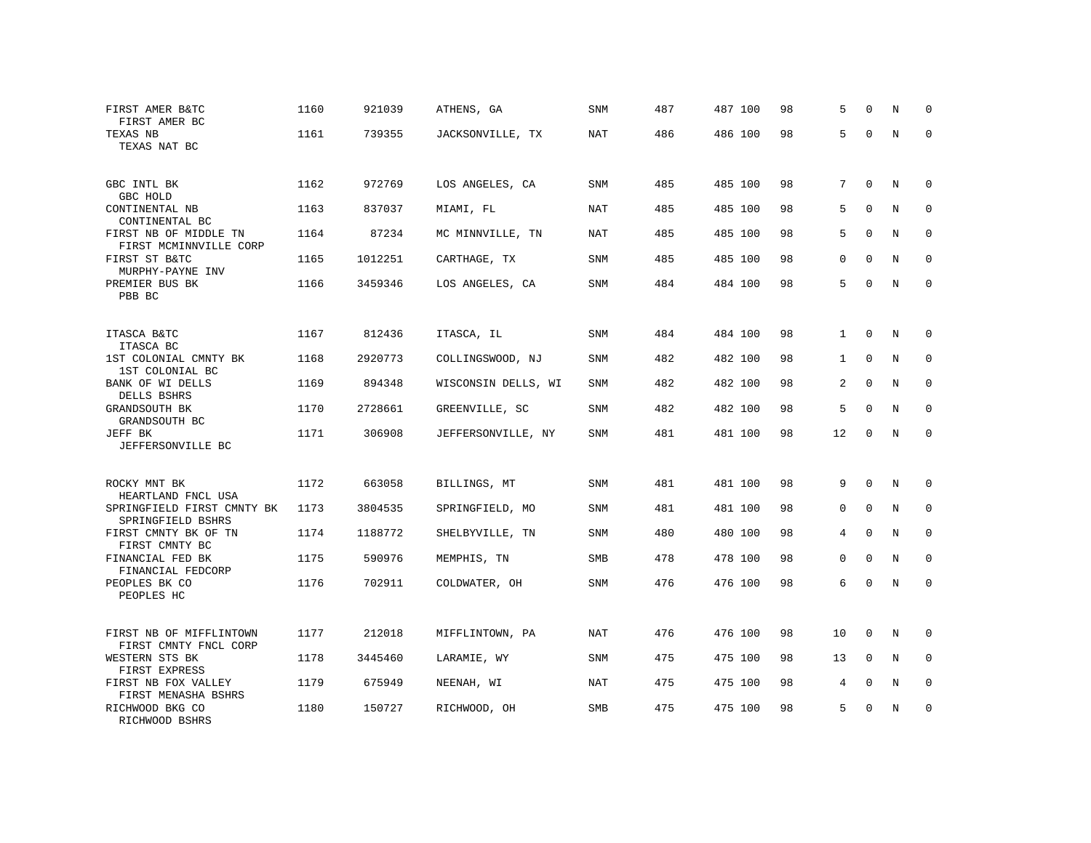| FIRST AMER B&TC<br>FIRST AMER BC                 | 1160 | 921039  | ATHENS, GA          | SNM        | 487 | 487 100 | 98 | 5            | $\Omega$    | N | 0            |
|--------------------------------------------------|------|---------|---------------------|------------|-----|---------|----|--------------|-------------|---|--------------|
| TEXAS NB<br>TEXAS NAT BC                         | 1161 | 739355  | JACKSONVILLE, TX    | <b>NAT</b> | 486 | 486 100 | 98 | 5            | $\Omega$    | N | $\Omega$     |
| GBC INTL BK<br>GBC HOLD                          | 1162 | 972769  | LOS ANGELES, CA     | SNM        | 485 | 485 100 | 98 | 7            | $\Omega$    | N | $\mathbf 0$  |
| CONTINENTAL NB<br>CONTINENTAL BC                 | 1163 | 837037  | MIAMI, FL           | NAT        | 485 | 485 100 | 98 | 5            | $\Omega$    | N | $\mathbf 0$  |
| FIRST NB OF MIDDLE TN<br>FIRST MCMINNVILLE CORP  | 1164 | 87234   | MC MINNVILLE, TN    | NAT        | 485 | 485 100 | 98 | 5            | $\Omega$    | N | $\mathbf 0$  |
| FIRST ST B&TC<br>MURPHY-PAYNE INV                | 1165 | 1012251 | CARTHAGE, TX        | SNM        | 485 | 485 100 | 98 | 0            | $\Omega$    | N | $\mathbf 0$  |
| PREMIER BUS BK<br>PBB BC                         | 1166 | 3459346 | LOS ANGELES, CA     | SNM        | 484 | 484 100 | 98 | 5            | $\Omega$    | N | $\Omega$     |
| ITASCA B&TC<br>ITASCA BC                         | 1167 | 812436  | ITASCA, IL          | SNM        | 484 | 484 100 | 98 | $\mathbf{1}$ | $\mathbf 0$ | N | $\Omega$     |
| 1ST COLONIAL CMNTY BK<br>1ST COLONIAL BC         | 1168 | 2920773 | COLLINGSWOOD, NJ    | SNM        | 482 | 482 100 | 98 | $\mathbf{1}$ | $\Omega$    | N | $\mathbf 0$  |
| BANK OF WI DELLS<br>DELLS BSHRS                  | 1169 | 894348  | WISCONSIN DELLS, WI | SNM        | 482 | 482 100 | 98 | 2            | $\mathbf 0$ | N | $\mathbf 0$  |
| GRANDSOUTH BK<br>GRANDSOUTH BC                   | 1170 | 2728661 | GREENVILLE, SC      | SNM        | 482 | 482 100 | 98 | 5            | $\Omega$    | N | $\Omega$     |
| JEFF BK<br>JEFFERSONVILLE BC                     | 1171 | 306908  | JEFFERSONVILLE, NY  | SNM        | 481 | 481 100 | 98 | 12           | $\mathbf 0$ | N | $\Omega$     |
| ROCKY MNT BK<br>HEARTLAND FNCL USA               | 1172 | 663058  | BILLINGS, MT        | <b>SNM</b> | 481 | 481 100 | 98 | 9            | $\mathbf 0$ | N | $\mathbf 0$  |
| SPRINGFIELD FIRST CMNTY BK<br>SPRINGFIELD BSHRS  | 1173 | 3804535 | SPRINGFIELD, MO     | <b>SNM</b> | 481 | 481 100 | 98 | $\Omega$     | $\Omega$    | N | $\Omega$     |
| FIRST CMNTY BK OF TN<br>FIRST CMNTY BC           | 1174 | 1188772 | SHELBYVILLE, TN     | SNM        | 480 | 480 100 | 98 | 4            | $\mathbf 0$ | N | $\mathbf 0$  |
| FINANCIAL FED BK<br>FINANCIAL FEDCORP            | 1175 | 590976  | MEMPHIS, TN         | <b>SMB</b> | 478 | 478 100 | 98 | $\Omega$     | $\Omega$    | N | $\mathbf{0}$ |
| PEOPLES BK CO<br>PEOPLES HC                      | 1176 | 702911  | COLDWATER, OH       | SNM        | 476 | 476 100 | 98 | 6            | $\mathbf 0$ | N | $\mathbf 0$  |
| FIRST NB OF MIFFLINTOWN<br>FIRST CMNTY FNCL CORP | 1177 | 212018  | MIFFLINTOWN, PA     | NAT        | 476 | 476 100 | 98 | 10           | 0           | N | $\mathbf 0$  |
| WESTERN STS BK<br>FIRST EXPRESS                  | 1178 | 3445460 | LARAMIE, WY         | <b>SNM</b> | 475 | 475 100 | 98 | 13           | $\Omega$    | N | $\mathbf 0$  |
| FIRST NB FOX VALLEY<br>FIRST MENASHA BSHRS       | 1179 | 675949  | NEENAH, WI          | NAT        | 475 | 475 100 | 98 | 4            | $\mathbf 0$ | N | 0            |
| RICHWOOD BKG CO<br>RICHWOOD BSHRS                | 1180 | 150727  | RICHWOOD, OH        | <b>SMB</b> | 475 | 475 100 | 98 | 5            | $\Omega$    | N | $\mathbf 0$  |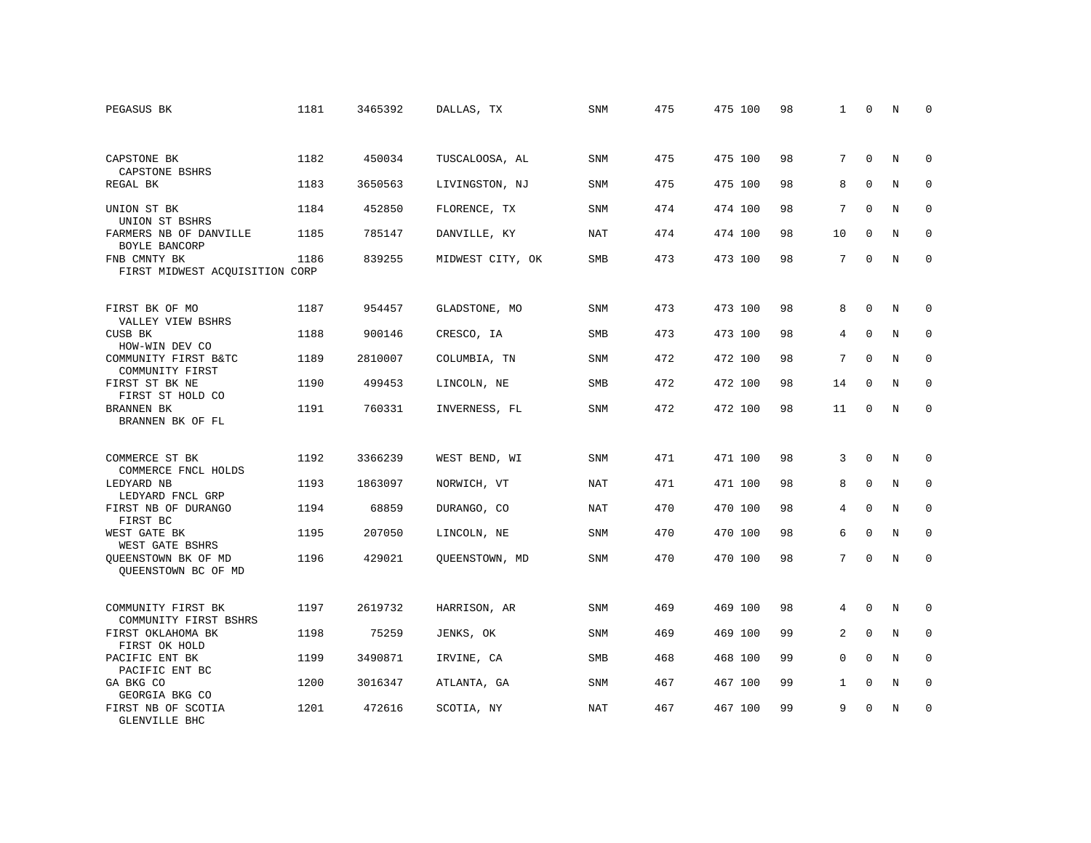| PEGASUS BK                                     | 1181 | 3465392 | DALLAS, TX       | SNM        | 475 | 475 100 | 98 | 1              | 0            | N       | 0           |
|------------------------------------------------|------|---------|------------------|------------|-----|---------|----|----------------|--------------|---------|-------------|
|                                                |      |         |                  |            |     |         |    |                |              |         |             |
| CAPSTONE BK<br>CAPSTONE BSHRS                  | 1182 | 450034  | TUSCALOOSA, AL   | <b>SNM</b> | 475 | 475 100 | 98 | 7              | $\Omega$     | N       | $\mathbf 0$ |
| REGAL BK                                       | 1183 | 3650563 | LIVINGSTON, NJ   | SNM        | 475 | 475 100 | 98 | 8              | $\mathbf 0$  | Ν       | 0           |
| UNION ST BK<br>UNION ST BSHRS                  | 1184 | 452850  | FLORENCE, TX     | SNM        | 474 | 474 100 | 98 | 7              | $\Omega$     | N       | $\mathbf 0$ |
| FARMERS NB OF DANVILLE<br>BOYLE BANCORP        | 1185 | 785147  | DANVILLE, KY     | <b>NAT</b> | 474 | 474 100 | 98 | 10             | $\Omega$     | N       | $\mathbf 0$ |
| FNB CMNTY BK<br>FIRST MIDWEST ACQUISITION CORP | 1186 | 839255  | MIDWEST CITY, OK | SMB        | 473 | 473 100 | 98 | 7              | $\mathbf{0}$ | N       | $\mathbf 0$ |
|                                                |      |         |                  |            |     |         |    |                |              |         |             |
| FIRST BK OF MO<br>VALLEY VIEW BSHRS            | 1187 | 954457  | GLADSTONE, MO    | <b>SNM</b> | 473 | 473 100 | 98 | 8              | $\Omega$     | N       | $\mathbf 0$ |
| CUSB BK<br>HOW-WIN DEV CO                      | 1188 | 900146  | CRESCO, IA       | SMB        | 473 | 473 100 | 98 | 4              | $\mathbf{0}$ | $\rm N$ | $\mathbf 0$ |
| COMMUNITY FIRST B&TC<br>COMMUNITY FIRST        | 1189 | 2810007 | COLUMBIA, TN     | SNM        | 472 | 472 100 | 98 | 7              | $\Omega$     | N       | $\mathbf 0$ |
| FIRST ST BK NE<br>FIRST ST HOLD CO             | 1190 | 499453  | LINCOLN, NE      | <b>SMB</b> | 472 | 472 100 | 98 | 14             | $\Omega$     | N       | $\mathbf 0$ |
| BRANNEN BK<br>BRANNEN BK OF FL                 | 1191 | 760331  | INVERNESS, FL    | <b>SNM</b> | 472 | 472 100 | 98 | 11             | $\Omega$     | N       | $\Omega$    |
|                                                |      |         |                  |            |     |         |    |                |              |         |             |
| COMMERCE ST BK<br>COMMERCE FNCL HOLDS          | 1192 | 3366239 | WEST BEND, WI    | SNM        | 471 | 471 100 | 98 | 3              | $\Omega$     | N       | $\mathbf 0$ |
| LEDYARD NB<br>LEDYARD FNCL GRP                 | 1193 | 1863097 | NORWICH, VT      | NAT        | 471 | 471 100 | 98 | 8              | $\mathbf{0}$ | N       | $\mathbf 0$ |
| FIRST NB OF DURANGO<br>FIRST BC                | 1194 | 68859   | DURANGO, CO      | <b>NAT</b> | 470 | 470 100 | 98 | 4              | $\mathbf 0$  | N       | 0           |
| WEST GATE BK<br>WEST GATE BSHRS                | 1195 | 207050  | LINCOLN, NE      | SNM        | 470 | 470 100 | 98 | 6              | $\mathbf{0}$ | N       | $\mathbf 0$ |
| OUEENSTOWN BK OF MD<br>QUEENSTOWN BC OF MD     | 1196 | 429021  | OUEENSTOWN, MD   | <b>SNM</b> | 470 | 470 100 | 98 | 7              | $\Omega$     | N       | $\mathbf 0$ |
|                                                |      |         |                  |            |     |         |    |                |              |         |             |
| COMMUNITY FIRST BK<br>COMMUNITY FIRST BSHRS    | 1197 | 2619732 | HARRISON, AR     | SNM        | 469 | 469 100 | 98 | 4              | $\mathbf 0$  | N       | $\mathbf 0$ |
| FIRST OKLAHOMA BK<br>FIRST OK HOLD             | 1198 | 75259   | JENKS, OK        | <b>SNM</b> | 469 | 469 100 | 99 | $\overline{a}$ | $\mathbf 0$  | N       | $\mathbf 0$ |
| PACIFIC ENT BK<br>PACIFIC ENT BC               | 1199 | 3490871 | IRVINE, CA       | SMB        | 468 | 468 100 | 99 | 0              | $\mathbf 0$  | N       | 0           |
| GA BKG CO<br>GEORGIA BKG CO                    | 1200 | 3016347 | ATLANTA, GA      | SNM        | 467 | 467 100 | 99 | $\mathbf{1}$   | $\mathbf 0$  | N       | $\mathbf 0$ |
| FIRST NB OF SCOTIA<br><b>GLENVILLE BHC</b>     | 1201 | 472616  | SCOTIA, NY       | <b>NAT</b> | 467 | 467 100 | 99 | 9              | $\Omega$     | N       | $\mathbf 0$ |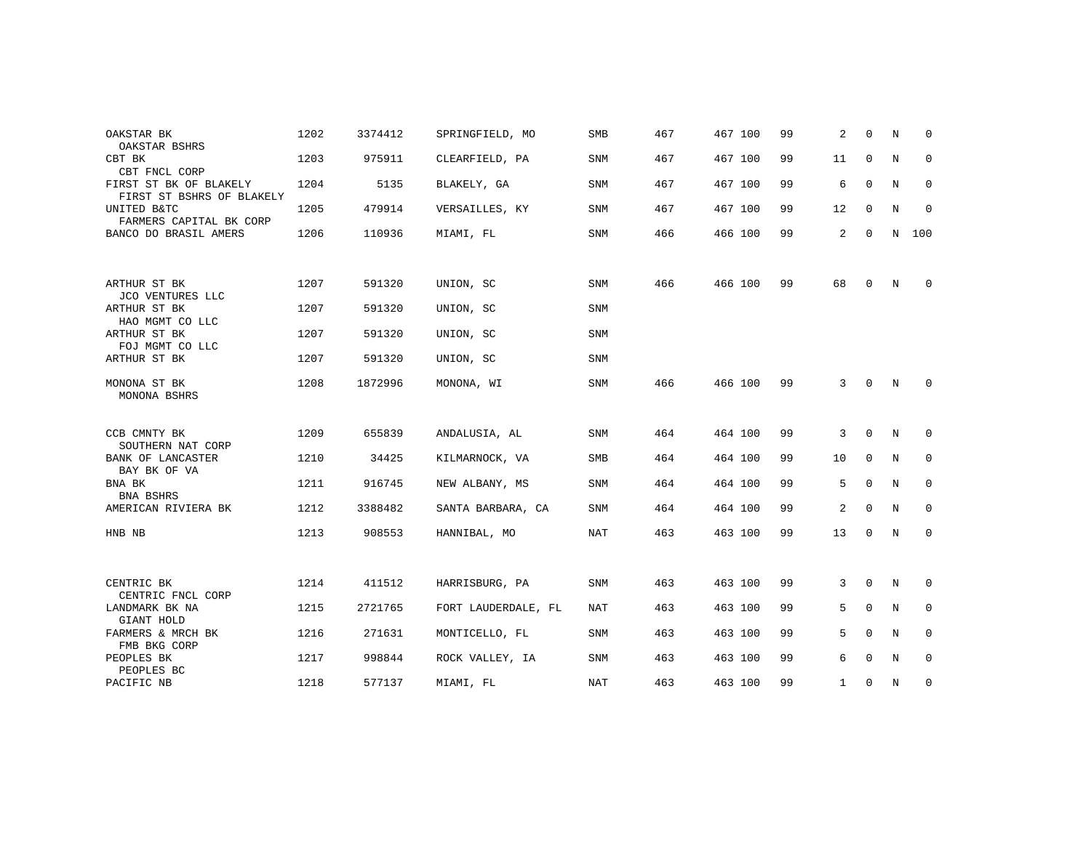| OAKSTAR BK                                                          | 1202 | 3374412 | SPRINGFIELD, MO     | SMB        | 467 | 467 100 | 99 | 2              | $\mathbf 0$  | N | $\mathbf 0$  |
|---------------------------------------------------------------------|------|---------|---------------------|------------|-----|---------|----|----------------|--------------|---|--------------|
| OAKSTAR BSHRS<br>CBT BK                                             | 1203 | 975911  | CLEARFIELD, PA      | SNM        | 467 | 467 100 | 99 | 11             | $\mathbf 0$  | N | $\mathbf 0$  |
| CBT FNCL CORP<br>FIRST ST BK OF BLAKELY                             | 1204 | 5135    | BLAKELY, GA         | SNM        | 467 | 467 100 | 99 | 6              | $\Omega$     | N | $\mathbf 0$  |
| FIRST ST BSHRS OF BLAKELY<br>UNITED B&TC<br>FARMERS CAPITAL BK CORP | 1205 | 479914  | VERSAILLES, KY      | <b>SNM</b> | 467 | 467 100 | 99 | 12             | $\mathbf 0$  | N | $\mathbf 0$  |
| BANCO DO BRASIL AMERS                                               | 1206 | 110936  | MIAMI, FL           | SNM        | 466 | 466 100 | 99 | $\overline{a}$ | $\mathbf 0$  | N | 100          |
|                                                                     |      |         |                     |            |     |         |    |                |              |   |              |
| ARTHUR ST BK<br>JCO VENTURES LLC                                    | 1207 | 591320  | UNION, SC           | SNM        | 466 | 466 100 | 99 | 68             | $\mathbf 0$  | N | $\mathbf 0$  |
| ARTHUR ST BK<br>HAO MGMT CO LLC                                     | 1207 | 591320  | UNION, SC           | <b>SNM</b> |     |         |    |                |              |   |              |
| ARTHUR ST BK<br>FOJ MGMT CO LLC                                     | 1207 | 591320  | UNION, SC           | SNM        |     |         |    |                |              |   |              |
| ARTHUR ST BK                                                        | 1207 | 591320  | UNION, SC           | <b>SNM</b> |     |         |    |                |              |   |              |
| MONONA ST BK<br>MONONA BSHRS                                        | 1208 | 1872996 | MONONA, WI          | <b>SNM</b> | 466 | 466 100 | 99 | $\mathbf{3}$   | $\mathbf 0$  | N | $\Omega$     |
| CCB CMNTY BK                                                        | 1209 | 655839  | ANDALUSIA, AL       | SNM        | 464 | 464 100 | 99 | 3              | $\Omega$     | N | $\mathbf 0$  |
| SOUTHERN NAT CORP<br>BANK OF LANCASTER                              | 1210 | 34425   | KILMARNOCK, VA      | <b>SMB</b> | 464 | 464 100 | 99 | 10             | $\mathbf 0$  | N | $\mathbf 0$  |
| BAY BK OF VA<br>BNA BK                                              | 1211 | 916745  | NEW ALBANY, MS      | SNM        | 464 | 464 100 | 99 | 5              | $\mathbf{0}$ | N | $\mathbf 0$  |
| BNA BSHRS<br>AMERICAN RIVIERA BK                                    | 1212 | 3388482 | SANTA BARBARA, CA   | <b>SNM</b> | 464 | 464 100 | 99 | 2              | $\mathbf{0}$ | N | $\mathbf 0$  |
| HNB NB                                                              | 1213 | 908553  | HANNIBAL, MO        | NAT        | 463 | 463 100 | 99 | 13             | $\mathbf{0}$ | N | $\mathbf{0}$ |
|                                                                     |      |         |                     |            |     |         |    |                |              |   |              |
| CENTRIC BK<br>CENTRIC FNCL CORP                                     | 1214 | 411512  | HARRISBURG, PA      | <b>SNM</b> | 463 | 463 100 | 99 | 3              | $\Omega$     | N | $\mathbf 0$  |
| LANDMARK BK NA<br>GIANT HOLD                                        | 1215 | 2721765 | FORT LAUDERDALE, FL | NAT        | 463 | 463 100 | 99 | 5              | $\mathbf 0$  | Ν | 0            |
| FARMERS & MRCH BK<br>FMB BKG CORP                                   | 1216 | 271631  | MONTICELLO, FL      | SNM        | 463 | 463 100 | 99 | 5              | $\mathbf{0}$ | N | $\mathbf 0$  |
| PEOPLES BK<br>PEOPLES BC                                            | 1217 | 998844  | ROCK VALLEY, IA     | SNM        | 463 | 463 100 | 99 | 6              | $\mathbf 0$  | N | 0            |
| PACIFIC NB                                                          | 1218 | 577137  | MIAMI, FL           | NAT        | 463 | 463 100 | 99 | $\mathbf{1}$   | $\mathbf 0$  | N | $\mathbf 0$  |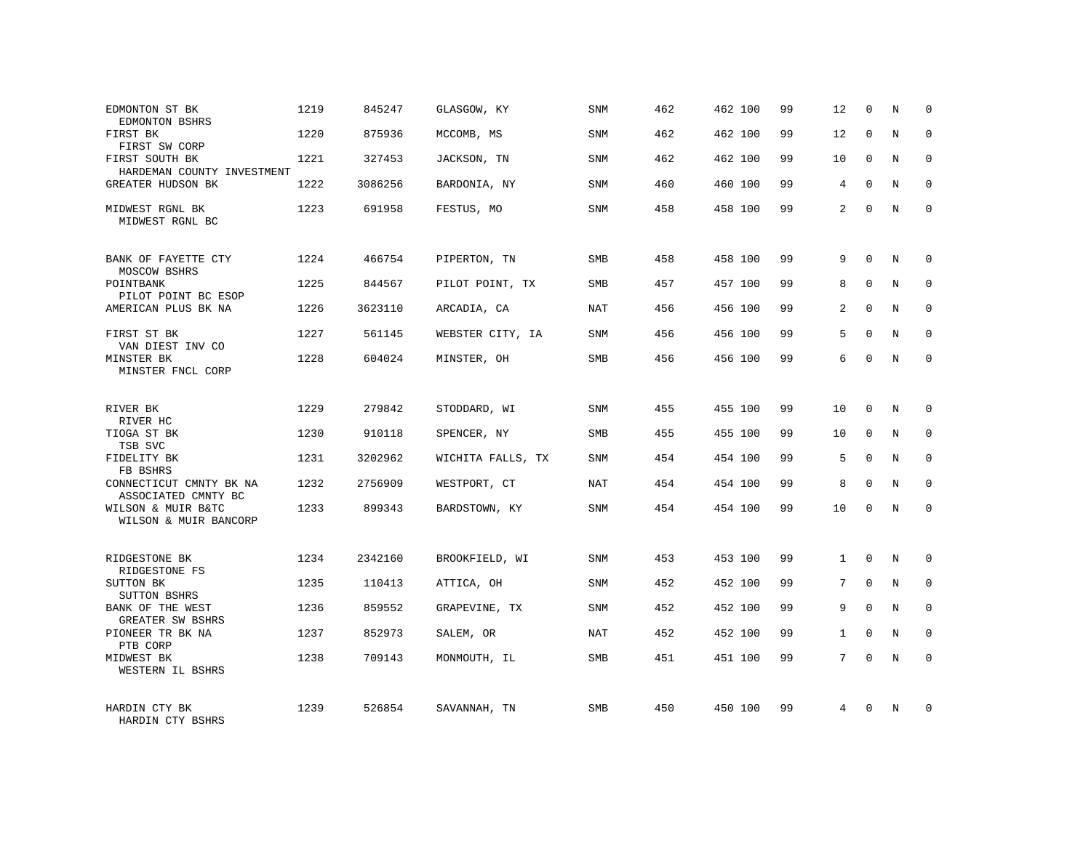| EDMONTON ST BK<br>EDMONTON BSHRS                 | 1219 | 845247  | GLASGOW, KY       | <b>SNM</b> | 462 | 462 100 | 99 | 12             | $\mathbf 0$  | N           | $\mathbf 0$ |
|--------------------------------------------------|------|---------|-------------------|------------|-----|---------|----|----------------|--------------|-------------|-------------|
| FIRST BK<br>FIRST SW CORP                        | 1220 | 875936  | MCCOMB, MS        | <b>SNM</b> | 462 | 462 100 | 99 | 12             | $\mathbf 0$  | N           | $\Omega$    |
| FIRST SOUTH BK<br>HARDEMAN COUNTY INVESTMENT     | 1221 | 327453  | JACKSON, TN       | SNM        | 462 | 462 100 | 99 | 10             | $\mathbf 0$  | N           | $\mathbf 0$ |
| <b>GREATER HUDSON BK</b>                         | 1222 | 3086256 | BARDONIA, NY      | <b>SNM</b> | 460 | 460 100 | 99 | $\overline{4}$ | $\Omega$     | N           | $\Omega$    |
| MIDWEST RGNL BK<br>MIDWEST RGNL BC               | 1223 | 691958  | FESTUS, MO        | SNM        | 458 | 458 100 | 99 | $\overline{a}$ | $\Omega$     | N           | $\mathbf 0$ |
| BANK OF FAYETTE CTY                              | 1224 | 466754  | PIPERTON, TN      | SMB        | 458 | 458 100 | 99 | 9              | $\Omega$     | N           | $\Omega$    |
| MOSCOW BSHRS<br>POINTBANK<br>PILOT POINT BC ESOP | 1225 | 844567  | PILOT POINT, TX   | <b>SMB</b> | 457 | 457 100 | 99 | 8              | $\Omega$     | N           | $\Omega$    |
| AMERICAN PLUS BK NA                              | 1226 | 3623110 | ARCADIA, CA       | NAT        | 456 | 456 100 | 99 | 2              | $\Omega$     | N           | $\Omega$    |
| FIRST ST BK<br>VAN DIEST INV CO                  | 1227 | 561145  | WEBSTER CITY, IA  | <b>SNM</b> | 456 | 456 100 | 99 | 5              | $\Omega$     | N           | $\Omega$    |
| MINSTER BK<br>MINSTER FNCL CORP                  | 1228 | 604024  | MINSTER, OH       | SMB        | 456 | 456 100 | 99 | 6              | $\Omega$     | N           | $\Omega$    |
| RIVER BK<br>RIVER HC                             | 1229 | 279842  | STODDARD, WI      | SNM        | 455 | 455 100 | 99 | 10             | 0            | N           | $\Omega$    |
| TIOGA ST BK<br>TSB SVC                           | 1230 | 910118  | SPENCER, NY       | SMB        | 455 | 455 100 | 99 | 10             | $\mathbf{0}$ | N           | $\mathbf 0$ |
| FIDELITY BK<br>FB BSHRS                          | 1231 | 3202962 | WICHITA FALLS, TX | <b>SNM</b> | 454 | 454 100 | 99 | 5              | $\Omega$     | N           | $\Omega$    |
| CONNECTICUT CMNTY BK NA<br>ASSOCIATED CMNTY BC   | 1232 | 2756909 | WESTPORT, CT      | <b>NAT</b> | 454 | 454 100 | 99 | 8              | $\mathbf{0}$ | N           | $\mathbf 0$ |
| WILSON & MUIR B&TC<br>WILSON & MUIR BANCORP      | 1233 | 899343  | BARDSTOWN, KY     | SNM        | 454 | 454 100 | 99 | 10             | $\Omega$     | N           | $\Omega$    |
| RIDGESTONE BK<br>RIDGESTONE FS                   | 1234 | 2342160 | BROOKFIELD, WI    | <b>SNM</b> | 453 | 453 100 | 99 | $\mathbf{1}$   | $\Omega$     | N           | $\mathbf 0$ |
| SUTTON BK<br><b>SUTTON BSHRS</b>                 | 1235 | 110413  | ATTICA, OH        | SNM        | 452 | 452 100 | 99 | 7              | $\mathbf 0$  | $\mathbf N$ | $\mathbf 0$ |
| BANK OF THE WEST<br><b>GREATER SW BSHRS</b>      | 1236 | 859552  | GRAPEVINE, TX     | <b>SNM</b> | 452 | 452 100 | 99 | 9              | $\Omega$     | N           | $\mathbf 0$ |
| PIONEER TR BK NA<br>PTB CORP                     | 1237 | 852973  | SALEM, OR         | NAT        | 452 | 452 100 | 99 | $\mathbf{1}$   | $\mathbf 0$  | N           | $\mathbf 0$ |
| MIDWEST BK<br>WESTERN IL BSHRS                   | 1238 | 709143  | MONMOUTH, IL      | <b>SMB</b> | 451 | 451 100 | 99 | $7^{\circ}$    | $\Omega$     | N           | $\mathbf 0$ |
| HARDIN CTY BK<br>HARDIN CTY BSHRS                | 1239 | 526854  | SAVANNAH, TN      | <b>SMB</b> | 450 | 450 100 | 99 | 4              | $\Omega$     | N           | $\Omega$    |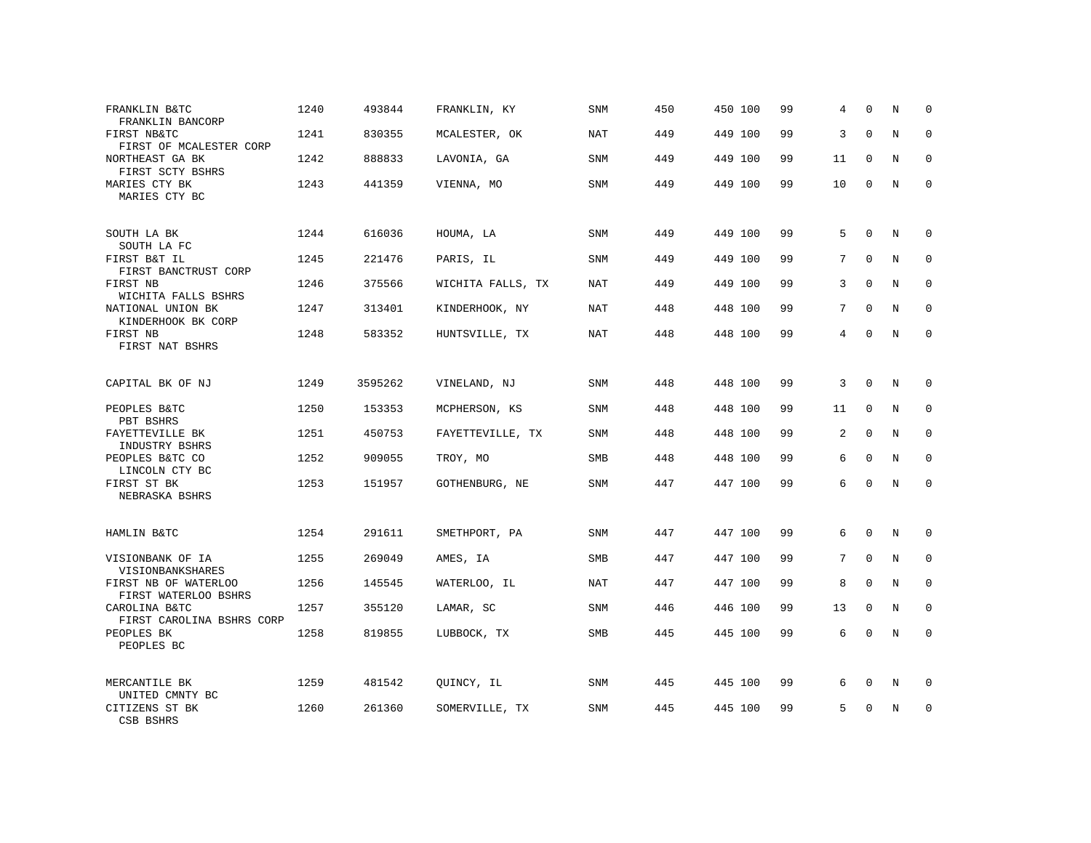| FRANKLIN B&TC<br>FRANKLIN BANCORP                                | 1240 | 493844  | FRANKLIN, KY      | <b>SNM</b> | 450 | 450 100 | 99 | 4               | $\Omega$     | N | $\mathbf 0$  |
|------------------------------------------------------------------|------|---------|-------------------|------------|-----|---------|----|-----------------|--------------|---|--------------|
| FIRST NB&TC<br>FIRST OF MCALESTER CORP                           | 1241 | 830355  | MCALESTER, OK     | <b>NAT</b> | 449 | 449 100 | 99 | 3               | $\mathbf 0$  | N | $\mathbf 0$  |
| NORTHEAST GA BK<br>FIRST SCTY BSHRS                              | 1242 | 888833  | LAVONIA, GA       | SNM        | 449 | 449 100 | 99 | 11              | $\Omega$     | N | $\Omega$     |
| MARIES CTY BK<br>MARIES CTY BC                                   | 1243 | 441359  | VIENNA, MO        | SNM        | 449 | 449 100 | 99 | 10              | $\Omega$     | N | $\Omega$     |
| SOUTH LA BK                                                      | 1244 | 616036  | HOUMA, LA         | SNM        | 449 | 449 100 | 99 | 5               | $\mathbf 0$  | N | $\mathbf 0$  |
| SOUTH LA FC<br>FIRST B&T IL<br>FIRST BANCTRUST CORP              | 1245 | 221476  | PARIS, IL         | <b>SNM</b> | 449 | 449 100 | 99 | $7\overline{ }$ | $\mathbf 0$  | N | $\mathbf 0$  |
| FIRST NB<br>WICHITA FALLS BSHRS                                  | 1246 | 375566  | WICHITA FALLS, TX | NAT        | 449 | 449 100 | 99 | 3               | $\Omega$     | N | $\mathbf 0$  |
| NATIONAL UNION BK<br>KINDERHOOK BK CORP                          | 1247 | 313401  | KINDERHOOK, NY    | <b>NAT</b> | 448 | 448 100 | 99 | $7\overline{ }$ | $\Omega$     | N | $\mathbf{0}$ |
| FIRST NB<br>FIRST NAT BSHRS                                      | 1248 | 583352  | HUNTSVILLE, TX    | <b>NAT</b> | 448 | 448 100 | 99 | 4               | $\Omega$     | N | $\mathbf 0$  |
| CAPITAL BK OF NJ                                                 | 1249 | 3595262 | VINELAND, NJ      | SNM        | 448 | 448 100 | 99 | 3               | $\mathbf 0$  | N | 0            |
| PEOPLES B&TC<br>PBT BSHRS                                        | 1250 | 153353  | MCPHERSON, KS     | <b>SNM</b> | 448 | 448 100 | 99 | 11              | $\Omega$     | N | $\mathbf 0$  |
| FAYETTEVILLE BK<br>INDUSTRY BSHRS                                | 1251 | 450753  | FAYETTEVILLE, TX  | SNM        | 448 | 448 100 | 99 | $\overline{a}$  | $\mathbf 0$  | N | $\mathbf 0$  |
| PEOPLES B&TC CO<br>LINCOLN CTY BC                                | 1252 | 909055  | TROY, MO          | <b>SMB</b> | 448 | 448 100 | 99 | 6               | $\mathbf 0$  | N | $\mathbf{0}$ |
| FIRST ST BK<br>NEBRASKA BSHRS                                    | 1253 | 151957  | GOTHENBURG, NE    | SNM        | 447 | 447 100 | 99 | 6               | 0            | N | $\mathbf 0$  |
| HAMLIN B&TC                                                      | 1254 | 291611  | SMETHPORT, PA     | <b>SNM</b> | 447 | 447 100 | 99 | 6               | $\Omega$     | N | $\mathbf 0$  |
| VISIONBANK OF IA                                                 | 1255 | 269049  | AMES, IA          | SMB        | 447 | 447 100 | 99 | $7\overline{ }$ | $\Omega$     | N | $\mathbf 0$  |
| VISIONBANKSHARES<br>FIRST NB OF WATERLOO<br>FIRST WATERLOO BSHRS | 1256 | 145545  | WATERLOO, IL      | NAT        | 447 | 447 100 | 99 | 8               | $\mathbf 0$  | N | $\mathbf 0$  |
| CAROLINA B&TC<br>FIRST CAROLINA BSHRS CORP                       | 1257 | 355120  | LAMAR, SC         | SNM        | 446 | 446 100 | 99 | 13              | $\mathbf{0}$ | N | $\mathbf 0$  |
| PEOPLES BK<br>PEOPLES BC                                         | 1258 | 819855  | LUBBOCK, TX       | SMB        | 445 | 445 100 | 99 | 6               | $\mathbf{0}$ | N | $\mathbf 0$  |
| MERCANTILE BK                                                    | 1259 | 481542  | QUINCY, IL        | <b>SNM</b> | 445 | 445 100 | 99 | 6               | $\mathbf 0$  | N | $\mathbf 0$  |
| UNITED CMNTY BC<br>CITIZENS ST BK<br>CSB BSHRS                   | 1260 | 261360  | SOMERVILLE, TX    | <b>SNM</b> | 445 | 445 100 | 99 | 5               | $\mathbf 0$  | N | $\mathbf 0$  |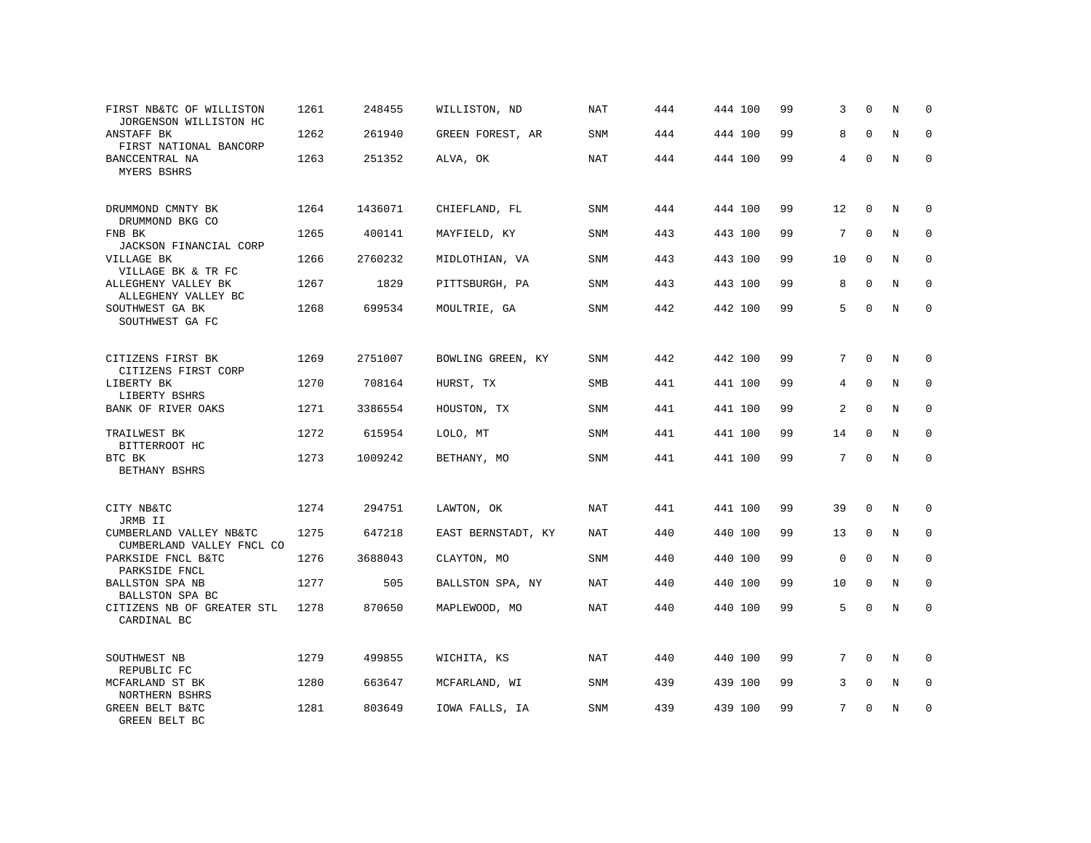| FIRST NB&TC OF WILLISTON<br>JORGENSON WILLISTON HC   | 1261 | 248455  | WILLISTON, ND      | <b>NAT</b> | 444 | 444 100 | 99 | 3        | $\Omega$    | N          | $\mathbf 0$  |
|------------------------------------------------------|------|---------|--------------------|------------|-----|---------|----|----------|-------------|------------|--------------|
| ANSTAFF BK<br>FIRST NATIONAL BANCORP                 | 1262 | 261940  | GREEN FOREST, AR   | <b>SNM</b> | 444 | 444 100 | 99 | 8        | $\Omega$    | N          | $\Omega$     |
| BANCCENTRAL NA<br>MYERS BSHRS                        | 1263 | 251352  | ALVA, OK           | <b>NAT</b> | 444 | 444 100 | 99 | 4        | $\Omega$    | N          | $\Omega$     |
| DRUMMOND CMNTY BK<br>DRUMMOND BKG CO                 | 1264 | 1436071 | CHIEFLAND, FL      | SNM        | 444 | 444 100 | 99 | 12       | $\mathbf 0$ | N          | $\Omega$     |
| FNB BK<br>JACKSON FINANCIAL CORP                     | 1265 | 400141  | MAYFIELD, KY       | SNM        | 443 | 443 100 | 99 | 7        | $\Omega$    | N          | $\mathbf 0$  |
| VILLAGE BK<br>VILLAGE BK & TR FC                     | 1266 | 2760232 | MIDLOTHIAN, VA     | SNM        | 443 | 443 100 | 99 | 10       | $\Omega$    | N          | $\Omega$     |
| ALLEGHENY VALLEY BK<br>ALLEGHENY VALLEY BC           | 1267 | 1829    | PITTSBURGH, PA     | <b>SNM</b> | 443 | 443 100 | 99 | 8        | $\Omega$    | N          | $\Omega$     |
| SOUTHWEST GA BK<br>SOUTHWEST GA FC                   | 1268 | 699534  | MOULTRIE, GA       | SNM        | 442 | 442 100 | 99 | 5        | $\Omega$    | N          | $\Omega$     |
| CITIZENS FIRST BK<br>CITIZENS FIRST CORP             | 1269 | 2751007 | BOWLING GREEN, KY  | SNM        | 442 | 442 100 | 99 | 7        | $\Omega$    | N          | $\Omega$     |
| LIBERTY BK<br>LIBERTY BSHRS                          | 1270 | 708164  | HURST, TX          | <b>SMB</b> | 441 | 441 100 | 99 | 4        | $\mathbf 0$ | N          | $\mathbf 0$  |
| BANK OF RIVER OAKS                                   | 1271 | 3386554 | HOUSTON, TX        | SNM        | 441 | 441 100 | 99 | 2        | $\Omega$    | N          | $\Omega$     |
| TRAILWEST BK<br>BITTERROOT HC                        | 1272 | 615954  | LOLO, MT           | <b>SNM</b> | 441 | 441 100 | 99 | 14       | $\Omega$    | N          | $\Omega$     |
| BTC BK<br>BETHANY BSHRS                              | 1273 | 1009242 | BETHANY, MO        | <b>SNM</b> | 441 | 441 100 | 99 | 7        | $\Omega$    | N          | $\Omega$     |
| CITY NB&TC<br>JRMB II                                | 1274 | 294751  | LAWTON, OK         | NAT        | 441 | 441 100 | 99 | 39       | $\Omega$    | N          | $\Omega$     |
| CUMBERLAND VALLEY NB&TC<br>CUMBERLAND VALLEY FNCL CO | 1275 | 647218  | EAST BERNSTADT, KY | NAT        | 440 | 440 100 | 99 | 13       | $\mathbf 0$ | N          | $\mathbf 0$  |
| PARKSIDE FNCL B&TC<br>PARKSIDE FNCL                  | 1276 | 3688043 | CLAYTON, MO        | <b>SNM</b> | 440 | 440 100 | 99 | $\Omega$ | $\Omega$    | N          | $\mathbf{0}$ |
| BALLSTON SPA NB<br>BALLSTON SPA BC                   | 1277 | 505     | BALLSTON SPA, NY   | NAT        | 440 | 440 100 | 99 | 10       | $\mathbf 0$ | N          | $\mathbf 0$  |
| CITIZENS NB OF GREATER STL<br>CARDINAL BC            | 1278 | 870650  | MAPLEWOOD, MO      | NAT        | 440 | 440 100 | 99 | 5        | $\Omega$    | $_{\rm N}$ | $\Omega$     |
| SOUTHWEST NB<br>REPUBLIC FC                          | 1279 | 499855  | WICHITA, KS        | NAT        | 440 | 440 100 | 99 | 7        | $\Omega$    | N          | $\mathbf 0$  |
| MCFARLAND ST BK<br>NORTHERN BSHRS                    | 1280 | 663647  | MCFARLAND, WI      | SNM        | 439 | 439 100 | 99 | 3        | $\mathbf 0$ | N          | 0            |
| GREEN BELT B&TC<br>GREEN BELT BC                     | 1281 | 803649  | IOWA FALLS, IA     | <b>SNM</b> | 439 | 439 100 | 99 | 7        | $\Omega$    | N          | $\mathbf 0$  |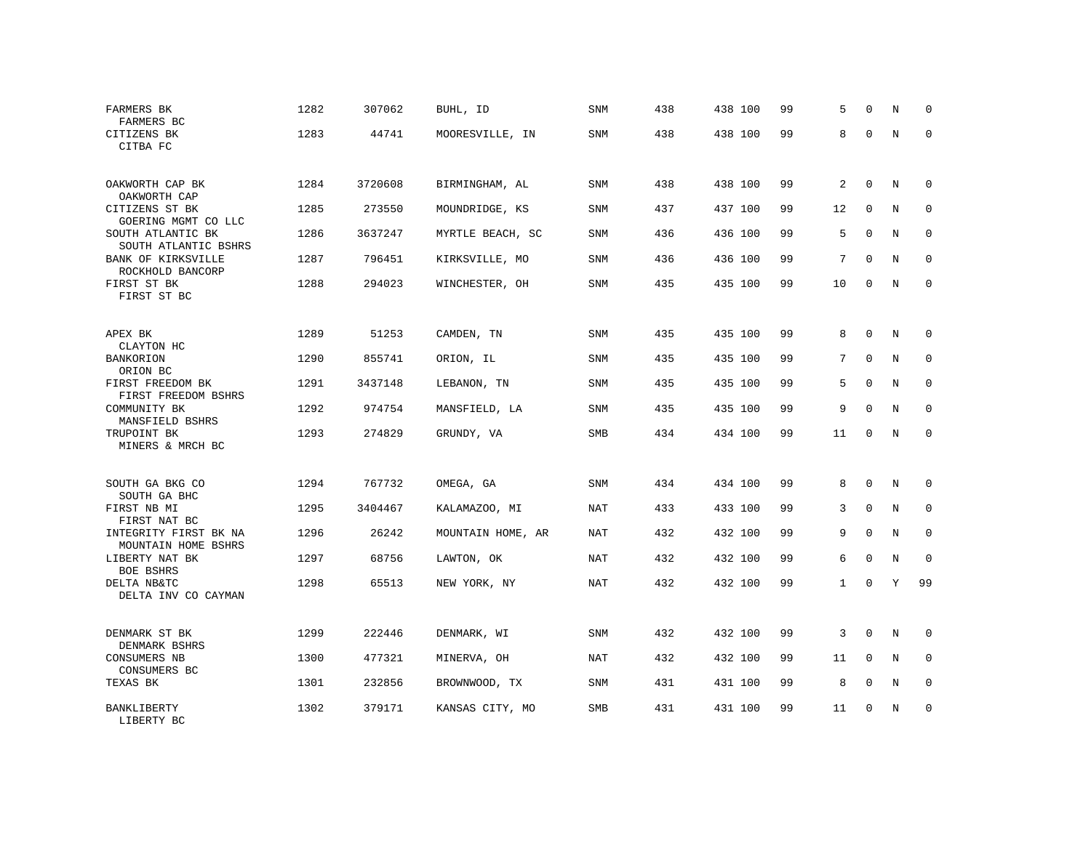| FARMERS BK<br>FARMERS BC                       | 1282 | 307062  | BUHL, ID          | SNM        | 438 | 438 100 | 99 | 5            | $\Omega$     | N | $\mathbf 0$  |
|------------------------------------------------|------|---------|-------------------|------------|-----|---------|----|--------------|--------------|---|--------------|
| CITIZENS BK<br>CITBA FC                        | 1283 | 44741   | MOORESVILLE, IN   | SNM        | 438 | 438 100 | 99 | 8            | $\Omega$     | N | $\Omega$     |
| OAKWORTH CAP BK<br>OAKWORTH CAP                | 1284 | 3720608 | BIRMINGHAM, AL    | SNM        | 438 | 438 100 | 99 | 2            | $\mathbf 0$  | N | 0            |
| CITIZENS ST BK<br>GOERING MGMT CO LLC          | 1285 | 273550  | MOUNDRIDGE, KS    | SNM        | 437 | 437 100 | 99 | 12           | $\mathbf 0$  | N | $\mathbf 0$  |
| SOUTH ATLANTIC BK<br>SOUTH ATLANTIC BSHRS      | 1286 | 3637247 | MYRTLE BEACH, SC  | SNM        | 436 | 436 100 | 99 | 5            | $\mathbf 0$  | N | $\mathbf 0$  |
| BANK OF KIRKSVILLE                             | 1287 | 796451  | KIRKSVILLE, MO    | SNM        | 436 | 436 100 | 99 | 7            | $\mathbf{0}$ | N | $\mathbf 0$  |
| ROCKHOLD BANCORP<br>FIRST ST BK<br>FIRST ST BC | 1288 | 294023  | WINCHESTER, OH    | SNM        | 435 | 435 100 | 99 | 10           | $\mathbf{0}$ | N | $\mathbf 0$  |
| APEX BK<br>CLAYTON HC                          | 1289 | 51253   | CAMDEN, TN        | SNM        | 435 | 435 100 | 99 | 8            | 0            | N | 0            |
| BANKORION<br>ORION BC                          | 1290 | 855741  | ORION, IL         | <b>SNM</b> | 435 | 435 100 | 99 | 7            | $\Omega$     | N | $\mathbf 0$  |
| FIRST FREEDOM BK<br>FIRST FREEDOM BSHRS        | 1291 | 3437148 | LEBANON, TN       | <b>SNM</b> | 435 | 435 100 | 99 | 5            | $\mathbf{0}$ | N | $\mathbf 0$  |
| COMMUNITY BK<br>MANSFIELD BSHRS                | 1292 | 974754  | MANSFIELD, LA     | <b>SNM</b> | 435 | 435 100 | 99 | 9            | $\mathbf{0}$ | N | $\mathbf{0}$ |
| TRUPOINT BK<br>MINERS & MRCH BC                | 1293 | 274829  | GRUNDY, VA        | SMB        | 434 | 434 100 | 99 | 11           | $\mathbf 0$  | N | $\mathbf 0$  |
| SOUTH GA BKG CO<br>SOUTH GA BHC                | 1294 | 767732  | OMEGA, GA         | <b>SNM</b> | 434 | 434 100 | 99 | 8            | $\mathbf{0}$ | N | $\mathbf 0$  |
| FIRST NB MI<br>FIRST NAT BC                    | 1295 | 3404467 | KALAMAZOO, MI     | <b>NAT</b> | 433 | 433 100 | 99 | 3            | $\Omega$     | N | $\mathbf 0$  |
| INTEGRITY FIRST BK NA<br>MOUNTAIN HOME BSHRS   | 1296 | 26242   | MOUNTAIN HOME, AR | <b>NAT</b> | 432 | 432 100 | 99 | 9            | $\mathbf 0$  | N | $\mathbf 0$  |
| LIBERTY NAT BK<br>BOE BSHRS                    | 1297 | 68756   | LAWTON, OK        | <b>NAT</b> | 432 | 432 100 | 99 | 6            | $\Omega$     | N | $\mathbf 0$  |
| DELTA NB&TC<br>DELTA INV CO CAYMAN             | 1298 | 65513   | NEW YORK, NY      | <b>NAT</b> | 432 | 432 100 | 99 | $\mathbf{1}$ | $\mathbf 0$  | Y | 99           |
| DENMARK ST BK<br>DENMARK BSHRS                 | 1299 | 222446  | DENMARK, WI       | SNM        | 432 | 432 100 | 99 | 3            | $\mathbf 0$  | N | 0            |
| CONSUMERS NB<br>CONSUMERS BC                   | 1300 | 477321  | MINERVA, OH       | NAT        | 432 | 432 100 | 99 | 11           | 0            | N | 0            |
| TEXAS BK                                       | 1301 | 232856  | BROWNWOOD, TX     | SNM        | 431 | 431 100 | 99 | 8            | $\mathbf 0$  | N | $\mathbf 0$  |
| BANKLIBERTY<br>LIBERTY BC                      | 1302 | 379171  | KANSAS CITY, MO   | SMB        | 431 | 431 100 | 99 | 11           | $\mathbf 0$  | N | $\mathbf 0$  |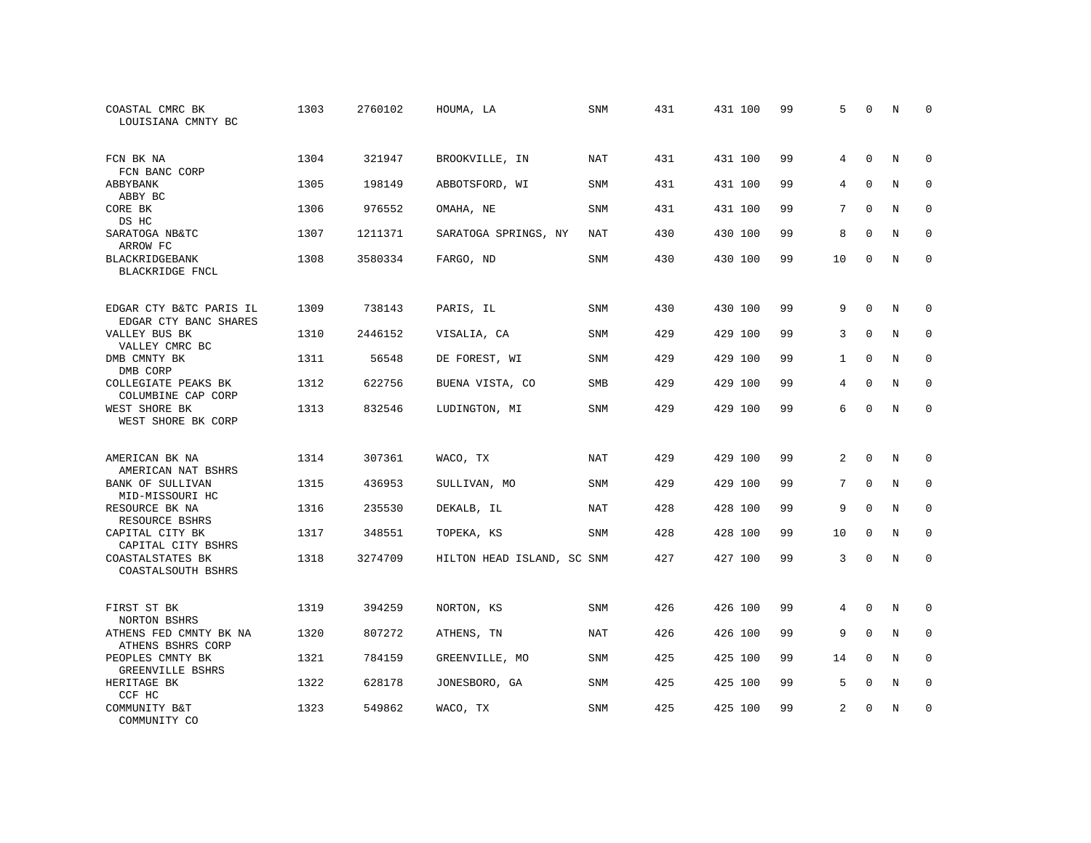| COASTAL CMRC BK<br>LOUISIANA CMNTY BC            | 1303 | 2760102 | HOUMA, LA                  | SNM        | 431 | 431 100 | 99 | 5              | $\mathbf 0$  | N | $\Omega$    |
|--------------------------------------------------|------|---------|----------------------------|------------|-----|---------|----|----------------|--------------|---|-------------|
| FCN BK NA<br>FCN BANC CORP                       | 1304 | 321947  | BROOKVILLE, IN             | NAT        | 431 | 431 100 | 99 | 4              | $\Omega$     | N | $\Omega$    |
| ABBYBANK<br>ABBY BC                              | 1305 | 198149  | ABBOTSFORD, WI             | SNM        | 431 | 431 100 | 99 | 4              | $\mathbf 0$  | N | $\mathbf 0$ |
| CORE BK<br>DS HC                                 | 1306 | 976552  | OMAHA, NE                  | <b>SNM</b> | 431 | 431 100 | 99 | 7              | $\Omega$     | N | $\Omega$    |
| SARATOGA NB&TC<br>ARROW FC                       | 1307 | 1211371 | SARATOGA SPRINGS, NY       | NAT        | 430 | 430 100 | 99 | 8              | $\mathbf{0}$ | N | $\mathbf 0$ |
| BLACKRIDGEBANK<br>BLACKRIDGE FNCL                | 1308 | 3580334 | FARGO, ND                  | <b>SNM</b> | 430 | 430 100 | 99 | 10             | $\mathbf{0}$ | N | $\mathbf 0$ |
| EDGAR CTY B&TC PARIS IL<br>EDGAR CTY BANC SHARES | 1309 | 738143  | PARIS, IL                  | <b>SNM</b> | 430 | 430 100 | 99 | 9              | $\mathbf{0}$ | N | $\mathbf 0$ |
| VALLEY BUS BK<br>VALLEY CMRC BC                  | 1310 | 2446152 | VISALIA, CA                | <b>SNM</b> | 429 | 429 100 | 99 | 3              | $\Omega$     | N | $\mathbf 0$ |
| DMB CMNTY BK<br>DMB CORP                         | 1311 | 56548   | DE FOREST, WI              | SNM        | 429 | 429 100 | 99 | $\mathbf{1}$   | $\Omega$     | N | $\mathbf 0$ |
| COLLEGIATE PEAKS BK<br>COLUMBINE CAP CORP        | 1312 | 622756  | BUENA VISTA, CO            | <b>SMB</b> | 429 | 429 100 | 99 | 4              | $\mathbf 0$  | N | $\mathbf 0$ |
| WEST SHORE BK<br>WEST SHORE BK CORP              | 1313 | 832546  | LUDINGTON, MI              | <b>SNM</b> | 429 | 429 100 | 99 | 6              | $\Omega$     | N | $\Omega$    |
| AMERICAN BK NA<br>AMERICAN NAT BSHRS             | 1314 | 307361  | WACO, TX                   | NAT        | 429 | 429 100 | 99 | $\overline{a}$ | $\Omega$     | N | $\mathbf 0$ |
| BANK OF SULLIVAN<br>MID-MISSOURI HC              | 1315 | 436953  | SULLIVAN, MO               | SNM        | 429 | 429 100 | 99 | 7              | $\mathbf{0}$ | N | 0           |
| RESOURCE BK NA<br>RESOURCE BSHRS                 | 1316 | 235530  | DEKALB, IL                 | NAT        | 428 | 428 100 | 99 | 9              | $\Omega$     | N | $\mathbf 0$ |
| CAPITAL CITY BK<br>CAPITAL CITY BSHRS            | 1317 | 348551  | TOPEKA, KS                 | <b>SNM</b> | 428 | 428 100 | 99 | 10             | $\Omega$     | N | $\mathbf 0$ |
| COASTALSTATES BK<br>COASTALSOUTH BSHRS           | 1318 | 3274709 | HILTON HEAD ISLAND, SC SNM |            | 427 | 427 100 | 99 | 3              | $\mathbf{0}$ | N | $\mathbf 0$ |
| FIRST ST BK<br>NORTON BSHRS                      | 1319 | 394259  | NORTON, KS                 | SNM        | 426 | 426 100 | 99 | 4              | $\mathbf 0$  | N | 0           |
| ATHENS FED CMNTY BK NA<br>ATHENS BSHRS CORP      | 1320 | 807272  | ATHENS, TN                 | NAT        | 426 | 426 100 | 99 | 9              | $\mathbf{0}$ | N | $\mathbf 0$ |
| PEOPLES CMNTY BK<br>GREENVILLE BSHRS             | 1321 | 784159  | GREENVILLE, MO             | SNM        | 425 | 425 100 | 99 | 14             | $\Omega$     | N | $\mathbf 0$ |
| HERITAGE BK<br>CCF HC                            | 1322 | 628178  | JONESBORO, GA              | SNM        | 425 | 425 100 | 99 | 5              | $\mathbf{0}$ | N | 0           |
| COMMUNITY B&T<br>COMMUNITY CO                    | 1323 | 549862  | WACO, TX                   | <b>SNM</b> | 425 | 425 100 | 99 | $\overline{2}$ | $\Omega$     | N | $\mathbf 0$ |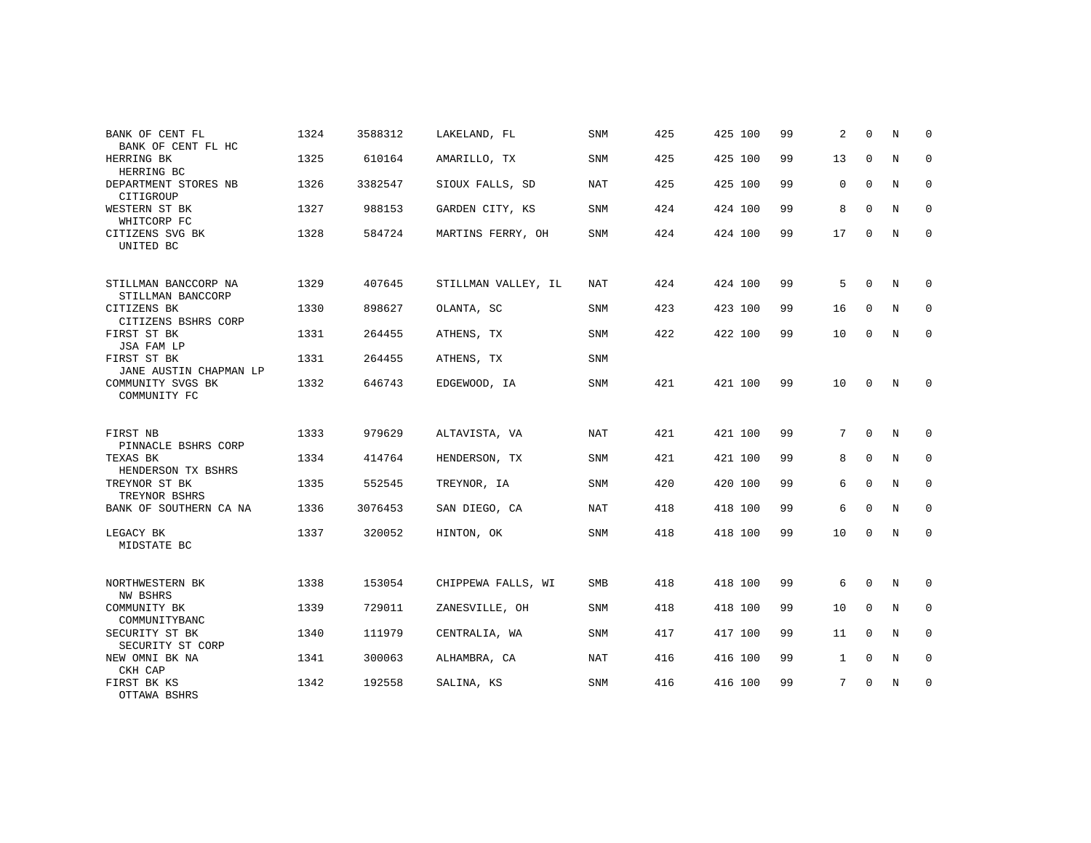| BANK OF CENT FL<br>BANK OF CENT FL HC                 | 1324 | 3588312 | LAKELAND, FL        | <b>SNM</b> | 425 | 425 100 | 99 | 2            | $\Omega$     | N              | $\Omega$     |
|-------------------------------------------------------|------|---------|---------------------|------------|-----|---------|----|--------------|--------------|----------------|--------------|
| HERRING BK<br>HERRING BC                              | 1325 | 610164  | AMARILLO, TX        | <b>SNM</b> | 425 | 425 100 | 99 | 13           | $\mathbf 0$  | N              | $\mathbf 0$  |
| DEPARTMENT STORES NB<br>CITIGROUP                     | 1326 | 3382547 | SIOUX FALLS, SD     | <b>NAT</b> | 425 | 425 100 | 99 | 0            | $\Omega$     | $\overline{N}$ | $\Omega$     |
| WESTERN ST BK<br>WHITCORP FC                          | 1327 | 988153  | GARDEN CITY, KS     | <b>SNM</b> | 424 | 424 100 | 99 | 8            | $\Omega$     | N              | $\mathbf 0$  |
| CITIZENS SVG BK<br>UNITED BC                          | 1328 | 584724  | MARTINS FERRY, OH   | <b>SNM</b> | 424 | 424 100 | 99 | 17           | $\mathbf 0$  | N              | $\mathbf 0$  |
| STILLMAN BANCCORP NA<br>STILLMAN BANCCORP             | 1329 | 407645  | STILLMAN VALLEY, IL | <b>NAT</b> | 424 | 424 100 | 99 | 5            | $\Omega$     | N              | $\mathbf 0$  |
| CITIZENS BK<br>CITIZENS BSHRS CORP                    | 1330 | 898627  | OLANTA, SC          | SNM        | 423 | 423 100 | 99 | 16           | $\mathbf 0$  | N              | $\mathbf 0$  |
| FIRST ST BK<br>JSA FAM LP                             | 1331 | 264455  | ATHENS, TX          | <b>SNM</b> | 422 | 422 100 | 99 | 10           | $\Omega$     | N              | $\mathbf{0}$ |
| FIRST ST BK<br>JANE AUSTIN CHAPMAN LP                 | 1331 | 264455  | ATHENS, TX          | SNM        |     |         |    |              |              |                |              |
| COMMUNITY SVGS BK<br>COMMUNITY FC                     | 1332 | 646743  | EDGEWOOD, IA        | SNM        | 421 | 421 100 | 99 | 10           | $\mathbf 0$  | N              | $\mathbf 0$  |
| FIRST NB                                              | 1333 | 979629  | ALTAVISTA, VA       | <b>NAT</b> | 421 | 421 100 | 99 | 7            | $\Omega$     | N              | $\Omega$     |
| PINNACLE BSHRS CORP<br>TEXAS BK<br>HENDERSON TX BSHRS | 1334 | 414764  | HENDERSON, TX       | SNM        | 421 | 421 100 | 99 | 8            | $\mathbf{0}$ | N              | $\mathbf 0$  |
| TREYNOR ST BK<br>TREYNOR BSHRS                        | 1335 | 552545  | TREYNOR, IA         | <b>SNM</b> | 420 | 420 100 | 99 | 6            | 0            | N              | $\mathbf 0$  |
| BANK OF SOUTHERN CA NA                                | 1336 | 3076453 | SAN DIEGO, CA       | NAT        | 418 | 418 100 | 99 | 6            | $\Omega$     | N              | $\mathbf 0$  |
| LEGACY BK<br>MIDSTATE BC                              | 1337 | 320052  | HINTON, OK          | <b>SNM</b> | 418 | 418 100 | 99 | 10           | $\Omega$     | N              | $\mathbf 0$  |
| NORTHWESTERN BK<br>NW BSHRS                           | 1338 | 153054  | CHIPPEWA FALLS, WI  | <b>SMB</b> | 418 | 418 100 | 99 | 6            | 0            | N              | $\mathbf 0$  |
| COMMUNITY BK<br>COMMUNITYBANC                         | 1339 | 729011  | ZANESVILLE, OH      | <b>SNM</b> | 418 | 418 100 | 99 | 10           | $\Omega$     | N              | $\mathbf 0$  |
| SECURITY ST BK<br>SECURITY ST CORP                    | 1340 | 111979  | CENTRALIA, WA       | <b>SNM</b> | 417 | 417 100 | 99 | 11           | $\Omega$     | N              | $\mathbf 0$  |
| NEW OMNI BK NA<br>CKH CAP                             | 1341 | 300063  | ALHAMBRA, CA        | <b>NAT</b> | 416 | 416 100 | 99 | $\mathbf{1}$ | $\mathbf{0}$ | N              | $\mathbf 0$  |
| FIRST BK KS<br>OTTAWA BSHRS                           | 1342 | 192558  | SALINA, KS          | <b>SNM</b> | 416 | 416 100 | 99 | 7            | $\mathbf 0$  | N              | $\mathbf 0$  |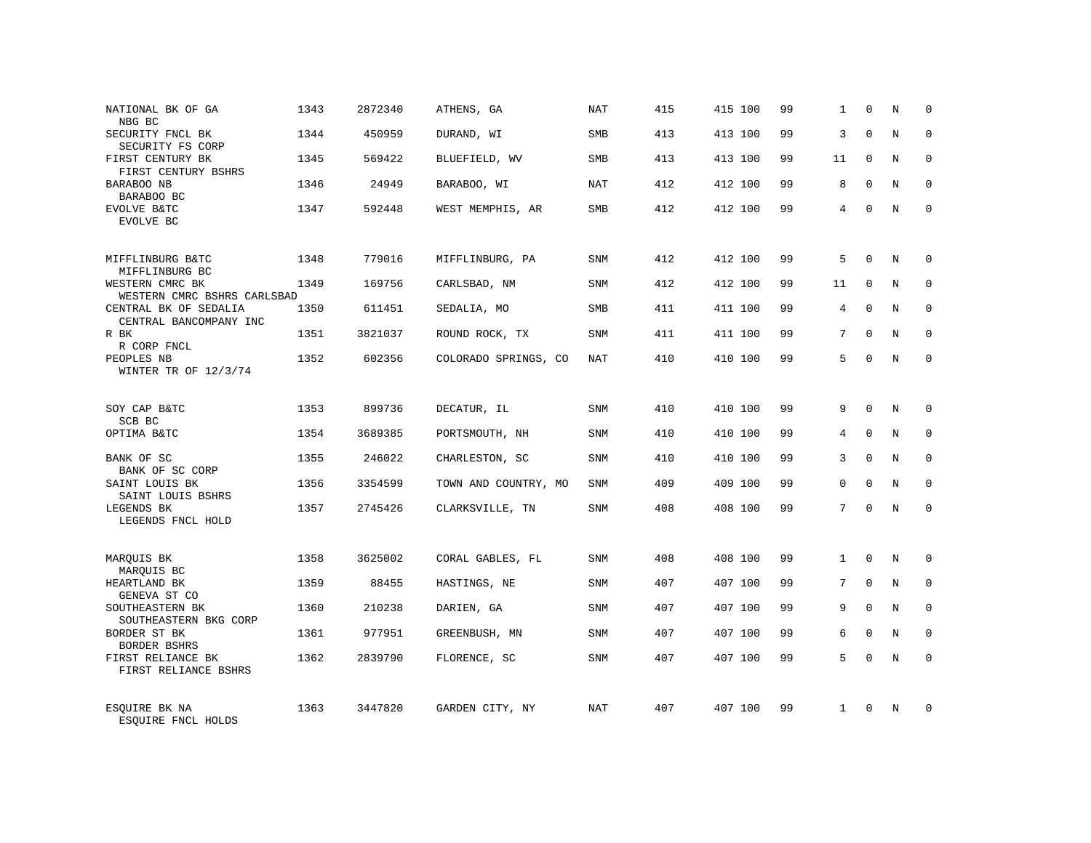| NATIONAL BK OF GA                               | 1343 | 2872340 | ATHENS, GA           | <b>NAT</b> | 415 | 415 100 | 99 | 1            | $\mathbf 0$  | N              | $\mathbf 0$ |
|-------------------------------------------------|------|---------|----------------------|------------|-----|---------|----|--------------|--------------|----------------|-------------|
| NBG BC<br>SECURITY FNCL BK                      | 1344 | 450959  | DURAND, WI           | <b>SMB</b> | 413 | 413 100 | 99 | 3            | $\Omega$     | N              | $\Omega$    |
| SECURITY FS CORP<br>FIRST CENTURY BK            | 1345 | 569422  | BLUEFIELD, WV        | SMB        | 413 | 413 100 | 99 | 11           | $\Omega$     | N              | $\mathbf 0$ |
| FIRST CENTURY BSHRS                             |      |         |                      |            |     |         |    |              |              |                |             |
| BARABOO NB<br>BARABOO BC                        | 1346 | 24949   | BARABOO, WI          | NAT        | 412 | 412 100 | 99 | 8            | $\Omega$     | N              | $\mathbf 0$ |
| EVOLVE B&TC<br>EVOLVE BC                        | 1347 | 592448  | WEST MEMPHIS, AR     | SMB        | 412 | 412 100 | 99 | 4            | $\Omega$     | N              | $\Omega$    |
| MIFFLINBURG B&TC<br>MIFFLINBURG BC              | 1348 | 779016  | MIFFLINBURG, PA      | SNM        | 412 | 412 100 | 99 | 5            | $\Omega$     | N              | $\Omega$    |
| WESTERN CMRC BK<br>WESTERN CMRC BSHRS CARLSBAD  | 1349 | 169756  | CARLSBAD, NM         | SNM        | 412 | 412 100 | 99 | 11           | $\Omega$     | N              | $\Omega$    |
| CENTRAL BK OF SEDALIA<br>CENTRAL BANCOMPANY INC | 1350 | 611451  | SEDALIA, MO          | SMB        | 411 | 411 100 | 99 | 4            | $\Omega$     | N              | $\mathbf 0$ |
| R BK<br>R CORP FNCL                             | 1351 | 3821037 | ROUND ROCK, TX       | SNM        | 411 | 411 100 | 99 | 7            | $\Omega$     | N              | $\Omega$    |
| PEOPLES NB<br>WINTER TR OF 12/3/74              | 1352 | 602356  | COLORADO SPRINGS, CO | <b>NAT</b> | 410 | 410 100 | 99 | 5            | $\Omega$     | N              | $\Omega$    |
| SOY CAP B&TC<br>SCB BC                          | 1353 | 899736  | DECATUR, IL          | SNM        | 410 | 410 100 | 99 | 9            | $\Omega$     | N              | $\Omega$    |
| OPTIMA B&TC                                     | 1354 | 3689385 | PORTSMOUTH, NH       | SNM        | 410 | 410 100 | 99 | 4            | $\Omega$     | N              | $\mathbf 0$ |
| BANK OF SC<br>BANK OF SC CORP                   | 1355 | 246022  | CHARLESTON, SC       | <b>SNM</b> | 410 | 410 100 | 99 | 3            | $\Omega$     | N              | $\Omega$    |
| SAINT LOUIS BK<br>SAINT LOUIS BSHRS             | 1356 | 3354599 | TOWN AND COUNTRY, MO | <b>SNM</b> | 409 | 409 100 | 99 | 0            | $\mathbf{0}$ | N              | $\mathbf 0$ |
| LEGENDS BK<br>LEGENDS FNCL HOLD                 | 1357 | 2745426 | CLARKSVILLE, TN      | <b>SNM</b> | 408 | 408 100 | 99 | 7            | $\Omega$     | $\overline{N}$ | $\Omega$    |
| MARQUIS BK<br>MARQUIS BC                        | 1358 | 3625002 | CORAL GABLES, FL     | <b>SNM</b> | 408 | 408 100 | 99 | $\mathbf{1}$ | $\Omega$     | N              | $\Omega$    |
| HEARTLAND BK<br>GENEVA ST CO                    | 1359 | 88455   | HASTINGS, NE         | SNM        | 407 | 407 100 | 99 | 7            | $\mathbf 0$  | N              | $\mathbf 0$ |
| SOUTHEASTERN BK<br>SOUTHEASTERN BKG CORP        | 1360 | 210238  | DARIEN, GA           | <b>SNM</b> | 407 | 407 100 | 99 | 9            | $\Omega$     | N              | $\Omega$    |
| BORDER ST BK<br><b>BORDER BSHRS</b>             | 1361 | 977951  | GREENBUSH, MN        | <b>SNM</b> | 407 | 407 100 | 99 | 6            | $\mathbf 0$  | N              | $\mathbf 0$ |
| FIRST RELIANCE BK<br>FIRST RELIANCE BSHRS       | 1362 | 2839790 | FLORENCE, SC         | <b>SNM</b> | 407 | 407 100 | 99 | 5            | $\Omega$     | $_{\rm N}$     | $\Omega$    |
| ESOUIRE BK NA<br>ESOUIRE FNCL HOLDS             | 1363 | 3447820 | GARDEN CITY, NY      | <b>NAT</b> | 407 | 407 100 | 99 | $\mathbf{1}$ | $\Omega$     | N              | $\Omega$    |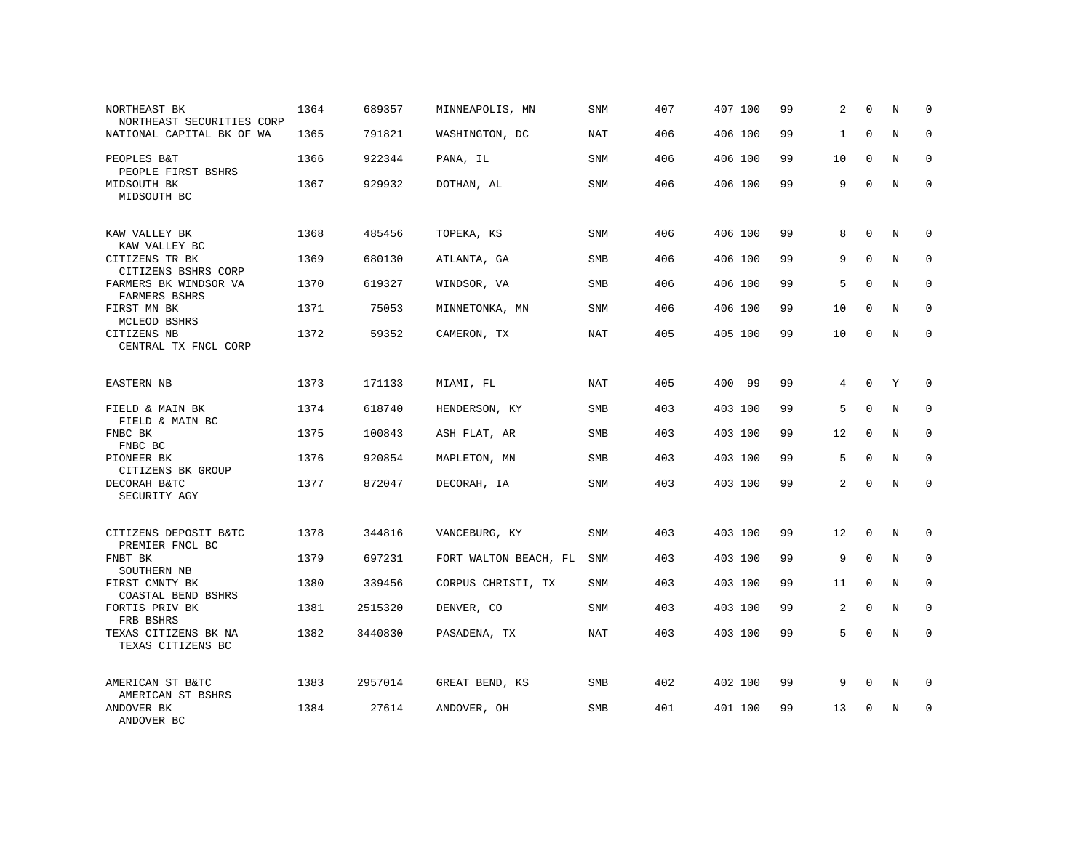| NORTHEAST BK<br>NORTHEAST SECURITIES CORP              | 1364 | 689357  | MINNEAPOLIS, MN       | SNM        | 407 | 407 100     | 99 | 2  | $\mathbf 0$  | N | 0           |
|--------------------------------------------------------|------|---------|-----------------------|------------|-----|-------------|----|----|--------------|---|-------------|
| NATIONAL CAPITAL BK OF WA                              | 1365 | 791821  | WASHINGTON, DC        | <b>NAT</b> | 406 | 406 100     | 99 | 1  | $\Omega$     | N | $\mathbf 0$ |
| PEOPLES B&T<br>PEOPLE FIRST BSHRS                      | 1366 | 922344  | PANA, IL              | SNM        | 406 | 406 100     | 99 | 10 | $\mathbf 0$  | N | $\mathbf 0$ |
| MIDSOUTH BK<br>MIDSOUTH BC                             | 1367 | 929932  | DOTHAN, AL            | SNM        | 406 | 406 100     | 99 | 9  | $\Omega$     | N | $\mathbf 0$ |
| KAW VALLEY BK                                          | 1368 | 485456  | TOPEKA, KS            | SNM        | 406 | 406 100     | 99 | 8  | $\Omega$     | N | $\Omega$    |
| KAW VALLEY BC<br>CITIZENS TR BK<br>CITIZENS BSHRS CORP | 1369 | 680130  | ATLANTA, GA           | SMB        | 406 | 406 100     | 99 | 9  | $\Omega$     | N | $\mathbf 0$ |
| FARMERS BK WINDSOR VA<br>FARMERS BSHRS                 | 1370 | 619327  | WINDSOR, VA           | <b>SMB</b> | 406 | 406 100     | 99 | 5  | $\Omega$     | N | $\mathbf 0$ |
| FIRST MN BK<br>MCLEOD BSHRS                            | 1371 | 75053   | MINNETONKA, MN        | SNM        | 406 | 406 100     | 99 | 10 | $\mathbf 0$  | N | $\mathbf 0$ |
| CITIZENS NB<br>CENTRAL TX FNCL CORP                    | 1372 | 59352   | CAMERON, TX           | NAT        | 405 | 405 100     | 99 | 10 | $\mathbf 0$  | N | $\Omega$    |
| EASTERN NB                                             | 1373 | 171133  | MIAMI, FL             | NAT        | 405 | 400<br>- 99 | 99 | 4  | $\mathbf 0$  | Υ | $\mathbf 0$ |
| FIELD & MAIN BK<br>FIELD & MAIN BC                     | 1374 | 618740  | HENDERSON, KY         | SMB        | 403 | 403 100     | 99 | 5  | $\Omega$     | N | $\Omega$    |
| FNBC BK<br>FNBC BC                                     | 1375 | 100843  | ASH FLAT, AR          | <b>SMB</b> | 403 | 403 100     | 99 | 12 | $\mathbf{0}$ | N | $\mathbf 0$ |
| PIONEER BK<br>CITIZENS BK GROUP                        | 1376 | 920854  | MAPLETON, MN          | <b>SMB</b> | 403 | 403 100     | 99 | 5  | $\Omega$     | N | $\Omega$    |
| DECORAH B&TC<br>SECURITY AGY                           | 1377 | 872047  | DECORAH, IA           | SNM        | 403 | 403 100     | 99 | 2  | $\mathbf 0$  | N | $\mathbf 0$ |
| CITIZENS DEPOSIT B&TC<br>PREMIER FNCL BC               | 1378 | 344816  | VANCEBURG, KY         | SNM        | 403 | 403 100     | 99 | 12 | $\mathbf 0$  | N | $\mathbf 0$ |
| FNBT BK<br>SOUTHERN NB                                 | 1379 | 697231  | FORT WALTON BEACH, FL | <b>SNM</b> | 403 | 403 100     | 99 | 9  | $\Omega$     | N | $\mathbf 0$ |
| FIRST CMNTY BK<br>COASTAL BEND BSHRS                   | 1380 | 339456  | CORPUS CHRISTI, TX    | SNM        | 403 | 403 100     | 99 | 11 | $\mathbf{0}$ | N | $\mathbf 0$ |
| FORTIS PRIV BK<br>FRB BSHRS                            | 1381 | 2515320 | DENVER, CO            | <b>SNM</b> | 403 | 403 100     | 99 | 2  | $\Omega$     | N | $\mathbf 0$ |
| TEXAS CITIZENS BK NA<br>TEXAS CITIZENS BC              | 1382 | 3440830 | PASADENA, TX          | NAT        | 403 | 403 100     | 99 | 5  | $\mathbf 0$  | N | $\mathbf 0$ |
| AMERICAN ST B&TC<br>AMERICAN ST BSHRS                  | 1383 | 2957014 | GREAT BEND, KS        | SMB        | 402 | 402 100     | 99 | 9  | 0            | N | 0           |
| ANDOVER BK<br>ANDOVER BC                               | 1384 | 27614   | ANDOVER, OH           | <b>SMB</b> | 401 | 401 100     | 99 | 13 | $\Omega$     | N | $\mathbf 0$ |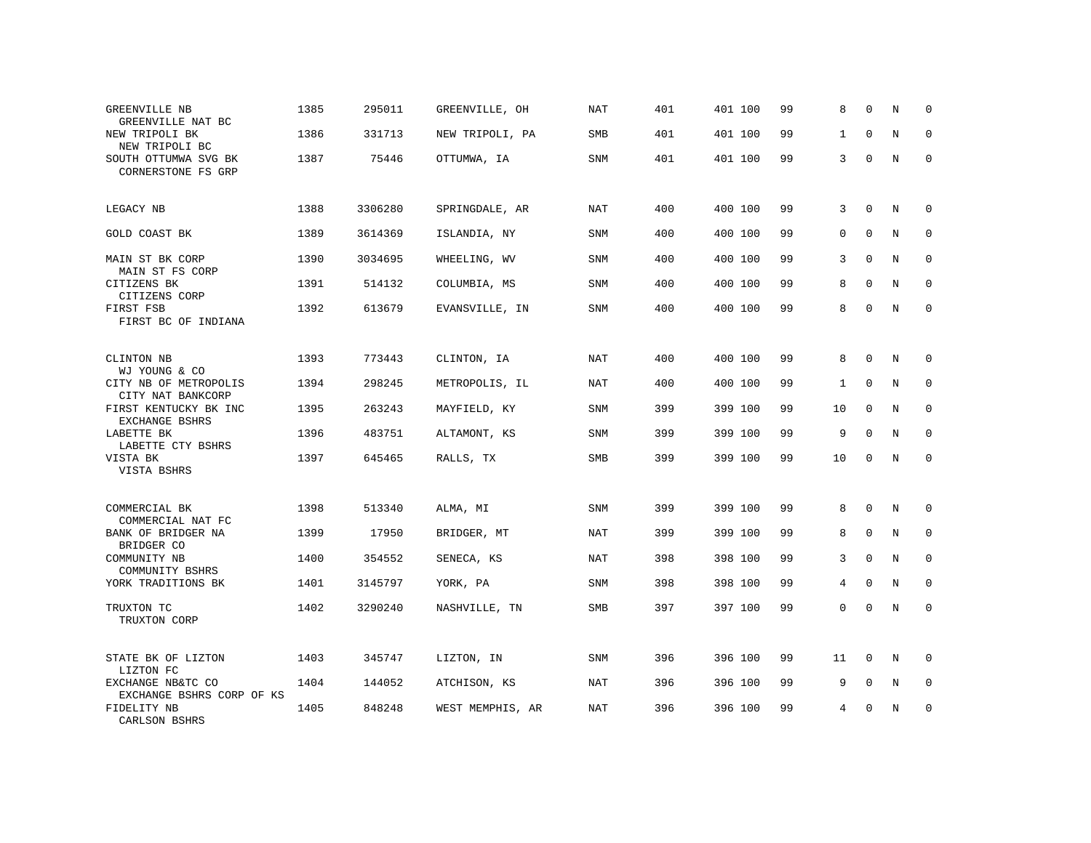| GREENVILLE NB<br>GREENVILLE NAT BC             | 1385 | 295011  | GREENVILLE, OH   | <b>NAT</b> | 401 | 401 100 | 99 | 8            | $\Omega$     | N | $\mathbf 0$  |
|------------------------------------------------|------|---------|------------------|------------|-----|---------|----|--------------|--------------|---|--------------|
| NEW TRIPOLI BK<br>NEW TRIPOLI BC               | 1386 | 331713  | NEW TRIPOLI, PA  | SMB        | 401 | 401 100 | 99 | $\mathbf{1}$ | $\mathbf 0$  | N | $\mathbf 0$  |
| SOUTH OTTUMWA SVG BK<br>CORNERSTONE FS GRP     | 1387 | 75446   | OTTUMWA, IA      | SNM        | 401 | 401 100 | 99 | 3            | $\Omega$     | N | $\Omega$     |
| LEGACY NB                                      | 1388 | 3306280 | SPRINGDALE, AR   | NAT        | 400 | 400 100 | 99 | 3            | $\Omega$     | N | $\Omega$     |
| GOLD COAST BK                                  | 1389 | 3614369 | ISLANDIA, NY     | SNM        | 400 | 400 100 | 99 | 0            | $\mathbf{0}$ | N | 0            |
| MAIN ST BK CORP<br>MAIN ST FS CORP             | 1390 | 3034695 | WHEELING, WV     | SNM        | 400 | 400 100 | 99 | 3            | $\mathbf{0}$ | N | $\mathbf 0$  |
| CITIZENS BK<br>CITIZENS CORP                   | 1391 | 514132  | COLUMBIA, MS     | <b>SNM</b> | 400 | 400 100 | 99 | 8            | $\Omega$     | N | $\mathbf 0$  |
| FIRST FSB<br>FIRST BC OF INDIANA               | 1392 | 613679  | EVANSVILLE, IN   | <b>SNM</b> | 400 | 400 100 | 99 | 8            | $\Omega$     | N | $\mathbf 0$  |
| CLINTON NB<br>WJ YOUNG & CO                    | 1393 | 773443  | CLINTON, IA      | NAT        | 400 | 400 100 | 99 | 8            | $\mathbf 0$  | N | 0            |
| CITY NB OF METROPOLIS<br>CITY NAT BANKCORP     | 1394 | 298245  | METROPOLIS, IL   | <b>NAT</b> | 400 | 400 100 | 99 | 1            | $\mathbf 0$  | N | 0            |
| FIRST KENTUCKY BK INC<br>EXCHANGE BSHRS        | 1395 | 263243  | MAYFIELD, KY     | <b>SNM</b> | 399 | 399 100 | 99 | 10           | $\Omega$     | N | $\mathbf 0$  |
| LABETTE BK<br>LABETTE CTY BSHRS                | 1396 | 483751  | ALTAMONT, KS     | SNM        | 399 | 399 100 | 99 | 9            | $\Omega$     | N | $\mathbf 0$  |
| VISTA BK<br>VISTA BSHRS                        | 1397 | 645465  | RALLS, TX        | <b>SMB</b> | 399 | 399 100 | 99 | 10           | $\mathbf 0$  | N | $\mathbf{0}$ |
| COMMERCIAL BK<br>COMMERCIAL NAT FC             | 1398 | 513340  | ALMA, MI         | <b>SNM</b> | 399 | 399 100 | 99 | 8            | $\mathbf 0$  | N | 0            |
| BANK OF BRIDGER NA<br>BRIDGER CO               | 1399 | 17950   | BRIDGER, MT      | <b>NAT</b> | 399 | 399 100 | 99 | 8            | $\mathbf 0$  | N | $\mathbf 0$  |
| COMMUNITY NB<br>COMMUNITY BSHRS                | 1400 | 354552  | SENECA, KS       | <b>NAT</b> | 398 | 398 100 | 99 | 3            | $\Omega$     | N | $\mathbf 0$  |
| YORK TRADITIONS BK                             | 1401 | 3145797 | YORK, PA         | <b>SNM</b> | 398 | 398 100 | 99 | 4            | $\mathbf 0$  | N | $\mathbf 0$  |
| TRUXTON TC<br>TRUXTON CORP                     | 1402 | 3290240 | NASHVILLE, TN    | SMB        | 397 | 397 100 | 99 | 0            | $\mathbf 0$  | N | $\mathbf 0$  |
| STATE BK OF LIZTON<br>LIZTON FC                | 1403 | 345747  | LIZTON, IN       | <b>SNM</b> | 396 | 396 100 | 99 | 11           | $\mathbf 0$  | N | $\Omega$     |
| EXCHANGE NB&TC CO<br>EXCHANGE BSHRS CORP OF KS | 1404 | 144052  | ATCHISON, KS     | <b>NAT</b> | 396 | 396 100 | 99 | 9            | $\mathbf 0$  | N | $\mathbf 0$  |
| FIDELITY NB<br>CARLSON BSHRS                   | 1405 | 848248  | WEST MEMPHIS, AR | <b>NAT</b> | 396 | 396 100 | 99 | 4            | 0            | N | $\mathbf 0$  |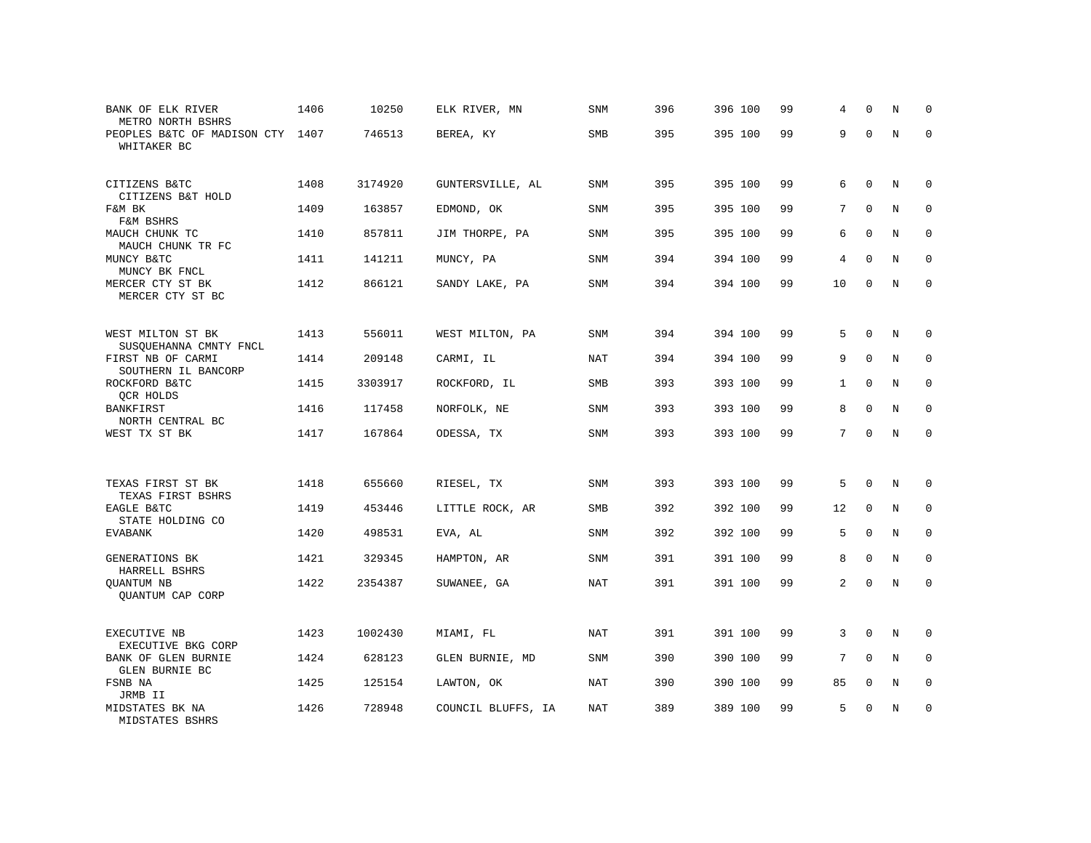| BANK OF ELK RIVER<br>METRO NORTH BSHRS          | 1406 | 10250   | ELK RIVER, MN      | SNM        | 396 | 396 100 | 99 | 4            | $\Omega$     | N           | $\Omega$    |
|-------------------------------------------------|------|---------|--------------------|------------|-----|---------|----|--------------|--------------|-------------|-------------|
| PEOPLES B&TC OF MADISON CTY 1407<br>WHITAKER BC |      | 746513  | BEREA, KY          | SMB        | 395 | 395 100 | 99 | 9            | $\Omega$     | N           | $\Omega$    |
| CITIZENS B&TC<br>CITIZENS B&T HOLD              | 1408 | 3174920 | GUNTERSVILLE, AL   | SNM        | 395 | 395 100 | 99 | 6            | $\mathbf 0$  | N           | $\mathbf 0$ |
| F&M BK<br>F&M BSHRS                             | 1409 | 163857  | EDMOND, OK         | <b>SNM</b> | 395 | 395 100 | 99 | 7            | $\Omega$     | N           | $\Omega$    |
| MAUCH CHUNK TC<br>MAUCH CHUNK TR FC             | 1410 | 857811  | JIM THORPE, PA     | SNM        | 395 | 395 100 | 99 | 6            | $\mathbf 0$  | N           | $\mathbf 0$ |
| MUNCY B&TC<br>MUNCY BK FNCL                     | 1411 | 141211  | MUNCY, PA          | <b>SNM</b> | 394 | 394 100 | 99 | 4            | $\Omega$     | N           | $\mathbf 0$ |
| MERCER CTY ST BK<br>MERCER CTY ST BC            | 1412 | 866121  | SANDY LAKE, PA     | SNM        | 394 | 394 100 | 99 | 10           | $\Omega$     | N           | $\Omega$    |
| WEST MILTON ST BK<br>SUSQUEHANNA CMNTY FNCL     | 1413 | 556011  | WEST MILTON, PA    | <b>SNM</b> | 394 | 394 100 | 99 | 5            | $\Omega$     | N           | $\mathbf 0$ |
| FIRST NB OF CARMI<br>SOUTHERN IL BANCORP        | 1414 | 209148  | CARMI, IL          | NAT        | 394 | 394 100 | 99 | 9            | $\Omega$     | N           | $\mathbf 0$ |
| ROCKFORD B&TC<br>QCR HOLDS                      | 1415 | 3303917 | ROCKFORD, IL       | <b>SMB</b> | 393 | 393 100 | 99 | $\mathbf{1}$ | $\mathbf 0$  | N           | $\mathbf 0$ |
| <b>BANKFIRST</b><br>NORTH CENTRAL BC            | 1416 | 117458  | NORFOLK, NE        | <b>SNM</b> | 393 | 393 100 | 99 | 8            | $\Omega$     | N           | $\Omega$    |
| WEST TX ST BK                                   | 1417 | 167864  | ODESSA, TX         | <b>SNM</b> | 393 | 393 100 | 99 | $7^{\circ}$  | $\mathbf 0$  | N           | $\mathbf 0$ |
| TEXAS FIRST ST BK<br>TEXAS FIRST BSHRS          | 1418 | 655660  | RIESEL, TX         | SNM        | 393 | 393 100 | 99 | 5            | $\mathbf 0$  | N           | 0           |
| EAGLE B&TC<br>STATE HOLDING CO                  | 1419 | 453446  | LITTLE ROCK, AR    | <b>SMB</b> | 392 | 392 100 | 99 | 12           | $\Omega$     | N           | $\mathbf 0$ |
| <b>EVABANK</b>                                  | 1420 | 498531  | EVA, AL            | <b>SNM</b> | 392 | 392 100 | 99 | 5            | $\mathbf{0}$ | $\mathbf N$ | $\mathbf 0$ |
| GENERATIONS BK<br>HARRELL BSHRS                 | 1421 | 329345  | HAMPTON, AR        | SNM        | 391 | 391 100 | 99 | 8            | $\mathbf{0}$ | N           | $\mathbf 0$ |
| QUANTUM NB<br>OUANTUM CAP CORP                  | 1422 | 2354387 | SUWANEE, GA        | NAT        | 391 | 391 100 | 99 | 2            | $\Omega$     | $\rm N$     | $\mathbf 0$ |
| EXECUTIVE NB<br>EXECUTIVE BKG CORP              | 1423 | 1002430 | MIAMI, FL          | NAT        | 391 | 391 100 | 99 | 3            | $\mathbf{0}$ | N           | $\mathbf 0$ |
| BANK OF GLEN BURNIE<br>GLEN BURNIE BC           | 1424 | 628123  | GLEN BURNIE, MD    | <b>SNM</b> | 390 | 390 100 | 99 | 7            | $\Omega$     | N           | $\mathbf 0$ |
| FSNB NA<br>JRMB II                              | 1425 | 125154  | LAWTON, OK         | <b>NAT</b> | 390 | 390 100 | 99 | 85           | $\mathbf 0$  | N           | 0           |
| MIDSTATES BK NA<br>MIDSTATES BSHRS              | 1426 | 728948  | COUNCIL BLUFFS, IA | NAT        | 389 | 389 100 | 99 | 5            | $\Omega$     | N           | $\mathbf 0$ |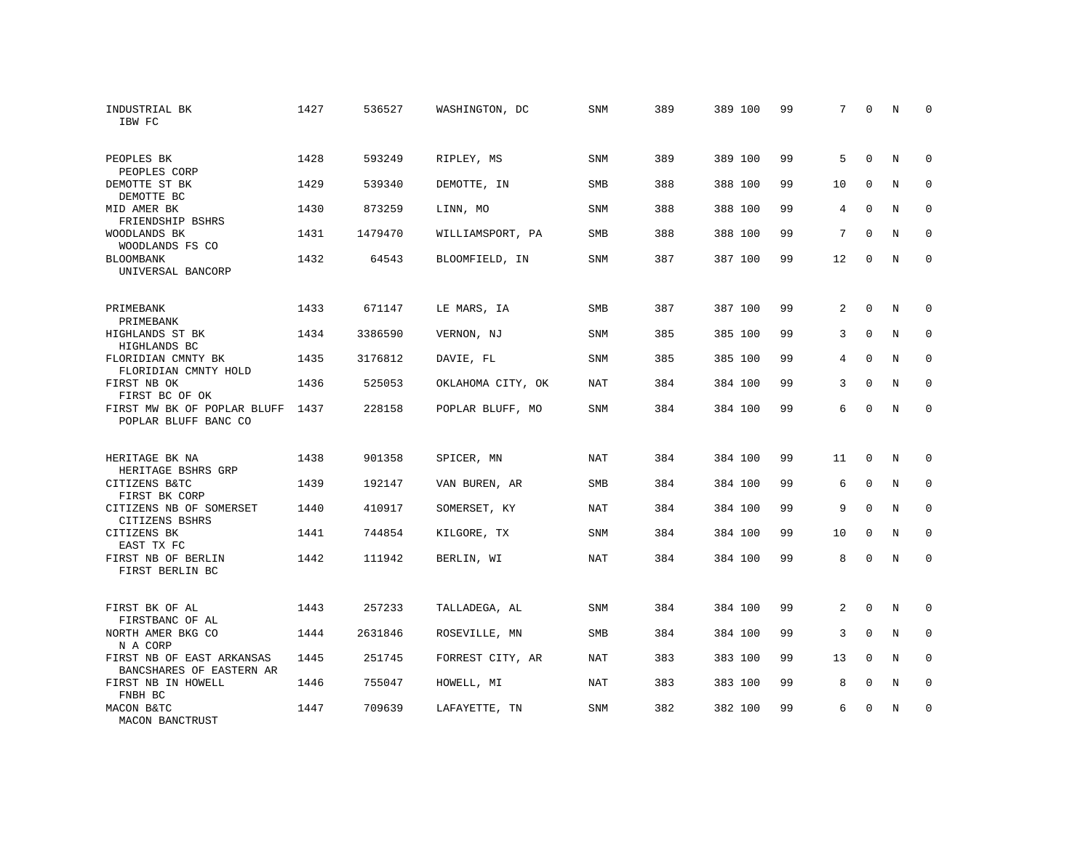| INDUSTRIAL BK<br>IBW FC                               | 1427 | 536527  | WASHINGTON, DC    | SNM        | 389 | 389 100 | 99 | 7              | $\mathbf 0$  | N          | $\Omega$    |
|-------------------------------------------------------|------|---------|-------------------|------------|-----|---------|----|----------------|--------------|------------|-------------|
| PEOPLES BK<br>PEOPLES CORP                            | 1428 | 593249  | RIPLEY, MS        | <b>SNM</b> | 389 | 389 100 | 99 | 5              | $\Omega$     | N          | $\Omega$    |
| DEMOTTE ST BK<br>DEMOTTE BC                           | 1429 | 539340  | DEMOTTE, IN       | <b>SMB</b> | 388 | 388 100 | 99 | 10             | $\Omega$     | N          | $\Omega$    |
| MID AMER BK<br>FRIENDSHIP BSHRS                       | 1430 | 873259  | LINN, MO          | <b>SNM</b> | 388 | 388 100 | 99 | 4              | $\Omega$     | N          | $\Omega$    |
| WOODLANDS BK<br>WOODLANDS FS CO                       | 1431 | 1479470 | WILLIAMSPORT, PA  | <b>SMB</b> | 388 | 388 100 | 99 | 7              | $\Omega$     | N          | $\Omega$    |
| <b>BLOOMBANK</b><br>UNIVERSAL BANCORP                 | 1432 | 64543   | BLOOMFIELD, IN    | <b>SNM</b> | 387 | 387 100 | 99 | 12             | $\Omega$     | N          | $\Omega$    |
| PRIMEBANK<br>PRIMEBANK                                | 1433 | 671147  | LE MARS, IA       | <b>SMB</b> | 387 | 387 100 | 99 | 2              | $\Omega$     | N          | $\Omega$    |
| HIGHLANDS ST BK<br>HIGHLANDS BC                       | 1434 | 3386590 | VERNON, NJ        | SNM        | 385 | 385 100 | 99 | 3              | $\mathbf{0}$ | N          | $\mathbf 0$ |
| FLORIDIAN CMNTY BK<br>FLORIDIAN CMNTY HOLD            | 1435 | 3176812 | DAVIE, FL         | <b>SNM</b> | 385 | 385 100 | 99 | 4              | $\Omega$     | N          | $\Omega$    |
| FIRST NB OK<br>FIRST BC OF OK                         | 1436 | 525053  | OKLAHOMA CITY, OK | <b>NAT</b> | 384 | 384 100 | 99 | 3              | $\mathbf 0$  | N          | $\mathbf 0$ |
| FIRST MW BK OF POPLAR BLUFF<br>POPLAR BLUFF BANC CO   | 1437 | 228158  | POPLAR BLUFF, MO  | <b>SNM</b> | 384 | 384 100 | 99 | 6              | $\Omega$     | N          | $\Omega$    |
| HERITAGE BK NA<br>HERITAGE BSHRS GRP                  | 1438 | 901358  | SPICER, MN        | NAT        | 384 | 384 100 | 99 | 11             | $\mathbf 0$  | N          | $\mathbf 0$ |
| CITIZENS B&TC<br>FIRST BK CORP                        | 1439 | 192147  | VAN BUREN, AR     | <b>SMB</b> | 384 | 384 100 | 99 | 6              | $\mathbf{0}$ | $\rm N$    | $\mathbf 0$ |
| CITIZENS NB OF SOMERSET<br>CITIZENS BSHRS             | 1440 | 410917  | SOMERSET, KY      | NAT        | 384 | 384 100 | 99 | 9              | $\Omega$     | N          | $\mathbf 0$ |
| CITIZENS BK<br>EAST TX FC                             | 1441 | 744854  | KILGORE, TX       | SNM        | 384 | 384 100 | 99 | 10             | $\mathbf{0}$ | N          | $\mathbf 0$ |
| FIRST NB OF BERLIN<br>FIRST BERLIN BC                 | 1442 | 111942  | BERLIN, WI        | <b>NAT</b> | 384 | 384 100 | 99 | 8              | $\mathbf{0}$ | $\rm N$    | $\mathbf 0$ |
| FIRST BK OF AL<br>FIRSTBANC OF AL                     | 1443 | 257233  | TALLADEGA, AL     | <b>SNM</b> | 384 | 384 100 | 99 | $\overline{2}$ | $\Omega$     | $_{\rm N}$ | $\Omega$    |
| NORTH AMER BKG CO<br>N A CORP                         | 1444 | 2631846 | ROSEVILLE, MN     | <b>SMB</b> | 384 | 384 100 | 99 | 3              | $\mathbf{0}$ | N          | $\mathbf 0$ |
| FIRST NB OF EAST ARKANSAS<br>BANCSHARES OF EASTERN AR | 1445 | 251745  | FORREST CITY, AR  | NAT        | 383 | 383 100 | 99 | 13             | $\Omega$     | N          | $\mathbf 0$ |
| FIRST NB IN HOWELL<br>FNBH BC                         | 1446 | 755047  | HOWELL, MI        | <b>NAT</b> | 383 | 383 100 | 99 | 8              | $\mathbf{0}$ | N          | 0           |
| MACON B&TC<br>MACON BANCTRUST                         | 1447 | 709639  | LAFAYETTE, TN     | <b>SNM</b> | 382 | 382 100 | 99 | 6              | $\Omega$     | N          | $\mathbf 0$ |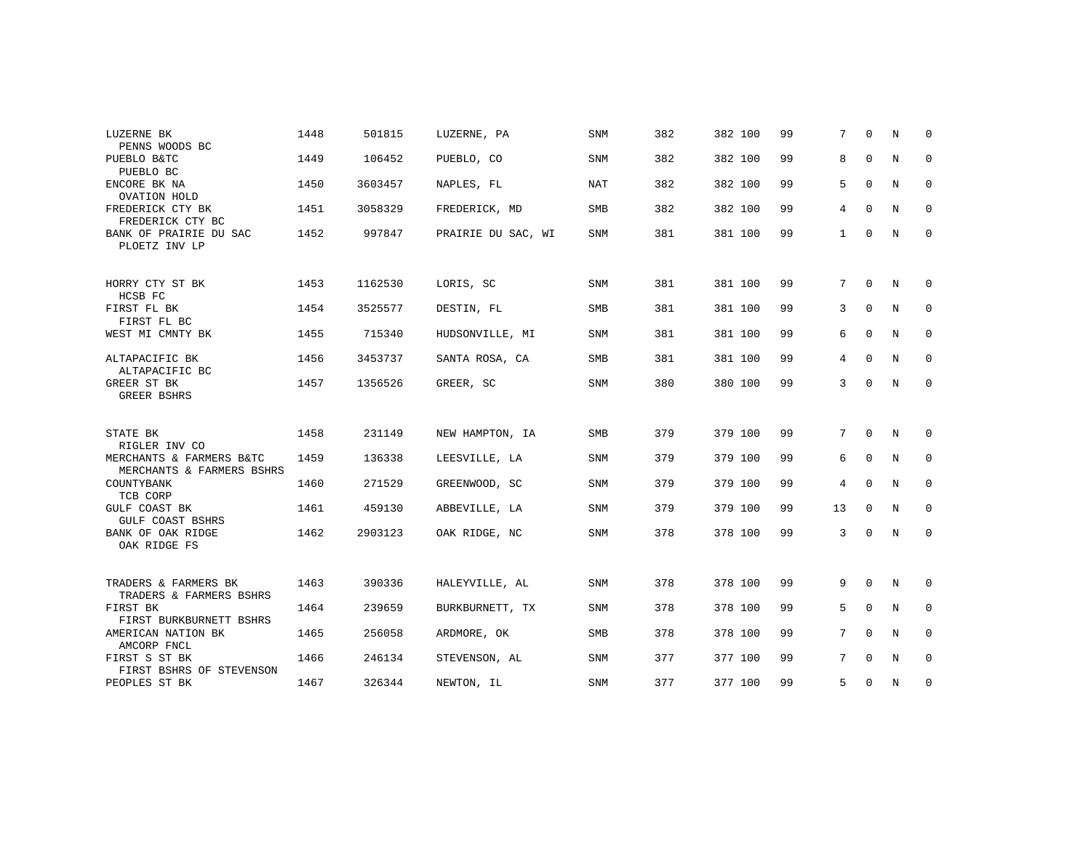| LUZERNE BK<br>PENNS WOODS BC                                           | 1448 | 501815  | LUZERNE, PA        | <b>SNM</b> | 382 | 382 100 | 99 | $7^{\circ}$  | $\Omega$     | N | $\mathbf 0$  |
|------------------------------------------------------------------------|------|---------|--------------------|------------|-----|---------|----|--------------|--------------|---|--------------|
| PUEBLO B&TC<br>PUEBLO BC                                               | 1449 | 106452  | PUEBLO, CO         | <b>SNM</b> | 382 | 382 100 | 99 | 8            | $\Omega$     | N | $\mathbf 0$  |
| ENCORE BK NA<br>OVATION HOLD                                           | 1450 | 3603457 | NAPLES, FL         | NAT        | 382 | 382 100 | 99 | 5            | $\Omega$     | N | 0            |
| FREDERICK CTY BK<br>FREDERICK CTY BC                                   | 1451 | 3058329 | FREDERICK, MD      | <b>SMB</b> | 382 | 382 100 | 99 | 4            | $\Omega$     | N | $\mathbf 0$  |
| BANK OF PRAIRIE DU SAC<br>PLOETZ INV LP                                | 1452 | 997847  | PRAIRIE DU SAC, WI | <b>SNM</b> | 381 | 381 100 | 99 | $\mathbf{1}$ | $\mathbf 0$  | N | $\mathbf{0}$ |
| HORRY CTY ST BK<br>HCSB FC                                             | 1453 | 1162530 | LORIS, SC          | SNM        | 381 | 381 100 | 99 | 7            | $\mathbf 0$  | N | 0            |
| FIRST FL BK<br>FIRST FL BC                                             | 1454 | 3525577 | DESTIN, FL         | SMB        | 381 | 381 100 | 99 | 3            | $\mathbf{0}$ | N | $\mathbf 0$  |
| WEST MI CMNTY BK                                                       | 1455 | 715340  | HUDSONVILLE, MI    | <b>SNM</b> | 381 | 381 100 | 99 | 6            | $\mathbf{0}$ | N | $\mathbf 0$  |
| ALTAPACIFIC BK<br>ALTAPACIFIC BC                                       | 1456 | 3453737 | SANTA ROSA, CA     | SMB        | 381 | 381 100 | 99 | 4            | $\Omega$     | N | $\mathbf 0$  |
| GREER ST BK<br><b>GREER BSHRS</b>                                      | 1457 | 1356526 | GREER, SC          | <b>SNM</b> | 380 | 380 100 | 99 | 3            | $\mathbf 0$  | N | $\mathbf 0$  |
| STATE BK                                                               | 1458 | 231149  | NEW HAMPTON, IA    | <b>SMB</b> | 379 | 379 100 | 99 | 7            | $\Omega$     | N | 0            |
| RIGLER INV CO<br>MERCHANTS & FARMERS B&TC<br>MERCHANTS & FARMERS BSHRS | 1459 | 136338  | LEESVILLE, LA      | <b>SNM</b> | 379 | 379 100 | 99 | 6            | $\mathbf{0}$ | N | $\mathbf 0$  |
| COUNTYBANK<br>TCB CORP                                                 | 1460 | 271529  | GREENWOOD, SC      | <b>SNM</b> | 379 | 379 100 | 99 | 4            | $\mathbf 0$  | N | $\mathbf 0$  |
| GULF COAST BK<br>GULF COAST BSHRS                                      | 1461 | 459130  | ABBEVILLE, LA      | SNM        | 379 | 379 100 | 99 | 13           | $\Omega$     | N | $\mathbf 0$  |
| BANK OF OAK RIDGE<br>OAK RIDGE FS                                      | 1462 | 2903123 | OAK RIDGE, NC      | SNM        | 378 | 378 100 | 99 | 3            | $\Omega$     | N | $\mathbf 0$  |
| TRADERS & FARMERS BK<br>TRADERS & FARMERS BSHRS                        | 1463 | 390336  | HALEYVILLE, AL     | <b>SNM</b> | 378 | 378 100 | 99 | 9            | $\Omega$     | N | $\mathbf 0$  |
| FIRST BK<br>FIRST BURKBURNETT BSHRS                                    | 1464 | 239659  | BURKBURNETT, TX    | SNM        | 378 | 378 100 | 99 | 5            | $\mathbf 0$  | N | 0            |
| AMERICAN NATION BK<br>AMCORP FNCL                                      | 1465 | 256058  | ARDMORE, OK        | SMB        | 378 | 378 100 | 99 | $7^{\circ}$  | $\mathbf{0}$ | N | 0            |
| FIRST S ST BK<br>FIRST BSHRS OF STEVENSON                              | 1466 | 246134  | STEVENSON, AL      | <b>SNM</b> | 377 | 377 100 | 99 | $7^{\circ}$  | $\Omega$     | N | $\mathbf 0$  |
| PEOPLES ST BK                                                          | 1467 | 326344  | NEWTON, IL         | <b>SNM</b> | 377 | 377 100 | 99 | 5            | $\Omega$     | N | $\mathbf 0$  |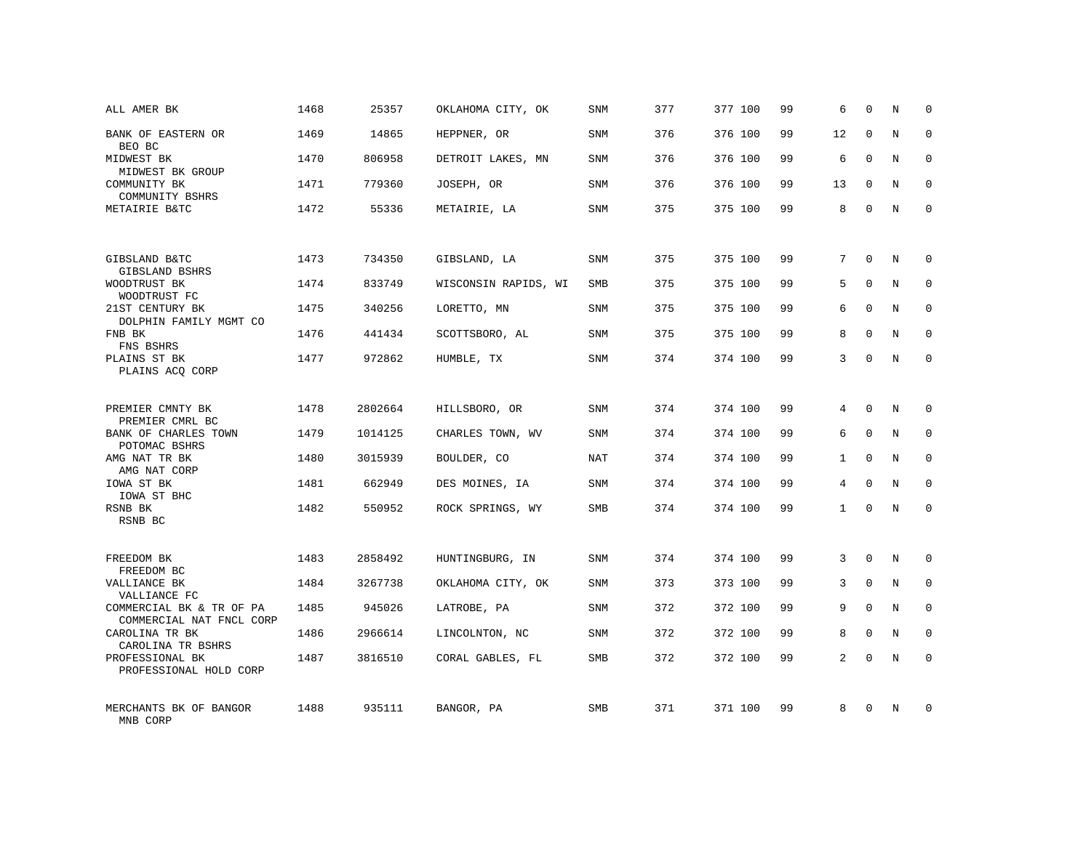| ALL AMER BK                                          | 1468 | 25357   | OKLAHOMA CITY, OK    | <b>SNM</b> | 377 | 377 100 | 99 | 6              | $\mathbf 0$  | N       | $\mathbf 0$ |
|------------------------------------------------------|------|---------|----------------------|------------|-----|---------|----|----------------|--------------|---------|-------------|
| BANK OF EASTERN OR<br>BEO BC                         | 1469 | 14865   | HEPPNER, OR          | <b>SNM</b> | 376 | 376 100 | 99 | 12             | $\mathbf{0}$ | N       | $\mathbf 0$ |
| MIDWEST BK<br>MIDWEST BK GROUP                       | 1470 | 806958  | DETROIT LAKES, MN    | <b>SNM</b> | 376 | 376 100 | 99 | 6              | $\Omega$     | N       | $\mathbf 0$ |
| COMMUNITY BK<br>COMMUNITY BSHRS                      | 1471 | 779360  | JOSEPH, OR           | <b>SNM</b> | 376 | 376 100 | 99 | 13             | $\Omega$     | N       | $\mathbf 0$ |
| METAIRIE B&TC                                        | 1472 | 55336   | METAIRIE, LA         | SNM        | 375 | 375 100 | 99 | 8              | $\Omega$     | N       | $\mathbf 0$ |
|                                                      |      |         |                      |            |     |         |    |                |              |         |             |
| GIBSLAND B&TC<br>GIBSLAND BSHRS                      | 1473 | 734350  | GIBSLAND, LA         | SNM        | 375 | 375 100 | 99 | 7              | $\Omega$     | N       | $\Omega$    |
| WOODTRUST BK<br>WOODTRUST FC                         | 1474 | 833749  | WISCONSIN RAPIDS, WI | <b>SMB</b> | 375 | 375 100 | 99 | 5              | $\Omega$     | N       | $\Omega$    |
| 21ST CENTURY BK<br>DOLPHIN FAMILY MGMT CO            | 1475 | 340256  | LORETTO, MN          | SNM        | 375 | 375 100 | 99 | 6              | $\Omega$     | N       | $\Omega$    |
| FNB BK<br>FNS BSHRS                                  | 1476 | 441434  | SCOTTSBORO, AL       | <b>SNM</b> | 375 | 375 100 | 99 | 8              | $\Omega$     | N       | $\Omega$    |
| PLAINS ST BK<br>PLAINS ACQ CORP                      | 1477 | 972862  | HUMBLE, TX           | SNM        | 374 | 374 100 | 99 | 3              | $\Omega$     | N       | $\Omega$    |
|                                                      |      |         |                      |            |     |         |    |                |              |         |             |
| PREMIER CMNTY BK<br>PREMIER CMRL BC                  | 1478 | 2802664 | HILLSBORO, OR        | SNM        | 374 | 374 100 | 99 | 4              | $\Omega$     | N       | $\Omega$    |
| BANK OF CHARLES TOWN<br>POTOMAC BSHRS                | 1479 | 1014125 | CHARLES TOWN, WV     | <b>SNM</b> | 374 | 374 100 | 99 | 6              | $\mathbf{0}$ | N       | $\mathbf 0$ |
| AMG NAT TR BK<br>AMG NAT CORP                        | 1480 | 3015939 | BOULDER, CO          | NAT        | 374 | 374 100 | 99 | $\mathbf{1}$   | $\Omega$     | N       | $\Omega$    |
| IOWA ST BK<br>IOWA ST BHC                            | 1481 | 662949  | DES MOINES, IA       | <b>SNM</b> | 374 | 374 100 | 99 | 4              | $\mathbf{0}$ | N       | $\mathbf 0$ |
| RSNB BK<br>RSNB BC                                   | 1482 | 550952  | ROCK SPRINGS, WY     | <b>SMB</b> | 374 | 374 100 | 99 | $\mathbf{1}$   | $\Omega$     | N       | $\Omega$    |
|                                                      |      |         |                      |            |     |         |    |                |              |         |             |
| FREEDOM BK<br>FREEDOM BC                             | 1483 | 2858492 | HUNTINGBURG, IN      | <b>SNM</b> | 374 | 374 100 | 99 | 3              | $\Omega$     | N       | $\mathbf 0$ |
| VALLIANCE BK<br>VALLIANCE FC                         | 1484 | 3267738 | OKLAHOMA CITY, OK    | <b>SNM</b> | 373 | 373 100 | 99 | 3              | $\mathbf 0$  | $\rm N$ | $\mathbf 0$ |
| COMMERCIAL BK & TR OF PA<br>COMMERCIAL NAT FNCL CORP | 1485 | 945026  | LATROBE, PA          | <b>SNM</b> | 372 | 372 100 | 99 | 9              | $\Omega$     | N       | $\mathbf 0$ |
| CAROLINA TR BK<br>CAROLINA TR BSHRS                  | 1486 | 2966614 | LINCOLNTON, NC       | SNM        | 372 | 372 100 | 99 | 8              | $\mathbf{0}$ | N       | $\mathbf 0$ |
| PROFESSIONAL BK<br>PROFESSIONAL HOLD CORP            | 1487 | 3816510 | CORAL GABLES, FL     | <b>SMB</b> | 372 | 372 100 | 99 | $\overline{2}$ | $\Omega$     | N       | $\mathbf 0$ |
| MERCHANTS BK OF BANGOR<br>MNB CORP                   | 1488 | 935111  | BANGOR, PA           | <b>SMB</b> | 371 | 371 100 | 99 | 8              | $\Omega$     | N       | $\mathbf 0$ |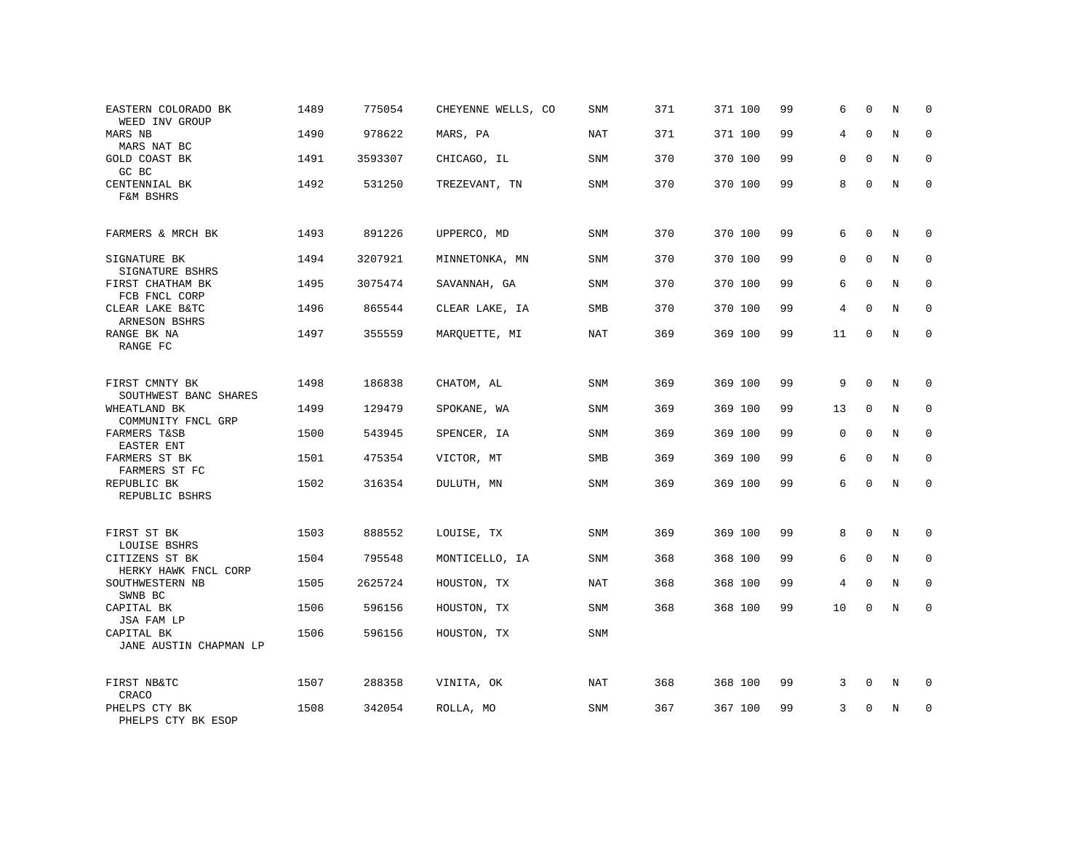| EASTERN COLORADO BK<br>WEED INV GROUP   | 1489 | 775054  | CHEYENNE WELLS, CO | SNM        | 371 | 371 100 | 99 | 6  | 0            | N | $\mathbf 0$ |
|-----------------------------------------|------|---------|--------------------|------------|-----|---------|----|----|--------------|---|-------------|
| MARS NB<br>MARS NAT BC                  | 1490 | 978622  | MARS, PA           | <b>NAT</b> | 371 | 371 100 | 99 | 4  | $\Omega$     | N | $\mathbf 0$ |
| <b>GOLD COAST BK</b><br>GC BC           | 1491 | 3593307 | CHICAGO, IL        | SNM        | 370 | 370 100 | 99 | 0  | $\mathbf 0$  | N | $\mathbf 0$ |
| CENTENNIAL BK<br>F&M BSHRS              | 1492 | 531250  | TREZEVANT, TN      | <b>SNM</b> | 370 | 370 100 | 99 | 8  | $\Omega$     | N | $\Omega$    |
| FARMERS & MRCH BK                       | 1493 | 891226  | UPPERCO, MD        | <b>SNM</b> | 370 | 370 100 | 99 | 6  | $\mathbf 0$  | N | 0           |
| SIGNATURE BK<br>SIGNATURE BSHRS         | 1494 | 3207921 | MINNETONKA, MN     | SNM        | 370 | 370 100 | 99 | 0  | $\Omega$     | N | $\mathbf 0$ |
| FIRST CHATHAM BK<br>FCB FNCL CORP       | 1495 | 3075474 | SAVANNAH, GA       | SNM        | 370 | 370 100 | 99 | 6  | $\mathbf 0$  | N | 0           |
| CLEAR LAKE B&TC<br>ARNESON BSHRS        | 1496 | 865544  | CLEAR LAKE, IA     | SMB        | 370 | 370 100 | 99 | 4  | $\Omega$     | N | $\mathbf 0$ |
| RANGE BK NA<br>RANGE FC                 | 1497 | 355559  | MARQUETTE, MI      | <b>NAT</b> | 369 | 369 100 | 99 | 11 | $\mathbf 0$  | N | $\mathbf 0$ |
| FIRST CMNTY BK<br>SOUTHWEST BANC SHARES | 1498 | 186838  | CHATOM, AL         | SNM        | 369 | 369 100 | 99 | 9  | $\mathbf 0$  | N | $\mathbf 0$ |
| WHEATLAND BK<br>COMMUNITY FNCL GRP      | 1499 | 129479  | SPOKANE, WA        | SNM        | 369 | 369 100 | 99 | 13 | $\mathbf 0$  | N | $\mathbf 0$ |
| FARMERS T&SB<br>EASTER ENT              | 1500 | 543945  | SPENCER, IA        | SNM        | 369 | 369 100 | 99 | 0  | $\mathbf 0$  | N | $\mathbf 0$ |
| FARMERS ST BK<br>FARMERS ST FC          | 1501 | 475354  | VICTOR, MT         | SMB        | 369 | 369 100 | 99 | 6  | $\mathbf{0}$ | N | $\mathbf 0$ |
| REPUBLIC BK<br>REPUBLIC BSHRS           | 1502 | 316354  | DULUTH, MN         | SNM        | 369 | 369 100 | 99 | 6  | $\Omega$     | N | $\mathbf 0$ |
| FIRST ST BK<br>LOUISE BSHRS             | 1503 | 888552  | LOUISE, TX         | SNM        | 369 | 369 100 | 99 | 8  | $\mathbf{0}$ | N | $\mathbf 0$ |
| CITIZENS ST BK<br>HERKY HAWK FNCL CORP  | 1504 | 795548  | MONTICELLO, IA     | SNM        | 368 | 368 100 | 99 | 6  | $\mathbf 0$  | N | $\mathbf 0$ |
| SOUTHWESTERN NB<br>SWNB BC              | 1505 | 2625724 | HOUSTON, TX        | <b>NAT</b> | 368 | 368 100 | 99 | 4  | $\Omega$     | N | $\mathbf 0$ |
| CAPITAL BK<br>JSA FAM LP                | 1506 | 596156  | HOUSTON, TX        | <b>SNM</b> | 368 | 368 100 | 99 | 10 | $\mathbf 0$  | N | $\mathbf 0$ |
| CAPITAL BK<br>JANE AUSTIN CHAPMAN LP    | 1506 | 596156  | HOUSTON, TX        | SNM        |     |         |    |    |              |   |             |
| FIRST NB&TC<br>CRACO                    | 1507 | 288358  | VINITA, OK         | <b>NAT</b> | 368 | 368 100 | 99 | 3  | $\mathbf 0$  | N | 0           |
| PHELPS CTY BK<br>PHELPS CTY BK ESOP     | 1508 | 342054  | ROLLA, MO          | <b>SNM</b> | 367 | 367 100 | 99 | 3  | $\mathbf 0$  | N | $\mathbf 0$ |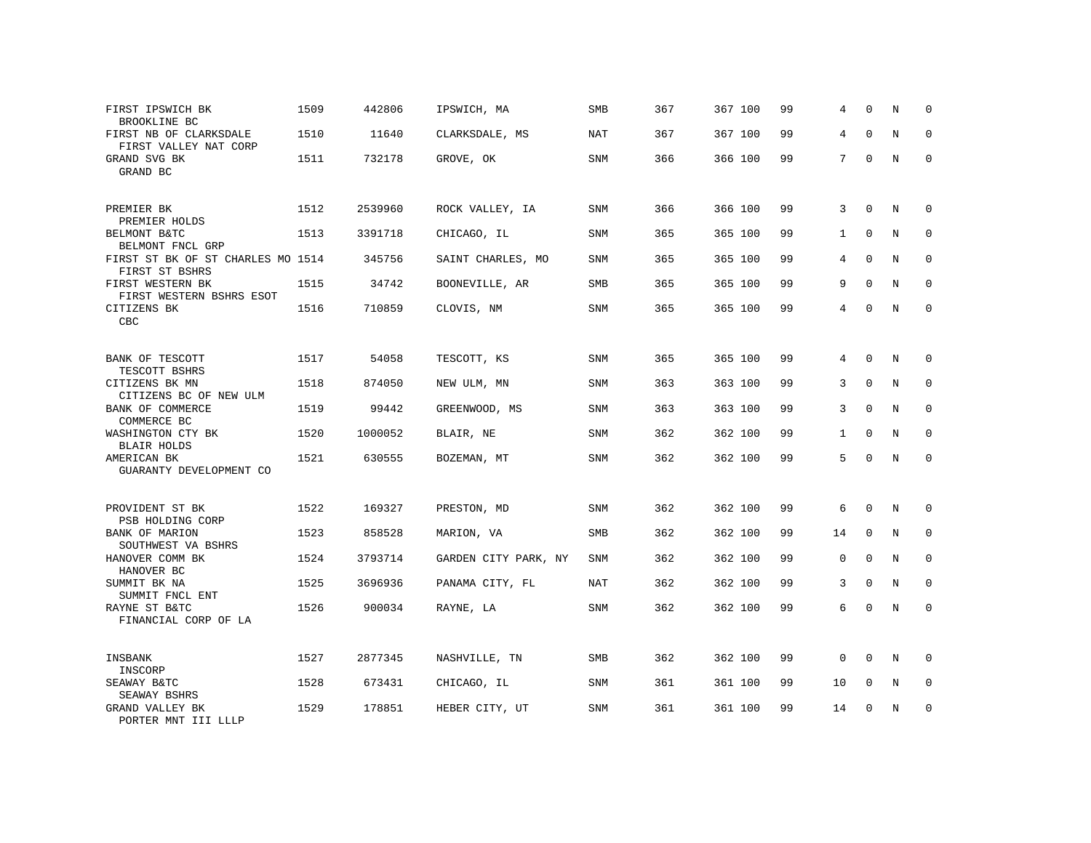| FIRST IPSWICH BK<br>BROOKLINE BC                    | 1509 | 442806  | IPSWICH, MA          | SMB        | 367 | 367 100 | 99 | 4              | 0           | N           | $\Omega$     |
|-----------------------------------------------------|------|---------|----------------------|------------|-----|---------|----|----------------|-------------|-------------|--------------|
| FIRST NB OF CLARKSDALE<br>FIRST VALLEY NAT CORP     | 1510 | 11640   | CLARKSDALE, MS       | NAT        | 367 | 367 100 | 99 | 4              | $\Omega$    | N           | 0            |
| GRAND SVG BK<br>GRAND BC                            | 1511 | 732178  | GROVE, OK            | SNM        | 366 | 366 100 | 99 | 7              | $\Omega$    | N           | $\Omega$     |
| PREMIER BK<br>PREMIER HOLDS                         | 1512 | 2539960 | ROCK VALLEY, IA      | SNM        | 366 | 366 100 | 99 | 3              | $\mathbf 0$ | N           | $\mathbf 0$  |
| BELMONT B&TC<br>BELMONT FNCL GRP                    | 1513 | 3391718 | CHICAGO, IL          | SNM        | 365 | 365 100 | 99 | $\mathbf{1}$   | $\mathbf 0$ | $\mathbf N$ | $\mathbf 0$  |
| FIRST ST BK OF ST CHARLES MO 1514<br>FIRST ST BSHRS |      | 345756  | SAINT CHARLES, MO    | SNM        | 365 | 365 100 | 99 | $\overline{4}$ | $\mathbf 0$ | N           | $\mathbf 0$  |
| FIRST WESTERN BK<br>FIRST WESTERN BSHRS ESOT        | 1515 | 34742   | BOONEVILLE, AR       | SMB        | 365 | 365 100 | 99 | 9              | $\mathbf 0$ | N           | $\mathbf 0$  |
| CITIZENS BK<br>CBC                                  | 1516 | 710859  | CLOVIS, NM           | SNM        | 365 | 365 100 | 99 | $\overline{4}$ | $\mathbf 0$ | N           | $\mathbf 0$  |
| BANK OF TESCOTT<br>TESCOTT BSHRS                    | 1517 | 54058   | TESCOTT, KS          | SNM        | 365 | 365 100 | 99 | 4              | $\Omega$    | N           | $\Omega$     |
| CITIZENS BK MN<br>CITIZENS BC OF NEW ULM            | 1518 | 874050  | NEW ULM, MN          | SNM        | 363 | 363 100 | 99 | 3              | $\mathbf 0$ | $\mathbf N$ | $\mathbf{0}$ |
| BANK OF COMMERCE<br>COMMERCE BC                     | 1519 | 99442   | GREENWOOD, MS        | SNM        | 363 | 363 100 | 99 | 3              | $\Omega$    | N           | $\mathbf{0}$ |
| WASHINGTON CTY BK<br><b>BLAIR HOLDS</b>             | 1520 | 1000052 | BLAIR, NE            | SNM        | 362 | 362 100 | 99 | $\mathbf{1}$   | $\Omega$    | N           | $\mathbf 0$  |
| AMERICAN BK<br>GUARANTY DEVELOPMENT CO              | 1521 | 630555  | BOZEMAN, MT          | SNM        | 362 | 362 100 | 99 | 5              | $\Omega$    | N           | $\Omega$     |
| PROVIDENT ST BK<br>PSB HOLDING CORP                 | 1522 | 169327  | PRESTON, MD          | SNM        | 362 | 362 100 | 99 | 6              | $\Omega$    | N           | $\Omega$     |
| BANK OF MARION<br>SOUTHWEST VA BSHRS                | 1523 | 858528  | MARION, VA           | SMB        | 362 | 362 100 | 99 | 14             | $\mathbf 0$ | $\mathbf N$ | $\mathbf 0$  |
| HANOVER COMM BK<br>HANOVER BC                       | 1524 | 3793714 | GARDEN CITY PARK, NY | SNM        | 362 | 362 100 | 99 | $\mathbf 0$    | $\mathbf 0$ | N           | 0            |
| SUMMIT BK NA<br>SUMMIT FNCL ENT                     | 1525 | 3696936 | PANAMA CITY, FL      | <b>NAT</b> | 362 | 362 100 | 99 | 3              | 0           | N           | 0            |
| RAYNE ST B&TC<br>FINANCIAL CORP OF LA               | 1526 | 900034  | RAYNE, LA            | SNM        | 362 | 362 100 | 99 | 6              | 0           | N           | $\mathbf 0$  |
| INSBANK<br>INSCORP                                  | 1527 | 2877345 | NASHVILLE, TN        | <b>SMB</b> | 362 | 362 100 | 99 | $\mathbf 0$    | $\Omega$    | N           | $\Omega$     |
| SEAWAY B&TC<br>SEAWAY BSHRS                         | 1528 | 673431  | CHICAGO, IL          | <b>SNM</b> | 361 | 361 100 | 99 | 10             | 0           | N           | $\mathbf 0$  |
| GRAND VALLEY BK<br>PORTER MNT III LLLP              | 1529 | 178851  | HEBER CITY, UT       | SNM        | 361 | 361 100 | 99 | 14             | $\Omega$    | $\mathbf N$ | $\mathbf 0$  |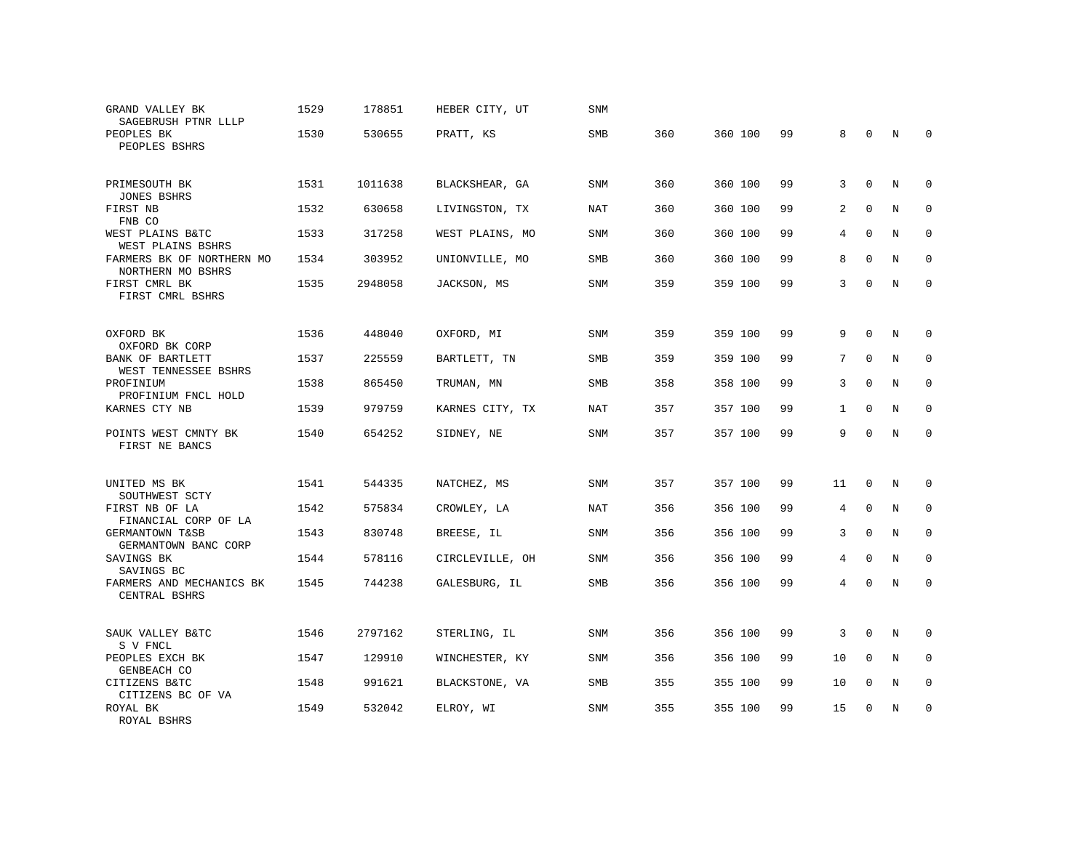| GRAND VALLEY BK<br>SAGEBRUSH PTNR LLLP         | 1529 | 178851  | HEBER CITY, UT  | <b>SNM</b> |     |         |    |              |              |   |             |
|------------------------------------------------|------|---------|-----------------|------------|-----|---------|----|--------------|--------------|---|-------------|
| PEOPLES BK<br>PEOPLES BSHRS                    | 1530 | 530655  | PRATT, KS       | <b>SMB</b> | 360 | 360 100 | 99 | 8            | 0            | N | $\mathbf 0$ |
| PRIMESOUTH BK<br><b>JONES BSHRS</b>            | 1531 | 1011638 | BLACKSHEAR, GA  | <b>SNM</b> | 360 | 360 100 | 99 | 3            | $\Omega$     | N | $\Omega$    |
| FIRST NB<br>FNB CO                             | 1532 | 630658  | LIVINGSTON, TX  | NAT        | 360 | 360 100 | 99 | 2            | $\mathbf 0$  | N | $\mathbf 0$ |
| WEST PLAINS B&TC<br>WEST PLAINS BSHRS          | 1533 | 317258  | WEST PLAINS, MO | SNM        | 360 | 360 100 | 99 | 4            | $\mathbf 0$  | N | $\mathbf 0$ |
| FARMERS BK OF NORTHERN MO<br>NORTHERN MO BSHRS | 1534 | 303952  | UNIONVILLE, MO  | <b>SMB</b> | 360 | 360 100 | 99 | 8            | $\Omega$     | N | $\mathbf 0$ |
| FIRST CMRL BK<br>FIRST CMRL BSHRS              | 1535 | 2948058 | JACKSON, MS     | <b>SNM</b> | 359 | 359 100 | 99 | 3            | $\Omega$     | N | $\Omega$    |
| OXFORD BK<br>OXFORD BK CORP                    | 1536 | 448040  | OXFORD, MI      | SNM        | 359 | 359 100 | 99 | 9            | $\mathbf 0$  | N | 0           |
| BANK OF BARTLETT<br>WEST TENNESSEE BSHRS       | 1537 | 225559  | BARTLETT, TN    | <b>SMB</b> | 359 | 359 100 | 99 | 7            | $\Omega$     | N | $\Omega$    |
| PROFINIUM<br>PROFINIUM FNCL HOLD               | 1538 | 865450  | TRUMAN, MN      | <b>SMB</b> | 358 | 358 100 | 99 | 3            | $\Omega$     | N | $\mathbf 0$ |
| KARNES CTY NB                                  | 1539 | 979759  | KARNES CITY, TX | NAT        | 357 | 357 100 | 99 | $\mathbf{1}$ | $\Omega$     | N | $\Omega$    |
| POINTS WEST CMNTY BK<br>FIRST NE BANCS         | 1540 | 654252  | SIDNEY, NE      | SNM        | 357 | 357 100 | 99 | 9            | $\Omega$     | N | $\mathbf 0$ |
| UNITED MS BK<br>SOUTHWEST SCTY                 | 1541 | 544335  | NATCHEZ, MS     | <b>SNM</b> | 357 | 357 100 | 99 | 11           | $\mathbf 0$  | N | $\mathbf 0$ |
| FIRST NB OF LA<br>FINANCIAL CORP OF LA         | 1542 | 575834  | CROWLEY, LA     | <b>NAT</b> | 356 | 356 100 | 99 | 4            | $\Omega$     | N | $\Omega$    |
| GERMANTOWN T&SB<br>GERMANTOWN BANC CORP        | 1543 | 830748  | BREESE, IL      | SNM        | 356 | 356 100 | 99 | 3            | $\mathbf{0}$ | N | $\mathbf 0$ |
| SAVINGS BK<br>SAVINGS BC                       | 1544 | 578116  | CIRCLEVILLE, OH | SNM        | 356 | 356 100 | 99 | 4            | $\Omega$     | N | $\Omega$    |
| FARMERS AND MECHANICS BK<br>CENTRAL BSHRS      | 1545 | 744238  | GALESBURG, IL   | SMB        | 356 | 356 100 | 99 | 4            | $\Omega$     | N | $\Omega$    |
| SAUK VALLEY B&TC<br>S V FNCL                   | 1546 | 2797162 | STERLING, IL    | SNM        | 356 | 356 100 | 99 | 3            | $\mathbf 0$  | N | 0           |
| PEOPLES EXCH BK<br>GENBEACH CO                 | 1547 | 129910  | WINCHESTER, KY  | SNM        | 356 | 356 100 | 99 | 10           | $\Omega$     | N | $\mathbf 0$ |
| CITIZENS B&TC<br>CITIZENS BC OF VA             | 1548 | 991621  | BLACKSTONE, VA  | SMB        | 355 | 355 100 | 99 | 10           | $\Omega$     | N | $\mathbf 0$ |
| ROYAL BK<br>ROYAL BSHRS                        | 1549 | 532042  | ELROY, WI       | <b>SNM</b> | 355 | 355 100 | 99 | 15           | $\Omega$     | N | $\Omega$    |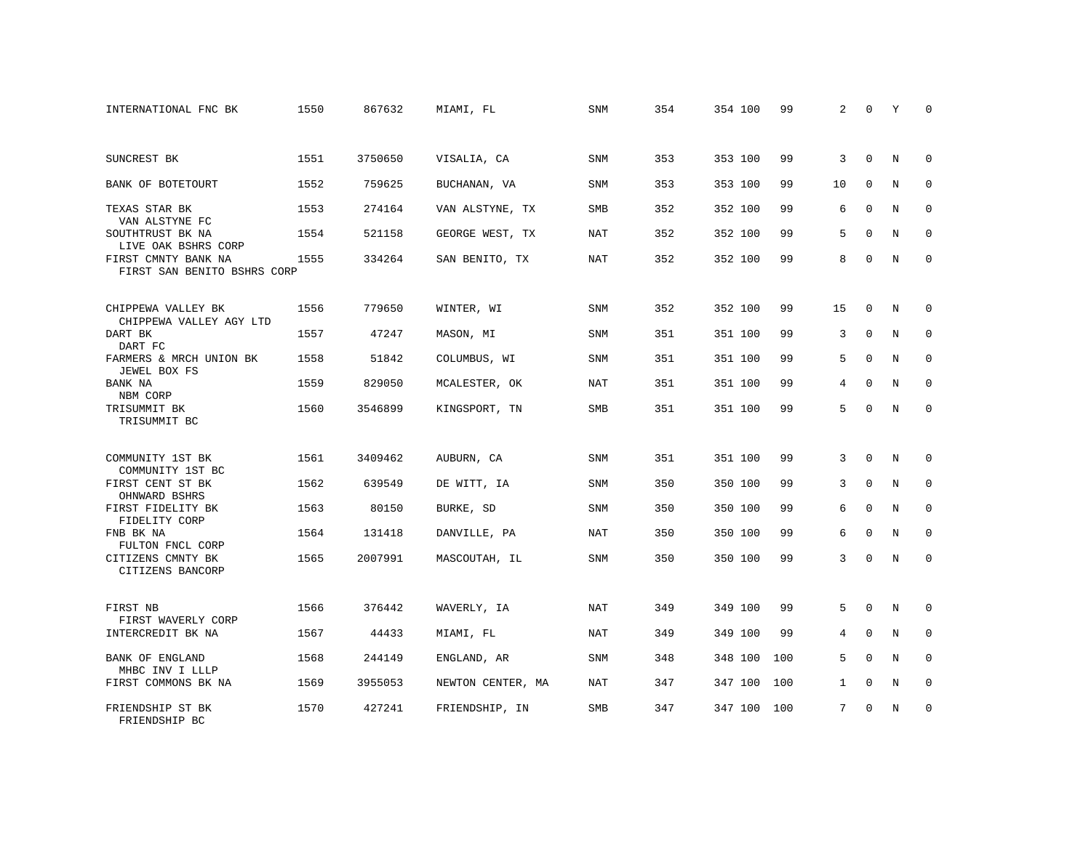| INTERNATIONAL FNC BK                               | 1550 | 867632  | MIAMI, FL         | SNM        | 354 | 354 100 | 99  | 2            | $\Omega$     | Υ | $\Omega$    |
|----------------------------------------------------|------|---------|-------------------|------------|-----|---------|-----|--------------|--------------|---|-------------|
|                                                    |      |         |                   |            |     |         |     |              |              |   |             |
| SUNCREST BK                                        | 1551 | 3750650 | VISALIA, CA       | <b>SNM</b> | 353 | 353 100 | 99  | 3            | $\Omega$     | N | $\Omega$    |
| BANK OF BOTETOURT                                  | 1552 | 759625  | BUCHANAN, VA      | SNM        | 353 | 353 100 | 99  | 10           | $\mathbf 0$  | N | $\mathbf 0$ |
| TEXAS STAR BK<br>VAN ALSTYNE FC                    | 1553 | 274164  | VAN ALSTYNE, TX   | <b>SMB</b> | 352 | 352 100 | 99  | 6            | $\Omega$     | N | $\Omega$    |
| SOUTHTRUST BK NA<br>LIVE OAK BSHRS CORP            | 1554 | 521158  | GEORGE WEST, TX   | NAT        | 352 | 352 100 | 99  | 5            | $\mathbf 0$  | N | $\mathbf 0$ |
| FIRST CMNTY BANK NA<br>FIRST SAN BENITO BSHRS CORP | 1555 | 334264  | SAN BENITO, TX    | NAT        | 352 | 352 100 | 99  | 8            | $\mathbf 0$  | N | $\mathbf 0$ |
| CHIPPEWA VALLEY BK<br>CHIPPEWA VALLEY AGY LTD      | 1556 | 779650  | WINTER, WI        | <b>SNM</b> | 352 | 352 100 | 99  | 15           | 0            | N | 0           |
| DART BK<br>DART FC                                 | 1557 | 47247   | MASON, MI         | <b>SNM</b> | 351 | 351 100 | 99  | 3            | $\Omega$     | N | $\mathbf 0$ |
| FARMERS & MRCH UNION BK<br>JEWEL BOX FS            | 1558 | 51842   | COLUMBUS, WI      | SNM        | 351 | 351 100 | 99  | 5            | $\Omega$     | N | $\mathbf 0$ |
| BANK NA<br>NBM CORP                                | 1559 | 829050  | MCALESTER, OK     | NAT        | 351 | 351 100 | 99  | 4            | $\Omega$     | N | $\mathbf 0$ |
| TRISUMMIT BK<br>TRISUMMIT BC                       | 1560 | 3546899 | KINGSPORT, TN     | <b>SMB</b> | 351 | 351 100 | 99  | 5            | $\Omega$     | N | $\Omega$    |
| COMMUNITY 1ST BK<br>COMMUNITY 1ST BC               | 1561 | 3409462 | AUBURN, CA        | <b>SNM</b> | 351 | 351 100 | 99  | 3            | $\Omega$     | N | $\mathbf 0$ |
| FIRST CENT ST BK<br>OHNWARD BSHRS                  | 1562 | 639549  | DE WITT, IA       | SNM        | 350 | 350 100 | 99  | 3            | $\mathbf{0}$ | N | 0           |
| FIRST FIDELITY BK<br>FIDELITY CORP                 | 1563 | 80150   | BURKE, SD         | <b>SNM</b> | 350 | 350 100 | 99  | 6            | $\Omega$     | N | $\mathbf 0$ |
| FNB BK NA<br>FULTON FNCL CORP                      | 1564 | 131418  | DANVILLE, PA      | NAT        | 350 | 350 100 | 99  | 6            | $\Omega$     | N | $\mathbf 0$ |
| CITIZENS CMNTY BK<br>CITIZENS BANCORP              | 1565 | 2007991 | MASCOUTAH, IL     | SNM        | 350 | 350 100 | 99  | 3            | $\Omega$     | N | $\mathbf 0$ |
| FIRST NB<br>FIRST WAVERLY CORP                     | 1566 | 376442  | WAVERLY, IA       | NAT        | 349 | 349 100 | 99  | 5            | $\mathbf 0$  | N | 0           |
| INTERCREDIT BK NA                                  | 1567 | 44433   | MIAMI, FL         | NAT        | 349 | 349 100 | 99  | 4            | $\mathbf{0}$ | N | $\mathbf 0$ |
| <b>BANK OF ENGLAND</b><br>MHBC INV I LLLP          | 1568 | 244149  | ENGLAND, AR       | SNM        | 348 | 348 100 | 100 | 5            | $\Omega$     | N | $\mathbf 0$ |
| FIRST COMMONS BK NA                                | 1569 | 3955053 | NEWTON CENTER, MA | <b>NAT</b> | 347 | 347 100 | 100 | $\mathbf{1}$ | $\mathbf 0$  | N | 0           |
| FRIENDSHIP ST BK<br>FRIENDSHIP BC                  | 1570 | 427241  | FRIENDSHIP, IN    | <b>SMB</b> | 347 | 347 100 | 100 | 7            | $\Omega$     | N | $\mathbf 0$ |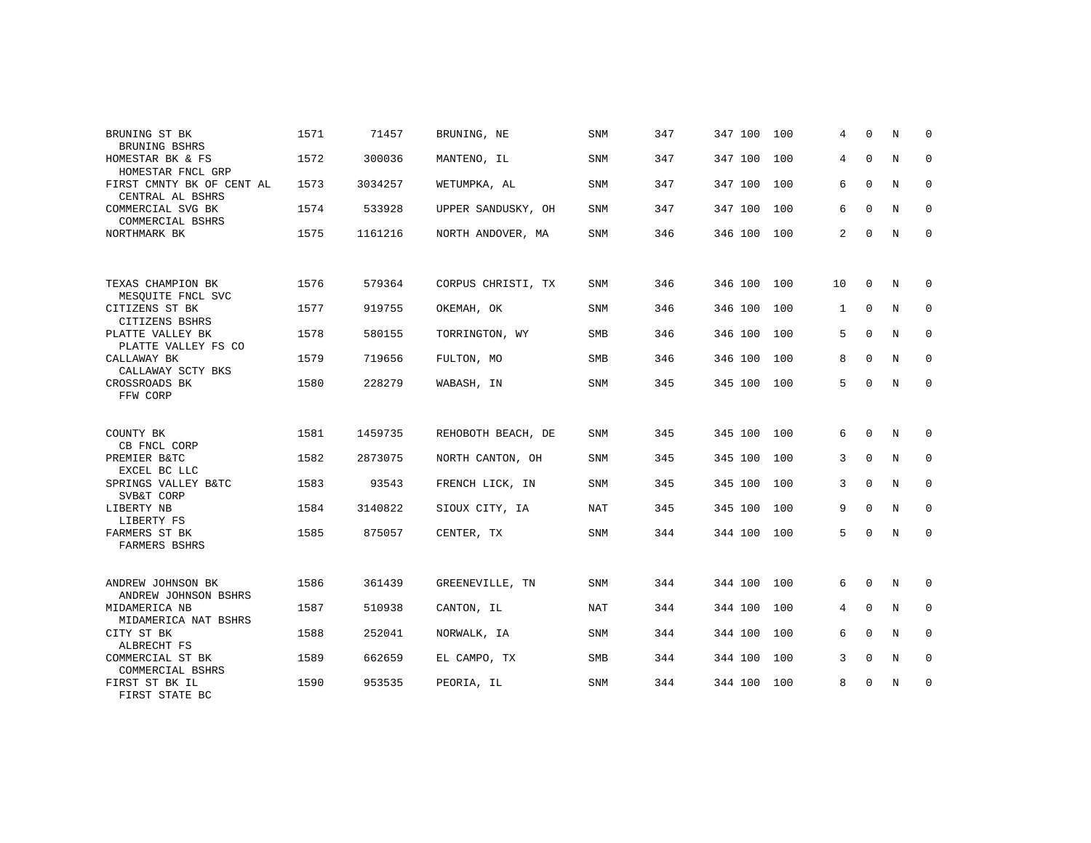| BRUNING ST BK<br>BRUNING BSHRS                | 1571 | 71457   | BRUNING, NE        | <b>SNM</b> | 347 | 347 100 | 100 | 4            | $\Omega$     | N | $\Omega$     |
|-----------------------------------------------|------|---------|--------------------|------------|-----|---------|-----|--------------|--------------|---|--------------|
| HOMESTAR BK & FS<br>HOMESTAR FNCL GRP         | 1572 | 300036  | MANTENO, IL        | <b>SNM</b> | 347 | 347 100 | 100 | 4            | $\mathbf{0}$ | N | $\mathbf 0$  |
| FIRST CMNTY BK OF CENT AL<br>CENTRAL AL BSHRS | 1573 | 3034257 | WETUMPKA, AL       | <b>SNM</b> | 347 | 347 100 | 100 | 6            | $\mathbf 0$  | N | $\mathbf 0$  |
| COMMERCIAL SVG BK<br>COMMERCIAL BSHRS         | 1574 | 533928  | UPPER SANDUSKY, OH | SNM        | 347 | 347 100 | 100 | 6            | $\Omega$     | N | $\mathbf 0$  |
| NORTHMARK BK                                  | 1575 | 1161216 | NORTH ANDOVER, MA  | <b>SNM</b> | 346 | 346 100 | 100 | 2            | $\mathbf 0$  | N | $\mathbf 0$  |
|                                               |      |         |                    |            |     |         |     |              |              |   |              |
| TEXAS CHAMPION BK<br>MESQUITE FNCL SVC        | 1576 | 579364  | CORPUS CHRISTI, TX | <b>SNM</b> | 346 | 346 100 | 100 | 10           | 0            | N | 0            |
| CITIZENS ST BK<br>CITIZENS BSHRS              | 1577 | 919755  | OKEMAH, OK         | <b>SNM</b> | 346 | 346 100 | 100 | $\mathbf{1}$ | $\Omega$     | N | $\mathbf 0$  |
| PLATTE VALLEY BK<br>PLATTE VALLEY FS CO       | 1578 | 580155  | TORRINGTON, WY     | SMB        | 346 | 346 100 | 100 | 5            | $\Omega$     | N | $\mathbf 0$  |
| CALLAWAY BK<br>CALLAWAY SCTY BKS              | 1579 | 719656  | FULTON, MO         | <b>SMB</b> | 346 | 346 100 | 100 | 8            | $\mathbf{0}$ | N | $\mathbf{0}$ |
| CROSSROADS BK<br>FFW CORP                     | 1580 | 228279  | WABASH, IN         | SNM        | 345 | 345 100 | 100 | 5            | $\Omega$     | N | $\mathbf 0$  |
|                                               |      |         |                    |            |     |         |     |              |              |   |              |
| COUNTY BK<br>CB FNCL CORP                     | 1581 | 1459735 | REHOBOTH BEACH, DE | SNM        | 345 | 345 100 | 100 | 6            | $\Omega$     | N | $\mathbf 0$  |
| PREMIER B&TC<br>EXCEL BC LLC                  | 1582 | 2873075 | NORTH CANTON, OH   | SNM        | 345 | 345 100 | 100 | 3            | $\mathbf{0}$ | N | 0            |
| SPRINGS VALLEY B&TC<br>SVB&T CORP             | 1583 | 93543   | FRENCH LICK, IN    | SNM        | 345 | 345 100 | 100 | 3            | $\Omega$     | N | $\mathbf 0$  |
| LIBERTY NB<br>LIBERTY FS                      | 1584 | 3140822 | SIOUX CITY, IA     | NAT        | 345 | 345 100 | 100 | 9            | $\Omega$     | N | $\mathbf 0$  |
| FARMERS ST BK<br>FARMERS BSHRS                | 1585 | 875057  | CENTER, TX         | SNM        | 344 | 344 100 | 100 | 5            | $\Omega$     | N | $\mathbf{0}$ |
|                                               |      |         |                    |            |     |         |     |              |              |   |              |
| ANDREW JOHNSON BK<br>ANDREW JOHNSON BSHRS     | 1586 | 361439  | GREENEVILLE, TN    | SNM        | 344 | 344 100 | 100 | 6            | $\mathbf 0$  | N | $\mathbf 0$  |
| MIDAMERICA NB<br>MIDAMERICA NAT BSHRS         | 1587 | 510938  | CANTON, IL         | NAT        | 344 | 344 100 | 100 | 4            | $\Omega$     | N | $\mathbf 0$  |
| CITY ST BK<br>ALBRECHT FS                     | 1588 | 252041  | NORWALK, IA        | SNM        | 344 | 344 100 | 100 | 6            | $\Omega$     | N | $\mathbf 0$  |
| COMMERCIAL ST BK<br>COMMERCIAL BSHRS          | 1589 | 662659  | EL CAMPO, TX       | SMB        | 344 | 344 100 | 100 | 3            | $\mathbf 0$  | N | $\mathbf 0$  |
| FIRST ST BK IL<br>FIRST STATE BC              | 1590 | 953535  | PEORIA, IL         | <b>SNM</b> | 344 | 344 100 | 100 | 8            | $\mathbf 0$  | N | $\mathbf 0$  |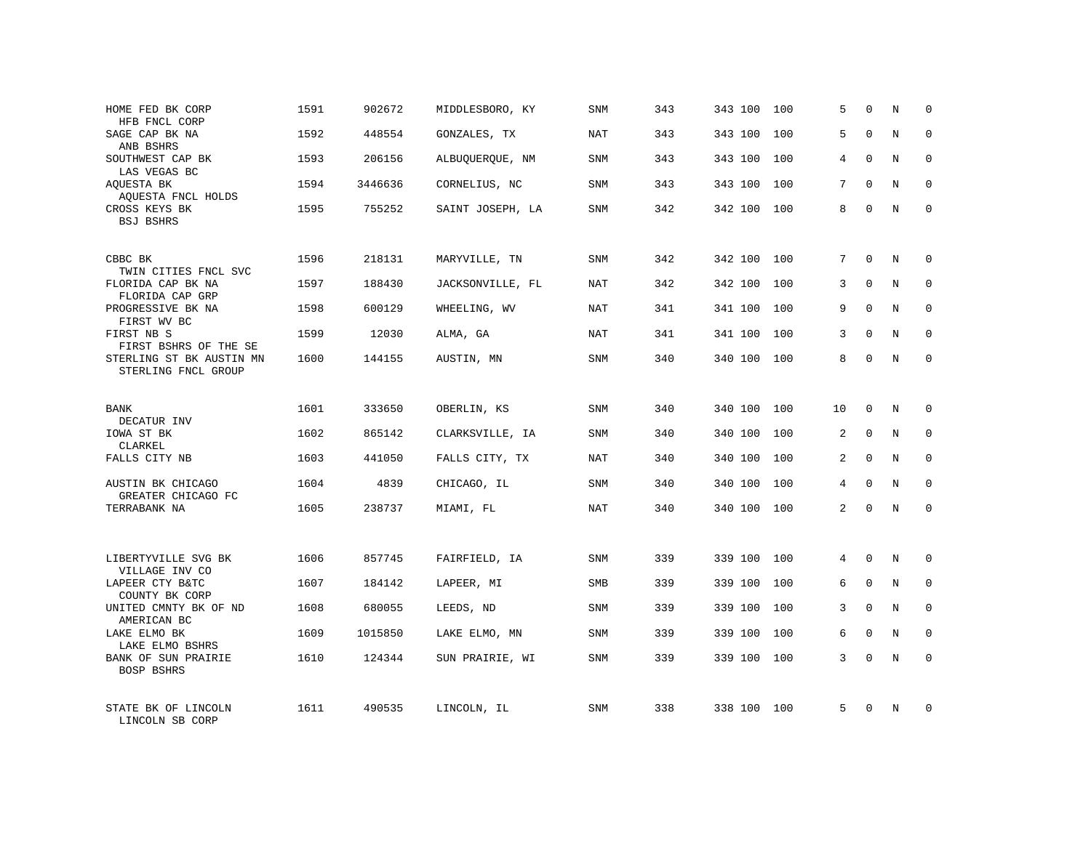| HOME FED BK CORP<br>HFB FNCL CORP               | 1591 | 902672  | MIDDLESBORO, KY  | SNM        | 343 | 343 100 | 100 | 5              | $\Omega$    | N              | $\mathbf 0$ |
|-------------------------------------------------|------|---------|------------------|------------|-----|---------|-----|----------------|-------------|----------------|-------------|
| SAGE CAP BK NA<br>ANB BSHRS                     | 1592 | 448554  | GONZALES, TX     | NAT        | 343 | 343 100 | 100 | 5              | $\Omega$    | N              | $\Omega$    |
| SOUTHWEST CAP BK<br>LAS VEGAS BC                | 1593 | 206156  | ALBUQUERQUE, NM  | SNM        | 343 | 343 100 | 100 | 4              | $\Omega$    | N              | 0           |
| AOUESTA BK<br>AQUESTA FNCL HOLDS                | 1594 | 3446636 | CORNELIUS, NC    | SNM        | 343 | 343 100 | 100 | 7              | $\Omega$    | $\overline{N}$ | $\Omega$    |
| CROSS KEYS BK<br><b>BSJ BSHRS</b>               | 1595 | 755252  | SAINT JOSEPH, LA | SNM        | 342 | 342 100 | 100 | 8              | $\Omega$    | N              | $\mathbf 0$ |
| CBBC BK<br>TWIN CITIES FNCL SVC                 | 1596 | 218131  | MARYVILLE, TN    | SNM        | 342 | 342 100 | 100 | 7              | $\Omega$    | N              | $\Omega$    |
| FLORIDA CAP BK NA<br>FLORIDA CAP GRP            | 1597 | 188430  | JACKSONVILLE, FL | NAT        | 342 | 342 100 | 100 | 3              | $\Omega$    | N              | $\Omega$    |
| PROGRESSIVE BK NA<br>FIRST WV BC                | 1598 | 600129  | WHEELING, WV     | NAT        | 341 | 341 100 | 100 | 9              | $\Omega$    | N              | $\Omega$    |
| FIRST NB S<br>FIRST BSHRS OF THE SE             | 1599 | 12030   | ALMA, GA         | NAT        | 341 | 341 100 | 100 | 3              | $\Omega$    | N              | $\Omega$    |
| STERLING ST BK AUSTIN MN<br>STERLING FNCL GROUP | 1600 | 144155  | AUSTIN, MN       | SNM        | 340 | 340 100 | 100 | 8              | $\Omega$    | N              | $\Omega$    |
| BANK<br>DECATUR INV                             | 1601 | 333650  | OBERLIN, KS      | SNM        | 340 | 340 100 | 100 | 10             | $\mathbf 0$ | N              | $\Omega$    |
| IOWA ST BK<br>CLARKEL                           | 1602 | 865142  | CLARKSVILLE, IA  | SNM        | 340 | 340 100 | 100 | 2              | $\mathbf 0$ | N              | $\mathbf 0$ |
| FALLS CITY NB                                   | 1603 | 441050  | FALLS CITY, TX   | NAT        | 340 | 340 100 | 100 | 2              | $\Omega$    | N              | $\Omega$    |
| AUSTIN BK CHICAGO<br>GREATER CHICAGO FC         | 1604 | 4839    | CHICAGO, IL      | SNM        | 340 | 340 100 | 100 | 4              | $\mathbf 0$ | $\rm N$        | $\mathbf 0$ |
| TERRABANK NA                                    | 1605 | 238737  | MIAMI, FL        | NAT        | 340 | 340 100 | 100 | $\overline{2}$ | $\Omega$    | N              | $\Omega$    |
| LIBERTYVILLE SVG BK<br>VILLAGE INV CO           | 1606 | 857745  | FAIRFIELD, IA    | <b>SNM</b> | 339 | 339 100 | 100 | 4              | $\Omega$    | N              | $\mathbf 0$ |
| LAPEER CTY B&TC<br>COUNTY BK CORP               | 1607 | 184142  | LAPEER, MI       | SMB        | 339 | 339 100 | 100 | 6              | $\mathbf 0$ | $\rm N$        | $\mathbf 0$ |
| UNITED CMNTY BK OF ND<br>AMERICAN BC            | 1608 | 680055  | LEEDS, ND        | <b>SNM</b> | 339 | 339 100 | 100 | 3              | $\Omega$    | N              | $\mathbf 0$ |
| LAKE ELMO BK<br>LAKE ELMO BSHRS                 | 1609 | 1015850 | LAKE ELMO, MN    | SNM        | 339 | 339 100 | 100 | 6              | $\mathbf 0$ | N              | $\mathbf 0$ |
| BANK OF SUN PRAIRIE<br>BOSP BSHRS               | 1610 | 124344  | SUN PRAIRIE, WI  | <b>SNM</b> | 339 | 339 100 | 100 | 3              | $\Omega$    | N              | $\mathbf 0$ |
| STATE BK OF LINCOLN<br>LINCOLN SB CORP          | 1611 | 490535  | LINCOLN, IL      | <b>SNM</b> | 338 | 338 100 | 100 | 5              | $\Omega$    | N              | $\mathbf 0$ |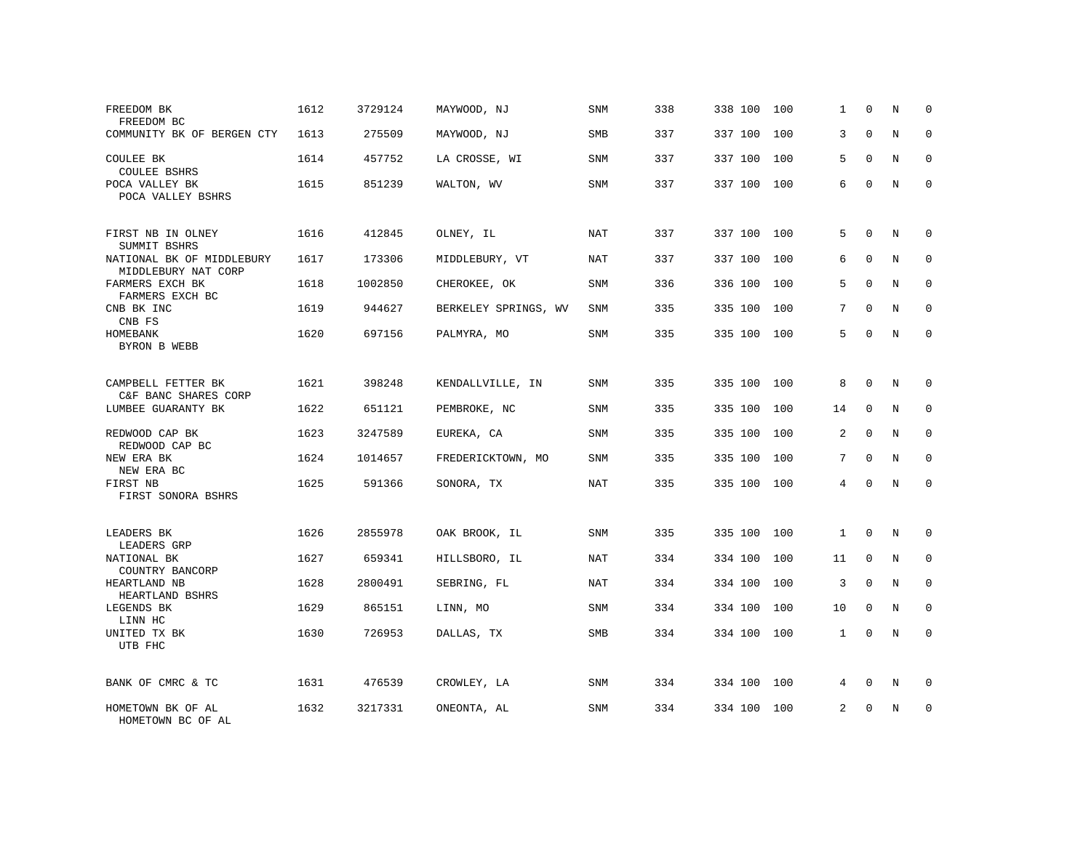| FREEDOM BK<br>FREEDOM BC                                         | 1612 | 3729124 | MAYWOOD, NJ          | SNM        | 338 | 338 100 | 100 | 1              | 0            | N | $\mathbf 0$ |
|------------------------------------------------------------------|------|---------|----------------------|------------|-----|---------|-----|----------------|--------------|---|-------------|
| COMMUNITY BK OF BERGEN CTY                                       | 1613 | 275509  | MAYWOOD, NJ          | SMB        | 337 | 337 100 | 100 | 3              | $\Omega$     | N | $\mathbf 0$ |
| COULEE BK<br><b>COULEE BSHRS</b>                                 | 1614 | 457752  | LA CROSSE, WI        | SNM        | 337 | 337 100 | 100 | 5              | $\Omega$     | N | $\mathbf 0$ |
| POCA VALLEY BK<br>POCA VALLEY BSHRS                              | 1615 | 851239  | WALTON, WV           | SNM        | 337 | 337 100 | 100 | 6              | $\Omega$     | N | $\Omega$    |
| FIRST NB IN OLNEY                                                | 1616 | 412845  | OLNEY, IL            | NAT        | 337 | 337 100 | 100 | 5              | $\Omega$     | N | $\Omega$    |
| SUMMIT BSHRS<br>NATIONAL BK OF MIDDLEBURY<br>MIDDLEBURY NAT CORP | 1617 | 173306  | MIDDLEBURY, VT       | <b>NAT</b> | 337 | 337 100 | 100 | 6              | $\Omega$     | N | $\mathbf 0$ |
| FARMERS EXCH BK<br>FARMERS EXCH BC                               | 1618 | 1002850 | CHEROKEE, OK         | SNM        | 336 | 336 100 | 100 | 5              | $\Omega$     | N | $\mathbf 0$ |
| CNB BK INC<br>CNB FS                                             | 1619 | 944627  | BERKELEY SPRINGS, WV | SNM        | 335 | 335 100 | 100 | 7              | $\Omega$     | N | $\mathbf 0$ |
| HOMEBANK<br>BYRON B WEBB                                         | 1620 | 697156  | PALMYRA, MO          | SNM        | 335 | 335 100 | 100 | 5              | $\Omega$     | N | $\Omega$    |
| CAMPBELL FETTER BK<br>C&F BANC SHARES CORP                       | 1621 | 398248  | KENDALLVILLE, IN     | SNM        | 335 | 335 100 | 100 | 8              | $\mathbf 0$  | N | $\mathbf 0$ |
| LUMBEE GUARANTY BK                                               | 1622 | 651121  | PEMBROKE, NC         | SNM        | 335 | 335 100 | 100 | 14             | $\Omega$     | N | $\Omega$    |
| REDWOOD CAP BK<br>REDWOOD CAP BC                                 | 1623 | 3247589 | EUREKA, CA           | SNM        | 335 | 335 100 | 100 | 2              | $\mathbf 0$  | N | $\mathbf 0$ |
| NEW ERA BK<br>NEW ERA BC                                         | 1624 | 1014657 | FREDERICKTOWN, MO    | <b>SNM</b> | 335 | 335 100 | 100 | 7              | $\Omega$     | N | $\Omega$    |
| FIRST NB<br>FIRST SONORA BSHRS                                   | 1625 | 591366  | SONORA, TX           | <b>NAT</b> | 335 | 335 100 | 100 | 4              | $\mathbf 0$  | N | $\mathbf 0$ |
| LEADERS BK                                                       | 1626 | 2855978 | OAK BROOK, IL        | SNM        | 335 | 335 100 | 100 | 1              | $\mathbf 0$  | N | $\mathbf 0$ |
| LEADERS GRP<br>NATIONAL BK                                       | 1627 | 659341  | HILLSBORO, IL        | NAT        | 334 | 334 100 | 100 | 11             | $\Omega$     | N | $\mathbf 0$ |
| COUNTRY BANCORP<br>HEARTLAND NB<br>HEARTLAND BSHRS               | 1628 | 2800491 | SEBRING, FL          | NAT        | 334 | 334 100 | 100 | 3              | $\mathbf{0}$ | N | 0           |
| LEGENDS BK<br>LINN HC                                            | 1629 | 865151  | LINN, MO             | <b>SNM</b> | 334 | 334 100 | 100 | 10             | $\Omega$     | N | $\mathbf 0$ |
| UNITED TX BK<br>UTB FHC                                          | 1630 | 726953  | DALLAS, TX           | <b>SMB</b> | 334 | 334 100 | 100 | $\mathbf{1}$   | $\mathbf 0$  | N | $\mathbf 0$ |
| BANK OF CMRC & TC                                                | 1631 | 476539  | CROWLEY, LA          | SNM        | 334 | 334 100 | 100 | 4              | $\mathbf 0$  | N | 0           |
| HOMETOWN BK OF AL<br>HOMETOWN BC OF AL                           | 1632 | 3217331 | ONEONTA, AL          | <b>SNM</b> | 334 | 334 100 | 100 | $\overline{2}$ | $\Omega$     | N | $\mathbf 0$ |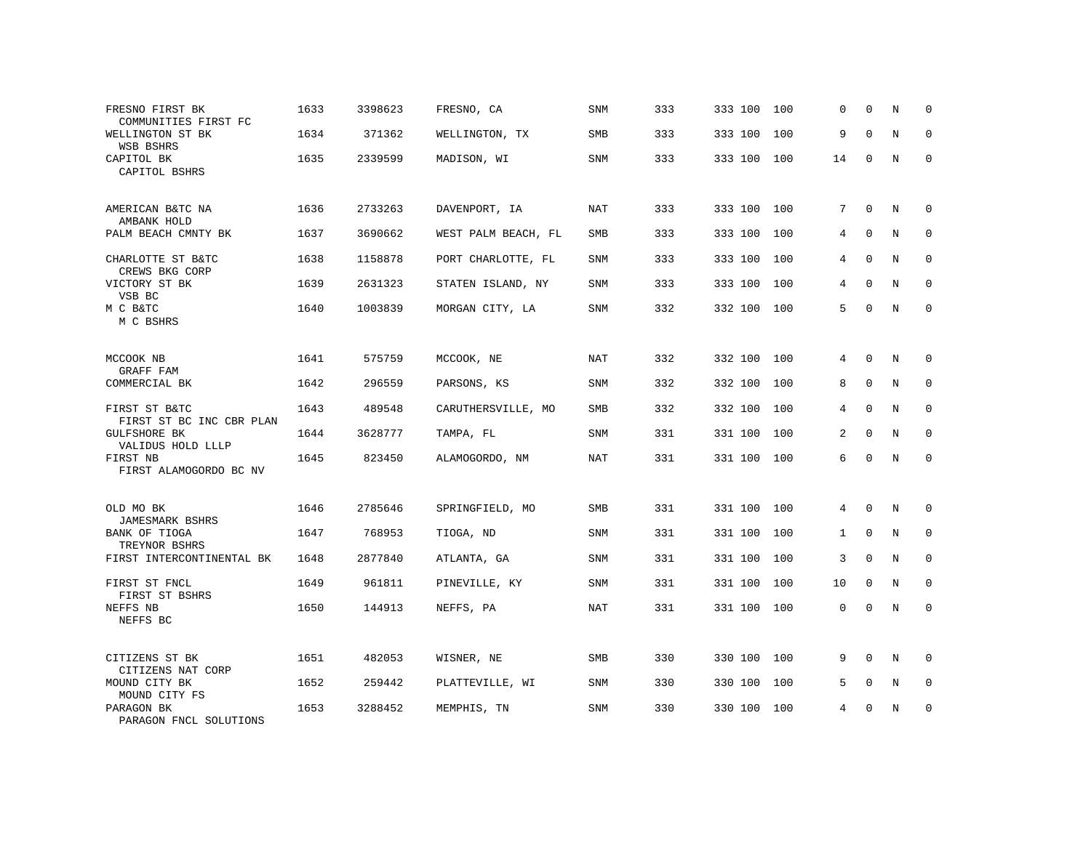| FRESNO FIRST BK<br>COMMUNITIES FIRST FC   | 1633 | 3398623 | FRESNO, CA          | SNM        | 333 | 333 100 | 100 | 0            | $\Omega$     | N       | 0            |
|-------------------------------------------|------|---------|---------------------|------------|-----|---------|-----|--------------|--------------|---------|--------------|
| WELLINGTON ST BK<br>WSB BSHRS             | 1634 | 371362  | WELLINGTON, TX      | SMB        | 333 | 333 100 | 100 | 9            | $\Omega$     | N       | $\mathbf 0$  |
| CAPITOL BK<br>CAPITOL BSHRS               | 1635 | 2339599 | MADISON, WI         | <b>SNM</b> | 333 | 333 100 | 100 | 14           | $\Omega$     | N       | $\Omega$     |
| AMERICAN B&TC NA<br>AMBANK HOLD           | 1636 | 2733263 | DAVENPORT, IA       | NAT        | 333 | 333 100 | 100 | 7            | $\mathbf 0$  | N       | 0            |
| PALM BEACH CMNTY BK                       | 1637 | 3690662 | WEST PALM BEACH, FL | SMB        | 333 | 333 100 | 100 | 4            | $\mathbf{0}$ | $\rm N$ | $\mathbf 0$  |
| CHARLOTTE ST B&TC<br>CREWS BKG CORP       | 1638 | 1158878 | PORT CHARLOTTE, FL  | <b>SNM</b> | 333 | 333 100 | 100 | 4            | $\Omega$     | N       | $\mathbf{0}$ |
| VICTORY ST BK<br>VSB BC                   | 1639 | 2631323 | STATEN ISLAND, NY   | SNM        | 333 | 333 100 | 100 | 4            | $\Omega$     | N       | $\mathbf 0$  |
| M C B&TC<br>M C BSHRS                     | 1640 | 1003839 | MORGAN CITY, LA     | SNM        | 332 | 332 100 | 100 | 5            | $\mathbf 0$  | N       | $\mathbf 0$  |
| MCCOOK NB<br>GRAFF FAM                    | 1641 | 575759  | MCCOOK, NE          | NAT        | 332 | 332 100 | 100 | 4            | $\Omega$     | N       | $\mathbf 0$  |
| COMMERCIAL BK                             | 1642 | 296559  | PARSONS, KS         | <b>SNM</b> | 332 | 332 100 | 100 | 8            | $\mathbf 0$  | N       | 0            |
| FIRST ST B&TC<br>FIRST ST BC INC CBR PLAN | 1643 | 489548  | CARUTHERSVILLE, MO  | <b>SMB</b> | 332 | 332 100 | 100 | 4            | $\mathbf 0$  | N       | $\mathbf 0$  |
| <b>GULFSHORE BK</b><br>VALIDUS HOLD LLLP  | 1644 | 3628777 | TAMPA, FL           | <b>SNM</b> | 331 | 331 100 | 100 | 2            | $\mathbf 0$  | N       | 0            |
| FIRST NB<br>FIRST ALAMOGORDO BC NV        | 1645 | 823450  | ALAMOGORDO, NM      | <b>NAT</b> | 331 | 331 100 | 100 | 6            | $\mathbf 0$  | N       | $\mathbf{0}$ |
| OLD MO BK<br>JAMESMARK BSHRS              | 1646 | 2785646 | SPRINGFIELD, MO     | SMB        | 331 | 331 100 | 100 | 4            | $\mathbf 0$  | N       | 0            |
| BANK OF TIOGA<br>TREYNOR BSHRS            | 1647 | 768953  | TIOGA, ND           | SNM        | 331 | 331 100 | 100 | $\mathbf{1}$ | $\mathbf 0$  | N       | $\mathbf 0$  |
| FIRST INTERCONTINENTAL BK                 | 1648 | 2877840 | ATLANTA, GA         | SNM        | 331 | 331 100 | 100 | 3            | $\Omega$     | N       | $\Omega$     |
| FIRST ST FNCL<br>FIRST ST BSHRS           | 1649 | 961811  | PINEVILLE, KY       | SNM        | 331 | 331 100 | 100 | 10           | $\mathbf 0$  | N       | $\mathbf 0$  |
| NEFFS NB<br>NEFFS BC                      | 1650 | 144913  | NEFFS, PA           | NAT        | 331 | 331 100 | 100 | 0            | $\mathbf 0$  | N       | $\Omega$     |
| CITIZENS ST BK<br>CITIZENS NAT CORP       | 1651 | 482053  | WISNER, NE          | <b>SMB</b> | 330 | 330 100 | 100 | 9            | $\Omega$     | N       | $\Omega$     |
| MOUND CITY BK<br>MOUND CITY FS            | 1652 | 259442  | PLATTEVILLE, WI     | SNM        | 330 | 330 100 | 100 | 5            | $\mathbf 0$  | N       | $\mathbf 0$  |
| PARAGON BK<br>PARAGON FNCL SOLUTIONS      | 1653 | 3288452 | MEMPHIS, TN         | <b>SNM</b> | 330 | 330 100 | 100 | 4            | $\Omega$     | N       | $\mathbf 0$  |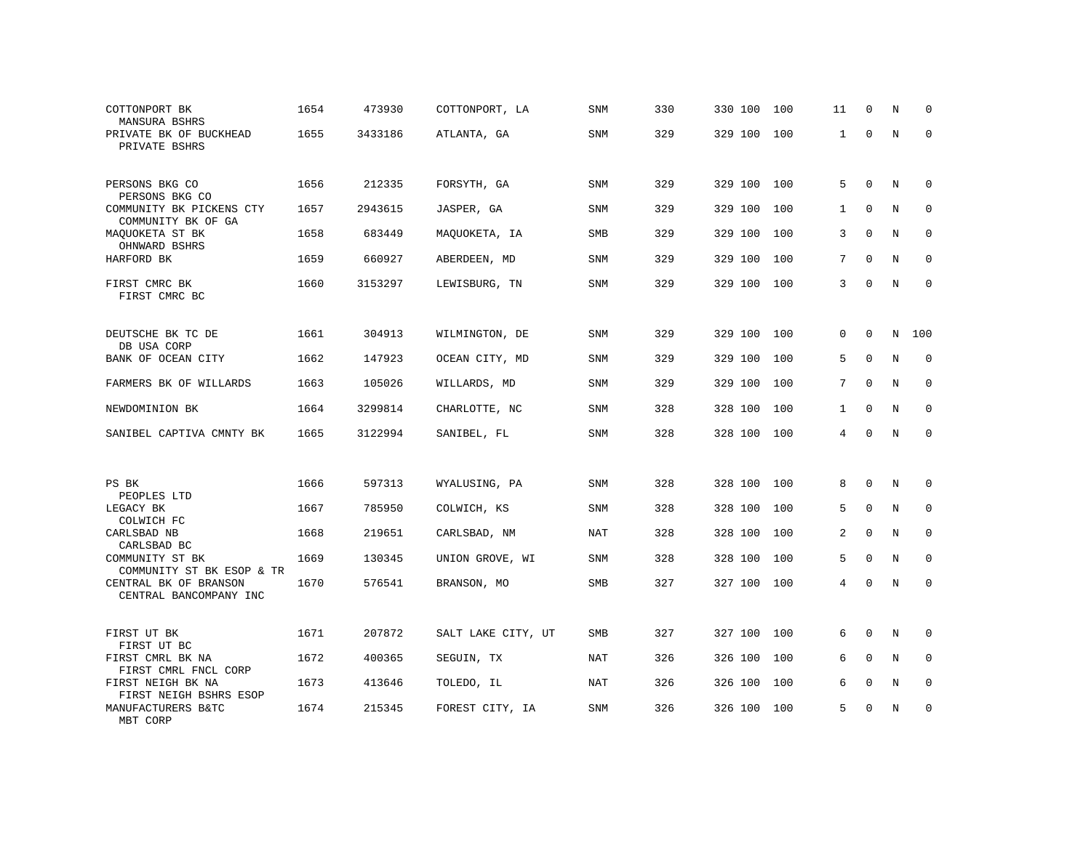| COTTONPORT BK<br>MANSURA BSHRS                                      | 1654 | 473930  | COTTONPORT, LA     | SNM        | 330 | 330 100 | 100 | 11           | $\mathbf 0$ | N | $\Omega$    |
|---------------------------------------------------------------------|------|---------|--------------------|------------|-----|---------|-----|--------------|-------------|---|-------------|
| PRIVATE BK OF BUCKHEAD<br>PRIVATE BSHRS                             | 1655 | 3433186 | ATLANTA, GA        | SNM        | 329 | 329 100 | 100 | 1            | $\Omega$    | N | $\Omega$    |
| PERSONS BKG CO<br>PERSONS BKG CO                                    | 1656 | 212335  | FORSYTH, GA        | <b>SNM</b> | 329 | 329 100 | 100 | 5            | $\Omega$    | N | $\Omega$    |
| COMMUNITY BK PICKENS CTY<br>COMMUNITY BK OF GA                      | 1657 | 2943615 | JASPER, GA         | SNM        | 329 | 329 100 | 100 | $\mathbf{1}$ | $\Omega$    | N | $\mathbf 0$ |
| MAQUOKETA ST BK<br>OHNWARD BSHRS                                    | 1658 | 683449  | MAQUOKETA, IA      | SMB        | 329 | 329 100 | 100 | 3            | $\Omega$    | N | $\mathbf 0$ |
| HARFORD BK                                                          | 1659 | 660927  | ABERDEEN, MD       | <b>SNM</b> | 329 | 329 100 | 100 | 7            | $\Omega$    | N | $\Omega$    |
| FIRST CMRC BK<br>FIRST CMRC BC                                      | 1660 | 3153297 | LEWISBURG, TN      | SNM        | 329 | 329 100 | 100 | 3            | $\mathbf 0$ | N | $\mathbf 0$ |
| DEUTSCHE BK TC DE                                                   | 1661 | 304913  | WILMINGTON, DE     | SNM        | 329 | 329 100 | 100 | 0            | $\Omega$    | N | 100         |
| DB USA CORP<br>BANK OF OCEAN CITY                                   | 1662 | 147923  | OCEAN CITY, MD     | SNM        | 329 | 329 100 | 100 | 5            | $\Omega$    | N | $\Omega$    |
| FARMERS BK OF WILLARDS                                              | 1663 | 105026  | WILLARDS, MD       | SNM        | 329 | 329 100 | 100 | 7            | $\mathbf 0$ | N | $\mathbf 0$ |
| NEWDOMINION BK                                                      | 1664 | 3299814 | CHARLOTTE, NC      | SNM        | 328 | 328 100 | 100 | $\mathbf{1}$ | $\Omega$    | N | $\Omega$    |
| SANIBEL CAPTIVA CMNTY BK                                            | 1665 | 3122994 | SANIBEL, FL        | SNM        | 328 | 328 100 | 100 | 4            | $\Omega$    | N | $\Omega$    |
|                                                                     |      |         |                    |            |     |         |     |              |             |   |             |
| PS BK<br>PEOPLES LTD                                                | 1666 | 597313  | WYALUSING, PA      | SNM        | 328 | 328 100 | 100 | 8            | $\mathbf 0$ | N | $\mathbf 0$ |
| LEGACY BK<br>COLWICH FC                                             | 1667 | 785950  | COLWICH, KS        | SNM        | 328 | 328 100 | 100 | 5            | $\Omega$    | N | $\Omega$    |
| CARLSBAD NB<br>CARLSBAD BC                                          | 1668 | 219651  | CARLSBAD, NM       | NAT        | 328 | 328 100 | 100 | 2            | $\Omega$    | N | $\Omega$    |
| COMMUNITY ST BK<br>COMMUNITY ST BK ESOP & TR                        | 1669 | 130345  | UNION GROVE, WI    | SNM        | 328 | 328 100 | 100 | 5            | $\Omega$    | N | $\mathbf 0$ |
| CENTRAL BK OF BRANSON<br>CENTRAL BANCOMPANY INC                     | 1670 | 576541  | BRANSON, MO        | SMB        | 327 | 327 100 | 100 | 4            | $\Omega$    | N | $\Omega$    |
| FIRST UT BK<br>FIRST UT BC                                          | 1671 | 207872  | SALT LAKE CITY, UT | SMB        | 327 | 327 100 | 100 | 6            | $\mathbf 0$ | N | $\mathbf 0$ |
| FIRST CMRL BK NA                                                    | 1672 | 400365  | SEGUIN, TX         | NAT        | 326 | 326 100 | 100 | 6            | $\Omega$    | N | $\mathbf 0$ |
| FIRST CMRL FNCL CORP<br>FIRST NEIGH BK NA<br>FIRST NEIGH BSHRS ESOP | 1673 | 413646  | TOLEDO, IL         | <b>NAT</b> | 326 | 326 100 | 100 | 6            | $\Omega$    | N | $\mathbf 0$ |
| MANUFACTURERS B&TC<br>MRT CORP                                      | 1674 | 215345  | FOREST CITY, IA    | <b>SNM</b> | 326 | 326 100 | 100 | 5            | $\Omega$    | N | $\Omega$    |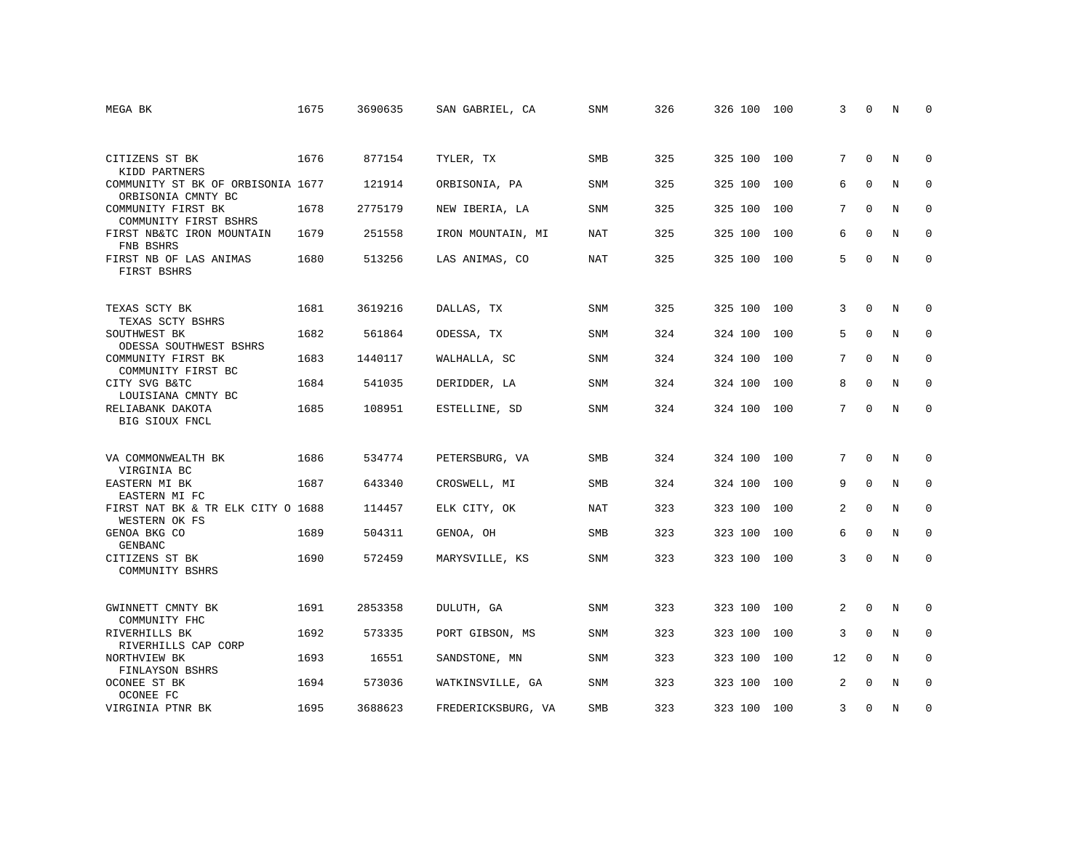| MEGA BK                                                 | 1675 | 3690635 | SAN GABRIEL, CA    | <b>SNM</b> | 326 | 326 100 | 100 | 3               | $\mathbf 0$ | N           | $\Omega$     |
|---------------------------------------------------------|------|---------|--------------------|------------|-----|---------|-----|-----------------|-------------|-------------|--------------|
|                                                         |      |         |                    |            |     |         |     |                 |             |             |              |
| CITIZENS ST BK<br>KIDD PARTNERS                         | 1676 | 877154  | TYLER, TX          | <b>SMB</b> | 325 | 325 100 | 100 | 7               | $\Omega$    | N           | $\Omega$     |
| COMMUNITY ST BK OF ORBISONIA 1677<br>ORBISONIA CMNTY BC |      | 121914  | ORBISONIA, PA      | SNM        | 325 | 325 100 | 100 | 6               | $\mathbf 0$ | N           | $\mathbf 0$  |
| COMMUNITY FIRST BK<br>COMMUNITY FIRST BSHRS             | 1678 | 2775179 | NEW IBERIA, LA     | SNM        | 325 | 325 100 | 100 | 7               | $\Omega$    | N           | $\mathbf 0$  |
| FIRST NB&TC IRON MOUNTAIN<br>FNB BSHRS                  | 1679 | 251558  | IRON MOUNTAIN, MI  | NAT        | 325 | 325 100 | 100 | 6               | $\Omega$    | N           | $\mathbf 0$  |
| FIRST NB OF LAS ANIMAS<br>FIRST BSHRS                   | 1680 | 513256  | LAS ANIMAS, CO     | NAT        | 325 | 325 100 | 100 | 5               | $\Omega$    | N           | $\mathbf{0}$ |
| TEXAS SCTY BK<br>TEXAS SCTY BSHRS                       | 1681 | 3619216 | DALLAS, TX         | SNM        | 325 | 325 100 | 100 | 3               | $\Omega$    | N           | $\mathbf 0$  |
| SOUTHWEST BK<br>ODESSA SOUTHWEST BSHRS                  | 1682 | 561864  | ODESSA, TX         | <b>SNM</b> | 324 | 324 100 | 100 | 5               | $\mathbf 0$ | N           | $\mathbf 0$  |
| COMMUNITY FIRST BK<br>COMMUNITY FIRST BC                | 1683 | 1440117 | WALHALLA, SC       | <b>SNM</b> | 324 | 324 100 | 100 | $7^{\circ}$     | $\Omega$    | N           | $\mathbf 0$  |
| CITY SVG B&TC<br>LOUISIANA CMNTY BC                     | 1684 | 541035  | DERIDDER, LA       | <b>SNM</b> | 324 | 324 100 | 100 | 8               | $\Omega$    | N           | $\Omega$     |
| RELIABANK DAKOTA<br>BIG SIOUX FNCL                      | 1685 | 108951  | ESTELLINE, SD      | SNM        | 324 | 324 100 | 100 | $7\overline{ }$ | $\mathbf 0$ | N           | $\mathbf 0$  |
| VA COMMONWEALTH BK<br>VIRGINIA BC                       | 1686 | 534774  | PETERSBURG, VA     | SMB        | 324 | 324 100 | 100 | 7               | $\mathbf 0$ | N           | $\mathbf 0$  |
| EASTERN MI BK<br>EASTERN MI FC                          | 1687 | 643340  | CROSWELL, MI       | <b>SMB</b> | 324 | 324 100 | 100 | 9               | $\mathbf 0$ | $\mathbf N$ | $\mathbf{0}$ |
| FIRST NAT BK & TR ELK CITY O 1688<br>WESTERN OK FS      |      | 114457  | ELK CITY, OK       | NAT        | 323 | 323 100 | 100 | 2               | $\mathbf 0$ | N           | 0            |
| GENOA BKG CO<br>GENBANC                                 | 1689 | 504311  | GENOA, OH          | <b>SMB</b> | 323 | 323 100 | 100 | 6               | $\Omega$    | N           | $\mathbf{0}$ |
| CITIZENS ST BK<br>COMMUNITY BSHRS                       | 1690 | 572459  | MARYSVILLE, KS     | SNM        | 323 | 323 100 | 100 | 3               | $\Omega$    | N           | $\mathbf 0$  |
| GWINNETT CMNTY BK<br>COMMUNITY FHC                      | 1691 | 2853358 | DULUTH, GA         | SNM        | 323 | 323 100 | 100 | 2               | $\mathbf 0$ | N           | $\mathbf 0$  |
| RIVERHILLS BK<br>RIVERHILLS CAP CORP                    | 1692 | 573335  | PORT GIBSON, MS    | SNM        | 323 | 323 100 | 100 | 3               | $\Omega$    | N           | $\mathbf 0$  |
| NORTHVIEW BK<br>FINLAYSON BSHRS                         | 1693 | 16551   | SANDSTONE, MN      | SNM        | 323 | 323 100 | 100 | 12              | $\mathbf 0$ | N           | $\mathbf 0$  |
| OCONEE ST BK<br>OCONEE FC                               | 1694 | 573036  | WATKINSVILLE, GA   | SNM        | 323 | 323 100 | 100 | 2               | $\Omega$    | N           | $\mathbf 0$  |
| VIRGINIA PTNR BK                                        | 1695 | 3688623 | FREDERICKSBURG, VA | SMB        | 323 | 323 100 | 100 | 3               | 0           | N           | $\mathbf 0$  |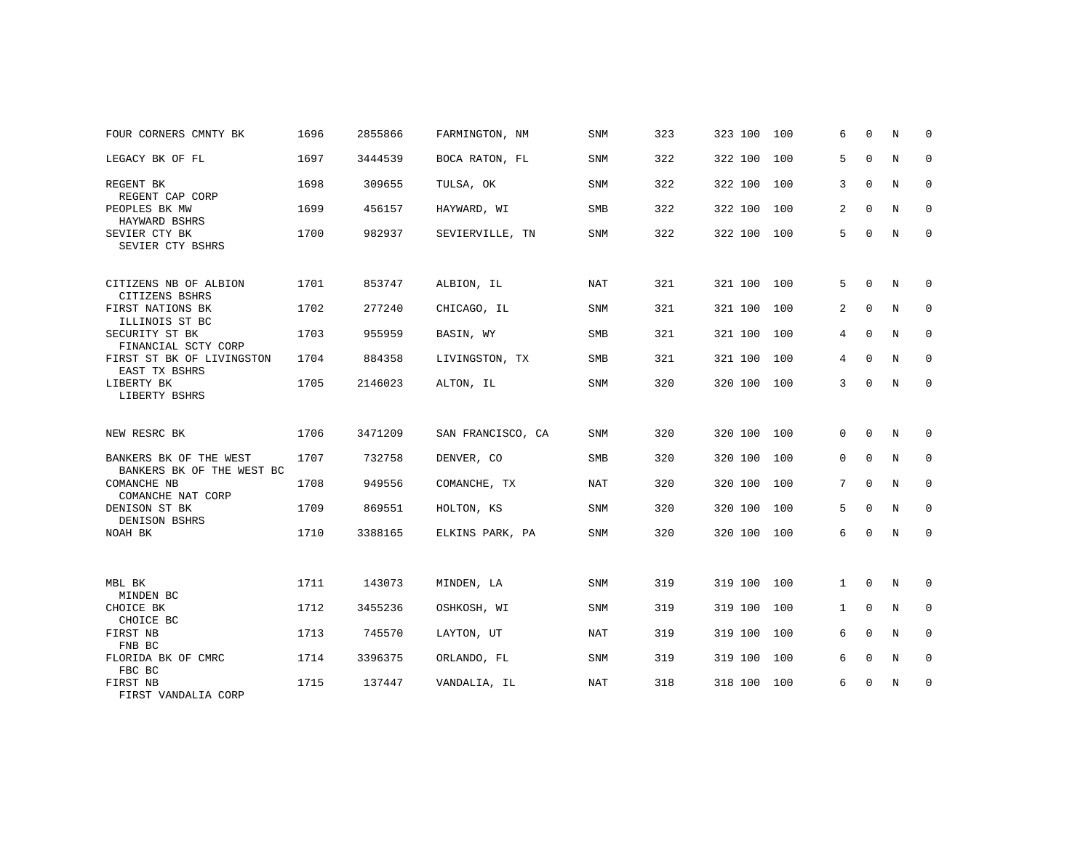| FOUR CORNERS CMNTY BK                               | 1696 | 2855866 | FARMINGTON, NM    | <b>SNM</b> | 323 | 323 100 | 100 | 6            | $\Omega$     | N | $\Omega$    |
|-----------------------------------------------------|------|---------|-------------------|------------|-----|---------|-----|--------------|--------------|---|-------------|
| LEGACY BK OF FL                                     | 1697 | 3444539 | BOCA RATON, FL    | SNM        | 322 | 322 100 | 100 | 5            | $\mathbf 0$  | N | $\mathbf 0$ |
| REGENT BK<br>REGENT CAP CORP                        | 1698 | 309655  | TULSA, OK         | <b>SNM</b> | 322 | 322 100 | 100 | 3            | $\Omega$     | N | $\mathbf 0$ |
| PEOPLES BK MW<br>HAYWARD BSHRS                      | 1699 | 456157  | HAYWARD, WI       | <b>SMB</b> | 322 | 322 100 | 100 | 2            | $\Omega$     | N | $\mathbf 0$ |
| SEVIER CTY BK<br>SEVIER CTY BSHRS                   | 1700 | 982937  | SEVIERVILLE, TN   | <b>SNM</b> | 322 | 322 100 | 100 | 5            | $\mathbf 0$  | N | $\mathbf 0$ |
| CITIZENS NB OF ALBION<br>CITIZENS BSHRS             | 1701 | 853747  | ALBION, IL        | NAT        | 321 | 321 100 | 100 | 5            | $\Omega$     | N | $\mathbf 0$ |
| FIRST NATIONS BK<br>ILLINOIS ST BC                  | 1702 | 277240  | CHICAGO, IL       | SNM        | 321 | 321 100 | 100 | 2            | $\Omega$     | N | $\mathbf 0$ |
| SECURITY ST BK<br>FINANCIAL SCTY CORP               | 1703 | 955959  | BASIN, WY         | <b>SMB</b> | 321 | 321 100 | 100 | 4            | $\Omega$     | N | $\mathbf 0$ |
| FIRST ST BK OF LIVINGSTON<br>EAST TX BSHRS          | 1704 | 884358  | LIVINGSTON, TX    | SMB        | 321 | 321 100 | 100 | 4            | $\mathbf 0$  | N | $\mathbf 0$ |
| LIBERTY BK<br>LIBERTY BSHRS                         | 1705 | 2146023 | ALTON, IL         | SNM        | 320 | 320 100 | 100 | 3            | $\mathbf 0$  | N | $\mathbf 0$ |
| NEW RESRC BK                                        | 1706 | 3471209 | SAN FRANCISCO, CA | <b>SNM</b> | 320 | 320 100 | 100 | $\Omega$     | $\Omega$     | N | $\mathbf 0$ |
| BANKERS BK OF THE WEST<br>BANKERS BK OF THE WEST BC | 1707 | 732758  | DENVER, CO        | SMB        | 320 | 320 100 | 100 | 0            | $\mathbf{0}$ | N | $\mathbf 0$ |
| COMANCHE NB<br>COMANCHE NAT CORP                    | 1708 | 949556  | COMANCHE, TX      | NAT        | 320 | 320 100 | 100 | 7            | 0            | N | $\mathbf 0$ |
| DENISON ST BK<br>DENISON BSHRS                      | 1709 | 869551  | HOLTON, KS        | SNM        | 320 | 320 100 | 100 | 5            | $\Omega$     | N | $\mathbf 0$ |
| NOAH BK                                             | 1710 | 3388165 | ELKINS PARK, PA   | <b>SNM</b> | 320 | 320 100 | 100 | 6            | $\mathbf 0$  | N | $\mathbf 0$ |
|                                                     |      |         |                   |            |     |         |     |              |              |   |             |
| MBL BK<br>MINDEN BC                                 | 1711 | 143073  | MINDEN, LA        | <b>SNM</b> | 319 | 319 100 | 100 | $\mathbf{1}$ | $\mathbf 0$  | N | $\mathbf 0$ |
| CHOICE BK<br>CHOICE BC                              | 1712 | 3455236 | OSHKOSH, WI       | <b>SNM</b> | 319 | 319 100 | 100 | 1            | $\Omega$     | N | $\mathbf 0$ |
| FIRST NB<br>FNB BC                                  | 1713 | 745570  | LAYTON, UT        | NAT        | 319 | 319 100 | 100 | 6            | $\Omega$     | N | $\mathbf 0$ |
| FLORIDA BK OF CMRC<br>FBC BC                        | 1714 | 3396375 | ORLANDO, FL       | <b>SNM</b> | 319 | 319 100 | 100 | 6            | $\mathbf 0$  | N | $\mathbf 0$ |
| FIRST NB<br>FIRST VANDALIA CORP                     | 1715 | 137447  | VANDALIA, IL      | <b>NAT</b> | 318 | 318 100 | 100 | 6            | $\mathbf 0$  | N | $\mathbf 0$ |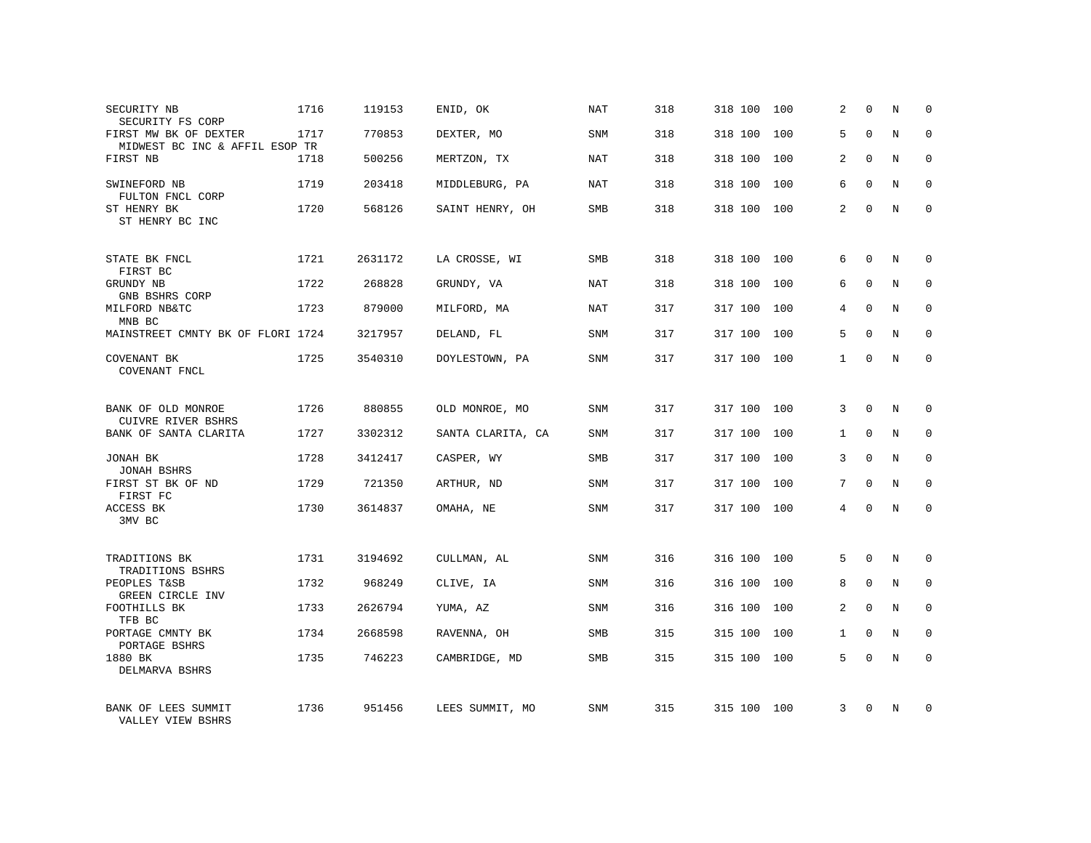| SECURITY NB<br>SECURITY FS CORP                         | 1716 | 119153  | ENID, OK          | NAT        | 318 | 318 100 | 100 | 2              | $\Omega$    | N              | $\Omega$    |
|---------------------------------------------------------|------|---------|-------------------|------------|-----|---------|-----|----------------|-------------|----------------|-------------|
| FIRST MW BK OF DEXTER<br>MIDWEST BC INC & AFFIL ESOP TR | 1717 | 770853  | DEXTER, MO        | <b>SNM</b> | 318 | 318 100 | 100 | 5              | $\Omega$    | N              | $\Omega$    |
| FIRST NB                                                | 1718 | 500256  | MERTZON, TX       | <b>NAT</b> | 318 | 318 100 | 100 | 2              | $\Omega$    | N              | $\mathbf 0$ |
| SWINEFORD NB<br>FULTON FNCL CORP                        | 1719 | 203418  | MIDDLEBURG, PA    | NAT        | 318 | 318 100 | 100 | 6              | $\Omega$    | N              | $\Omega$    |
| ST HENRY BK<br>ST HENRY BC INC                          | 1720 | 568126  | SAINT HENRY, OH   | <b>SMB</b> | 318 | 318 100 | 100 | $\overline{2}$ | $\Omega$    | N              | $\Omega$    |
| STATE BK FNCL<br>FIRST BC                               | 1721 | 2631172 | LA CROSSE, WI     | <b>SMB</b> | 318 | 318 100 | 100 | 6              | $\Omega$    | N              | $\Omega$    |
| GRUNDY NB<br>GNB BSHRS CORP                             | 1722 | 268828  | GRUNDY, VA        | NAT        | 318 | 318 100 | 100 | 6              | $\mathbf 0$ | N              | $\mathbf 0$ |
| MILFORD NB&TC<br>MNB BC                                 | 1723 | 879000  | MILFORD, MA       | NAT        | 317 | 317 100 | 100 | 4              | $\Omega$    | N              | $\Omega$    |
| MAINSTREET CMNTY BK OF FLORI 1724                       |      | 3217957 | DELAND, FL        | SNM        | 317 | 317 100 | 100 | 5              | $\Omega$    | N              | $\mathbf 0$ |
| COVENANT BK<br>COVENANT FNCL                            | 1725 | 3540310 | DOYLESTOWN, PA    | <b>SNM</b> | 317 | 317 100 | 100 | $\mathbf{1}$   | $\Omega$    | N              | $\Omega$    |
| BANK OF OLD MONROE<br><b>CUIVRE RIVER BSHRS</b>         | 1726 | 880855  | OLD MONROE, MO    | <b>SNM</b> | 317 | 317 100 | 100 | 3              | $\Omega$    | N              | $\Omega$    |
| BANK OF SANTA CLARITA                                   | 1727 | 3302312 | SANTA CLARITA, CA | <b>SNM</b> | 317 | 317 100 | 100 | $\mathbf{1}$   | $\Omega$    | N              | $\Omega$    |
| JONAH BK<br><b>JONAH BSHRS</b>                          | 1728 | 3412417 | CASPER, WY        | <b>SMB</b> | 317 | 317 100 | 100 | 3              | $\Omega$    | N              | $\mathbf 0$ |
| FIRST ST BK OF ND<br>FIRST FC                           | 1729 | 721350  | ARTHUR, ND        | <b>SNM</b> | 317 | 317 100 | 100 | 7              | $\Omega$    | $\overline{N}$ | $\mathbf 0$ |
| ACCESS BK<br>3MV BC                                     | 1730 | 3614837 | OMAHA, NE         | SNM        | 317 | 317 100 | 100 | 4              | $\Omega$    | N              | $\mathbf 0$ |
| TRADITIONS BK<br>TRADITIONS BSHRS                       | 1731 | 3194692 | CULLMAN, AL       | SNM        | 316 | 316 100 | 100 | 5              | $\mathbf 0$ | $\mathbf N$    | $\mathbf 0$ |
| PEOPLES T&SB<br>GREEN CIRCLE INV                        | 1732 | 968249  | CLIVE, IA         | <b>SNM</b> | 316 | 316 100 | 100 | 8              | $\mathbf 0$ | N              | $\mathbf 0$ |
| FOOTHILLS BK<br>TFB BC                                  | 1733 | 2626794 | YUMA, AZ          | SNM        | 316 | 316 100 | 100 | $\overline{2}$ | $\Omega$    | N              | $\Omega$    |
| PORTAGE CMNTY BK<br>PORTAGE BSHRS                       | 1734 | 2668598 | RAVENNA, OH       | <b>SMB</b> | 315 | 315 100 | 100 | $\mathbf{1}$   | $\mathbf 0$ | N              | $\mathbf 0$ |
| 1880 BK<br>DELMARVA BSHRS                               | 1735 | 746223  | CAMBRIDGE, MD     | <b>SMB</b> | 315 | 315 100 | 100 | 5              | $\Omega$    | N              | $\Omega$    |
| BANK OF LEES SUMMIT<br>VALLEY VIEW BSHRS                | 1736 | 951456  | LEES SUMMIT, MO   | <b>SNM</b> | 315 | 315 100 | 100 | 3              | $\Omega$    | N              | $\Omega$    |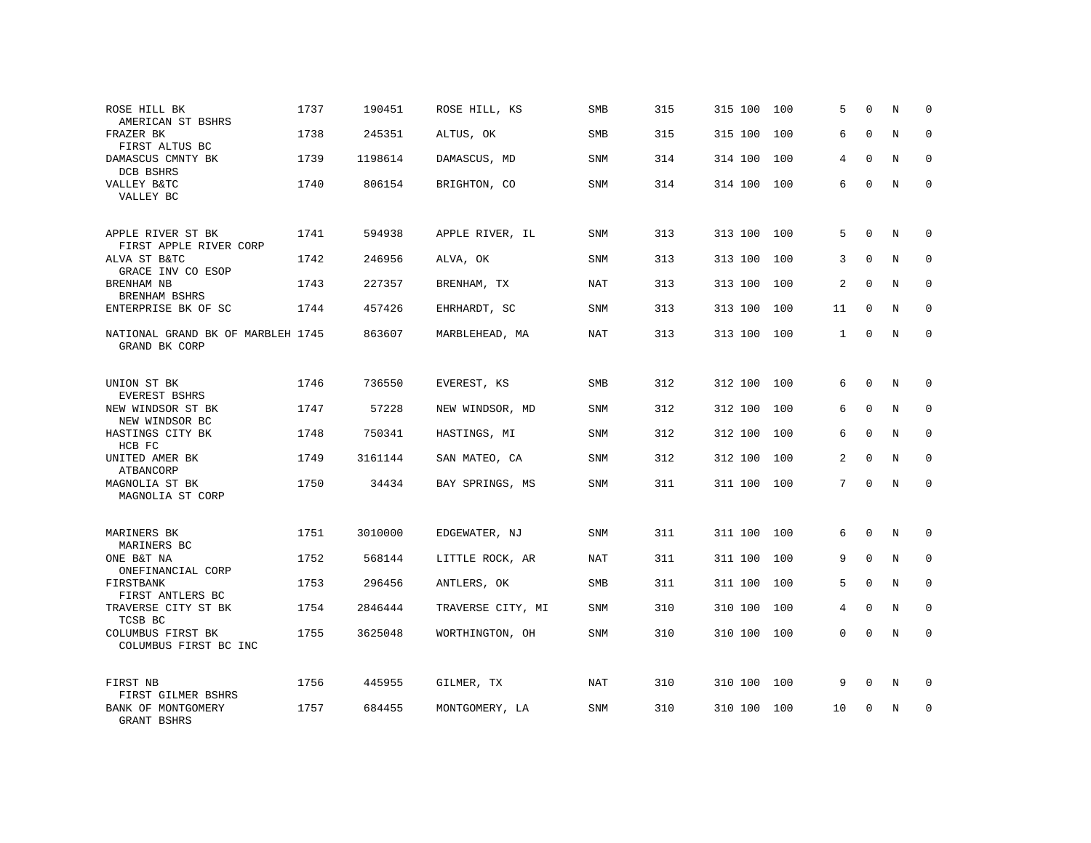| ROSE HILL BK<br>AMERICAN ST BSHRS                  | 1737 | 190451  | ROSE HILL, KS     | SMB        | 315 | 315 100 | 100 | 5              | $\Omega$     | N | 0           |
|----------------------------------------------------|------|---------|-------------------|------------|-----|---------|-----|----------------|--------------|---|-------------|
| FRAZER BK<br>FIRST ALTUS BC                        | 1738 | 245351  | ALTUS, OK         | <b>SMB</b> | 315 | 315 100 | 100 | 6              | $\Omega$     | N | $\mathbf 0$ |
| DAMASCUS CMNTY BK<br>DCB BSHRS                     | 1739 | 1198614 | DAMASCUS, MD      | SNM        | 314 | 314 100 | 100 | 4              | $\Omega$     | N | $\mathbf 0$ |
| VALLEY B&TC<br>VALLEY BC                           | 1740 | 806154  | BRIGHTON, CO      | SNM        | 314 | 314 100 | 100 | 6              | $\Omega$     | N | $\Omega$    |
| APPLE RIVER ST BK<br>FIRST APPLE RIVER CORP        | 1741 | 594938  | APPLE RIVER, IL   | SNM        | 313 | 313 100 | 100 | 5              | $\Omega$     | N | $\Omega$    |
| ALVA ST B&TC<br>GRACE INV CO ESOP                  | 1742 | 246956  | ALVA, OK          | SNM        | 313 | 313 100 | 100 | 3              | $\Omega$     | N | $\mathbf 0$ |
| BRENHAM NB<br>BRENHAM BSHRS                        | 1743 | 227357  | BRENHAM, TX       | NAT        | 313 | 313 100 | 100 | 2              | $\Omega$     | N | $\mathbf 0$ |
| ENTERPRISE BK OF SC                                | 1744 | 457426  | EHRHARDT, SC      | SNM        | 313 | 313 100 | 100 | 11             | $\mathbf 0$  | N | $\mathbf 0$ |
| NATIONAL GRAND BK OF MARBLEH 1745<br>GRAND BK CORP |      | 863607  | MARBLEHEAD, MA    | NAT        | 313 | 313 100 | 100 | $\mathbf{1}$   | $\Omega$     | N | $\Omega$    |
| UNION ST BK<br>EVEREST BSHRS                       | 1746 | 736550  | EVEREST, KS       | <b>SMB</b> | 312 | 312 100 | 100 | 6              | $\mathbf 0$  | N | $\mathbf 0$ |
| NEW WINDSOR ST BK<br>NEW WINDSOR BC                | 1747 | 57228   | NEW WINDSOR, MD   | SNM        | 312 | 312 100 | 100 | 6              | $\Omega$     | N | $\Omega$    |
| HASTINGS CITY BK<br>HCB FC                         | 1748 | 750341  | HASTINGS, MI      | SNM        | 312 | 312 100 | 100 | 6              | $\Omega$     | N | $\mathbf 0$ |
| UNITED AMER BK<br>ATBANCORP                        | 1749 | 3161144 | SAN MATEO, CA     | <b>SNM</b> | 312 | 312 100 | 100 | $\overline{2}$ | $\Omega$     | N | $\Omega$    |
| MAGNOLIA ST BK<br>MAGNOLIA ST CORP                 | 1750 | 34434   | BAY SPRINGS, MS   | SNM        | 311 | 311 100 | 100 | 7              | $\mathbf{0}$ | N | $\mathbf 0$ |
| MARINERS BK<br>MARINERS BC                         | 1751 | 3010000 | EDGEWATER, NJ     | SNM        | 311 | 311 100 | 100 | 6              | $\mathbf{0}$ | N | $\mathbf 0$ |
| ONE B&T NA<br>ONEFINANCIAL CORP                    | 1752 | 568144  | LITTLE ROCK, AR   | <b>NAT</b> | 311 | 311 100 | 100 | 9              | $\Omega$     | N | $\mathbf 0$ |
| FIRSTBANK<br>FIRST ANTLERS BC                      | 1753 | 296456  | ANTLERS, OK       | <b>SMB</b> | 311 | 311 100 | 100 | 5              | $\mathbf{0}$ | N | $\mathbf 0$ |
| TRAVERSE CITY ST BK<br>TCSB BC                     | 1754 | 2846444 | TRAVERSE CITY, MI | <b>SNM</b> | 310 | 310 100 | 100 | 4              | $\Omega$     | N | $\mathbf 0$ |
| COLUMBUS FIRST BK<br>COLUMBUS FIRST BC INC         | 1755 | 3625048 | WORTHINGTON, OH   | SNM        | 310 | 310 100 | 100 | 0              | $\mathbf 0$  | N | $\mathbf 0$ |
| FIRST NB<br>FIRST GILMER BSHRS                     | 1756 | 445955  | GILMER, TX        | NAT        | 310 | 310 100 | 100 | 9              | $\mathbf 0$  | N | 0           |
| BANK OF MONTGOMERY<br><b>GRANT BSHRS</b>           | 1757 | 684455  | MONTGOMERY, LA    | <b>SNM</b> | 310 | 310 100 | 100 | 10             | $\Omega$     | N | $\mathbf 0$ |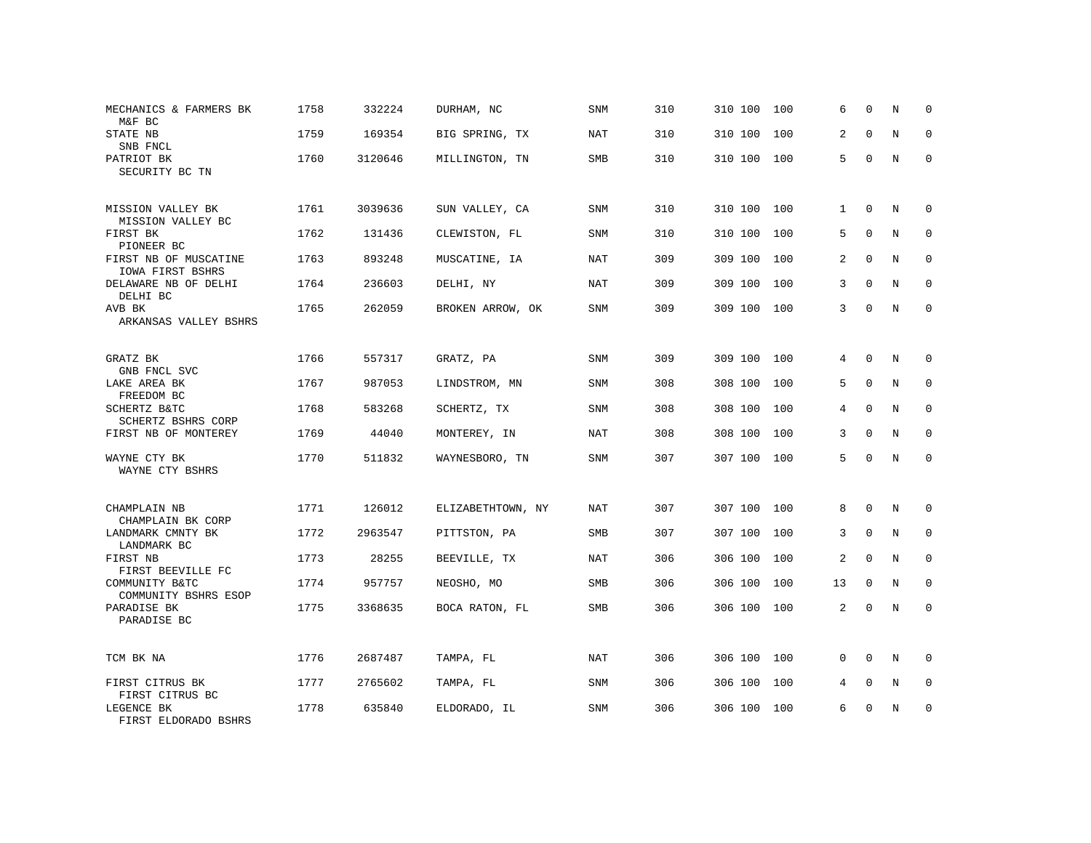| MECHANICS & FARMERS BK<br>M&F BC                 | 1758 | 332224  | DURHAM, NC        | SNM        | 310 | 310 100 | 100 | 6              | $\Omega$    | N           | $\Omega$    |
|--------------------------------------------------|------|---------|-------------------|------------|-----|---------|-----|----------------|-------------|-------------|-------------|
| STATE NB<br>SNB FNCL                             | 1759 | 169354  | BIG SPRING, TX    | <b>NAT</b> | 310 | 310 100 | 100 | 2              | $\Omega$    | N           | $\Omega$    |
| PATRIOT BK<br>SECURITY BC TN                     | 1760 | 3120646 | MILLINGTON, TN    | SMB        | 310 | 310 100 | 100 | 5              | $\mathbf 0$ | N           | $\Omega$    |
| MISSION VALLEY BK<br>MISSION VALLEY BC           | 1761 | 3039636 | SUN VALLEY, CA    | SNM        | 310 | 310 100 | 100 | $\mathbf{1}$   | $\Omega$    | N           | $\Omega$    |
| FIRST BK<br>PIONEER BC                           | 1762 | 131436  | CLEWISTON, FL     | SNM        | 310 | 310 100 | 100 | 5              | 0           | N           | $\mathbf 0$ |
| FIRST NB OF MUSCATINE<br>IOWA FIRST BSHRS        | 1763 | 893248  | MUSCATINE, IA     | <b>NAT</b> | 309 | 309 100 | 100 | $\overline{2}$ | $\Omega$    | N           | $\Omega$    |
| DELAWARE NB OF DELHI<br>DELHI BC                 | 1764 | 236603  | DELHI, NY         | NAT        | 309 | 309 100 | 100 | 3              | $\Omega$    | N           | $\mathbf 0$ |
| AVB BK<br>ARKANSAS VALLEY BSHRS                  | 1765 | 262059  | BROKEN ARROW, OK  | <b>SNM</b> | 309 | 309 100 | 100 | 3              | $\Omega$    | N           | $\Omega$    |
| GRATZ BK                                         | 1766 | 557317  | GRATZ, PA         | <b>SNM</b> | 309 | 309 100 | 100 | 4              | $\Omega$    | N           | $\Omega$    |
| GNB FNCL SVC<br>LAKE AREA BK                     | 1767 | 987053  | LINDSTROM, MN     | SNM        | 308 | 308 100 | 100 | 5              | $\mathbf 0$ | N           | $\mathbf 0$ |
| FREEDOM BC<br>SCHERTZ B&TC<br>SCHERTZ BSHRS CORP | 1768 | 583268  | SCHERTZ, TX       | <b>SNM</b> | 308 | 308 100 | 100 | 4              | $\Omega$    | N           | $\Omega$    |
| FIRST NB OF MONTEREY                             | 1769 | 44040   | MONTEREY, IN      | <b>NAT</b> | 308 | 308 100 | 100 | 3              | $\Omega$    | N           | $\Omega$    |
| WAYNE CTY BK<br>WAYNE CTY BSHRS                  | 1770 | 511832  | WAYNESBORO, TN    | SNM        | 307 | 307 100 | 100 | 5              | $\Omega$    | N           | $\mathbf 0$ |
| CHAMPLAIN NB<br>CHAMPLAIN BK CORP                | 1771 | 126012  | ELIZABETHTOWN, NY | NAT        | 307 | 307 100 | 100 | 8              | 0           | N           | 0           |
| LANDMARK CMNTY BK<br>LANDMARK BC                 | 1772 | 2963547 | PITTSTON, PA      | <b>SMB</b> | 307 | 307 100 | 100 | 3              | $\mathbf 0$ | N           | $\mathbf 0$ |
| FIRST NB<br>FIRST BEEVILLE FC                    | 1773 | 28255   | BEEVILLE, TX      | <b>NAT</b> | 306 | 306 100 | 100 | 2              | $\mathbf 0$ | $\mathbf N$ | $\mathbf 0$ |
| COMMUNITY B&TC<br>COMMUNITY BSHRS ESOP           | 1774 | 957757  | NEOSHO, MO        | <b>SMB</b> | 306 | 306 100 | 100 | 13             | $\mathbf 0$ | N           | $\mathbf 0$ |
| PARADISE BK<br>PARADISE BC                       | 1775 | 3368635 | BOCA RATON, FL    | <b>SMB</b> | 306 | 306 100 | 100 | $\overline{2}$ | $\Omega$    | N           | $\Omega$    |
| TCM BK NA                                        | 1776 | 2687487 | TAMPA, FL         | <b>NAT</b> | 306 | 306 100 | 100 | $\Omega$       | $\Omega$    | N           | $\mathbf 0$ |
| FIRST CITRUS BK<br>FIRST CITRUS BC               | 1777 | 2765602 | TAMPA, FL         | SNM        | 306 | 306 100 | 100 | 4              | 0           | N           | 0           |
| LEGENCE BK<br>FIRST ELDORADO BSHRS               | 1778 | 635840  | ELDORADO, IL      | SNM        | 306 | 306 100 | 100 | 6              | $\Omega$    | N           | $\mathbf 0$ |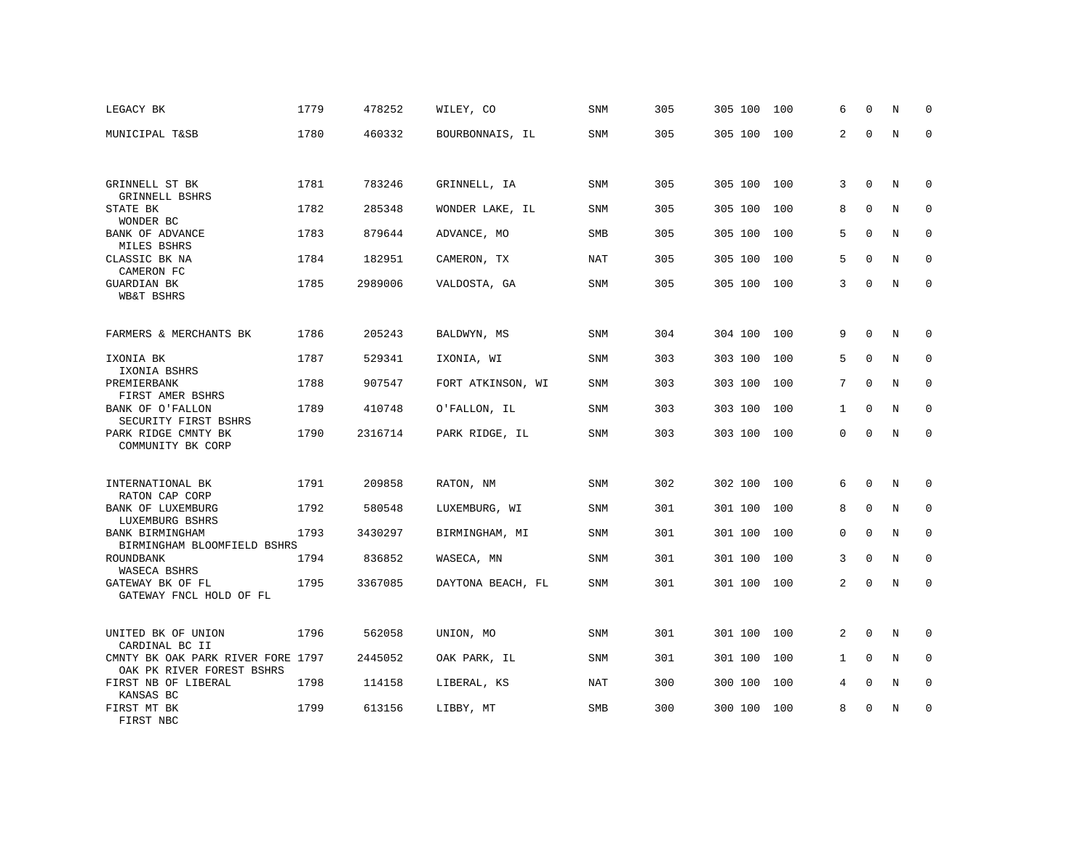| LEGACY BK                                                      | 1779 | 478252  | WILEY, CO         | SNM        | 305 | 305 100     | 100 | 6            | $\Omega$    | N | $\Omega$    |
|----------------------------------------------------------------|------|---------|-------------------|------------|-----|-------------|-----|--------------|-------------|---|-------------|
| MUNICIPAL T&SB                                                 | 1780 | 460332  | BOURBONNAIS, IL   | SNM        | 305 | 305 100 100 |     | 2            | $\Omega$    | N | $\Omega$    |
|                                                                |      |         |                   |            |     |             |     |              |             |   |             |
| GRINNELL ST BK<br>GRINNELL BSHRS                               | 1781 | 783246  | GRINNELL, IA      | SNM        | 305 | 305 100 100 |     | 3            | $\mathbf 0$ | N | 0           |
| STATE BK<br>WONDER BC                                          | 1782 | 285348  | WONDER LAKE, IL   | SNM        | 305 | 305 100     | 100 | 8            | $\Omega$    | N | $\Omega$    |
| BANK OF ADVANCE<br>MILES BSHRS                                 | 1783 | 879644  | ADVANCE, MO       | SMB        | 305 | 305 100     | 100 | 5            | $\Omega$    | N | 0           |
| CLASSIC BK NA<br>CAMERON FC                                    | 1784 | 182951  | CAMERON, TX       | <b>NAT</b> | 305 | 305 100     | 100 | 5            | $\Omega$    | N | 0           |
| <b>GUARDIAN BK</b><br><b>WB&amp;T BSHRS</b>                    | 1785 | 2989006 | VALDOSTA, GA      | SNM        | 305 | 305 100 100 |     | 3            | $\Omega$    | N | $\mathbf 0$ |
| FARMERS & MERCHANTS BK                                         | 1786 | 205243  | BALDWYN, MS       | SNM        | 304 | 304 100 100 |     | 9            | 0           | N | 0           |
| IXONIA BK<br>IXONIA BSHRS                                      | 1787 | 529341  | IXONIA, WI        | SNM        | 303 | 303 100     | 100 | 5            | $\mathbf 0$ | N | 0           |
| PREMIERBANK<br>FIRST AMER BSHRS                                | 1788 | 907547  | FORT ATKINSON, WI | SNM        | 303 | 303 100     | 100 | 7            | $\mathbf 0$ | N | $\mathbf 0$ |
| BANK OF O'FALLON<br>SECURITY FIRST BSHRS                       | 1789 | 410748  | O'FALLON, IL      | SNM        | 303 | 303 100     | 100 | $\mathbf{1}$ | $\Omega$    | N | $\mathbf 0$ |
| PARK RIDGE CMNTY BK<br>COMMUNITY BK CORP                       | 1790 | 2316714 | PARK RIDGE, IL    | SNM        | 303 | 303 100 100 |     | $\mathbf 0$  | $\Omega$    | N | $\mathbf 0$ |
| INTERNATIONAL BK<br>RATON CAP CORP                             | 1791 | 209858  | RATON, NM         | SNM        | 302 | 302 100 100 |     | 6            | 0           | N | 0           |
| BANK OF LUXEMBURG<br>LUXEMBURG BSHRS                           | 1792 | 580548  | LUXEMBURG, WI     | SNM        | 301 | 301 100 100 |     | 8            | $\Omega$    | N | 0           |
| BANK BIRMINGHAM<br>BIRMINGHAM BLOOMFIELD BSHRS                 | 1793 | 3430297 | BIRMINGHAM, MI    | SNM        | 301 | 301 100 100 |     | $\mathbf 0$  | $\mathbf 0$ | N | $\mathbf 0$ |
| ROUNDBANK<br>WASECA BSHRS                                      | 1794 | 836852  | WASECA, MN        | <b>SNM</b> | 301 | 301 100     | 100 | 3            | $\mathbf 0$ | N | $\mathbf 0$ |
| GATEWAY BK OF FL<br>GATEWAY FNCL HOLD OF FL                    | 1795 | 3367085 | DAYTONA BEACH, FL | <b>SNM</b> | 301 | 301 100 100 |     | 2            | $\Omega$    | N | $\Omega$    |
| UNITED BK OF UNION<br>CARDINAL BC II                           | 1796 | 562058  | UNION, MO         | SNM        | 301 | 301 100 100 |     | 2            | $\Omega$    | N | 0           |
| CMNTY BK OAK PARK RIVER FORE 1797<br>OAK PK RIVER FOREST BSHRS |      | 2445052 | OAK PARK, IL      | SNM        | 301 | 301 100     | 100 | $\mathbf{1}$ | $\Omega$    | N | 0           |
| FIRST NB OF LIBERAL<br>KANSAS BC                               | 1798 | 114158  | LIBERAL, KS       | NAT        | 300 | 300 100     | 100 | 4            | $\Omega$    | N | 0           |
| FIRST MT BK<br>FIRST NBC                                       | 1799 | 613156  | LIBBY, MT         | <b>SMB</b> | 300 | 300 100     | 100 | 8            | 0           | N | $\mathbf 0$ |